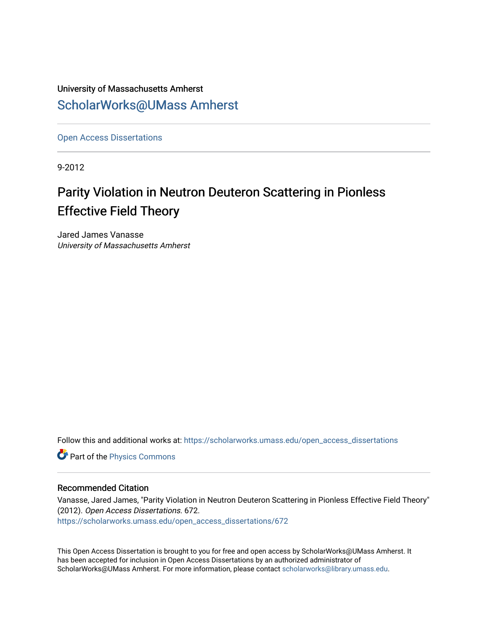# University of Massachusetts Amherst [ScholarWorks@UMass Amherst](https://scholarworks.umass.edu/)

[Open Access Dissertations](https://scholarworks.umass.edu/open_access_dissertations) 

9-2012

# Parity Violation in Neutron Deuteron Scattering in Pionless Effective Field Theory

Jared James Vanasse University of Massachusetts Amherst

Follow this and additional works at: [https://scholarworks.umass.edu/open\\_access\\_dissertations](https://scholarworks.umass.edu/open_access_dissertations?utm_source=scholarworks.umass.edu%2Fopen_access_dissertations%2F672&utm_medium=PDF&utm_campaign=PDFCoverPages) 

**Part of the [Physics Commons](http://network.bepress.com/hgg/discipline/193?utm_source=scholarworks.umass.edu%2Fopen_access_dissertations%2F672&utm_medium=PDF&utm_campaign=PDFCoverPages)** 

#### Recommended Citation

Vanasse, Jared James, "Parity Violation in Neutron Deuteron Scattering in Pionless Effective Field Theory" (2012). Open Access Dissertations. 672. [https://scholarworks.umass.edu/open\\_access\\_dissertations/672](https://scholarworks.umass.edu/open_access_dissertations/672?utm_source=scholarworks.umass.edu%2Fopen_access_dissertations%2F672&utm_medium=PDF&utm_campaign=PDFCoverPages) 

This Open Access Dissertation is brought to you for free and open access by ScholarWorks@UMass Amherst. It has been accepted for inclusion in Open Access Dissertations by an authorized administrator of ScholarWorks@UMass Amherst. For more information, please contact [scholarworks@library.umass.edu.](mailto:scholarworks@library.umass.edu)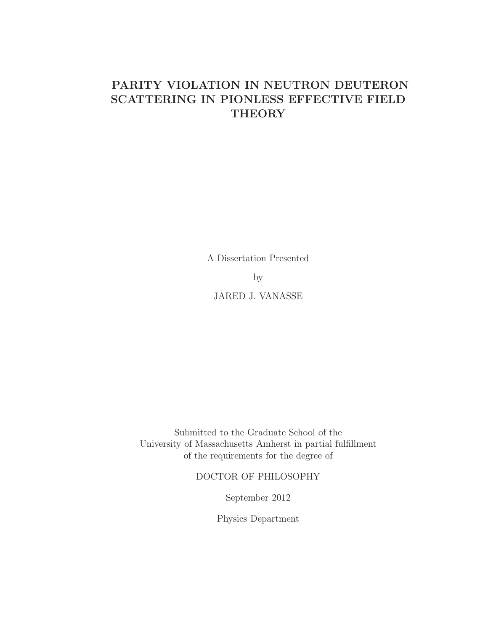# PARITY VIOLATION IN NEUTRON DEUTERON SCATTERING IN PIONLESS EFFECTIVE FIELD **THEORY**

A Dissertation Presented

by

JARED J. VANASSE

Submitted to the Graduate School of the University of Massachusetts Amherst in partial fulfillment of the requirements for the degree of

DOCTOR OF PHILOSOPHY

September 2012

Physics Department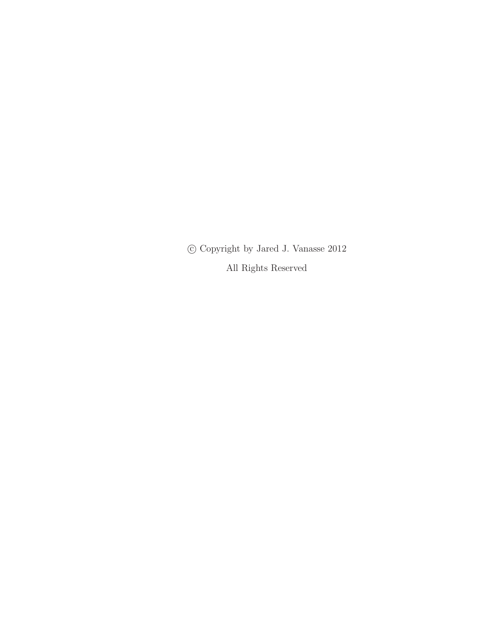c Copyright by Jared J. Vanasse 2012 All Rights Reserved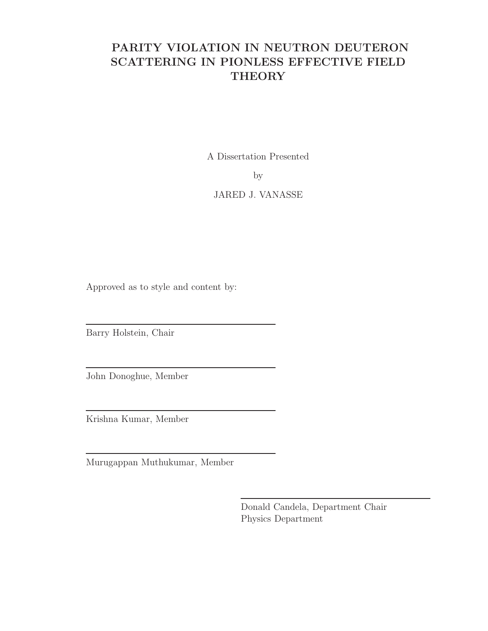# PARITY VIOLATION IN NEUTRON DEUTERON SCATTERING IN PIONLESS EFFECTIVE FIELD **THEORY**

A Dissertation Presented

by

JARED J. VANASSE

Approved as to style and content by:

Barry Holstein, Chair

John Donoghue, Member

Krishna Kumar, Member

Murugappan Muthukumar, Member

Donald Candela, Department Chair Physics Department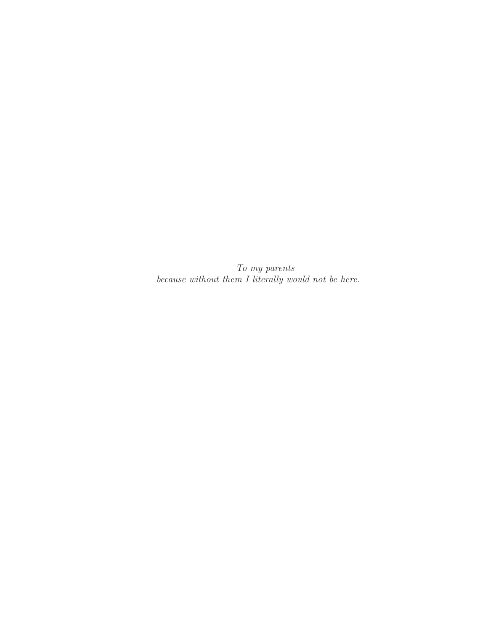To my parents because without them I literally would not be here.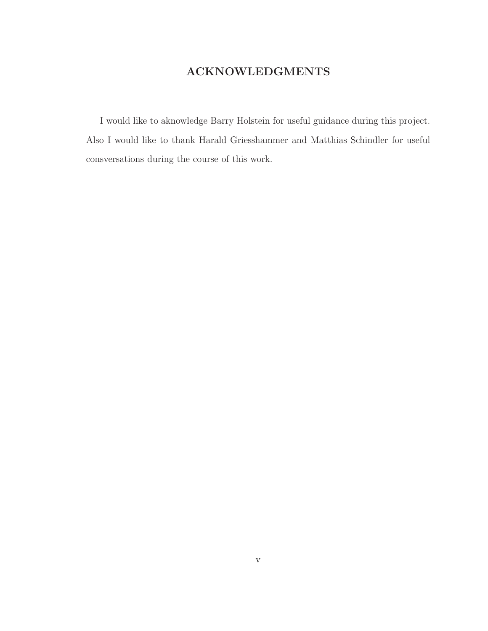## ACKNOWLEDGMENTS

I would like to aknowledge Barry Holstein for useful guidance during this project. Also I would like to thank Harald Griesshammer and Matthias Schindler for useful consversations during the course of this work.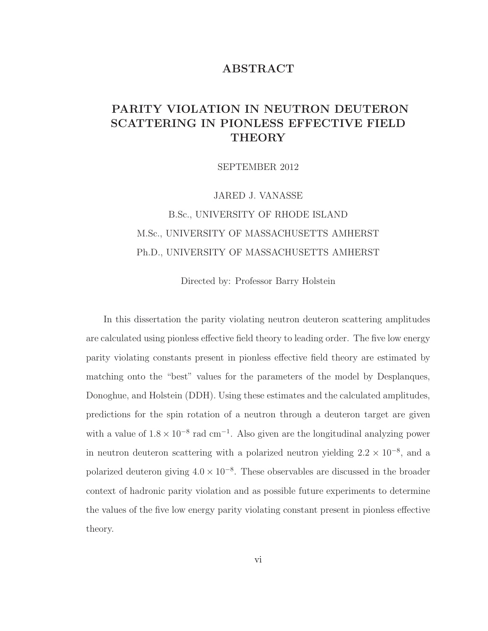### ABSTRACT

## PARITY VIOLATION IN NEUTRON DEUTERON SCATTERING IN PIONLESS EFFECTIVE FIELD THEORY

SEPTEMBER 2012

JARED J. VANASSE B.Sc., UNIVERSITY OF RHODE ISLAND M.Sc., UNIVERSITY OF MASSACHUSETTS AMHERST Ph.D., UNIVERSITY OF MASSACHUSETTS AMHERST

Directed by: Professor Barry Holstein

In this dissertation the parity violating neutron deuteron scattering amplitudes are calculated using pionless effective field theory to leading order. The five low energy parity violating constants present in pionless effective field theory are estimated by matching onto the "best" values for the parameters of the model by Desplanques, Donoghue, and Holstein (DDH). Using these estimates and the calculated amplitudes, predictions for the spin rotation of a neutron through a deuteron target are given with a value of  $1.8 \times 10^{-8}$  rad cm<sup>-1</sup>. Also given are the longitudinal analyzing power in neutron deuteron scattering with a polarized neutron yielding  $2.2 \times 10^{-8}$ , and a polarized deuteron giving  $4.0 \times 10^{-8}$ . These observables are discussed in the broader context of hadronic parity violation and as possible future experiments to determine the values of the five low energy parity violating constant present in pionless effective theory.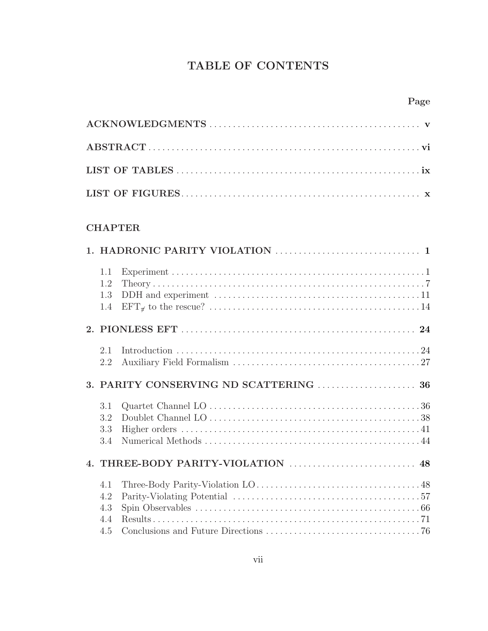# TABLE OF CONTENTS

## CHAPTER

| 1.1<br>1.2<br>1.3<br>1.4        | DDH and experiment $\dots\dots\dots\dots\dots\dots\dots\dots\dots\dots\dots\dots\dots\dots 11$ |
|---------------------------------|------------------------------------------------------------------------------------------------|
|                                 |                                                                                                |
| 2.1<br>2.2                      |                                                                                                |
|                                 |                                                                                                |
| 3.1<br>3.2<br>3.3<br>3.4        |                                                                                                |
|                                 |                                                                                                |
| 4.1<br>4.2<br>4.3<br>4.4<br>4.5 |                                                                                                |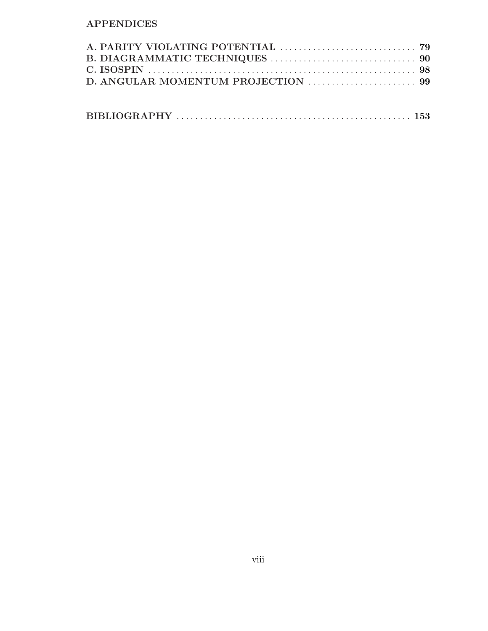## APPENDICES

|--|--|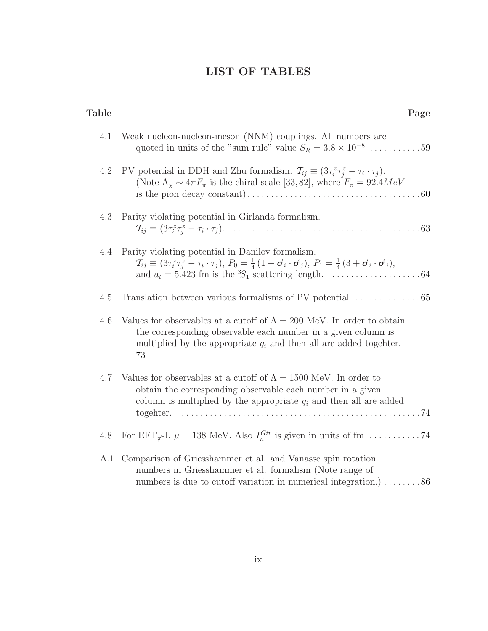# LIST OF TABLES

| Table | Page                                                                                                                                                                                                                                   |
|-------|----------------------------------------------------------------------------------------------------------------------------------------------------------------------------------------------------------------------------------------|
| 4.1   | Weak nucleon-nucleon-meson (NNM) couplings. All numbers are<br>quoted in units of the "sum rule" value $S_R = 3.8 \times 10^{-8} \dots \dots \dots \dots 59$                                                                           |
| 4.2   | PV potential in DDH and Zhu formalism. $\mathcal{T}_{ij} \equiv (3\tau_i^z \tau_j^z - \tau_i \cdot \tau_j)$ .<br>(Note $\Lambda_{\chi} \sim 4\pi F_{\pi}$ is the chiral scale [33, 82], where $F_{\pi} = 92.4 MeV$                     |
| 4.3   | Parity violating potential in Girlanda formalism.                                                                                                                                                                                      |
| 4.4   | Parity violating potential in Danilov formalism.<br>$\mathcal{T}_{ij} \equiv (3\tau_i^z\tau_j^z - \tau_i\cdot\tau_j), P_0 = \frac{1}{4}(1-\vec{\sigma}_i\cdot\vec{\sigma}_j), P_1 = \frac{1}{4}(3+\vec{\sigma}_i\cdot\vec{\sigma}_j),$ |
| 4.5   | Translation between various formalisms of PV potential $\dots\dots\dots\dots\dots65$                                                                                                                                                   |
| 4.6   | Values for observables at a cutoff of $\Lambda = 200$ MeV. In order to obtain<br>the corresponding observable each number in a given column is<br>multiplied by the appropriate $g_i$ and then all are added togehter.<br>73           |
| 4.7   | Values for observables at a cutoff of $\Lambda = 1500$ MeV. In order to<br>obtain the corresponding observable each number in a given<br>column is multiplied by the appropriate $g_i$ and then all are added<br>togehter.             |
| 4.8   |                                                                                                                                                                                                                                        |
|       | A.1 Comparison of Griesshammer et al. and Vanasse spin rotation<br>numbers in Griesshammer et al. formalism (Note range of<br>numbers is due to cutoff variation in numerical integration.) $\dots \dots 86$                           |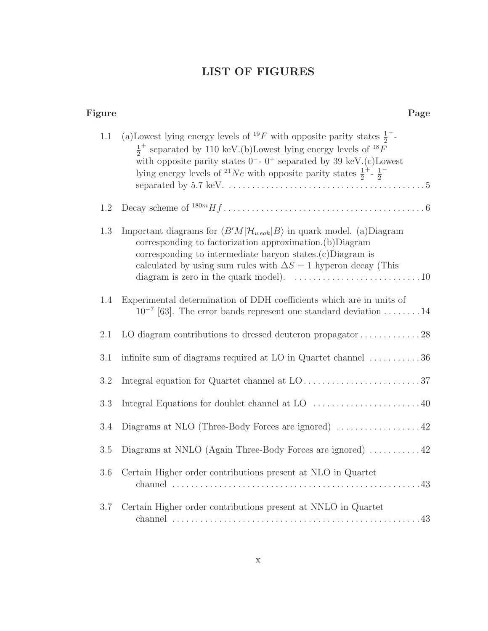# LIST OF FIGURES

| Figure  | Page                                                                                                                                                                                                                                                                                                                                                                                     |
|---------|------------------------------------------------------------------------------------------------------------------------------------------------------------------------------------------------------------------------------------------------------------------------------------------------------------------------------------------------------------------------------------------|
| $1.1\,$ | (a) Lowest lying energy levels of <sup>19</sup> F with opposite parity states $\frac{1}{2}$<br>$\frac{1}{2}^+$ separated by 110 keV.(b) Lowest lying energy levels of $^{18}F$<br>with opposite parity states $0^-$ - $0^+$ separated by 39 keV.(c)Lowest<br>lying energy levels of <sup>21</sup> Ne with opposite parity states $\frac{1}{2}$ <sup>+</sup> - $\frac{1}{2}$ <sup>-</sup> |
| 1.2     |                                                                                                                                                                                                                                                                                                                                                                                          |
| 1.3     | Important diagrams for $\langle B'M \mathcal{H}_{weak} B\rangle$ in quark model. (a)Diagram<br>corresponding to factorization approximation. (b) Diagram<br>corresponding to intermediate baryon states. $(c)$ Diagram is<br>calculated by using sum rules with $\Delta S = 1$ hyperon decay (This                                                                                       |
| 1.4     | Experimental determination of DDH coefficients which are in units of<br>$10^{-7}$ [63]. The error bands represent one standard deviation 14                                                                                                                                                                                                                                              |
| 2.1     |                                                                                                                                                                                                                                                                                                                                                                                          |
| 3.1     | infinite sum of diagrams required at LO in Quartet channel $\dots \dots \dots 36$                                                                                                                                                                                                                                                                                                        |
| 3.2     |                                                                                                                                                                                                                                                                                                                                                                                          |
| 3.3     | Integral Equations for doublet channel at LO $\,\ldots\, \ldots\, \ldots\, \ldots\, \ldots\, \ldots\, 40$                                                                                                                                                                                                                                                                                |
| 3.4     | Diagrams at NLO (Three-Body Forces are ignored) $\dots\dots\dots\dots\dots42$                                                                                                                                                                                                                                                                                                            |
| $3.5\,$ | Diagrams at NNLO (Again Three-Body Forces are ignored) $\dots \dots \dots 42$                                                                                                                                                                                                                                                                                                            |
| 3.6     | Certain Higher order contributions present at NLO in Quartet                                                                                                                                                                                                                                                                                                                             |
| $3.7\,$ | Certain Higher order contributions present at NNLO in Quartet                                                                                                                                                                                                                                                                                                                            |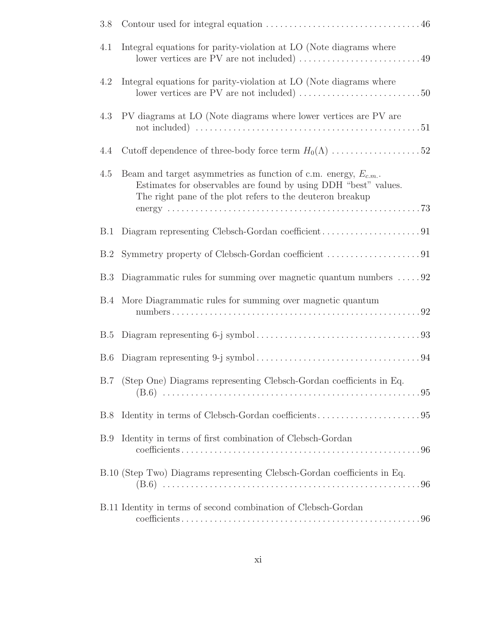| 3.8        |                                                                                                                                                                                                      |
|------------|------------------------------------------------------------------------------------------------------------------------------------------------------------------------------------------------------|
| 4.1        | Integral equations for parity-violation at LO (Note diagrams where                                                                                                                                   |
| 4.2        | Integral equations for parity-violation at LO (Note diagrams where                                                                                                                                   |
| 4.3        | PV diagrams at LO (Note diagrams where lower vertices are PV are                                                                                                                                     |
| 4.4        | Cutoff dependence of three-body force term $H_0(\Lambda)$ 52                                                                                                                                         |
| 4.5        | Beam and target asymmetries as function of c.m. energy, $E_{c.m.}$ .<br>Estimates for observables are found by using DDH "best" values.<br>The right pane of the plot refers to the deuteron breakup |
| B.1        |                                                                                                                                                                                                      |
| B.2        |                                                                                                                                                                                                      |
| <b>B.3</b> | Diagrammatic rules for summing over magnetic quantum numbers $\dots$ . 92                                                                                                                            |
|            | B.4 More Diagrammatic rules for summing over magnetic quantum                                                                                                                                        |
| B.5        |                                                                                                                                                                                                      |
| <b>B.6</b> |                                                                                                                                                                                                      |
|            | B.7 (Step One) Diagrams representing Clebsch-Gordan coefficients in Eq.                                                                                                                              |
| B.8        |                                                                                                                                                                                                      |
| B.9        | Identity in terms of first combination of Clebsch-Gordan                                                                                                                                             |
|            | B.10 (Step Two) Diagrams representing Clebsch-Gordan coefficients in Eq.                                                                                                                             |
|            | B.11 Identity in terms of second combination of Clebsch-Gordan                                                                                                                                       |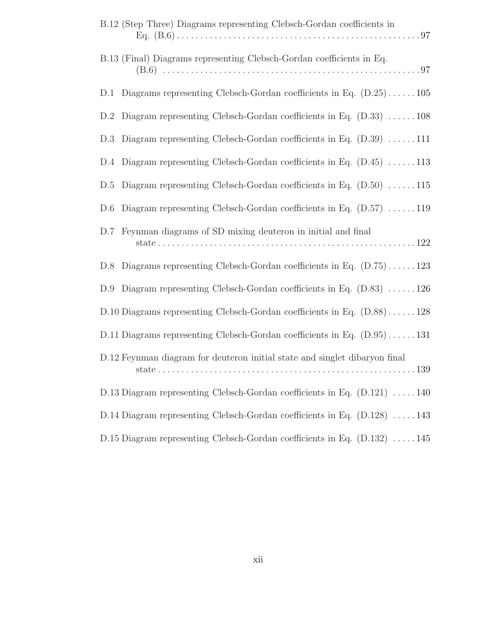| B.12 (Step Three) Diagrams representing Clebsch-Gordan coefficients in                   |
|------------------------------------------------------------------------------------------|
| B.13 (Final) Diagrams representing Clebsch-Gordan coefficients in Eq.                    |
| D.1 Diagrams representing Clebsch-Gordan coefficients in Eq. $(D.25) \dots 105$          |
| D.2 Diagram representing Clebsch-Gordan coefficients in Eq. $(D.33)$ 108                 |
| D.3 Diagram representing Clebsch-Gordan coefficients in Eq. $(D.39)$ 111                 |
| D.4 Diagram representing Clebsch-Gordan coefficients in Eq. $(D.45)$ 113                 |
| D.5 Diagram representing Clebsch-Gordan coefficients in Eq. $(D.50)$ 115                 |
| D.6 Diagram representing Clebsch-Gordan coefficients in Eq. $(D.57)$ 119                 |
| D.7 Feynman diagrams of SD mixing deuteron in initial and final                          |
| D.8 Diagrams representing Clebsch-Gordan coefficients in Eq. $(D.75) \dots 123$          |
| D.9 Diagram representing Clebsch-Gordan coefficients in Eq. $(D.83)$ 126                 |
| D.10 Diagrams representing Clebsch-Gordan coefficients in Eq. $(D.88) \ldots \ldots 128$ |
| D.11 Diagrams representing Clebsch-Gordan coefficients in Eq. $(D.95) \dots 131$         |
| D.12 Feynman diagram for deuteron initial state and singlet dibaryon final               |
| D.13 Diagram representing Clebsch-Gordan coefficients in Eq. $(D.121)$ 140               |
| D.14 Diagram representing Clebsch-Gordan coefficients in Eq. (D.128) 143                 |
| D.15 Diagram representing Clebsch-Gordan coefficients in Eq. $(D.132)$ 145               |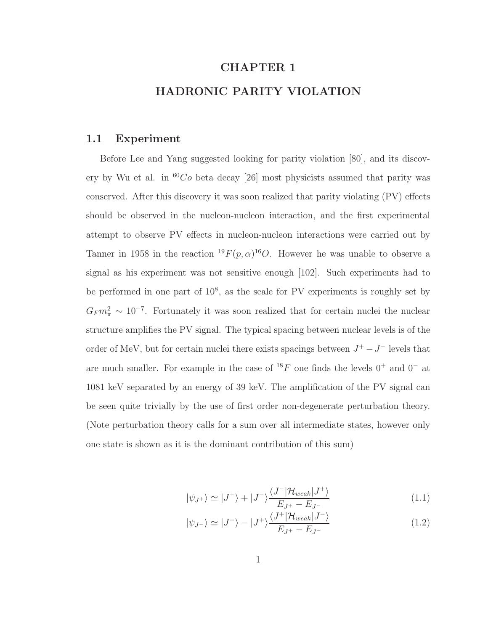# CHAPTER 1 HADRONIC PARITY VIOLATION

#### 1.1 Experiment

Before Lee and Yang suggested looking for parity violation [80], and its discovery by Wu et al. in  ${}^{60}Co$  beta decay [26] most physicists assumed that parity was conserved. After this discovery it was soon realized that parity violating (PV) effects should be observed in the nucleon-nucleon interaction, and the first experimental attempt to observe PV effects in nucleon-nucleon interactions were carried out by Tanner in 1958 in the reaction  $^{19}F(p,\alpha)^{16}O$ . However he was unable to observe a signal as his experiment was not sensitive enough [102]. Such experiments had to be performed in one part of  $10^8$ , as the scale for PV experiments is roughly set by  $G_F m_\pi^2 \sim 10^{-7}$ . Fortunately it was soon realized that for certain nuclei the nuclear structure amplifies the PV signal. The typical spacing between nuclear levels is of the order of MeV, but for certain nuclei there exists spacings between  $J^+ - J^-$  levels that are much smaller. For example in the case of  $^{18}F$  one finds the levels  $0^+$  and  $0^-$  at 1081 keV separated by an energy of 39 keV. The amplification of the PV signal can be seen quite trivially by the use of first order non-degenerate perturbation theory. (Note perturbation theory calls for a sum over all intermediate states, however only one state is shown as it is the dominant contribution of this sum)

$$
|\psi_{J^{+}}\rangle \simeq |J^{+}\rangle + |J^{-}\rangle \frac{\langle J^{-}|\mathcal{H}_{weak}|J^{+}\rangle}{E_{J^{+}} - E_{J^{-}}}
$$
\n(1.1)

$$
|\psi_{J^{-}}\rangle \simeq |J^{-}\rangle - |J^{+}\rangle \frac{\langle J^{+}|\mathcal{H}_{weak}|J^{-}\rangle}{E_{J^{+}} - E_{J^{-}}}
$$
\n(1.2)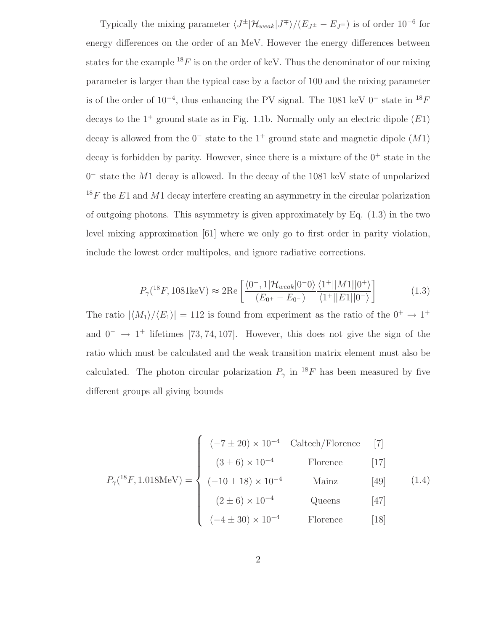Typically the mixing parameter  $\langle J^{\pm}|\mathcal{H}_{weak}|J^{\mp}\rangle/(E_{J^{\pm}}-E_{J^{\mp}})$  is of order  $10^{-6}$  for energy differences on the order of an MeV. However the energy differences between states for the example  ${}^{18}F$  is on the order of keV. Thus the denominator of our mixing parameter is larger than the typical case by a factor of 100 and the mixing parameter is of the order of  $10^{-4}$ , thus enhancing the PV signal. The 1081 keV  $0^-$  state in  $^{18}F$ decays to the  $1^+$  ground state as in Fig. 1.1b. Normally only an electric dipole  $(E1)$ decay is allowed from the  $0^-$  state to the  $1^+$  ground state and magnetic dipole  $(M1)$ decay is forbidden by parity. However, since there is a mixture of the  $0^+$  state in the 0 <sup>−</sup> state the M1 decay is allowed. In the decay of the 1081 keV state of unpolarized  $18F$  the E1 and M1 decay interfere creating an asymmetry in the circular polarization of outgoing photons. This asymmetry is given approximately by Eq.  $(1.3)$  in the two level mixing approximation [61] where we only go to first order in parity violation, include the lowest order multipoles, and ignore radiative corrections.

$$
P_{\gamma}({}^{18}F, 1081 \text{keV}) \approx 2 \text{Re} \left[ \frac{\langle 0^{+}, 1 | \mathcal{H}_{weak} | 0^{-}0 \rangle}{(E_{0^{+}} - E_{0^{-}})} \frac{\langle 1^{+} || M1 || 0^{+} \rangle}{\langle 1^{+} || E1 || 0^{-} \rangle} \right]
$$
(1.3)

The ratio  $|\langle M_1 \rangle / \langle E_1 \rangle| = 112$  is found from experiment as the ratio of the  $0^+ \rightarrow 1^+$ and  $0^- \rightarrow 1^+$  lifetimes [73, 74, 107]. However, this does not give the sign of the ratio which must be calculated and the weak transition matrix element must also be calculated. The photon circular polarization  $P_{\gamma}$  in <sup>18</sup>F has been measured by five different groups all giving bounds

$$
P_{\gamma}({}^{18}F, 1.018 \text{MeV}) = \begin{cases} (-7 \pm 20) \times 10^{-4} & \text{Caltech/Florence} & [7] \\ (3 \pm 6) \times 10^{-4} & \text{Florence} & [17] \\ (-10 \pm 18) \times 10^{-4} & \text{Mainz} & [49] \\ (2 \pm 6) \times 10^{-4} & \text{Queens} & [47] \\ (-4 \pm 30) \times 10^{-4} & \text{Florence} & [18] \end{cases}
$$

$$
(-4 \pm 30) \times 10^{-4}
$$
 Florence [18]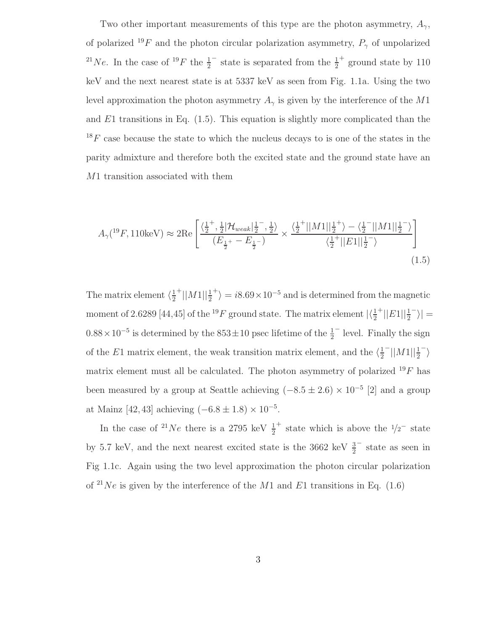Two other important measurements of this type are the photon asymmetry,  $A_{\gamma}$ , of polarized <sup>19</sup>F and the photon circular polarization asymmetry,  $P_{\gamma}$  of unpolarized <sup>21</sup>*Ne*. In the case of <sup>19</sup>*F* the  $\frac{1}{2}$  $-$  state is separated from the  $\frac{1}{2}$ + ground state by 110 keV and the next nearest state is at 5337 keV as seen from Fig. 1.1a. Using the two level approximation the photon asymmetry  $A_{\gamma}$  is given by the interference of the M1 and  $E1$  transitions in Eq.  $(1.5)$ . This equation is slightly more complicated than the  $18F$  case because the state to which the nucleus decays to is one of the states in the parity admixture and therefore both the excited state and the ground state have an M1 transition associated with them

$$
A_{\gamma}({}^{19}F, 110 \text{keV}) \approx 2 \text{Re} \left[ \frac{\langle \frac{1}{2}^{+}, \frac{1}{2} | \mathcal{H}_{weak} | \frac{1}{2}^{-}, \frac{1}{2} \rangle}{(E_{\frac{1}{2}^{+}} - E_{\frac{1}{2}^{-}})} \times \frac{\langle \frac{1}{2}^{+} ||M1||_{2}^{1+} \rangle - \langle \frac{1}{2}^{-} ||M1||_{2}^{1-} \rangle}{\langle \frac{1}{2}^{+} ||E1||_{2}^{1-} \rangle} \right]
$$
(1.5)

The matrix element  $\langle \frac{1}{2} \rangle$ 2  $^{+}||M1||^{\frac{1}{2}}$ <sup>+</sup> $\rangle = i8.69 \times 10^{-5}$  and is determined from the magnetic moment of 2.6289 [44,45] of the <sup>19</sup> F ground state. The matrix element  $\frac{\frac{1}{2}}{\frac{1}{2}}$  $^{+}||E1||\frac{1}{2}$  $\rightarrow$   $=$  $0.88 \times 10^{-5}$  is determined by the  $853 \pm 10$  psec lifetime of the  $\frac{1}{2}$ − level. Finally the sign of the E1 matrix element, the weak transition matrix element, and the  $\langle \frac{1}{2} \rangle$ 2  $^{-}$ || $M1$ || $\frac{1}{2}$  $^{-} \rangle$ matrix element must all be calculated. The photon asymmetry of polarized  $^{19}F$  has been measured by a group at Seattle achieving  $(-8.5 \pm 2.6) \times 10^{-5}$  [2] and a group at Mainz [42, 43] achieving  $(-6.8 \pm 1.8) \times 10^{-5}$ .

In the case of <sup>21</sup>Ne there is a 2795 keV  $\frac{1}{2}$ <sup>+</sup> state which is above the  $\frac{1}{2}$  state by 5.7 keV, and the next nearest excited state is the 3662 keV  $\frac{3}{2}$ − state as seen in Fig 1.1c. Again using the two level approximation the photon circular polarization of <sup>21</sup>Ne is given by the interference of the M1 and E1 transitions in Eq.  $(1.6)$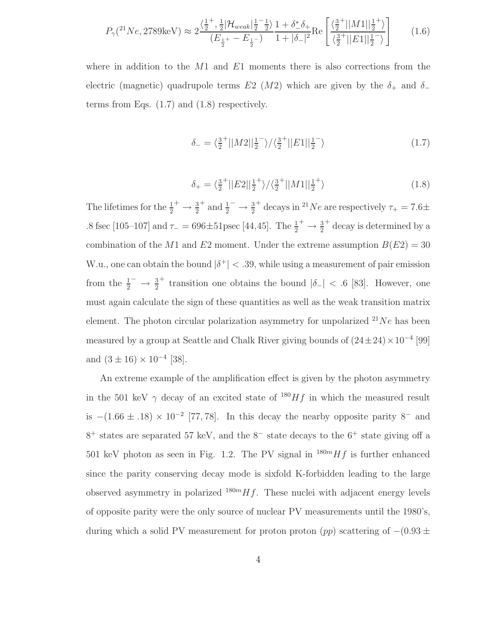$$
P_{\gamma}(^{21}Ne, 2789 \text{keV}) \approx 2 \frac{\langle \frac{1}{2}^{+}, \frac{1}{2} | \mathcal{H}_{weak} | \frac{1}{2}^{-} \frac{1}{2} \rangle}{(E_{\frac{1}{2}^{+}} - E_{\frac{1}{2}^{-}})} \frac{1 + \delta_{-}^{*} \delta_{+}}{1 + |\delta_{-}|^{2}} \text{Re}\left[\frac{\langle \frac{3}{2}^{+} ||M1|| \frac{1}{2}^{+} \rangle}{\langle \frac{3}{2}^{+} ||E1|| \frac{1}{2}^{-} \rangle}\right] \tag{1.6}
$$

where in addition to the  $M1$  and  $E1$  moments there is also corrections from the electric (magnetic) quadrupole terms E2 (M2) which are given by the  $\delta_+$  and  $\delta_$ terms from Eqs. (1.7) and (1.8) respectively.

$$
\delta_{-} = \langle \frac{3}{2}^{+} ||M2||\frac{1}{2}^{-} \rangle / \langle \frac{3}{2}^{+} ||E1||\frac{1}{2}^{-} \rangle \tag{1.7}
$$

$$
\delta_{+} = \langle \frac{3}{2}^{+} || E2 || \frac{1}{2}^{+} \rangle / \langle \frac{3}{2}^{+} || M1 || \frac{1}{2}^{+} \rangle \tag{1.8}
$$

The lifetimes for the  $\frac{1}{2}^+ \rightarrow \frac{3}{2}$ <sup>+</sup> and  $\frac{1}{2}^ \rightarrow \frac{3}{2}$ <sup>+</sup> decays in <sup>21</sup>Ne are respectively  $\tau_+ = 7.6\pm$ .8 fsec [105–107] and  $\tau_{-} = 696 \pm 51$ psec [44,45]. The  $\frac{1}{2}^{+} \rightarrow \frac{3}{2}$ <sup>+</sup> decay is determined by a combination of the M1 and E2 moment. Under the extreme assumption  $B(E2) = 30$ W.u., one can obtain the bound  $|\delta^+| < .39$ , while using a measurement of pair emission from the  $\frac{1}{2}^- \rightarrow \frac{3}{2}$ <sup>+</sup> transition one obtains the bound  $|\delta_{-}| < .6$  [83]. However, one must again calculate the sign of these quantities as well as the weak transition matrix element. The photon circular polarization asymmetry for unpolarized  $2^1Ne$  has been measured by a group at Seattle and Chalk River giving bounds of  $(24 \pm 24) \times 10^{-4}$  [99] and  $(3 \pm 16) \times 10^{-4}$  [38].

An extreme example of the amplification effect is given by the photon asymmetry in the 501 keV  $\gamma$  decay of an excited state of <sup>180</sup>Hf in which the measured result is  $-(1.66 \pm .18) \times 10^{-2}$  [77, 78]. In this decay the nearby opposite parity 8<sup>-</sup> and 8 <sup>+</sup> states are separated 57 keV, and the 8<sup>−</sup> state decays to the 6<sup>+</sup> state giving off a 501 keV photon as seen in Fig. 1.2. The PV signal in  $^{180m}Hf$  is further enhanced since the parity conserving decay mode is sixfold K-forbidden leading to the large observed asymmetry in polarized  $180mHf$ . These nuclei with adjacent energy levels of opposite parity were the only source of nuclear PV measurements until the 1980's, during which a solid PV measurement for proton proton  $(pp)$  scattering of  $-(0.93 \pm 0.000)$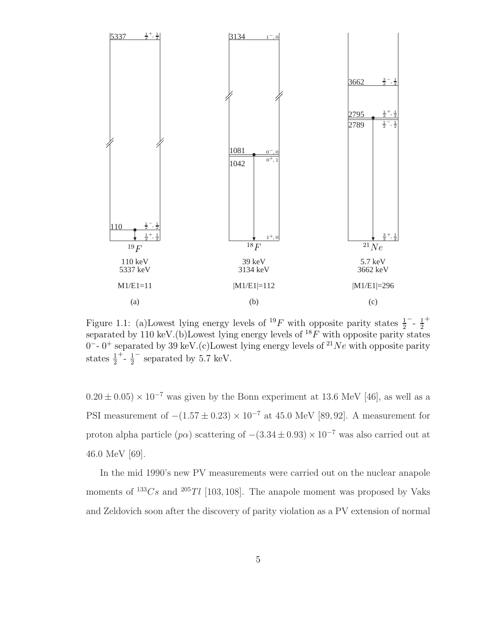

Figure 1.1: (a) Lowest lying energy levels of <sup>19</sup>F with opposite parity states  $\frac{1}{2}$  $^{-}$  -  $\frac{1}{2}$ 2 + separated by 110 keV.(b)Lowest lying energy levels of  $^{18}F$  with opposite parity states 0<sup>-</sup>-0<sup>+</sup> separated by 39 keV.(c)Lowest lying energy levels of <sup>21</sup>Ne with opposite parity states  $\frac{1}{2}$  $+$   $\frac{1}{2}$ 2 − separated by 5.7 keV.

 $0.20 \pm 0.05$ ) ×  $10^{-7}$  was given by the Bonn experiment at 13.6 MeV [46], as well as a PSI measurement of  $-(1.57 \pm 0.23) \times 10^{-7}$  at 45.0 MeV [89,92]. A measurement for proton alpha particle  $(p\alpha)$  scattering of  $-(3.34 \pm 0.93) \times 10^{-7}$  was also carried out at 46.0 MeV [69].

In the mid 1990's new PV measurements were carried out on the nuclear anapole moments of  $133Cs$  and  $205Tl$  [103, 108]. The anapole moment was proposed by Vaks and Zeldovich soon after the discovery of parity violation as a PV extension of normal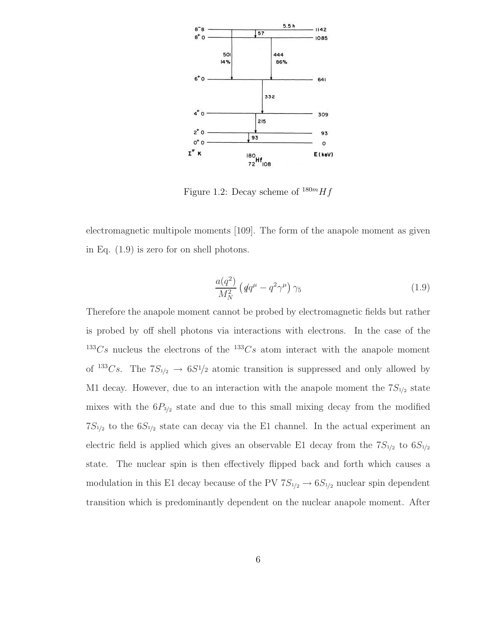

Figure 1.2: Decay scheme of  $^{180m}Hf$ 

electromagnetic multipole moments [109]. The form of the anapole moment as given in Eq. (1.9) is zero for on shell photons.

$$
\frac{a(q^2)}{M_N^2} \left( \not{q} q^\mu - q^2 \gamma^\mu \right) \gamma_5 \tag{1.9}
$$

Therefore the anapole moment cannot be probed by electromagnetic fields but rather is probed by off shell photons via interactions with electrons. In the case of the  $133Cs$  nucleus the electrons of the  $133Cs$  atom interact with the anapole moment of <sup>133</sup>Cs. The  $7S_{1/2} \rightarrow 6S_{1/2}$  atomic transition is suppressed and only allowed by M1 decay. However, due to an interaction with the anapole moment the  $7S_{1/2}$  state mixes with the  $6P_{3/2}$  state and due to this small mixing decay from the modified  $7S_{1/2}$  to the  $6S_{1/2}$  state can decay via the E1 channel. In the actual experiment an electric field is applied which gives an observable E1 decay from the  $7S_{1/2}$  to  $6S_{1/2}$ state. The nuclear spin is then effectively flipped back and forth which causes a modulation in this E1 decay because of the PV  $7S_{1/2} \rightarrow 6S_{1/2}$  nuclear spin dependent transition which is predominantly dependent on the nuclear anapole moment. After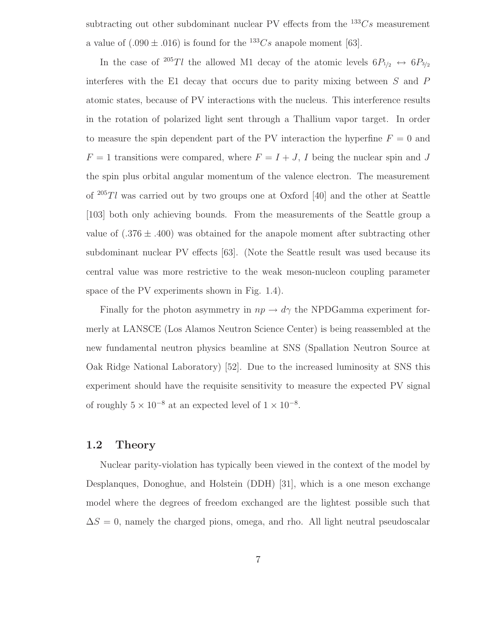subtracting out other subdominant nuclear PV effects from the  $^{133}Cs$  measurement a value of  $(.090 \pm .016)$  is found for the <sup>133</sup>Cs anapole moment [63].

In the case of <sup>205</sup>Tl the allowed M1 decay of the atomic levels  $6P_{1/2} \leftrightarrow 6P_{3/2}$ interferes with the E1 decay that occurs due to parity mixing between  $S$  and  $P$ atomic states, because of PV interactions with the nucleus. This interference results in the rotation of polarized light sent through a Thallium vapor target. In order to measure the spin dependent part of the PV interaction the hyperfine  $F = 0$  and  $F = 1$  transitions were compared, where  $F = I + J$ , I being the nuclear spin and J the spin plus orbital angular momentum of the valence electron. The measurement of  $^{205}Tl$  was carried out by two groups one at Oxford [40] and the other at Seattle [103] both only achieving bounds. From the measurements of the Seattle group a value of  $(.376 \pm .400)$  was obtained for the anapole moment after subtracting other subdominant nuclear PV effects [63]. (Note the Seattle result was used because its central value was more restrictive to the weak meson-nucleon coupling parameter space of the PV experiments shown in Fig. 1.4).

Finally for the photon asymmetry in  $np \to d\gamma$  the NPDGamma experiment formerly at LANSCE (Los Alamos Neutron Science Center) is being reassembled at the new fundamental neutron physics beamline at SNS (Spallation Neutron Source at Oak Ridge National Laboratory) [52]. Due to the increased luminosity at SNS this experiment should have the requisite sensitivity to measure the expected PV signal of roughly  $5 \times 10^{-8}$  at an expected level of  $1 \times 10^{-8}$ .

### 1.2 Theory

Nuclear parity-violation has typically been viewed in the context of the model by Desplanques, Donoghue, and Holstein (DDH) [31], which is a one meson exchange model where the degrees of freedom exchanged are the lightest possible such that  $\Delta S = 0$ , namely the charged pions, omega, and rho. All light neutral pseudoscalar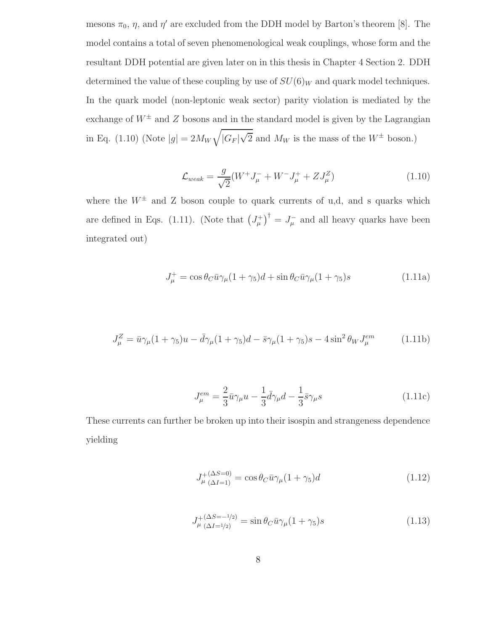mesons  $\pi_0$ ,  $\eta$ , and  $\eta'$  are excluded from the DDH model by Barton's theorem [8]. The model contains a total of seven phenomenological weak couplings, whose form and the resultant DDH potential are given later on in this thesis in Chapter 4 Section 2. DDH determined the value of these coupling by use of  $SU(6)_W$  and quark model techniques. In the quark model (non-leptonic weak sector) parity violation is mediated by the exchange of  $W^{\pm}$  and Z bosons and in the standard model is given by the Lagrangian in Eq. (1.10) (Note  $|g| = 2M_W$  $\sqrt{ }$  $|G_F|\sqrt{2}$  and  $M_W$  is the mass of the  $W^{\pm}$  boson.)

$$
\mathcal{L}_{weak} = \frac{g}{\sqrt{2}} (W^+ J^-_\mu + W^- J^+_\mu + Z J^Z_\mu)
$$
\n(1.10)

where the  $W^{\pm}$  and Z boson couple to quark currents of u,d, and s quarks which are defined in Eqs. (1.11). (Note that  $(J^+_\mu)^{\dagger} = J^-_\mu$  and all heavy quarks have been integrated out)

$$
J_{\mu}^{+} = \cos \theta_{C} \bar{u} \gamma_{\mu} (1 + \gamma_{5}) d + \sin \theta_{C} \bar{u} \gamma_{\mu} (1 + \gamma_{5}) s \qquad (1.11a)
$$

$$
J_{\mu}^{Z} = \bar{u}\gamma_{\mu}(1+\gamma_{5})u - \bar{d}\gamma_{\mu}(1+\gamma_{5})d - \bar{s}\gamma_{\mu}(1+\gamma_{5})s - 4\sin^{2}\theta_{W}J_{\mu}^{em}
$$
 (1.11b)

$$
J_{\mu}^{em} = \frac{2}{3}\bar{u}\gamma_{\mu}u - \frac{1}{3}\bar{d}\gamma_{\mu}d - \frac{1}{3}\bar{s}\gamma_{\mu}s
$$
\n(1.11c)

These currents can further be broken up into their isospin and strangeness dependence yielding

$$
J_{\mu\ ( \Delta I = 1)}^{+(\Delta S = 0)} = \cos \theta_C \bar{u} \gamma_\mu (1 + \gamma_5) d \qquad (1.12)
$$

$$
J_{\mu}^{+(\Delta S = -1/2)} = \sin \theta_C \bar{u} \gamma_{\mu} (1 + \gamma_5) s \qquad (1.13)
$$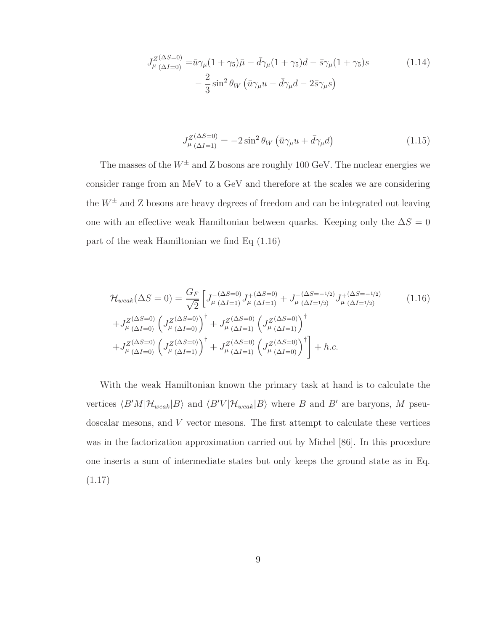$$
J_{\mu\;(\Delta I=0)}^{Z(\Delta S=0)} = \bar{u}\gamma_{\mu}(1+\gamma_{5})\bar{\mu} - \bar{d}\gamma_{\mu}(1+\gamma_{5})d - \bar{s}\gamma_{\mu}(1+\gamma_{5})s
$$
\n
$$
- \frac{2}{3}\sin^{2}\theta_{W}\left(\bar{u}\gamma_{\mu}u - \bar{d}\gamma_{\mu}d - 2\bar{s}\gamma_{\mu}s\right)
$$
\n(1.14)

$$
J_{\mu\;(\Delta I=1)}^{Z(\Delta S=0)} = -2\sin^2\theta_W\left(\bar{u}\gamma_\mu u + \bar{d}\gamma_\mu d\right) \tag{1.15}
$$

The masses of the  $W^{\pm}$  and Z bosons are roughly 100 GeV. The nuclear energies we consider range from an MeV to a GeV and therefore at the scales we are considering the  $W^{\pm}$  and Z bosons are heavy degrees of freedom and can be integrated out leaving one with an effective weak Hamiltonian between quarks. Keeping only the  $\Delta S = 0$ part of the weak Hamiltonian we find Eq (1.16)

$$
\mathcal{H}_{weak}(\Delta S = 0) = \frac{G_F}{\sqrt{2}} \left[ J_{\mu}^{-(\Delta S = 0)} J_{\mu}^{+(\Delta S = 0)} + J_{\mu}^{-(\Delta S = -1/2)} J_{\mu}^{+(\Delta S = -1/2)} + J_{\mu}^{-(\Delta S = -1/2)} J_{\mu}^{+(\Delta S = -1/2)} + J_{\mu}^{Z(\Delta S = 0)} (J_{\mu}^{Z(\Delta S = 0)} \left( J_{\mu}^{Z(\Delta S = 0)} \right) + J_{\mu}^{Z(\Delta S = 0)} \left( J_{\mu}^{Z(\Delta S = 0)} \left( J_{\mu}^{Z(\Delta S = 0)} \right) + J_{\mu}^{Z(\Delta S = 0)} \left( J_{\mu}^{Z(\Delta S = 0)} \left( J_{\mu}^{Z(\Delta S = 0)} \right) + J_{\mu}^{Z(\Delta S = 0)} \left( J_{\mu}^{Z(\Delta S = 0)} \left( J_{\mu}^{Z(\Delta S = 0)} \right) \right) + h.c.
$$
\n
$$
(1.16)
$$

With the weak Hamiltonian known the primary task at hand is to calculate the vertices  $\langle B'M|\mathcal{H}_{weak}|B\rangle$  and  $\langle B'V|\mathcal{H}_{weak}|B\rangle$  where B and B' are baryons, M pseudoscalar mesons, and V vector mesons. The first attempt to calculate these vertices was in the factorization approximation carried out by Michel [86]. In this procedure one inserts a sum of intermediate states but only keeps the ground state as in Eq. (1.17)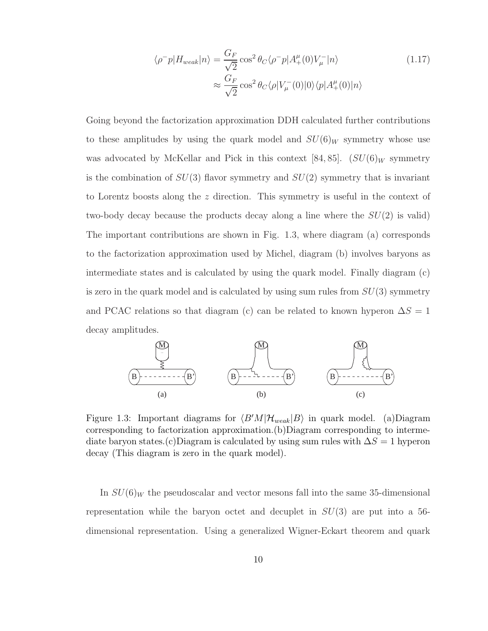$$
\langle \rho^- p | H_{weak} | n \rangle = \frac{G_F}{\sqrt{2}} \cos^2 \theta_C \langle \rho^- p | A_+^{\mu}(0) V_{\mu}^- | n \rangle
$$
\n
$$
\approx \frac{G_F}{\sqrt{2}} \cos^2 \theta_C \langle \rho | V_{\mu}^- (0) | 0 \rangle \langle p | A_+^{\mu}(0) | n \rangle
$$
\n(1.17)

Going beyond the factorization approximation DDH calculated further contributions to these amplitudes by using the quark model and  $SU(6)_W$  symmetry whose use was advocated by McKellar and Pick in this context [84, 85].  $(SU(6)_W$  symmetry is the combination of  $SU(3)$  flavor symmetry and  $SU(2)$  symmetry that is invariant to Lorentz boosts along the z direction. This symmetry is useful in the context of two-body decay because the products decay along a line where the  $SU(2)$  is valid) The important contributions are shown in Fig. 1.3, where diagram (a) corresponds to the factorization approximation used by Michel, diagram (b) involves baryons as intermediate states and is calculated by using the quark model. Finally diagram (c) is zero in the quark model and is calculated by using sum rules from  $SU(3)$  symmetry and PCAC relations so that diagram (c) can be related to known hyperon  $\Delta S = 1$ decay amplitudes.



Figure 1.3: Important diagrams for  $\langle B'M|\mathcal{H}_{weak}|B\rangle$  in quark model. (a)Diagram corresponding to factorization approximation.(b)Diagram corresponding to intermediate baryon states.(c)Diagram is calculated by using sum rules with  $\Delta S = 1$  hyperon decay (This diagram is zero in the quark model).

In  $SU(6)_W$  the pseudoscalar and vector mesons fall into the same 35-dimensional representation while the baryon octet and decuplet in  $SU(3)$  are put into a 56dimensional representation. Using a generalized Wigner-Eckart theorem and quark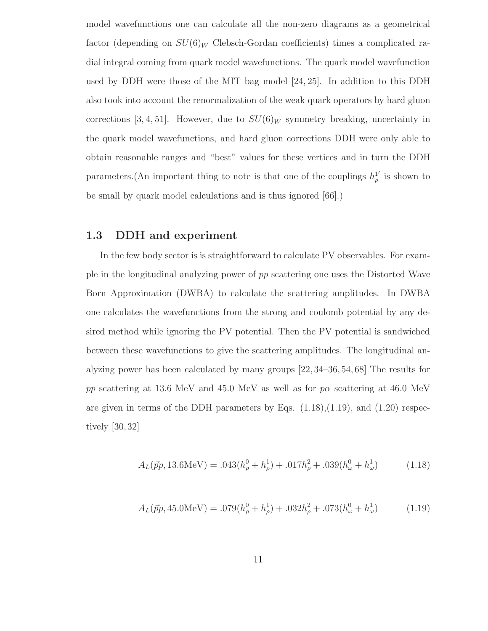model wavefunctions one can calculate all the non-zero diagrams as a geometrical factor (depending on  $SU(6)_W$  Clebsch-Gordan coefficients) times a complicated radial integral coming from quark model wavefunctions. The quark model wavefunction used by DDH were those of the MIT bag model [24, 25]. In addition to this DDH also took into account the renormalization of the weak quark operators by hard gluon corrections [3, 4, 51]. However, due to  $SU(6)_W$  symmetry breaking, uncertainty in the quark model wavefunctions, and hard gluon corrections DDH were only able to obtain reasonable ranges and "best" values for these vertices and in turn the DDH parameters. (An important thing to note is that one of the couplings  $h_q^1$  $_{\rho}^{\perp}$  is shown to be small by quark model calculations and is thus ignored [66].)

### 1.3 DDH and experiment

In the few body sector is is straightforward to calculate PV observables. For example in the longitudinal analyzing power of pp scattering one uses the Distorted Wave Born Approximation (DWBA) to calculate the scattering amplitudes. In DWBA one calculates the wavefunctions from the strong and coulomb potential by any desired method while ignoring the PV potential. Then the PV potential is sandwiched between these wavefunctions to give the scattering amplitudes. The longitudinal analyzing power has been calculated by many groups [22, 34–36, 54, 68] The results for pp scattering at 13.6 MeV and 45.0 MeV as well as for  $p\alpha$  scattering at 46.0 MeV are given in terms of the DDH parameters by Eqs.  $(1.18),(1.19)$ , and  $(1.20)$  respectively [30, 32]

$$
A_L(\vec{p}p, 13.6\text{MeV}) = .043(h^0_\rho + h^1_\rho) + .017h^2_\rho + .039(h^0_\omega + h^1_\omega)
$$
(1.18)

$$
A_L(\vec{p}p, 45.0 \text{MeV}) = .079(h^0_\rho + h^1_\rho) + .032h^2_\rho + .073(h^0_\omega + h^1_\omega)
$$
(1.19)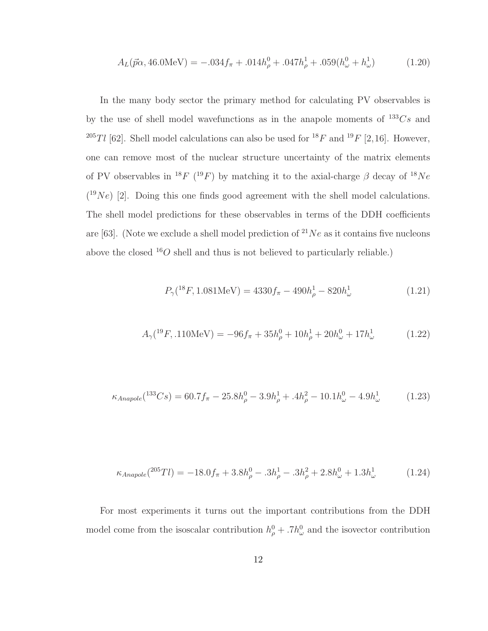$$
A_L(\vec{p}\alpha, 46.0 \text{MeV}) = -.034 f_\pi + .014 h_\rho^0 + .047 h_\rho^1 + .059 (h_\omega^0 + h_\omega^1) \tag{1.20}
$$

In the many body sector the primary method for calculating PV observables is by the use of shell model wavefunctions as in the anapole moments of  $133Cs$  and <sup>205</sup>Tl [62]. Shell model calculations can also be used for <sup>18</sup>F and <sup>19</sup>F [2,16]. However, one can remove most of the nuclear structure uncertainty of the matrix elements of PV observables in <sup>18</sup>F (<sup>19</sup>F) by matching it to the axial-charge  $\beta$  decay of <sup>18</sup>Ne  $(^{19}Ne)$  [2]. Doing this one finds good agreement with the shell model calculations. The shell model predictions for these observables in terms of the DDH coefficients are [63]. (Note we exclude a shell model prediction of  $^{21}Ne$  as it contains five nucleons above the closed  $^{16}O$  shell and thus is not believed to particularly reliable.)

$$
P_{\gamma}({}^{18}F, 1.081 \text{MeV}) = 4330 f_{\pi} - 490 h_{\rho}^{1} - 820 h_{\omega}^{1}
$$
 (1.21)

$$
A_{\gamma}({}^{19}F, .110 \text{MeV}) = -96f_{\pi} + 35h_{\rho}^{0} + 10h_{\rho}^{1} + 20h_{\omega}^{0} + 17h_{\omega}^{1}
$$
 (1.22)

$$
\kappa_{Anapole}(^{133}Cs) = 60.7f_{\pi} - 25.8h_{\rho}^{0} - 3.9h_{\rho}^{1} + .4h_{\rho}^{2} - 10.1h_{\omega}^{0} - 4.9h_{\omega}^{1}
$$
 (1.23)

$$
\kappa_{Anapole}(^{205}Tl) = -18.0f_{\pi} + 3.8h_{\rho}^{0} - .3h_{\rho}^{1} - .3h_{\rho}^{2} + 2.8h_{\omega}^{0} + 1.3h_{\omega}^{1} \tag{1.24}
$$

For most experiments it turns out the important contributions from the DDH model come from the isoscalar contribution  $h_{\rho}^{0} + .7h_{\omega}^{0}$  and the isovector contribution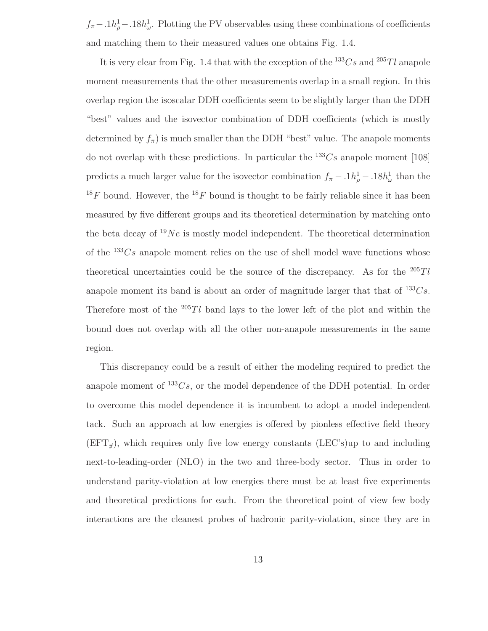$f_{\pi} - .1h_{\rho}^{1} - .18h_{\omega}^{1}$ . Plotting the PV observables using these combinations of coefficients and matching them to their measured values one obtains Fig. 1.4.

It is very clear from Fig. 1.4 that with the exception of the  $133Cs$  and  $205Tl$  anapole moment measurements that the other measurements overlap in a small region. In this overlap region the isoscalar DDH coefficients seem to be slightly larger than the DDH "best" values and the isovector combination of DDH coefficients (which is mostly determined by  $f_{\pi}$ ) is much smaller than the DDH "best" value. The anapole moments do not overlap with these predictions. In particular the  $^{133}Cs$  anapole moment [108] predicts a much larger value for the isovector combination  $f_{\pi} - .1h_{\rho}^{1} - .18h_{\omega}^{1}$  than the  $18F$  bound. However, the  $18F$  bound is thought to be fairly reliable since it has been measured by five different groups and its theoretical determination by matching onto the beta decay of  $19Ne$  is mostly model independent. The theoretical determination of the  $133Cs$  anapole moment relies on the use of shell model wave functions whose theoretical uncertainties could be the source of the discrepancy. As for the  $^{205}Tl$ anapole moment its band is about an order of magnitude larger that that of  $133Cs$ . Therefore most of the  $205Tl$  band lays to the lower left of the plot and within the bound does not overlap with all the other non-anapole measurements in the same region.

This discrepancy could be a result of either the modeling required to predict the anapole moment of  $133Cs$ , or the model dependence of the DDH potential. In order to overcome this model dependence it is incumbent to adopt a model independent tack. Such an approach at low energies is offered by pionless effective field theory  $(EFT_{\tau})$ , which requires only five low energy constants (LEC's)up to and including next-to-leading-order (NLO) in the two and three-body sector. Thus in order to understand parity-violation at low energies there must be at least five experiments and theoretical predictions for each. From the theoretical point of view few body interactions are the cleanest probes of hadronic parity-violation, since they are in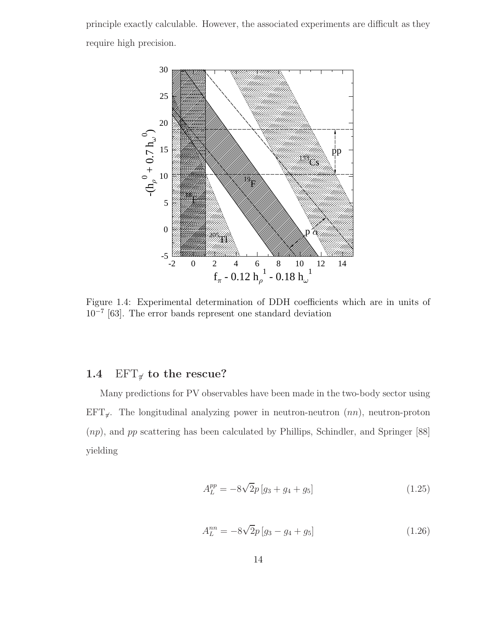principle exactly calculable. However, the associated experiments are difficult as they require high precision.



Figure 1.4: Experimental determination of DDH coefficients which are in units of 10−<sup>7</sup> [63]. The error bands represent one standard deviation

## 1.4 EFT $_{\pi}$  to the rescue?

Many predictions for PV observables have been made in the two-body sector using  $EFT_{\pi}$ . The longitudinal analyzing power in neutron-neutron  $(nn)$ , neutron-proton (np), and pp scattering has been calculated by Phillips, Schindler, and Springer [88] yielding

$$
A_L^{pp} = -8\sqrt{2}p\left[g_3 + g_4 + g_5\right]
$$
 (1.25)

$$
A_L^{nn} = -8\sqrt{2}p \left[ g_3 - g_4 + g_5 \right] \tag{1.26}
$$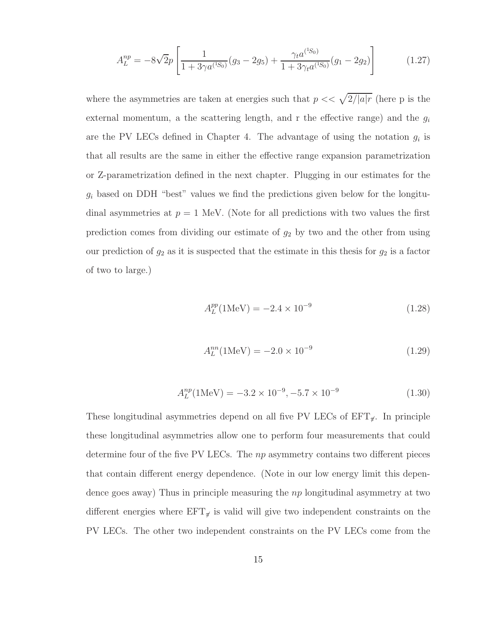$$
A_L^{np} = -8\sqrt{2p} \left[ \frac{1}{1 + 3\gamma a^{(1S_0)}} (g_3 - 2g_5) + \frac{\gamma_t a^{(1S_0)}}{1 + 3\gamma_t a^{(1S_0)}} (g_1 - 2g_2) \right]
$$
(1.27)

where the asymmetries are taken at energies such that  $p \ll \sqrt{2/|a| r}$  (here p is the external momentum, a the scattering length, and r the effective range) and the  $g_i$ are the PV LECs defined in Chapter 4. The advantage of using the notation  $g_i$  is that all results are the same in either the effective range expansion parametrization or Z-parametrization defined in the next chapter. Plugging in our estimates for the  $g_i$  based on DDH "best" values we find the predictions given below for the longitudinal asymmetries at  $p = 1$  MeV. (Note for all predictions with two values the first prediction comes from dividing our estimate of  $g_2$  by two and the other from using our prediction of  $g_2$  as it is suspected that the estimate in this thesis for  $g_2$  is a factor of two to large.)

$$
A_L^{pp} (1 \text{MeV}) = -2.4 \times 10^{-9} \tag{1.28}
$$

$$
A_L^{nn}(\text{1MeV}) = -2.0 \times 10^{-9} \tag{1.29}
$$

$$
A_L^{np}(\text{1MeV}) = -3.2 \times 10^{-9}, -5.7 \times 10^{-9}
$$
 (1.30)

These longitudinal asymmetries depend on all five PV LECs of  $EFT_{\pi}$ . In principle these longitudinal asymmetries allow one to perform four measurements that could determine four of the five PV LECs. The np asymmetry contains two different pieces that contain different energy dependence. (Note in our low energy limit this dependence goes away) Thus in principle measuring the  $np$  longitudinal asymmetry at two different energies where  $EFT_{\tilde{p}}$  is valid will give two independent constraints on the PV LECs. The other two independent constraints on the PV LECs come from the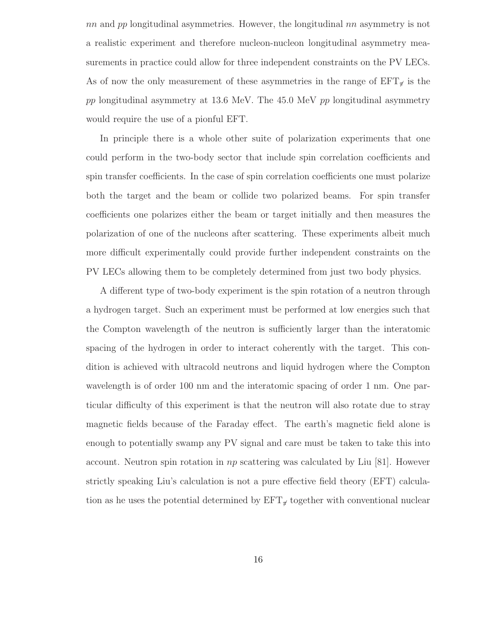nn and pp longitudinal asymmetries. However, the longitudinal  $nn$  asymmetry is not a realistic experiment and therefore nucleon-nucleon longitudinal asymmetry measurements in practice could allow for three independent constraints on the PV LECs. As of now the only measurement of these asymmetries in the range of  $EFT_{\pi}$  is the pp longitudinal asymmetry at 13.6 MeV. The 45.0 MeV pp longitudinal asymmetry would require the use of a pionful EFT.

In principle there is a whole other suite of polarization experiments that one could perform in the two-body sector that include spin correlation coefficients and spin transfer coefficients. In the case of spin correlation coefficients one must polarize both the target and the beam or collide two polarized beams. For spin transfer coefficients one polarizes either the beam or target initially and then measures the polarization of one of the nucleons after scattering. These experiments albeit much more difficult experimentally could provide further independent constraints on the PV LECs allowing them to be completely determined from just two body physics.

A different type of two-body experiment is the spin rotation of a neutron through a hydrogen target. Such an experiment must be performed at low energies such that the Compton wavelength of the neutron is sufficiently larger than the interatomic spacing of the hydrogen in order to interact coherently with the target. This condition is achieved with ultracold neutrons and liquid hydrogen where the Compton wavelength is of order 100 nm and the interatomic spacing of order 1 nm. One particular difficulty of this experiment is that the neutron will also rotate due to stray magnetic fields because of the Faraday effect. The earth's magnetic field alone is enough to potentially swamp any PV signal and care must be taken to take this into account. Neutron spin rotation in  $np$  scattering was calculated by Liu [81]. However strictly speaking Liu's calculation is not a pure effective field theory (EFT) calculation as he uses the potential determined by  $EFT_{\pi}$  together with conventional nuclear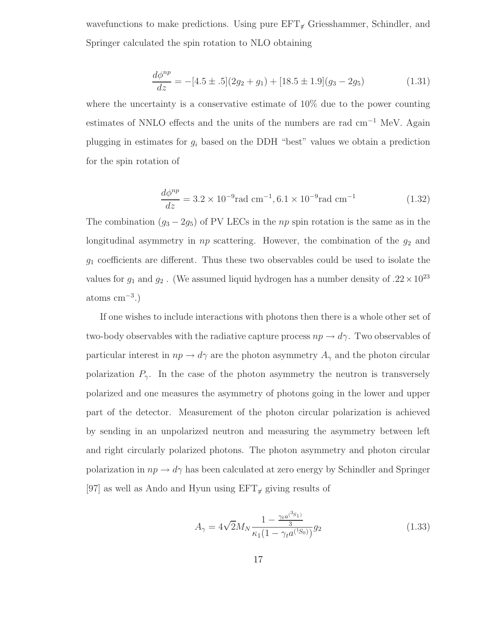wavefunctions to make predictions. Using pure  $EFT_{\tau}$  Griesshammer, Schindler, and Springer calculated the spin rotation to NLO obtaining

$$
\frac{d\phi^{np}}{dz} = -[4.5 \pm .5](2g_2 + g_1) + [18.5 \pm 1.9](g_3 - 2g_5)
$$
\n(1.31)

where the uncertainty is a conservative estimate of 10% due to the power counting estimates of NNLO effects and the units of the numbers are rad cm−<sup>1</sup> MeV. Again plugging in estimates for  $g_i$  based on the DDH "best" values we obtain a prediction for the spin rotation of

$$
\frac{d\phi^{np}}{dz} = 3.2 \times 10^{-9} \text{rad cm}^{-1}, 6.1 \times 10^{-9} \text{rad cm}^{-1}
$$
 (1.32)

The combination  $(g_3 - 2g_5)$  of PV LECs in the np spin rotation is the same as in the longitudinal asymmetry in  $np$  scattering. However, the combination of the  $g_2$  and  $g_1$  coefficients are different. Thus these two observables could be used to isolate the values for  $g_1$  and  $g_2$ . (We assumed liquid hydrogen has a number density of  $.22 \times 10^{23}$  $atoms cm<sup>-3</sup>$ .)

If one wishes to include interactions with photons then there is a whole other set of two-body observables with the radiative capture process  $np \to d\gamma$ . Two observables of particular interest in  $np \to d\gamma$  are the photon asymmetry  $A_{\gamma}$  and the photon circular polarization  $P_{\gamma}$ . In the case of the photon asymmetry the neutron is transversely polarized and one measures the asymmetry of photons going in the lower and upper part of the detector. Measurement of the photon circular polarization is achieved by sending in an unpolarized neutron and measuring the asymmetry between left and right circularly polarized photons. The photon asymmetry and photon circular polarization in  $np \to d\gamma$  has been calculated at zero energy by Schindler and Springer [97] as well as Ando and Hyun using  $EFT_{\pi}$  giving results of

$$
A_{\gamma} = 4\sqrt{2}M_N \frac{1 - \frac{\gamma_t a^{(3s_1)}}{3}}{\kappa_1 (1 - \gamma_t a^{(1s_0)})} g_2 \tag{1.33}
$$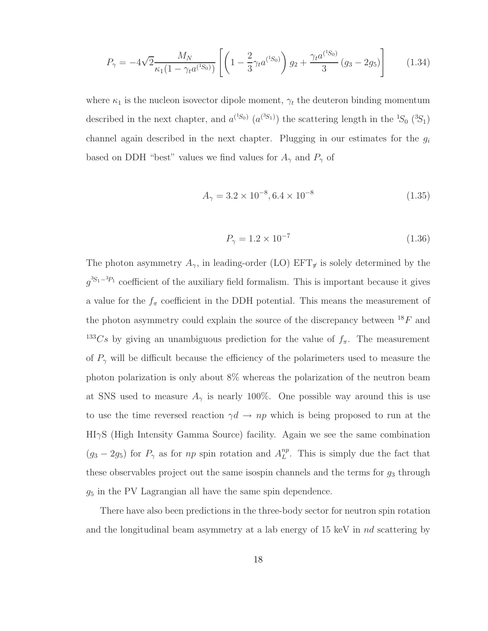$$
P_{\gamma} = -4\sqrt{2} \frac{M_N}{\kappa_1 (1 - \gamma_t a^{(1S_0)})} \left[ \left( 1 - \frac{2}{3} \gamma_t a^{(1S_0)} \right) g_2 + \frac{\gamma_t a^{(1S_0)}}{3} (g_3 - 2g_5) \right]
$$
(1.34)

where  $\kappa_1$  is the nucleon isovector dipole moment,  $\gamma_t$  the deuteron binding momentum described in the next chapter, and  $a^{(^1S_0)} (a^{(^3S_1)})$  the scattering length in the  ${}^1S_0$   $({}^3S_1)$ channel again described in the next chapter. Plugging in our estimates for the  $g_i$ based on DDH "best" values we find values for  $A_{\gamma}$  and  $P_{\gamma}$  of

$$
A_{\gamma} = 3.2 \times 10^{-8}, 6.4 \times 10^{-8}
$$
 (1.35)

$$
P_{\gamma} = 1.2 \times 10^{-7} \tag{1.36}
$$

The photon asymmetry  $A_{\gamma}$ , in leading-order (LO) EFT<sub> $\pi$ </sub> is solely determined by the  $g^{3S_1-3p_1}$  coefficient of the auxiliary field formalism. This is important because it gives a value for the  $f_{\pi}$  coefficient in the DDH potential. This means the measurement of the photon asymmetry could explain the source of the discrepancy between  $^{18}F$  and <sup>133</sup>Cs by giving an unambiguous prediction for the value of  $f_{\pi}$ . The measurement of  $P_{\gamma}$  will be difficult because the efficiency of the polarimeters used to measure the photon polarization is only about 8% whereas the polarization of the neutron beam at SNS used to measure  $A_{\gamma}$  is nearly 100%. One possible way around this is use to use the time reversed reaction  $\gamma d \to np$  which is being proposed to run at the HIγS (High Intensity Gamma Source) facility. Again we see the same combination  $(g_3 - 2g_5)$  for  $P_\gamma$  as for np spin rotation and  $A_L^{np}$  $L^{np}$ . This is simply due the fact that these observables project out the same isospin channels and the terms for  $g_3$  through  $g_5$  in the PV Lagrangian all have the same spin dependence.

There have also been predictions in the three-body sector for neutron spin rotation and the longitudinal beam asymmetry at a lab energy of 15 keV in nd scattering by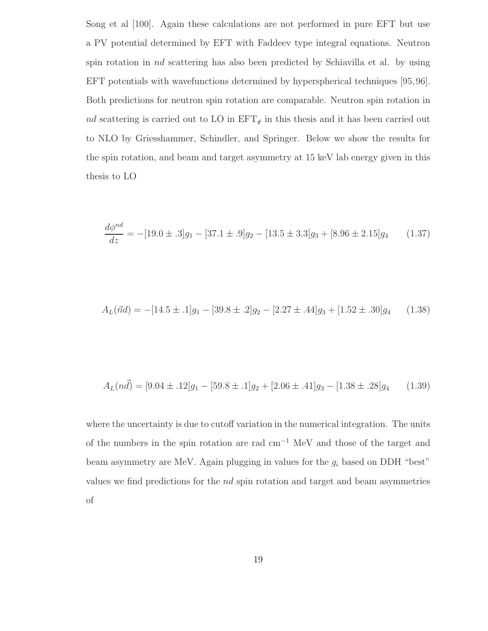Song et al [100]. Again these calculations are not performed in pure EFT but use a PV potential determined by EFT with Faddeev type integral equations. Neutron spin rotation in nd scattering has also been predicted by Schiavilla et al. by using EFT potentials with wavefunctions determined by hyperspherical techniques [95,96]. Both predictions for neutron spin rotation are comparable. Neutron spin rotation in nd scattering is carried out to LO in  $EFT_{\pi}$  in this thesis and it has been carried out to NLO by Griesshammer, Schindler, and Springer. Below we show the results for the spin rotation, and beam and target asymmetry at 15 keV lab energy given in this thesis to LO

$$
\frac{d\phi^{nd}}{dz} = -[19.0 \pm .3]g_1 - [37.1 \pm .9]g_2 - [13.5 \pm 3.3]g_3 + [8.96 \pm 2.15]g_4 \tag{1.37}
$$

$$
A_L(\vec{nd}) = -[14.5 \pm .1]g_1 - [39.8 \pm .2]g_2 - [2.27 \pm .44]g_3 + [1.52 \pm .30]g_4 \qquad (1.38)
$$

$$
A_L(n\vec{d}) = [9.04 \pm .12]g_1 - [59.8 \pm .1]g_2 + [2.06 \pm .41]g_3 - [1.38 \pm .28]g_4 \qquad (1.39)
$$

where the uncertainty is due to cutoff variation in the numerical integration. The units of the numbers in the spin rotation are rad cm−<sup>1</sup> MeV and those of the target and beam asymmetry are MeV. Again plugging in values for the  $g_i$  based on DDH "best" values we find predictions for the nd spin rotation and target and beam asymmetries of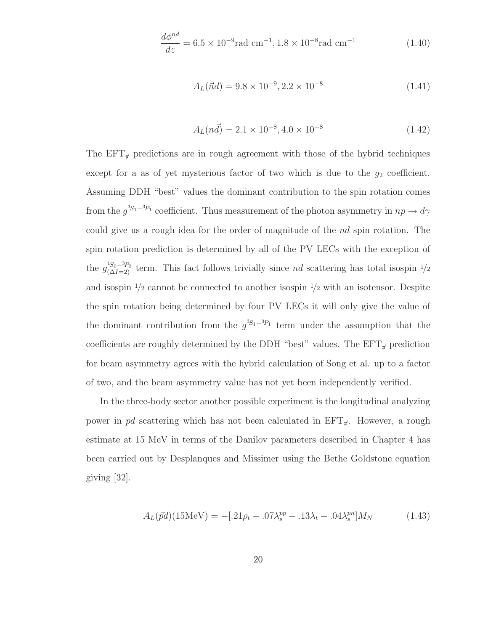$$
\frac{d\phi^{nd}}{dz} = 6.5 \times 10^{-9} \text{rad cm}^{-1}, 1.8 \times 10^{-8} \text{rad cm}^{-1}
$$
 (1.40)

$$
A_L(\vec{n}d) = 9.8 \times 10^{-9}, 2.2 \times 10^{-8}
$$
\n(1.41)

$$
A_L(n\vec{d}) = 2.1 \times 10^{-8}, 4.0 \times 10^{-8}
$$
\n(1.42)

The  $EFT_{\pi}$  predictions are in rough agreement with those of the hybrid techniques except for a as of yet mysterious factor of two which is due to the  $g_2$  coefficient. Assuming DDH "best" values the dominant contribution to the spin rotation comes from the  $g^{3S_1-3P_1}$  coefficient. Thus measurement of the photon asymmetry in  $np \to d\gamma$ could give us a rough idea for the order of magnitude of the nd spin rotation. The spin rotation prediction is determined by all of the PV LECs with the exception of the  $g_{(\Delta I=2)}^{^{1}S_0-^{3}P_0}$  term. This fact follows trivially since nd scattering has total isospin  $\frac{1}{2}$ and isospin  $\frac{1}{2}$  cannot be connected to another isospin  $\frac{1}{2}$  with an isotensor. Despite the spin rotation being determined by four PV LECs it will only give the value of the dominant contribution from the  $g^{3S_1-3P_1}$  term under the assumption that the coefficients are roughly determined by the DDH "best" values. The  $EFT_{\mathcal{J}}$  prediction for beam asymmetry agrees with the hybrid calculation of Song et al. up to a factor of two, and the beam asymmetry value has not yet been independently verified.

In the three-body sector another possible experiment is the longitudinal analyzing power in pd scattering which has not been calculated in  $EFT_{\pi}$ . However, a rough estimate at 15 MeV in terms of the Danilov parameters described in Chapter 4 has been carried out by Desplanques and Missimer using the Bethe Goldstone equation giving [32].

$$
A_L(\vec{p}d)(15\text{MeV}) = -[.21\rho_t + .07\lambda_s^{pp} - .13\lambda_t - .04\lambda_s^{pn}]M_N \tag{1.43}
$$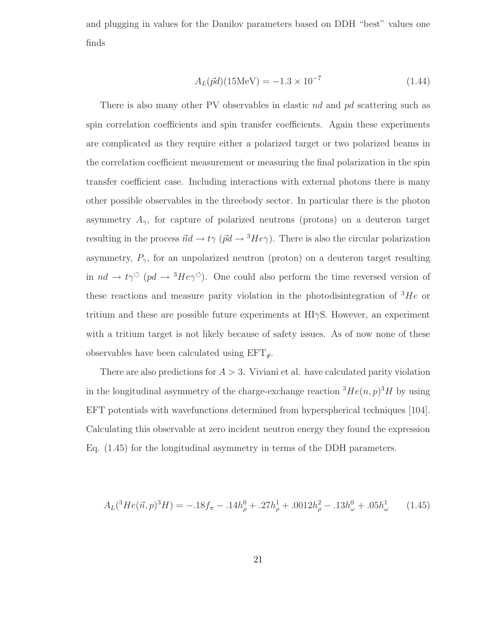and plugging in values for the Danilov parameters based on DDH "best" values one finds

$$
A_L(\vec{p}d)(15\text{MeV}) = -1.3 \times 10^{-7} \tag{1.44}
$$

There is also many other PV observables in elastic nd and pd scattering such as spin correlation coefficients and spin transfer coefficients. Again these experiments are complicated as they require either a polarized target or two polarized beams in the correlation coefficient measurement or measuring the final polarization in the spin transfer coefficient case. Including interactions with external photons there is many other possible observables in the threebody sector. In particular there is the photon asymmetry  $A_{\gamma}$ , for capture of polarized neutrons (protons) on a deuteron target resulting in the process  $\vec{n}d \rightarrow t\gamma$  ( $\vec{p}d \rightarrow {}^{3}He\gamma$ ). There is also the circular polarization asymmetry,  $P_{\gamma}$ , for an unpolarized neutron (proton) on a deuteron target resulting in  $nd \to t\gamma^{\circ}$  (pd  $\to {}^{3}He\gamma^{\circ}$ ). One could also perform the time reversed version of these reactions and measure parity violation in the photodisintegration of  ${}^{3}He$  or tritium and these are possible future experiments at  $H\bar{I}\gamma S$ . However, an experiment with a tritium target is not likely because of safety issues. As of now none of these observables have been calculated using  $EFT_{\pi}$ .

There are also predictions for  $A > 3$ . Viviani et al. have calculated parity violation in the longitudinal asymmetry of the charge-exchange reaction  ${}^{3}He(n,p){}^{3}H$  by using EFT potentials with wavefunctions determined from hyperspherical techniques [104]. Calculating this observable at zero incident neutron energy they found the expression Eq. (1.45) for the longitudinal asymmetry in terms of the DDH parameters.

$$
A_L(^3He(\vec{n},p)^3H) = -.18f_\pi - .14h_\rho^0 + .27h_\rho^1 + .0012h_\rho^2 - .13h_\omega^0 + .05h_\omega^1 \tag{1.45}
$$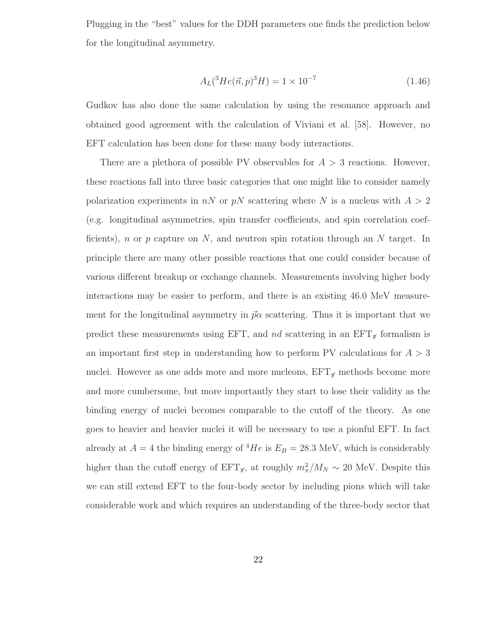Plugging in the "best" values for the DDH parameters one finds the prediction below for the longitudinal asymmetry.

$$
A_L(^3He(\vec{n},p)^3H) = 1 \times 10^{-7}
$$
\n(1.46)

Gudkov has also done the same calculation by using the resonance approach and obtained good agreement with the calculation of Viviani et al. [58]. However, no EFT calculation has been done for these many body interactions.

There are a plethora of possible PV observables for  $A > 3$  reactions. However, these reactions fall into three basic categories that one might like to consider namely polarization experiments in nN or pN scattering where N is a nucleus with  $A > 2$ (e.g. longitudinal asymmetries, spin transfer coefficients, and spin correlation coefficients), n or p capture on N, and neutron spin rotation through an N target. In principle there are many other possible reactions that one could consider because of various different breakup or exchange channels. Measurements involving higher body interactions may be easier to perform, and there is an existing 46.0 MeV measurement for the longitudinal asymmetry in  $\vec{p}\alpha$  scattering. Thus it is important that we predict these measurements using EFT, and nd scattering in an  $EFT_{\tau}$  formalism is an important first step in understanding how to perform PV calculations for  $A > 3$ nuclei. However as one adds more and more nucleons,  $EFT_{\pi}$  methods become more and more cumbersome, but more importantly they start to lose their validity as the binding energy of nuclei becomes comparable to the cutoff of the theory. As one goes to heavier and heavier nuclei it will be necessary to use a pionful EFT. In fact already at  $A = 4$  the binding energy of <sup>4</sup>He is  $E_B = 28.3$  MeV, which is considerably higher than the cutoff energy of  $EFT_{\pi}$ , at roughly  $m_{\pi}^2/M_N \sim 20$  MeV. Despite this we can still extend EFT to the four-body sector by including pions which will take considerable work and which requires an understanding of the three-body sector that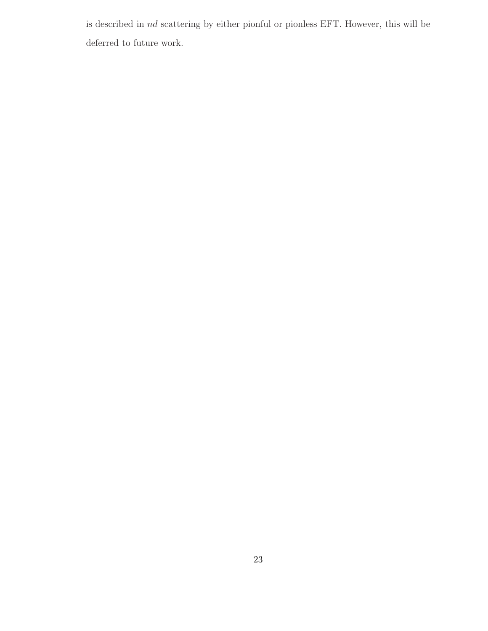is described in nd scattering by either pionful or pionless EFT. However, this will be deferred to future work.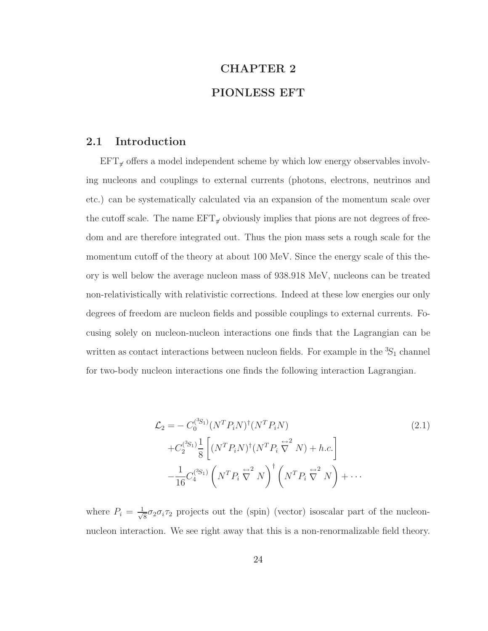# CHAPTER 2 PIONLESS EFT

#### 2.1 Introduction

 $EFT_{\pi}$  offers a model independent scheme by which low energy observables involving nucleons and couplings to external currents (photons, electrons, neutrinos and etc.) can be systematically calculated via an expansion of the momentum scale over the cutoff scale. The name  $EFT_{\pi}$  obviously implies that pions are not degrees of freedom and are therefore integrated out. Thus the pion mass sets a rough scale for the momentum cutoff of the theory at about 100 MeV. Since the energy scale of this theory is well below the average nucleon mass of 938.918 MeV, nucleons can be treated non-relativistically with relativistic corrections. Indeed at these low energies our only degrees of freedom are nucleon fields and possible couplings to external currents. Focusing solely on nucleon-nucleon interactions one finds that the Lagrangian can be written as contact interactions between nucleon fields. For example in the  ${}^{3}S_{1}$  channel for two-body nucleon interactions one finds the following interaction Lagrangian.

$$
\mathcal{L}_2 = -C_0^{(3S_1)} (N^T P_i N)^{\dagger} (N^T P_i N)
$$
\n
$$
+ C_2^{(3S_1)} \frac{1}{8} \left[ (N^T P_i N)^{\dagger} (N^T P_i \stackrel{\leftrightarrow}{\nabla}^2 N) + h.c. \right]
$$
\n
$$
- \frac{1}{16} C_4^{(3S_1)} \left( N^T P_i \stackrel{\leftrightarrow}{\nabla}^2 N \right)^{\dagger} \left( N^T P_i \stackrel{\leftrightarrow}{\nabla}^2 N \right) + \cdots
$$
\n(2.1)

where  $P_i = \frac{1}{\sqrt{2}}$  $\frac{1}{8}\sigma_2\sigma_i\tau_2$  projects out the (spin) (vector) isoscalar part of the nucleonnucleon interaction. We see right away that this is a non-renormalizable field theory.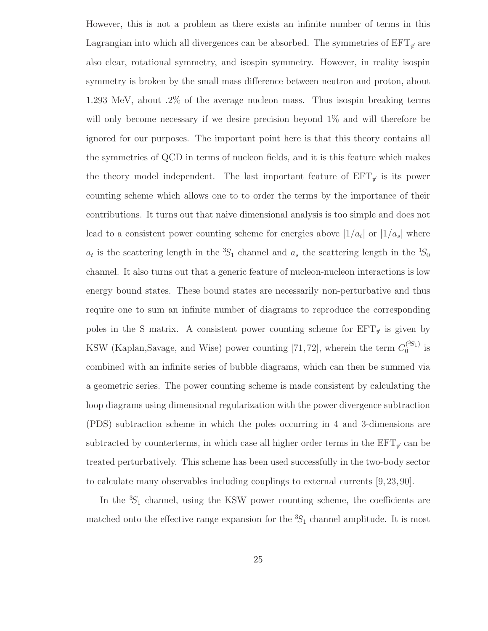However, this is not a problem as there exists an infinite number of terms in this Lagrangian into which all divergences can be absorbed. The symmetries of  $EFT_{\pi}$  are also clear, rotational symmetry, and isospin symmetry. However, in reality isospin symmetry is broken by the small mass difference between neutron and proton, about 1.293 MeV, about .2% of the average nucleon mass. Thus isospin breaking terms will only become necessary if we desire precision beyond 1% and will therefore be ignored for our purposes. The important point here is that this theory contains all the symmetries of QCD in terms of nucleon fields, and it is this feature which makes the theory model independent. The last important feature of  $EFT_{\pi}$  is its power counting scheme which allows one to to order the terms by the importance of their contributions. It turns out that naive dimensional analysis is too simple and does not lead to a consistent power counting scheme for energies above  $|1/a_t|$  or  $|1/a_s|$  where  $a_t$  is the scattering length in the <sup>3</sup>S<sub>1</sub> channel and  $a_s$  the scattering length in the <sup>1</sup>S<sub>0</sub> channel. It also turns out that a generic feature of nucleon-nucleon interactions is low energy bound states. These bound states are necessarily non-perturbative and thus require one to sum an infinite number of diagrams to reproduce the corresponding poles in the S matrix. A consistent power counting scheme for  $EFT_{\pi}$  is given by KSW (Kaplan, Savage, and Wise) power counting [71, 72], wherein the term  $C_0^{(3S_1)}$  $\int_{0}^{(\infty)}$  is combined with an infinite series of bubble diagrams, which can then be summed via a geometric series. The power counting scheme is made consistent by calculating the loop diagrams using dimensional regularization with the power divergence subtraction (PDS) subtraction scheme in which the poles occurring in 4 and 3-dimensions are subtracted by counterterms, in which case all higher order terms in the  $EFT_{\pi}$  can be treated perturbatively. This scheme has been used successfully in the two-body sector to calculate many observables including couplings to external currents [9, 23, 90].

In the  ${}^{3}S_1$  channel, using the KSW power counting scheme, the coefficients are matched onto the effective range expansion for the  ${}^{3}S_{1}$  channel amplitude. It is most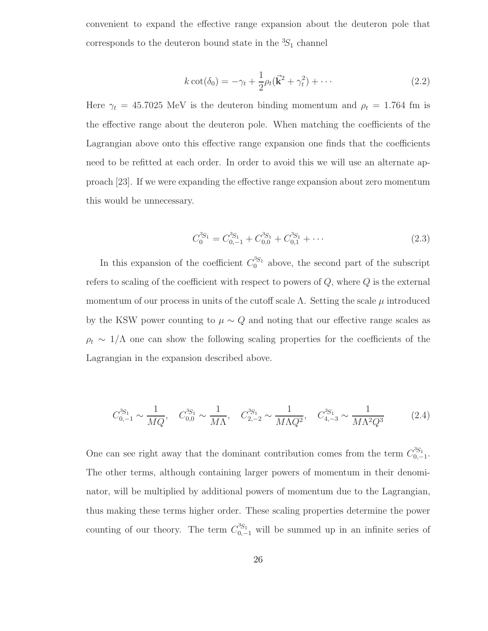convenient to expand the effective range expansion about the deuteron pole that corresponds to the deuteron bound state in the  ${}^{3}S_{1}$  channel

$$
k \cot(\delta_0) = -\gamma_t + \frac{1}{2}\rho_t(\vec{\mathbf{k}}^2 + \gamma_t^2) + \cdots
$$
 (2.2)

Here  $\gamma_t = 45.7025 \text{ MeV}$  is the deuteron binding momentum and  $\rho_t = 1.764 \text{ fm}$  is the effective range about the deuteron pole. When matching the coefficients of the Lagrangian above onto this effective range expansion one finds that the coefficients need to be refitted at each order. In order to avoid this we will use an alternate approach [23]. If we were expanding the effective range expansion about zero momentum this would be unnecessary.

$$
C_0^{3S_1} = C_{0,-1}^{3S_1} + C_{0,0}^{3S_1} + C_{0,1}^{3S_1} + \cdots
$$
 (2.3)

In this expansion of the coefficient  $C_0^{3S_1}$  above, the second part of the subscript refers to scaling of the coefficient with respect to powers of  $Q$ , where  $Q$  is the external momentum of our process in units of the cutoff scale  $\Lambda$ . Setting the scale  $\mu$  introduced by the KSW power counting to  $\mu \sim Q$  and noting that our effective range scales as  $\rho_t \sim 1/\Lambda$  one can show the following scaling properties for the coefficients of the Lagrangian in the expansion described above.

$$
C_{0,-1}^{3S_1} \sim \frac{1}{MQ}, \quad C_{0,0}^{3S_1} \sim \frac{1}{M\Lambda}, \quad C_{2,-2}^{3S_1} \sim \frac{1}{M\Lambda Q^2}, \quad C_{4,-3}^{3S_1} \sim \frac{1}{M\Lambda^2 Q^3}
$$
 (2.4)

One can see right away that the dominant contribution comes from the term  $C_{0}^{3S_1}$  ${}^{0.051}_{0,-1}.$ The other terms, although containing larger powers of momentum in their denominator, will be multiplied by additional powers of momentum due to the Lagrangian, thus making these terms higher order. These scaling properties determine the power counting of our theory. The term  $C_{0,-1}^{3S_1}$  will be summed up in an infinite series of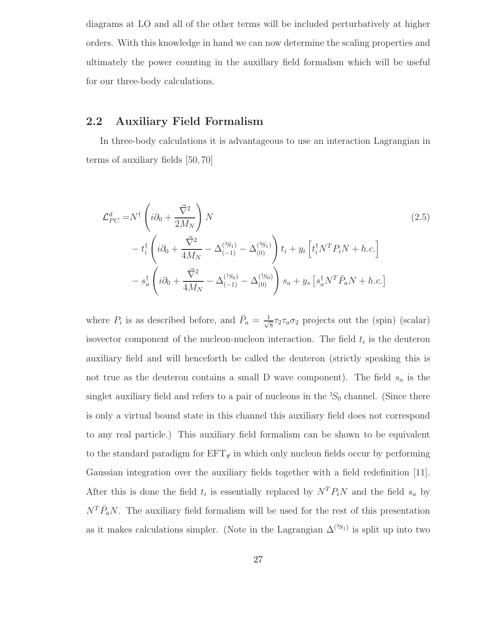diagrams at LO and all of the other terms will be included perturbatively at higher orders. With this knowledge in hand we can now determine the scaling properties and ultimately the power counting in the auxillary field formalism which will be useful for our three-body calculations.

#### 2.2 Auxiliary Field Formalism

In three-body calculations it is advantageous to use an interaction Lagrangian in terms of auxiliary fields [50, 70]

$$
\mathcal{L}_{PC}^{d} = N^{\dagger} \left( i \partial_{0} + \frac{\vec{\nabla}^{2}}{2M_{N}} \right) N
$$
\n
$$
- t_{i}^{\dagger} \left( i \partial_{0} + \frac{\vec{\nabla}^{2}}{4M_{N}} - \Delta_{(-1)}^{(3S_{1})} - \Delta_{(0)}^{(3S_{1})} \right) t_{i} + y_{t} \left[ t_{i}^{\dagger} N^{T} P_{i} N + h.c. \right]
$$
\n
$$
- s_{a}^{\dagger} \left( i \partial_{0} + \frac{\vec{\nabla}^{2}}{4M_{N}} - \Delta_{(-1)}^{(1S_{0})} - \Delta_{(0)}^{(1S_{0})} \right) s_{a} + y_{s} \left[ s_{a}^{\dagger} N^{T} \bar{P}_{a} N + h.c. \right]
$$
\n(2.5)

where  $P_i$  is as described before, and  $\bar{P}_a = \frac{1}{\sqrt{2}}$  $\frac{1}{8} \tau_2 \tau_a \sigma_2$  projects out the (spin) (scalar) isovector component of the nucleon-nucleon interaction. The field  $t_i$  is the deuteron auxiliary field and will henceforth be called the deuteron (strictly speaking this is not true as the deuteron contains a small D wave component). The field  $s_a$  is the singlet auxiliary field and refers to a pair of nucleons in the  ${}^{1}S_{0}$  channel. (Since there is only a virtual bound state in this channel this auxiliary field does not correspond to any real particle.) This auxiliary field formalism can be shown to be equivalent to the standard paradigm for  $EFT_{\tau}$  in which only nucleon fields occur by performing Gaussian integration over the auxiliary fields together with a field redefinition [11]. After this is done the field  $t_i$  is essentially replaced by  $N^T P_i N$  and the field  $s_a$  by  $N^T \bar{P}_a N$ . The auxiliary field formalism will be used for the rest of this presentation as it makes calculations simpler. (Note in the Lagrangian  $\Delta^{(3S_1)}$  is split up into two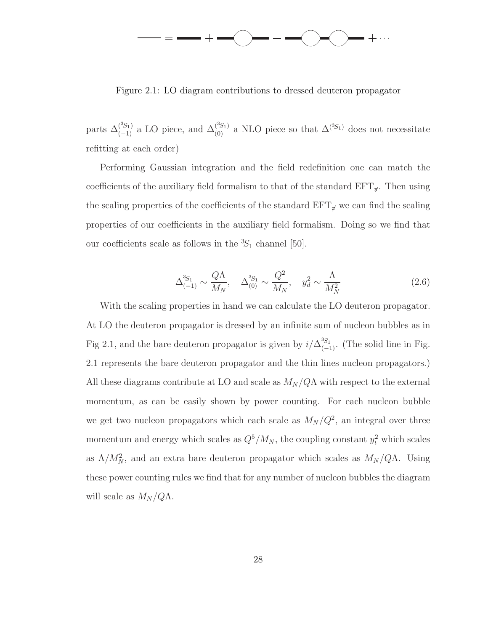

Figure 2.1: LO diagram contributions to dressed deuteron propagator

parts  $\Delta_{(-1)}^{(3S_1)}$  a LO piece, and  $\Delta_{(0)}^{(3S_1)}$  a NLO piece so that  $\Delta_{(-1)}^{(3S_1)}$  does not necessitate refitting at each order)

Performing Gaussian integration and the field redefinition one can match the coefficients of the auxiliary field formalism to that of the standard  $EFT_{\tau}$ . Then using the scaling properties of the coefficients of the standard  $EFT_{\sigma}$  we can find the scaling properties of our coefficients in the auxiliary field formalism. Doing so we find that our coefficients scale as follows in the  ${}^{3}S_{1}$  channel [50].

$$
\Delta_{(-1)}^{3S_1} \sim \frac{Q\Lambda}{M_N}, \quad \Delta_{(0)}^{3S_1} \sim \frac{Q^2}{M_N}, \quad y_d^2 \sim \frac{\Lambda}{M_N^2}
$$
 (2.6)

With the scaling properties in hand we can calculate the LO deuteron propagator. At LO the deuteron propagator is dressed by an infinite sum of nucleon bubbles as in Fig 2.1, and the bare deuteron propagator is given by  $i/\Delta_{(-1)}^{3S_1}$ . (The solid line in Fig. 2.1 represents the bare deuteron propagator and the thin lines nucleon propagators.) All these diagrams contribute at LO and scale as  $M_N/Q\Lambda$  with respect to the external momentum, as can be easily shown by power counting. For each nucleon bubble we get two nucleon propagators which each scale as  $M_N/Q^2$ , an integral over three momentum and energy which scales as  $Q^5/M_N$ , the coupling constant  $y_t^2$  which scales as  $\Lambda/M_N^2$ , and an extra bare deuteron propagator which scales as  $M_N/Q\Lambda$ . Using these power counting rules we find that for any number of nucleon bubbles the diagram will scale as  $M_N/Q\Lambda$ .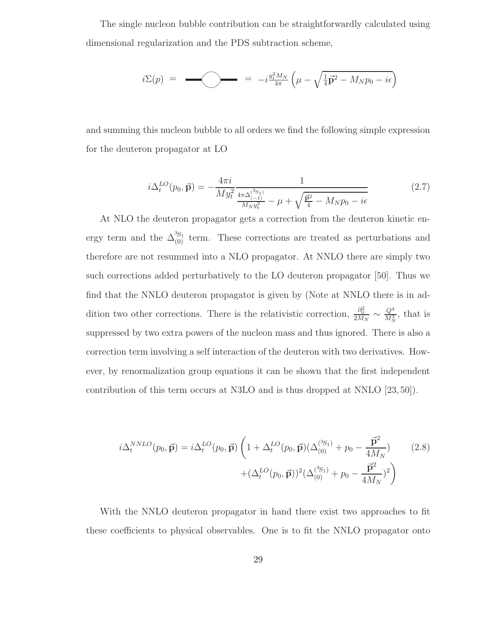The single nucleon bubble contribution can be straightforwardly calculated using dimensional regularization and the PDS subtraction scheme,

$$
i\Sigma(p) = \longrightarrow_{i \text{ times}} = -i \frac{y_t^2 M_N}{4\pi} \left( \mu - \sqrt{\frac{1}{4} \vec{p}^2 - M_N p_0 - i\epsilon} \right)
$$

and summing this nucleon bubble to all orders we find the following simple expression for the deuteron propagator at LO

$$
i\Delta_t^{LO}(p_0, \vec{\mathbf{p}}) = -\frac{4\pi i}{My_t^2} \frac{1}{\frac{4\pi\Delta_{(-1)}^{(3s_1)}}{M_N y_t^2} - \mu + \sqrt{\frac{\vec{\mathbf{p}}^2}{4} - M_N p_0 - i\epsilon}} \tag{2.7}
$$

At NLO the deuteron propagator gets a correction from the deuteron kinetic energy term and the  $\Delta_{(0)}^{3S_1}$  term. These corrections are treated as perturbations and therefore are not resummed into a NLO propagator. At NNLO there are simply two such corrections added perturbatively to the LO deuteron propagator [50]. Thus we find that the NNLO deuteron propagator is given by (Note at NNLO there is in addition two other corrections. There is the relativistic correction,  $\frac{\partial_0^2}{2M_N} \sim \frac{Q^4}{M_N^3}$  $\frac{Q^*}{M_N^3}$ , that is suppressed by two extra powers of the nucleon mass and thus ignored. There is also a correction term involving a self interaction of the deuteron with two derivatives. However, by renormalization group equations it can be shown that the first independent contribution of this term occurs at N3LO and is thus dropped at NNLO [23, 50]).

$$
i\Delta_t^{NNLO}(p_0, \vec{\mathbf{p}}) = i\Delta_t^{LO}(p_0, \vec{\mathbf{p}}) \left( 1 + \Delta_t^{LO}(p_0, \vec{\mathbf{p}}) (\Delta_{(0)}^{(3S_1)} + p_0 - \frac{\vec{\mathbf{p}}^2}{4M_N}) + (\Delta_t^{LO}(p_0, \vec{\mathbf{p}}))^2 (\Delta_{(0)}^{(3S_1)} + p_0 - \frac{\vec{\mathbf{p}}^2}{4M_N})^2 \right)
$$
(2.8)

With the NNLO deuteron propagator in hand there exist two approaches to fit these coefficients to physical observables. One is to fit the NNLO propagator onto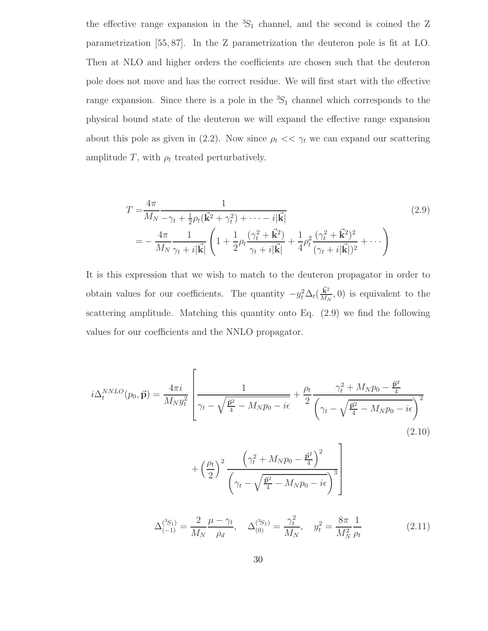the effective range expansion in the  ${}^{3}S_{1}$  channel, and the second is coined the Z parametrization [55, 87]. In the Z parametrization the deuteron pole is fit at LO. Then at NLO and higher orders the coefficients are chosen such that the deuteron pole does not move and has the correct residue. We will first start with the effective range expansion. Since there is a pole in the  ${}^{3}S_{1}$  channel which corresponds to the physical bound state of the deuteron we will expand the effective range expansion about this pole as given in (2.2). Now since  $\rho_t \ll \gamma_t$  we can expand our scattering amplitude T, with  $\rho_t$  treated perturbatively.

$$
T = \frac{4\pi}{M_N - \gamma_t + \frac{1}{2}\rho_t(\vec{k}^2 + \gamma_t^2) + \cdots - i|\vec{k}|}
$$
  
= 
$$
-\frac{4\pi}{M_N} \frac{1}{\gamma_t + i|\vec{k}|} \left(1 + \frac{1}{2}\rho_t \frac{(\gamma_t^2 + \vec{k}^2)}{\gamma_t + i|\vec{k}|} + \frac{1}{4}\rho_t^2 \frac{(\gamma_t^2 + \vec{k}^2)^2}{(\gamma_t + i|\vec{k}|)^2} + \cdots \right)
$$
(2.9)

It is this expression that we wish to match to the deuteron propagator in order to obtain values for our coefficients. The quantity  $-y_t^2 \Delta_t \left(\frac{\vec{k}^2}{M_t}\right)$  $\frac{\mathbf{k}^2}{M_N}$ , 0) is equivalent to the scattering amplitude. Matching this quantity onto Eq. (2.9) we find the following values for our coefficients and the NNLO propagator.

$$
i\Delta_t^{NNLO}(p_0, \vec{\mathbf{p}}) = \frac{4\pi i}{M_N y_t^2} \left[ \frac{1}{\gamma_t - \sqrt{\frac{\vec{p}^2}{4} - M_N p_0 - i\epsilon}} + \frac{\rho_t}{2} \frac{\gamma_t^2 + M_N p_0 - \frac{\vec{p}^2}{4}}{\left(\gamma_t - \sqrt{\frac{\vec{p}^2}{4} - M_N p_0 - i\epsilon}\right)^2} \right]
$$
(2.10)

$$
+\left(\frac{\rho_t}{2}\right)^2 \frac{\left(\gamma_t^2 + M_N p_0 - \frac{\vec{\mathbf{p}}^2}{4}\right)^2}{\left(\gamma_t - \sqrt{\frac{\vec{\mathbf{p}}^2}{4} - M_N p_0 - i\epsilon}\right)^3}
$$

$$
\Delta_{(-1)}^{(3S_1)} = \frac{2}{M_N} \frac{\mu - \gamma_t}{\rho_d}, \quad \Delta_{(0)}^{(3S_1)} = \frac{\gamma_t^2}{M_N}, \quad y_t^2 = \frac{8\pi}{M_N^2} \frac{1}{\rho_t}
$$
(2.11)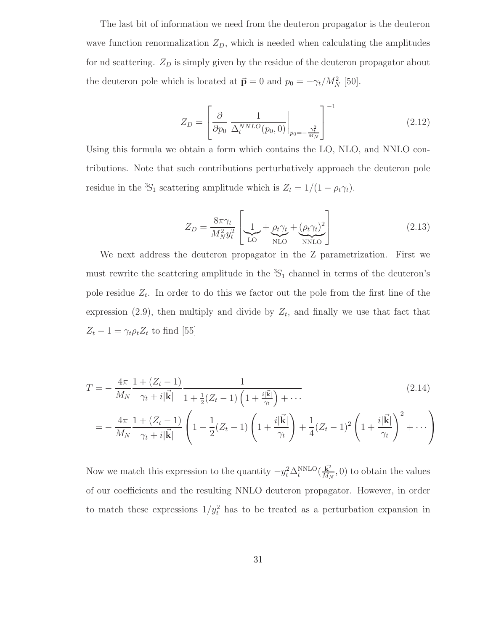The last bit of information we need from the deuteron propagator is the deuteron wave function renormalization  $Z_D$ , which is needed when calculating the amplitudes for nd scattering.  $Z_D$  is simply given by the residue of the deuteron propagator about the deuteron pole which is located at  $\vec{p} = 0$  and  $p_0 = -\gamma_t/M_N^2$  [50].

$$
Z_D = \left[\frac{\partial}{\partial p_0} \frac{1}{\Delta_t^{NNLO}(p_0, 0)}\bigg|_{p_0 = -\frac{\gamma_t^2}{M_N}}\right]^{-1}
$$
(2.12)

Using this formula we obtain a form which contains the LO, NLO, and NNLO contributions. Note that such contributions perturbatively approach the deuteron pole residue in the <sup>3</sup>S<sub>1</sub> scattering amplitude which is  $Z_t = 1/(1 - \rho_t \gamma_t)$ .

$$
Z_D = \frac{8\pi\gamma_t}{M_N^2 y_t^2} \left[ \underbrace{1}_{\text{LO}} + \underbrace{\rho_t \gamma_t}_{\text{NLO}} + \underbrace{(\rho_t \gamma_t)^2}_{\text{NNLO}} \right] \tag{2.13}
$$

We next address the deuteron propagator in the Z parametrization. First we must rewrite the scattering amplitude in the  ${}^{3}S_{1}$  channel in terms of the deuteron's pole residue  $Z_t$ . In order to do this we factor out the pole from the first line of the expression (2.9), then multiply and divide by  $Z_t$ , and finally we use that fact that  $Z_t - 1 = \gamma_t \rho_t Z_t$  to find [55]

$$
T = -\frac{4\pi}{M_N} \frac{1 + (Z_t - 1)}{\gamma_t + i|\vec{k}|} \frac{1}{1 + \frac{1}{2}(Z_t - 1)\left(1 + \frac{i|\vec{k}|}{\gamma_t}\right) + \cdots}
$$
\n
$$
= -\frac{4\pi}{M_N} \frac{1 + (Z_t - 1)}{\gamma_t + i|\vec{k}|} \left(1 - \frac{1}{2}(Z_t - 1)\left(1 + \frac{i|\vec{k}|}{\gamma_t}\right) + \frac{1}{4}(Z_t - 1)^2 \left(1 + \frac{i|\vec{k}|}{\gamma_t}\right)^2 + \cdots\right)
$$
\n(2.14)

Now we match this expression to the quantity  $-y_t^2 \Delta_t^{\text{NNLO}}(\frac{\vec{k}^2}{M_N})$  $\frac{\mathbf{k}^2}{M_N}$ , 0) to obtain the values of our coefficients and the resulting NNLO deuteron propagator. However, in order to match these expressions  $1/y_t^2$  has to be treated as a perturbation expansion in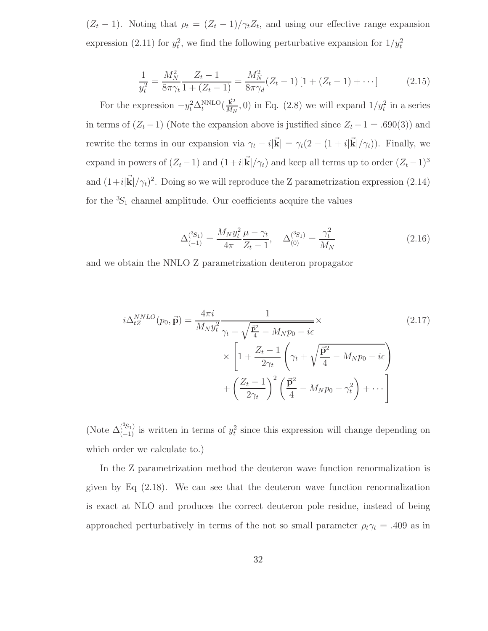$(Z_t - 1)$ . Noting that  $\rho_t = (Z_t - 1)/\gamma_t Z_t$ , and using our effective range expansion expression (2.11) for  $y_t^2$ , we find the following perturbative expansion for  $1/y_t^2$ 

$$
\frac{1}{y_t^2} = \frac{M_N^2}{8\pi\gamma_t} \frac{Z_t - 1}{1 + (Z_t - 1)} = \frac{M_N^2}{8\pi\gamma_d} (Z_t - 1) \left[ 1 + (Z_t - 1) + \cdots \right]
$$
(2.15)

For the expression  $-y_t^2 \Delta_t^{\text{NNLO}}(\frac{\vec{k}^2}{M_N})$  $\frac{\mathbf{k}^2}{M_N}$ , 0) in Eq. (2.8) we will expand  $1/y_t^2$  in a series in terms of  $(Z_t - 1)$  (Note the expansion above is justified since  $Z_t - 1 = .690(3)$ ) and rewrite the terms in our expansion via  $\gamma_t - i|\vec{\mathbf{k}}| = \gamma_t(2 - (1 + i|\vec{\mathbf{k}}|/\gamma_t)).$  Finally, we expand in powers of  $(Z_t - 1)$  and  $(1 + i|\mathbf{k}|/\gamma_t)$  and keep all terms up to order  $(Z_t - 1)^3$ and  $(1+i|\vec{k}|/\gamma_t)^2$ . Doing so we will reproduce the Z parametrization expression (2.14) for the  ${}^{3}S_1$  channel amplitude. Our coefficients acquire the values

$$
\Delta_{(-1)}^{(3S_1)} = \frac{M_N y_t^2}{4\pi} \frac{\mu - \gamma_t}{Z_t - 1}, \quad \Delta_{(0)}^{(3S_1)} = \frac{\gamma_t^2}{M_N}
$$
\n(2.16)

and we obtain the NNLO Z parametrization deuteron propagator

$$
i\Delta_{tZ}^{NNLO}(p_0, \vec{\mathbf{p}}) = \frac{4\pi i}{M_N y_t^2} \frac{1}{\gamma_t - \sqrt{\frac{\vec{\mathbf{p}}^2}{4} - M_N p_0 - i\epsilon}} \times \left[1 + \frac{Z_t - 1}{2\gamma_t} \left(\gamma_t + \sqrt{\frac{\vec{\mathbf{p}}^2}{4} - M_N p_0 - i\epsilon}\right) + \left(\frac{Z_t - 1}{2\gamma_t}\right)^2 \left(\frac{\vec{\mathbf{p}}^2}{4} - M_N p_0 - \gamma_t^2\right) + \cdots\right]
$$
\n(2.17)

(Note  $\Delta_{(-1)}^{(3S_1)}$  is written in terms of  $y_t^2$  since this expression will change depending on which order we calculate to.)

In the Z parametrization method the deuteron wave function renormalization is given by Eq (2.18). We can see that the deuteron wave function renormalization is exact at NLO and produces the correct deuteron pole residue, instead of being approached perturbatively in terms of the not so small parameter  $\rho_t \gamma_t = .409$  as in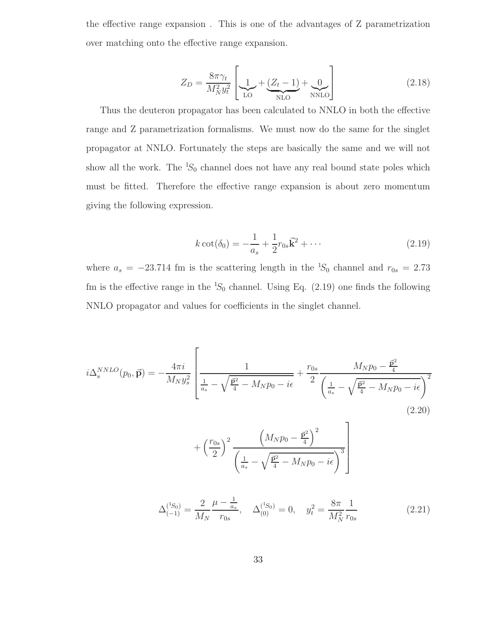the effective range expansion . This is one of the advantages of Z parametrization over matching onto the effective range expansion.

$$
Z_D = \frac{8\pi\gamma_t}{M_N^2 y_t^2} \left[ \underbrace{1}_{\text{LO}} + \underbrace{(Z_t - 1)}_{\text{NLO}} + \underbrace{0}_{\text{NNLO}} \right] \tag{2.18}
$$

Thus the deuteron propagator has been calculated to NNLO in both the effective range and Z parametrization formalisms. We must now do the same for the singlet propagator at NNLO. Fortunately the steps are basically the same and we will not show all the work. The  ${}^{1}S_0$  channel does not have any real bound state poles which must be fitted. Therefore the effective range expansion is about zero momentum giving the following expression.

$$
k \cot(\delta_0) = -\frac{1}{a_s} + \frac{1}{2}r_{0s}\vec{k}^2 + \cdots
$$
 (2.19)

where  $a_s = -23.714$  fm is the scattering length in the <sup>1</sup>S<sub>0</sub> channel and  $r_{0s} = 2.73$ fm is the effective range in the  ${}^{1}S_{0}$  channel. Using Eq. (2.19) one finds the following NNLO propagator and values for coefficients in the singlet channel.

$$
i\Delta_{s}^{NNLO}(p_{0}, \vec{\mathbf{p}}) = -\frac{4\pi i}{M_{N}y_{s}^{2}} \left[ \frac{1}{\frac{1}{a_{s}} - \sqrt{\frac{\vec{p}^{2}}{4} - M_{N}p_{0} - i\epsilon}} + \frac{r_{0s}}{2} \frac{M_{N}p_{0} - \frac{\vec{p}^{2}}{4}}{\left(\frac{1}{a_{s}} - \sqrt{\frac{\vec{p}^{2}}{4} - M_{N}p_{0} - i\epsilon}\right)^{2}} + \left(\frac{r_{0s}}{2}\right)^{2} \frac{\left(M_{N}p_{0} - \frac{\vec{p}^{2}}{4}\right)^{2}}{\left(\frac{1}{a_{s}} - \sqrt{\frac{\vec{p}^{2}}{4} - M_{N}p_{0} - i\epsilon}\right)^{3}} \right]
$$
\n
$$
\Delta_{(-1)}^{(1S_{0})} = \frac{2}{M_{N}} \frac{\mu - \frac{1}{a_{s}}}{r_{0s}}, \quad \Delta_{(0)}^{(1S_{0})} = 0, \quad y_{t}^{2} = \frac{8\pi}{M_{N}^{2}} \frac{1}{r_{0s}} \tag{2.21}
$$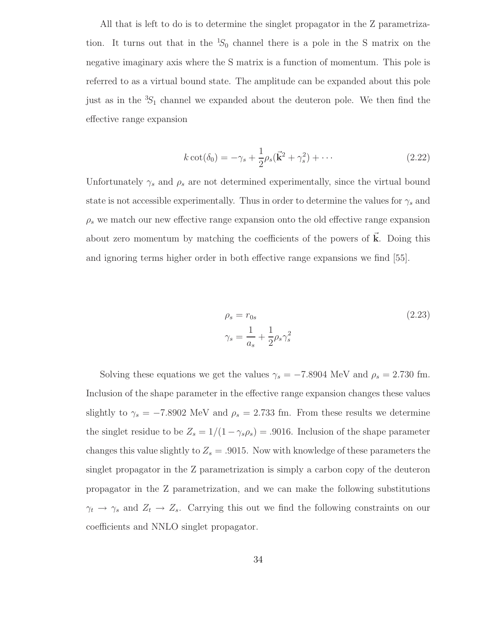All that is left to do is to determine the singlet propagator in the Z parametrization. It turns out that in the  ${}^{1}S_{0}$  channel there is a pole in the S matrix on the negative imaginary axis where the S matrix is a function of momentum. This pole is referred to as a virtual bound state. The amplitude can be expanded about this pole just as in the  ${}^{3}S_1$  channel we expanded about the deuteron pole. We then find the effective range expansion

$$
k \cot(\delta_0) = -\gamma_s + \frac{1}{2}\rho_s(\vec{k}^2 + \gamma_s^2) + \cdots
$$
 (2.22)

Unfortunately  $\gamma_s$  and  $\rho_s$  are not determined experimentally, since the virtual bound state is not accessible experimentally. Thus in order to determine the values for  $\gamma_s$  and  $\rho_s$  we match our new effective range expansion onto the old effective range expansion about zero momentum by matching the coefficients of the powers of  $\vec{k}$ . Doing this and ignoring terms higher order in both effective range expansions we find [55].

$$
\rho_s = r_{0s}
$$
\n
$$
\gamma_s = \frac{1}{a_s} + \frac{1}{2}\rho_s \gamma_s^2
$$
\n(2.23)

Solving these equations we get the values  $\gamma_s = -7.8904$  MeV and  $\rho_s = 2.730$  fm. Inclusion of the shape parameter in the effective range expansion changes these values slightly to  $\gamma_s = -7.8902$  MeV and  $\rho_s = 2.733$  fm. From these results we determine the singlet residue to be  $Z_s = 1/(1 - \gamma_s \rho_s) = .9016$ . Inclusion of the shape parameter changes this value slightly to  $Z_s = .9015$ . Now with knowledge of these parameters the singlet propagator in the Z parametrization is simply a carbon copy of the deuteron propagator in the Z parametrization, and we can make the following substitutions  $\gamma_t \to \gamma_s$  and  $Z_t \to Z_s$ . Carrying this out we find the following constraints on our coefficients and NNLO singlet propagator.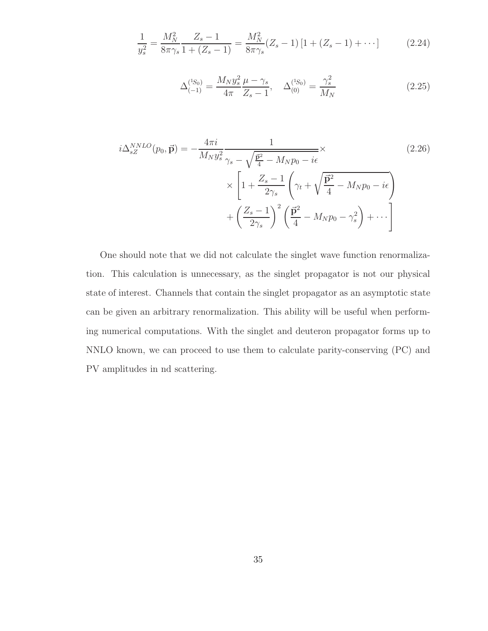$$
\frac{1}{y_s^2} = \frac{M_N^2}{8\pi\gamma_s} \frac{Z_s - 1}{1 + (Z_s - 1)} = \frac{M_N^2}{8\pi\gamma_s} (Z_s - 1) \left[ 1 + (Z_s - 1) + \cdots \right]
$$
(2.24)

$$
\Delta_{(-1)}^{(1S_0)} = \frac{M_N y_s^2 \mu - \gamma_s}{4\pi Z_s - 1}, \quad \Delta_{(0)}^{(1S_0)} = \frac{\gamma_s^2}{M_N}
$$
\n(2.25)

$$
i\Delta_{sZ}^{NNLO}(p_0, \vec{\mathbf{p}}) = -\frac{4\pi i}{M_N y_s^2} \frac{1}{\gamma_s - \sqrt{\frac{\vec{\mathbf{p}}^2}{4} - M_N p_0 - i\epsilon}} \times \left[1 + \frac{Z_s - 1}{2\gamma_s} \left(\gamma_t + \sqrt{\frac{\vec{\mathbf{p}}^2}{4} - M_N p_0 - i\epsilon}\right) + \left(\frac{Z_s - 1}{2\gamma_s}\right)^2 \left(\frac{\vec{\mathbf{p}}^2}{4} - M_N p_0 - \gamma_s^2\right) + \cdots\right]
$$
\n(2.26)

One should note that we did not calculate the singlet wave function renormalization. This calculation is unnecessary, as the singlet propagator is not our physical state of interest. Channels that contain the singlet propagator as an asymptotic state can be given an arbitrary renormalization. This ability will be useful when performing numerical computations. With the singlet and deuteron propagator forms up to NNLO known, we can proceed to use them to calculate parity-conserving (PC) and PV amplitudes in nd scattering.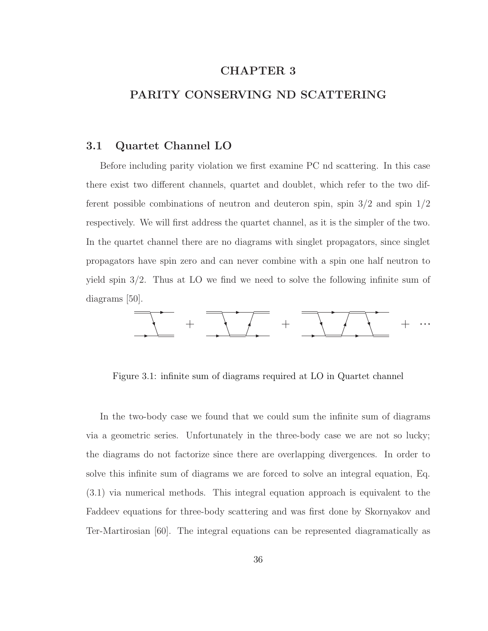## CHAPTER 3

## PARITY CONSERVING ND SCATTERING

#### 3.1 Quartet Channel LO

Before including parity violation we first examine PC nd scattering. In this case there exist two different channels, quartet and doublet, which refer to the two different possible combinations of neutron and deuteron spin, spin 3/2 and spin 1/2 respectively. We will first address the quartet channel, as it is the simpler of the two. In the quartet channel there are no diagrams with singlet propagators, since singlet propagators have spin zero and can never combine with a spin one half neutron to yield spin 3/2. Thus at LO we find we need to solve the following infinite sum of diagrams [50].



Figure 3.1: infinite sum of diagrams required at LO in Quartet channel

In the two-body case we found that we could sum the infinite sum of diagrams via a geometric series. Unfortunately in the three-body case we are not so lucky; the diagrams do not factorize since there are overlapping divergences. In order to solve this infinite sum of diagrams we are forced to solve an integral equation, Eq. (3.1) via numerical methods. This integral equation approach is equivalent to the Faddeev equations for three-body scattering and was first done by Skornyakov and Ter-Martirosian [60]. The integral equations can be represented diagramatically as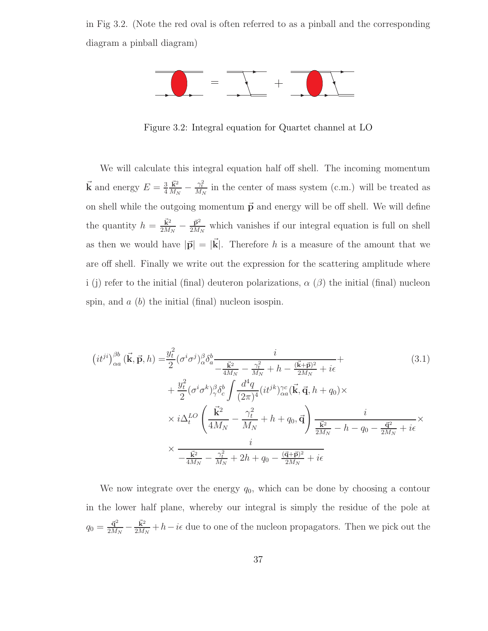in Fig 3.2. (Note the red oval is often referred to as a pinball and the corresponding diagram a pinball diagram)



Figure 3.2: Integral equation for Quartet channel at LO

We will calculate this integral equation half off shell. The incoming momentum  $\vec{k}$  and energy  $E = \frac{3}{4}$ 4  $\vec{k}^2$  $\frac{\vec{k}^2}{M_N} - \frac{\gamma_t^2}{M_N}$  in the center of mass system (c.m.) will be treated as on shell while the outgoing momentum  $\vec{p}$  and energy will be off shell. We will define the quantity  $h = \frac{\vec{k}^2}{2M}$  $\frac{\vec{\mathbf{k}}^2}{2M_N}-\frac{\vec{\mathbf{p}}^2}{2M_S}$  $\frac{\mathbf{p}^2}{2M_N}$  which vanishes if our integral equation is full on shell as then we would have  $|\vec{p}| = |\vec{k}|$ . Therefore h is a measure of the amount that we are off shell. Finally we write out the expression for the scattering amplitude where i (j) refer to the initial (final) deuteron polarizations,  $\alpha$  ( $\beta$ ) the initial (final) nucleon spin, and  $a$  (b) the initial (final) nucleon isospin.

$$
(it^{ji})_{\alpha a}^{\beta b} (\vec{k}, \vec{p}, h) = \frac{y_t^2}{2} (\sigma^i \sigma^j)_{\alpha}^{\beta} \delta_a^b - \frac{i}{4M_N - \frac{\vec{k}^2}{M_N} + h - \frac{(\vec{k} + \vec{p})^2}{2M_N} + i\epsilon
$$
\n
$$
+ \frac{y_t^2}{2} (\sigma^i \sigma^k)_{\gamma}^{\beta} \delta_c^b \int \frac{d^4 q}{(2\pi)^4} (it^{jk})_{\alpha a}^{\gamma c} (\vec{k}, \vec{q}, h + q_0) \times
$$
\n
$$
\times i \Delta_t^{LO} \left( \frac{\vec{k}^2}{4M_N} - \frac{\gamma_t^2}{M_N} + h + q_0, \vec{q} \right) \frac{i}{\frac{\vec{k}^2}{2M_N} - h - q_0 - \frac{\vec{q}^2}{2M_N} + i\epsilon} \times \frac{i}{-\frac{\vec{k}^2}{4M_N} - \frac{\gamma_t^2}{M_N} + 2h + q_0 - \frac{(\vec{q} + \vec{p})^2}{2M_N} + i\epsilon}
$$
\n(3.1)

We now integrate over the energy  $q_0$ , which can be done by choosing a contour in the lower half plane, whereby our integral is simply the residue of the pole at  $q_0 = \frac{\vec{q}^2}{2M}$  $\frac{\vec{\mathbf{q}}^2}{2M_N}-\frac{\vec{\mathbf{k}}^2}{2M_A}$  $\frac{\mathbf{k}^2}{2M_N} + h - i\epsilon$  due to one of the nucleon propagators. Then we pick out the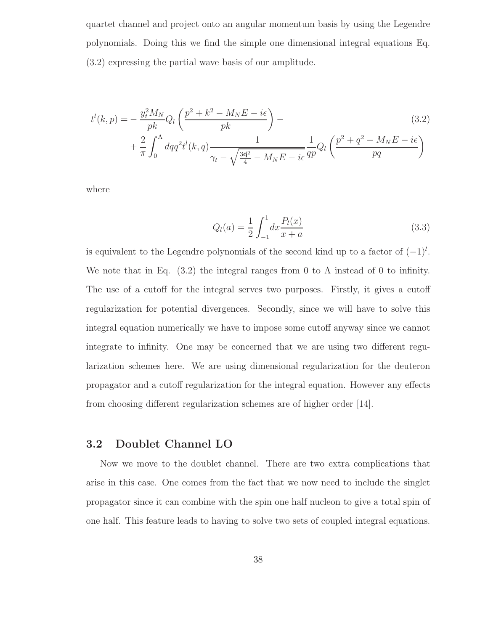quartet channel and project onto an angular momentum basis by using the Legendre polynomials. Doing this we find the simple one dimensional integral equations Eq. (3.2) expressing the partial wave basis of our amplitude.

$$
t^{l}(k, p) = -\frac{y_{t}^{2}M_{N}}{pk}Q_{l}\left(\frac{p^{2} + k^{2} - M_{N}E - i\epsilon}{pk}\right) -
$$
  
+ 
$$
\frac{2}{\pi} \int_{0}^{\Lambda} dq q^{2} t^{l}(k, q) \frac{1}{\gamma_{t} - \sqrt{\frac{3\vec{q}^{2}}{4} - M_{N}E - i\epsilon}} \frac{1}{qp}Q_{l}\left(\frac{p^{2} + q^{2} - M_{N}E - i\epsilon}{pq}\right)
$$
(3.2)

where

$$
Q_l(a) = \frac{1}{2} \int_{-1}^{1} dx \frac{P_l(x)}{x+a}
$$
\n(3.3)

is equivalent to the Legendre polynomials of the second kind up to a factor of  $(-1)^{l}$ . We note that in Eq.  $(3.2)$  the integral ranges from 0 to  $\Lambda$  instead of 0 to infinity. The use of a cutoff for the integral serves two purposes. Firstly, it gives a cutoff regularization for potential divergences. Secondly, since we will have to solve this integral equation numerically we have to impose some cutoff anyway since we cannot integrate to infinity. One may be concerned that we are using two different regularization schemes here. We are using dimensional regularization for the deuteron propagator and a cutoff regularization for the integral equation. However any effects from choosing different regularization schemes are of higher order [14].

# 3.2 Doublet Channel LO

Now we move to the doublet channel. There are two extra complications that arise in this case. One comes from the fact that we now need to include the singlet propagator since it can combine with the spin one half nucleon to give a total spin of one half. This feature leads to having to solve two sets of coupled integral equations.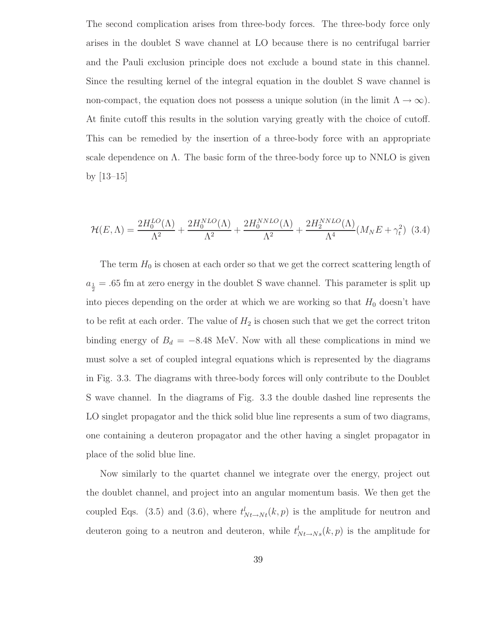The second complication arises from three-body forces. The three-body force only arises in the doublet S wave channel at LO because there is no centrifugal barrier and the Pauli exclusion principle does not exclude a bound state in this channel. Since the resulting kernel of the integral equation in the doublet S wave channel is non-compact, the equation does not possess a unique solution (in the limit  $\Lambda \to \infty$ ). At finite cutoff this results in the solution varying greatly with the choice of cutoff. This can be remedied by the insertion of a three-body force with an appropriate scale dependence on  $\Lambda$ . The basic form of the three-body force up to NNLO is given by [13–15]

$$
\mathcal{H}(E,\Lambda) = \frac{2H_0^{LO}(\Lambda)}{\Lambda^2} + \frac{2H_0^{NLO}(\Lambda)}{\Lambda^2} + \frac{2H_0^{NNO}(\Lambda)}{\Lambda^2} + \frac{2H_2^{NNLO}(\Lambda)}{\Lambda^4}(M_N E + \gamma_t^2) \tag{3.4}
$$

The term  $H_0$  is chosen at each order so that we get the correct scattering length of  $a_{\frac{1}{2}} = .65$  fm at zero energy in the doublet S wave channel. This parameter is split up into pieces depending on the order at which we are working so that  $H_0$  doesn't have to be refit at each order. The value of  $H_2$  is chosen such that we get the correct triton binding energy of  $B_d = -8.48$  MeV. Now with all these complications in mind we must solve a set of coupled integral equations which is represented by the diagrams in Fig. 3.3. The diagrams with three-body forces will only contribute to the Doublet S wave channel. In the diagrams of Fig. 3.3 the double dashed line represents the LO singlet propagator and the thick solid blue line represents a sum of two diagrams, one containing a deuteron propagator and the other having a singlet propagator in place of the solid blue line.

Now similarly to the quartet channel we integrate over the energy, project out the doublet channel, and project into an angular momentum basis. We then get the coupled Eqs. (3.5) and (3.6), where  $t_{N t \to N t}^{l}(k, p)$  is the amplitude for neutron and deuteron going to a neutron and deuteron, while  $t_{N t \to N s}^{l}(k, p)$  is the amplitude for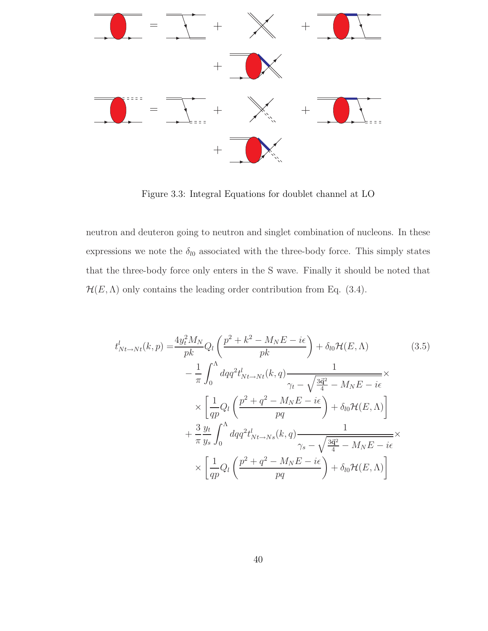

Figure 3.3: Integral Equations for doublet channel at LO

neutron and deuteron going to neutron and singlet combination of nucleons. In these expressions we note the  $\delta_{l0}$  associated with the three-body force. This simply states that the three-body force only enters in the S wave. Finally it should be noted that  $\mathcal{H}(E,\Lambda)$  only contains the leading order contribution from Eq. (3.4).

$$
t_{Nt \to Nt}^{l}(k, p) = \frac{4y_t^2 M_N}{pk} Q_l \left( \frac{p^2 + k^2 - M_N E - i\epsilon}{pk} \right) + \delta_{l0} \mathcal{H}(E, \Lambda)
$$
(3.5)  

$$
- \frac{1}{\pi} \int_0^{\Lambda} dq q^2 t_{Nt \to Nt}^{l}(k, q) \frac{1}{\gamma_t - \sqrt{\frac{3\vec{q}^2}{4} - M_N E - i\epsilon}} \times \left[ \frac{1}{qp} Q_l \left( \frac{p^2 + q^2 - M_N E - i\epsilon}{pq} \right) + \delta_{l0} \mathcal{H}(E, \Lambda) \right]
$$

$$
+ \frac{3}{\pi} \frac{y_t}{y_s} \int_0^{\Lambda} dq q^2 t_{Nt \to Ns}^{l}(k, q) \frac{1}{\gamma_s - \sqrt{\frac{3\vec{q}^2}{4} - M_N E - i\epsilon}} \times \left[ \frac{1}{qp} Q_l \left( \frac{p^2 + q^2 - M_N E - i\epsilon}{pq} \right) + \delta_{l0} \mathcal{H}(E, \Lambda) \right]
$$
(3.5)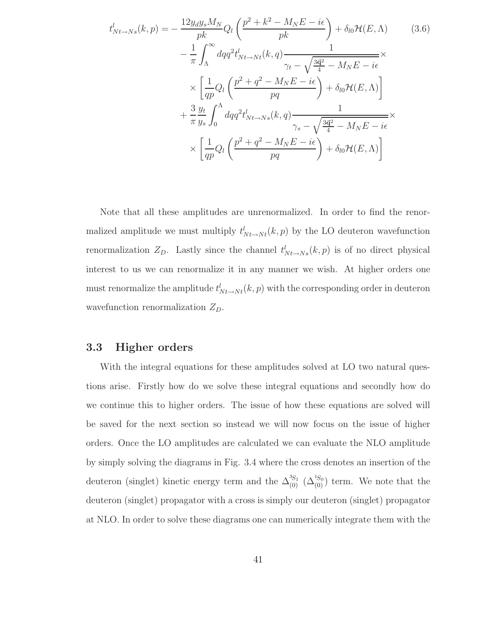$$
t_{Nt \to Ns}^{l}(k, p) = -\frac{12y_{d}y_{s}M_{N}}{pk}Q_{l}\left(\frac{p^{2} + k^{2} - M_{N}E - i\epsilon}{pk}\right) + \delta_{l0}\mathcal{H}(E, \Lambda)
$$
(3.6)  

$$
-\frac{1}{\pi}\int_{\Lambda}^{\infty}dq q^{2}t_{Nt \to Nt}^{l}(k, q)\frac{1}{\gamma_{t} - \sqrt{\frac{3\vec{q}^{2}}{4} - M_{N}E - i\epsilon}} \times \left[\frac{1}{qp}Q_{l}\left(\frac{p^{2} + q^{2} - M_{N}E - i\epsilon}{pq}\right) + \delta_{l0}\mathcal{H}(E, \Lambda)\right]
$$

$$
+\frac{3}{\pi}\frac{y_{t}}{y_{s}}\int_{0}^{\Lambda}dq q^{2}t_{Nt \to Ns}^{l}(k, q)\frac{1}{\gamma_{s} - \sqrt{\frac{3\vec{q}^{2}}{4} - M_{N}E - i\epsilon}} \times \left[\frac{1}{qp}Q_{l}\left(\frac{p^{2} + q^{2} - M_{N}E - i\epsilon}{pq}\right) + \delta_{l0}\mathcal{H}(E, \Lambda)\right]
$$

Note that all these amplitudes are unrenormalized. In order to find the renormalized amplitude we must multiply  $t_{N_t \to N_t}^l(k, p)$  by the LO deuteron wavefunction renormalization  $Z_D$ . Lastly since the channel  $t^l_{N_t\rightarrow N_s}(k, p)$  is of no direct physical interest to us we can renormalize it in any manner we wish. At higher orders one must renormalize the amplitude  $t_{N t \to N t}^{l}(k, p)$  with the corresponding order in deuteron wavefunction renormalization  $Z_D$ .

#### 3.3 Higher orders

With the integral equations for these amplitudes solved at LO two natural questions arise. Firstly how do we solve these integral equations and secondly how do we continue this to higher orders. The issue of how these equations are solved will be saved for the next section so instead we will now focus on the issue of higher orders. Once the LO amplitudes are calculated we can evaluate the NLO amplitude by simply solving the diagrams in Fig. 3.4 where the cross denotes an insertion of the deuteron (singlet) kinetic energy term and the  $\Delta_{(0)}^{3S_1}$  ( $\Delta_{(0)}^{1S_0}$ ) term. We note that the deuteron (singlet) propagator with a cross is simply our deuteron (singlet) propagator at NLO. In order to solve these diagrams one can numerically integrate them with the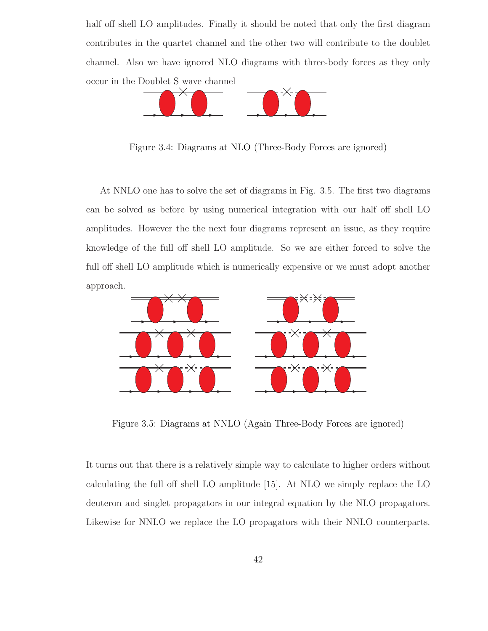half off shell LO amplitudes. Finally it should be noted that only the first diagram contributes in the quartet channel and the other two will contribute to the doublet channel. Also we have ignored NLO diagrams with three-body forces as they only occur in the Doublet S wave channel



Figure 3.4: Diagrams at NLO (Three-Body Forces are ignored)

At NNLO one has to solve the set of diagrams in Fig. 3.5. The first two diagrams can be solved as before by using numerical integration with our half off shell LO amplitudes. However the the next four diagrams represent an issue, as they require knowledge of the full off shell LO amplitude. So we are either forced to solve the full off shell LO amplitude which is numerically expensive or we must adopt another approach.



Figure 3.5: Diagrams at NNLO (Again Three-Body Forces are ignored)

It turns out that there is a relatively simple way to calculate to higher orders without calculating the full off shell LO amplitude [15]. At NLO we simply replace the LO deuteron and singlet propagators in our integral equation by the NLO propagators. Likewise for NNLO we replace the LO propagators with their NNLO counterparts.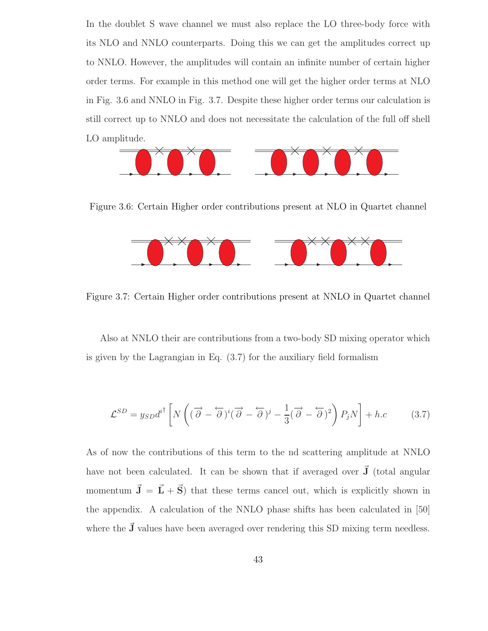In the doublet S wave channel we must also replace the LO three-body force with its NLO and NNLO counterparts. Doing this we can get the amplitudes correct up to NNLO. However, the amplitudes will contain an infinite number of certain higher order terms. For example in this method one will get the higher order terms at NLO in Fig. 3.6 and NNLO in Fig. 3.7. Despite these higher order terms our calculation is still correct up to NNLO and does not necessitate the calculation of the full off shell LO amplitude.



Figure 3.6: Certain Higher order contributions present at NLO in Quartet channel



Figure 3.7: Certain Higher order contributions present at NNLO in Quartet channel

Also at NNLO their are contributions from a two-body SD mixing operator which is given by the Lagrangian in Eq. (3.7) for the auxiliary field formalism

$$
\mathcal{L}^{SD} = y_{SD} d^{i\dagger} \left[ N \left( (\overrightarrow{\partial} - \overleftarrow{\partial})^i (\overrightarrow{\partial} - \overleftarrow{\partial})^j - \frac{1}{3} (\overrightarrow{\partial} - \overleftarrow{\partial})^2 \right) P_j N \right] + h.c \qquad (3.7)
$$

As of now the contributions of this term to the nd scattering amplitude at NNLO have not been calculated. It can be shown that if averaged over  $\vec{J}$  (total angular momentum  $\vec{\mathbf{J}} = \vec{\mathbf{L}} + \vec{\mathbf{S}}$  that these terms cancel out, which is explicitly shown in the appendix. A calculation of the NNLO phase shifts has been calculated in [50] where the  $\vec{J}$  values have been averaged over rendering this SD mixing term needless.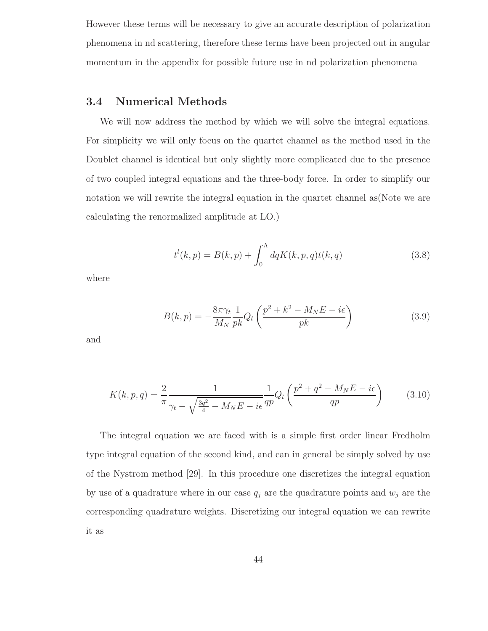However these terms will be necessary to give an accurate description of polarization phenomena in nd scattering, therefore these terms have been projected out in angular momentum in the appendix for possible future use in nd polarization phenomena

# 3.4 Numerical Methods

We will now address the method by which we will solve the integral equations. For simplicity we will only focus on the quartet channel as the method used in the Doublet channel is identical but only slightly more complicated due to the presence of two coupled integral equations and the three-body force. In order to simplify our notation we will rewrite the integral equation in the quartet channel as(Note we are calculating the renormalized amplitude at LO.)

$$
t^{l}(k, p) = B(k, p) + \int_{0}^{\Lambda} dq K(k, p, q) t(k, q)
$$
\n(3.8)

where

$$
B(k, p) = -\frac{8\pi\gamma_t}{M_N} \frac{1}{pk} Q_l \left( \frac{p^2 + k^2 - M_N E - i\epsilon}{pk} \right)
$$
(3.9)

and

$$
K(k, p, q) = \frac{2}{\pi} \frac{1}{\gamma_t - \sqrt{\frac{3q^2}{4} - M_N E - i\epsilon}} \frac{1}{qp} Q_l \left( \frac{p^2 + q^2 - M_N E - i\epsilon}{qp} \right)
$$
(3.10)

The integral equation we are faced with is a simple first order linear Fredholm type integral equation of the second kind, and can in general be simply solved by use of the Nystrom method [29]. In this procedure one discretizes the integral equation by use of a quadrature where in our case  $q_i$  are the quadrature points and  $w_i$  are the corresponding quadrature weights. Discretizing our integral equation we can rewrite it as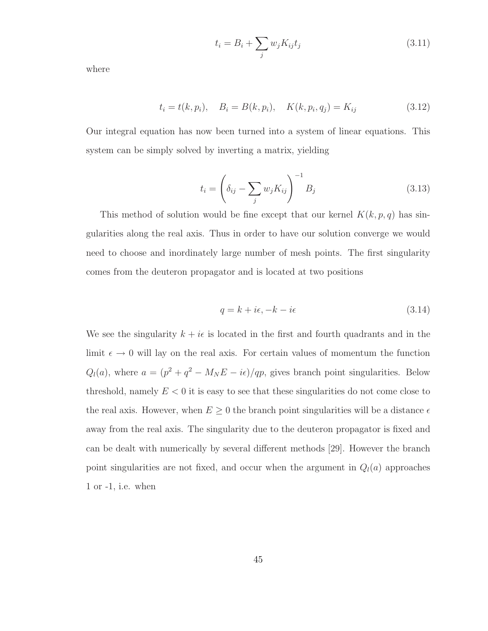$$
t_i = B_i + \sum_j w_j K_{ij} t_j \tag{3.11}
$$

where

$$
t_i = t(k, p_i), \quad B_i = B(k, p_i), \quad K(k, p_i, q_j) = K_{ij}
$$
\n(3.12)

Our integral equation has now been turned into a system of linear equations. This system can be simply solved by inverting a matrix, yielding

$$
t_i = \left(\delta_{ij} - \sum_j w_j K_{ij}\right)^{-1} B_j \tag{3.13}
$$

This method of solution would be fine except that our kernel  $K(k, p, q)$  has singularities along the real axis. Thus in order to have our solution converge we would need to choose and inordinately large number of mesh points. The first singularity comes from the deuteron propagator and is located at two positions

$$
q = k + i\epsilon, -k - i\epsilon \tag{3.14}
$$

We see the singularity  $k + i\epsilon$  is located in the first and fourth quadrants and in the limit  $\epsilon \to 0$  will lay on the real axis. For certain values of momentum the function  $Q_l(a)$ , where  $a = (p^2 + q^2 - M_N E - i\epsilon)/qp$ , gives branch point singularities. Below threshold, namely  $E < 0$  it is easy to see that these singularities do not come close to the real axis. However, when  $E \geq 0$  the branch point singularities will be a distance  $\epsilon$ away from the real axis. The singularity due to the deuteron propagator is fixed and can be dealt with numerically by several different methods [29]. However the branch point singularities are not fixed, and occur when the argument in  $Q_l(a)$  approaches 1 or -1, i.e. when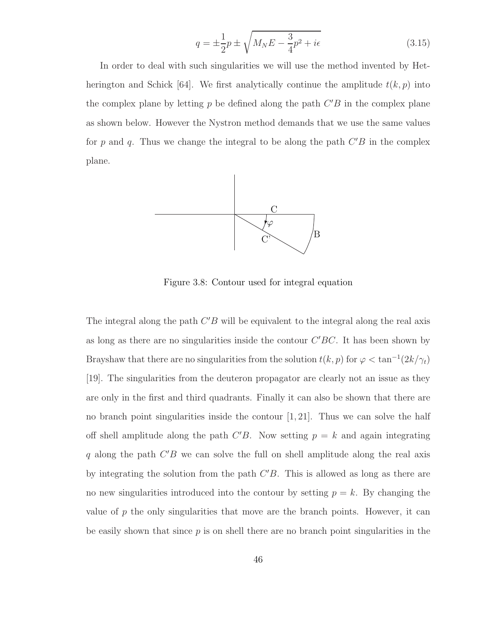$$
q = \pm \frac{1}{2}p \pm \sqrt{M_N E - \frac{3}{4}p^2 + i\epsilon}
$$
 (3.15)

In order to deal with such singularities we will use the method invented by Hetherington and Schick [64]. We first analytically continue the amplitude  $t(k, p)$  into the complex plane by letting  $p$  be defined along the path  $C'B$  in the complex plane as shown below. However the Nystron method demands that we use the same values for p and q. Thus we change the integral to be along the path  $C'B$  in the complex plane.



Figure 3.8: Contour used for integral equation

The integral along the path  $C'B$  will be equivalent to the integral along the real axis as long as there are no singularities inside the contour  $C'BC$ . It has been shown by Brayshaw that there are no singularities from the solution  $t(k, p)$  for  $\varphi < \tan^{-1}(2k/\gamma_t)$ [19]. The singularities from the deuteron propagator are clearly not an issue as they are only in the first and third quadrants. Finally it can also be shown that there are no branch point singularities inside the contour  $[1, 21]$ . Thus we can solve the half off shell amplitude along the path  $C'B$ . Now setting  $p = k$  and again integrating q along the path  $C'B$  we can solve the full on shell amplitude along the real axis by integrating the solution from the path  $C'B$ . This is allowed as long as there are no new singularities introduced into the contour by setting  $p = k$ . By changing the value of  $p$  the only singularities that move are the branch points. However, it can be easily shown that since  $p$  is on shell there are no branch point singularities in the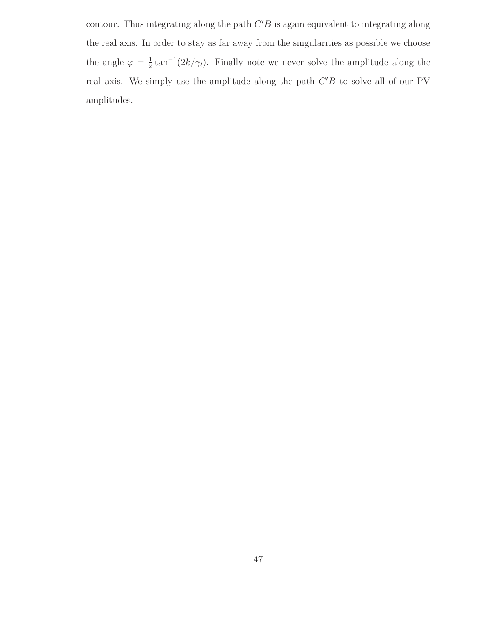contour. Thus integrating along the path  $C'B$  is again equivalent to integrating along the real axis. In order to stay as far away from the singularities as possible we choose the angle  $\varphi = \frac{1}{2}$  $\frac{1}{2} \tan^{-1}(2k/\gamma_t)$ . Finally note we never solve the amplitude along the real axis. We simply use the amplitude along the path  $C'B$  to solve all of our PV amplitudes.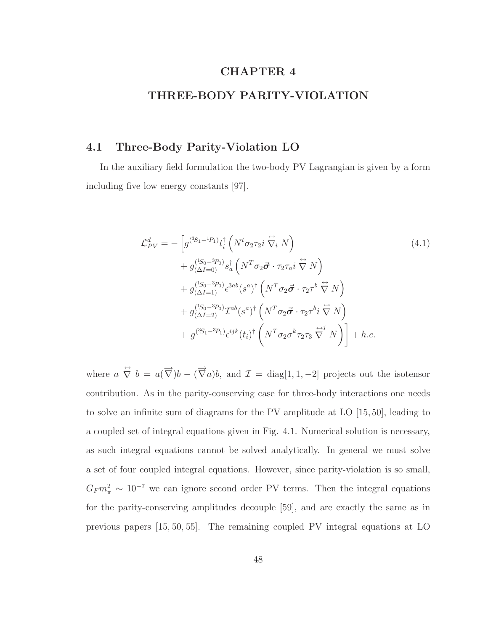# CHAPTER 4

## THREE-BODY PARITY-VIOLATION

## 4.1 Three-Body Parity-Violation LO

In the auxiliary field formulation the two-body PV Lagrangian is given by a form including five low energy constants [97].

$$
\mathcal{L}_{PV}^{d} = -\left[g^{(3S_1 - {}^{1}P_1)}t_i^{\dagger} \left(N^t \sigma_2 \tau_2 i \stackrel{\leftrightarrow}{\nabla_i} N\right) \right. \n+ g^{(1S_0 - {}^{3}P_0)}(s_a^{\dagger} \left(N^T \sigma_2 \vec{\sigma} \cdot \tau_2 \tau_a i \stackrel{\leftrightarrow}{\nabla} N\right) \n+ g^{(1S_0 - {}^{3}P_0)}(s^{3ab}(s^a)^{\dagger} \left(N^T \sigma_2 \vec{\sigma} \cdot \tau_2 \tau^b \stackrel{\leftrightarrow}{\nabla} N\right) \n+ g^{(1S_0 - {}^{3}P_0)}(s^a)^{\dagger} \left(N^T \sigma_2 \vec{\sigma} \cdot \tau_2 \tau^b i \stackrel{\leftrightarrow}{\nabla} N\right) \n+ g^{(3S_1 - {}^{3}P_1)} \epsilon^{ijk}(t_i)^{\dagger} \left(N^T \sigma_2 \sigma^k \tau_2 \tau_3 \stackrel{\leftrightarrow}{\nabla} N\right) + h.c.
$$
\n(4.1)

where  $a \stackrel{\leftrightarrow}{\nabla} b = a(\overrightarrow{\nabla})b - (\overrightarrow{\nabla} a)b$ , and  $\mathcal{I} = \text{diag}[1, 1, -2]$  projects out the isotensor contribution. As in the parity-conserving case for three-body interactions one needs to solve an infinite sum of diagrams for the PV amplitude at LO [15, 50], leading to a coupled set of integral equations given in Fig. 4.1. Numerical solution is necessary, as such integral equations cannot be solved analytically. In general we must solve a set of four coupled integral equations. However, since parity-violation is so small,  $G_F m_\pi^2 \sim 10^{-7}$  we can ignore second order PV terms. Then the integral equations for the parity-conserving amplitudes decouple [59], and are exactly the same as in previous papers [15, 50, 55]. The remaining coupled PV integral equations at LO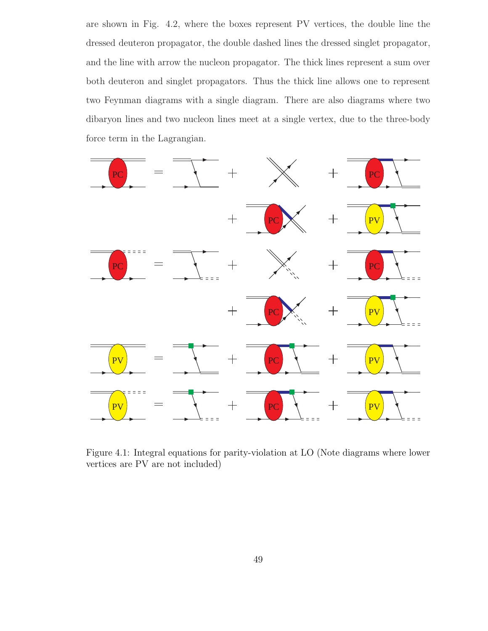are shown in Fig. 4.2, where the boxes represent PV vertices, the double line the dressed deuteron propagator, the double dashed lines the dressed singlet propagator, and the line with arrow the nucleon propagator. The thick lines represent a sum over both deuteron and singlet propagators. Thus the thick line allows one to represent two Feynman diagrams with a single diagram. There are also diagrams where two dibaryon lines and two nucleon lines meet at a single vertex, due to the three-body force term in the Lagrangian.



Figure 4.1: Integral equations for parity-violation at LO (Note diagrams where lower vertices are PV are not included)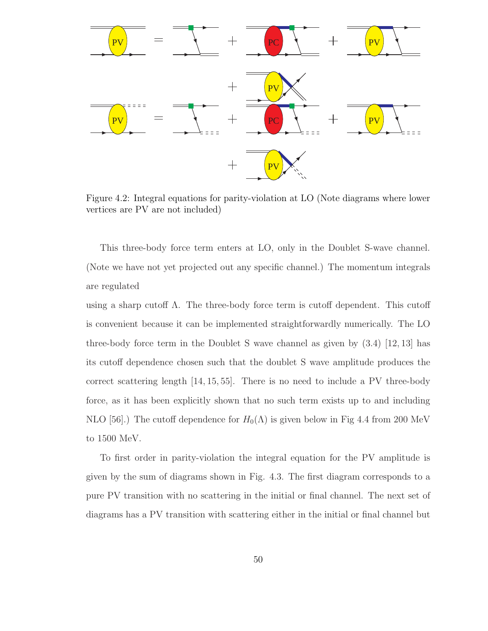

Figure 4.2: Integral equations for parity-violation at LO (Note diagrams where lower vertices are PV are not included)

This three-body force term enters at LO, only in the Doublet S-wave channel. (Note we have not yet projected out any specific channel.) The momentum integrals are regulated

using a sharp cutoff  $\Lambda$ . The three-body force term is cutoff dependent. This cutoff is convenient because it can be implemented straightforwardly numerically. The LO three-body force term in the Doublet S wave channel as given by (3.4) [12, 13] has its cutoff dependence chosen such that the doublet S wave amplitude produces the correct scattering length [14, 15, 55]. There is no need to include a PV three-body force, as it has been explicitly shown that no such term exists up to and including NLO [56].) The cutoff dependence for  $H_0(\Lambda)$  is given below in Fig 4.4 from 200 MeV to 1500 MeV.

To first order in parity-violation the integral equation for the PV amplitude is given by the sum of diagrams shown in Fig. 4.3. The first diagram corresponds to a pure PV transition with no scattering in the initial or final channel. The next set of diagrams has a PV transition with scattering either in the initial or final channel but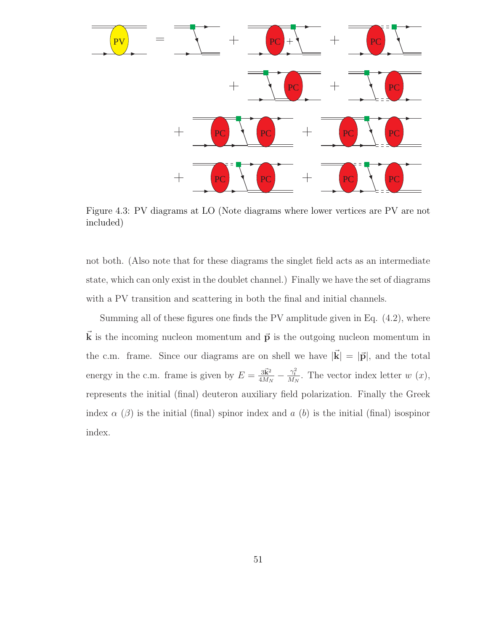

Figure 4.3: PV diagrams at LO (Note diagrams where lower vertices are PV are not included)

not both. (Also note that for these diagrams the singlet field acts as an intermediate state, which can only exist in the doublet channel.) Finally we have the set of diagrams with a PV transition and scattering in both the final and initial channels.

Summing all of these figures one finds the PV amplitude given in Eq. (4.2), where  $\vec{k}$  is the incoming nucleon momentum and  $\vec{p}$  is the outgoing nucleon momentum in the c.m. frame. Since our diagrams are on shell we have  $|\vec{k}| = |\vec{p}|$ , and the total energy in the c.m. frame is given by  $E = \frac{3\vec{k}^2}{4M_s}$  $\frac{3\vec{k}^2}{4M_N} - \frac{\gamma_t^2}{M_N}$ . The vector index letter w  $(x)$ , represents the initial (final) deuteron auxiliary field polarization. Finally the Greek index  $\alpha$  ( $\beta$ ) is the initial (final) spinor index and a (b) is the initial (final) isospinor index.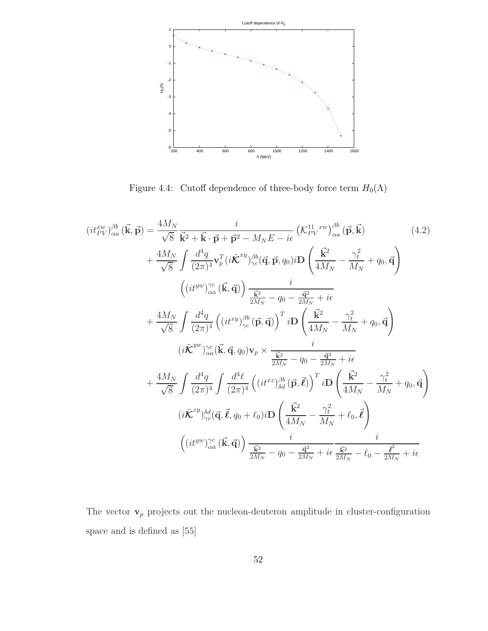

Figure 4.4: Cutoff dependence of three-body force term  $H_0(\Lambda)$ 

$$
(it_{PV}^{xw})_{\alpha a}^{\beta b}(\vec{\mathbf{k}}, \vec{\mathbf{p}}) = \frac{4M_N}{\sqrt{8}} \frac{i}{\vec{k}^2 + \vec{\mathbf{k}} \cdot \vec{\mathbf{p}} + \vec{\mathbf{p}}^2 - M_N E - i\epsilon} \left( \mathcal{K}_{PV}^{11-xw} \right)_{\alpha a}^{\beta b}(\vec{\mathbf{p}}, \vec{\mathbf{k}}) \tag{4.2}
$$
\n
$$
+ \frac{4M_N}{\sqrt{8}} \int \frac{d^4q}{(2\pi)^4} \mathbf{v}_p^T (i\hat{\mathbf{K}}^{xy})_{\gamma c}^{\beta b}(\vec{\mathbf{q}}, \vec{\mathbf{p}}, q_0) i\mathbf{D} \left( \frac{\vec{\mathbf{k}}^2}{4M_N} - \frac{\gamma_t^2}{M_N} + q_0, \vec{\mathbf{q}} \right) \tag{4.2}
$$
\n
$$
+ \frac{4M_N}{\sqrt{8}} \int \frac{d^4q}{(2\pi)^4} \left( (it^{xy})_{\gamma c}^{\beta b}(\vec{\mathbf{p}}, \vec{\mathbf{q}}) \right) \frac{i}{\frac{\vec{k}^2}{2M_N} - q_0 - \frac{\vec{q}^2}{2M_N} + i\epsilon} + \frac{4M_N}{\sqrt{8}} \int \frac{d^4q}{(2\pi)^4} \left( (it^{xy})_{\gamma c}^{\beta b}(\vec{\mathbf{p}}, \vec{\mathbf{q}}) \right)^T i\mathbf{D} \left( \frac{\vec{\mathbf{k}}^2}{4M_N} - \frac{\gamma_t^2}{M_N} + q_0, \vec{\mathbf{q}} \right) \tag{4.2}
$$
\n
$$
+ \frac{4M_N}{\sqrt{8}} \int \frac{d^4q}{(2\pi)^4} \int \frac{d^4\ell}{(2\pi)^4} \left( (it^{xz})_{\delta d}^{\beta b}(\vec{\mathbf{p}}, \vec{\mathbf{e}}) \right)^T i\mathbf{D} \left( \frac{\vec{\mathbf{k}}^2}{4M_N} - \frac{\gamma_t^2}{M_N} + q_0, \vec{\mathbf{q}} \right) \tag{4.2}
$$
\n
$$
+ \frac{(i\tilde{\mathbf{k}}^{xy})_{\gamma c}^4(\vec{\mathbf{q}}, \vec{\mathbf{e}}, q_0 + \ell
$$

The vector  $\mathbf{v}_p$  projects out the nucleon-deuteron amplitude in cluster-configuration space and is defined as [55]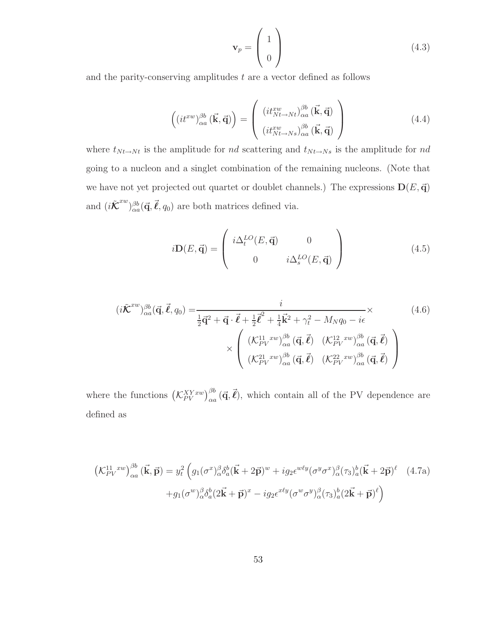$$
\mathbf{v}_p = \begin{pmatrix} 1 \\ 0 \end{pmatrix} \tag{4.3}
$$

and the parity-conserving amplitudes  $t$  are a vector defined as follows

$$
\left(\left(it^{xw}\right)_{\alpha a}^{\beta b}(\vec{\mathbf{k}},\vec{\mathbf{q}})\right) = \left(\begin{array}{c}\left(it^{xw}_{Nt \to Nt}\right)_{\alpha a}^{\beta b}(\vec{\mathbf{k}},\vec{\mathbf{q}})\\ \left(it^{xw}_{Nt \to Ns}\right)_{\alpha a}^{\beta b}(\vec{\mathbf{k}},\vec{\mathbf{q}})\end{array}\right) \tag{4.4}
$$

where  $t_{N t \to N t}$  is the amplitude for  $nd$  scattering and  $t_{N t \to N s}$  is the amplitude for  $nd$ going to a nucleon and a singlet combination of the remaining nucleons. (Note that we have not yet projected out quartet or doublet channels.) The expressions  $\mathbf{D}(E, \vec{\mathbf{q}})$ and  $(i\tilde{\mathcal{K}}^{xw})^{\beta b}_{\alpha a}(\vec{q}, \vec{\ell}, q_0)$  are both matrices defined via.

$$
i\mathbf{D}(E,\vec{\mathbf{q}}) = \begin{pmatrix} i\Delta_t^{LO}(E,\vec{\mathbf{q}}) & 0 \\ 0 & i\Delta_s^{LO}(E,\vec{\mathbf{q}}) \end{pmatrix}
$$
(4.5)

$$
(i\tilde{\mathcal{K}}^{xw})_{\alpha a}^{\beta b}(\vec{\mathbf{q}}, \vec{\ell}, q_0) = \frac{i}{\frac{1}{2}\vec{\mathbf{q}}^2 + \vec{\mathbf{q}} \cdot \vec{\ell} + \frac{1}{2}\vec{\ell}^2 + \frac{1}{4}\vec{k}^2 + \gamma_t^2 - M_N q_0 - i\epsilon} \times \left(4.6\right)
$$
  
 
$$
\times \left( \begin{array}{cc} (\mathcal{K}_{PV}^{11}{}^{xw})_{\alpha a}^{\beta b}(\vec{\mathbf{q}}, \vec{\ell}) & (\mathcal{K}_{PV}^{12}{}^{xw})_{\alpha a}^{\beta b}(\vec{\mathbf{q}}, \vec{\ell}) \\ (\mathcal{K}_{PV}^{21}{}^{xw})_{\alpha a}^{\beta b}(\vec{\mathbf{q}}, \vec{\ell}) & (\mathcal{K}_{PV}^{22}{}^{xw})_{\alpha a}^{\beta b}(\vec{\mathbf{q}}, \vec{\ell}) \end{array} \right)
$$
(4.6)

where the functions  $(\mathcal{K}_{PV}^{XYxw})_{\alpha a}^{\beta b}(\vec{q}, \vec{\ell})$ , which contain all of the PV dependence are defined as

$$
\left(\mathcal{K}_{PV}^{11\ xw}\right)_{\alpha a}^{\beta b}(\vec{\mathbf{k}},\vec{\mathbf{p}}) = y_t^2 \left(g_1(\sigma^x)_{\alpha}^{\beta} \delta_a^b(\vec{\mathbf{k}} + 2\vec{\mathbf{p}})^w + ig_2 \epsilon^{w\ell y} (\sigma^y \sigma^x)_{\alpha}^{\beta} (\tau_3)_{a}^b(\vec{\mathbf{k}} + 2\vec{\mathbf{p}})^{\ell} \right. \tag{4.7a}
$$

$$
+ g_1(\sigma^w)_{\alpha}^{\beta} \delta_a^b (2\vec{\mathbf{k}} + \vec{\mathbf{p}})^x - ig_2 \epsilon^{x\ell y} (\sigma^w \sigma^y)_{\alpha}^{\beta} (\tau_3)_{a}^b (2\vec{\mathbf{k}} + \vec{\mathbf{p}})^{\ell}\right)
$$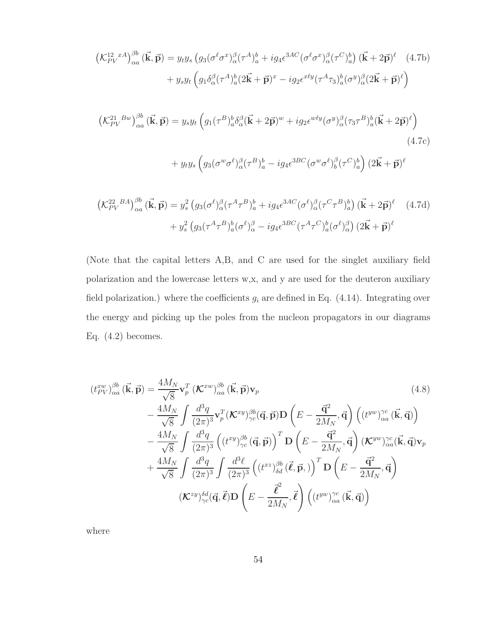$$
\begin{split}\n\left(\mathcal{K}_{PV}^{12\ xA}\right)_{\alpha a}^{\beta b}(\vec{\mathbf{k}},\vec{\mathbf{p}}) &= y_{t}y_{s}\left(g_{3}(\sigma^{\ell}\sigma^{x})_{\alpha}^{\beta}(\tau^{A})_{a}^{b} + ig_{4}\epsilon^{3AC}(\sigma^{\ell}\sigma^{x})_{\alpha}^{\beta}(\tau^{C})_{a}^{b}\right)(\vec{\mathbf{k}}+2\vec{\mathbf{p}})^{\ell} \quad (4.7b) \\
&+ y_{s}y_{t}\left(g_{1}\delta_{\alpha}^{\beta}(\tau^{A})_{a}^{b}(2\vec{\mathbf{k}}+\vec{\mathbf{p}})^{x} - ig_{2}\epsilon^{x\ell y}(\tau^{A}\tau_{3})_{a}^{b}(\sigma^{y})_{\alpha}^{\beta}(2\vec{\mathbf{k}}+\vec{\mathbf{p}})^{\ell}\right) \\
\left(\mathcal{K}_{PV}^{21\ Bw}\right)_{\alpha a}^{\beta b}(\vec{\mathbf{k}},\vec{\mathbf{p}}) &= y_{s}y_{t}\left(g_{1}(\tau^{B})_{a}^{b}\delta_{\alpha}^{\beta}(\vec{\mathbf{k}}+2\vec{\mathbf{p}})^{w} + ig_{2}\epsilon^{w\ell y}(\sigma^{y})_{\alpha}^{\beta}(\tau_{3}\tau^{B})_{a}^{b}(\vec{\mathbf{k}}+2\vec{\mathbf{p}})^{\ell}\right) \\
&+ y_{t}y_{s}\left(g_{3}(\sigma^{w}\sigma^{\ell})_{\alpha}^{\beta}(\tau^{B})_{a}^{b} - ig_{4}\epsilon^{3BC}(\sigma^{w}\sigma^{\ell})_{b}^{\beta}(\tau^{C})_{a}^{b}\right)(2\vec{\mathbf{k}}+\vec{\mathbf{p}})^{\ell}\n\end{split}
$$
\n
$$
(4.7c)
$$

$$
\left(\mathcal{K}_{PV}^{22}{}^{BA}\right)_{\alpha a}^{\beta b}(\vec{\mathbf{k}},\vec{\mathbf{p}}) = y_s^2 \left(g_3(\sigma^\ell)_{\alpha}^{\beta}(\tau^A\tau^B)_{a}^{b} + ig_4 \epsilon^{3AC}(\sigma^\ell)_{\alpha}^{\beta}(\tau^C\tau^B)_{a}^{b}\right) (\vec{\mathbf{k}} + 2\vec{\mathbf{p}})^{\ell} \tag{4.7d}
$$

$$
+ y_s^2 \left(g_3(\tau^A\tau^B)_{a}^{b}(\sigma^\ell)_{\alpha}^{\beta} - ig_4 \epsilon^{3BC}(\tau^A\tau^C)_{a}^{b}(\sigma^\ell)_{\alpha}^{\beta}\right) (2\vec{\mathbf{k}} + \vec{\mathbf{p}})^{\ell}
$$

(Note that the capital letters A,B, and C are used for the singlet auxiliary field polarization and the lowercase letters w,x, and y are used for the deuteron auxiliary field polarization.) where the coefficients  $g_i$  are defined in Eq. (4.14). Integrating over the energy and picking up the poles from the nucleon propagators in our diagrams Eq.  $(4.2)$  becomes.

$$
(t_{PV}^{xw})_{\alpha a}^{\beta b}(\vec{\mathbf{k}},\vec{\mathbf{p}}) = \frac{4M_N}{\sqrt{8}} \mathbf{v}_p^T (\mathcal{K}^{xw})_{\alpha a}^{\beta b}(\vec{\mathbf{k}},\vec{\mathbf{p}}) \mathbf{v}_p
$$
\n
$$
- \frac{4M_N}{\sqrt{8}} \int \frac{d^3 q}{(2\pi)^3} \mathbf{v}_p^T (\mathcal{K}^{xy})_{\gamma c}^{\beta b}(\vec{\mathbf{q}},\vec{\mathbf{p}}) \mathbf{D} (\vec{E} - \frac{\vec{\mathbf{q}}^2}{2M_N},\vec{\mathbf{q}}) ((t^{yw})_{\alpha a}^{\gamma c}(\vec{\mathbf{k}},\vec{\mathbf{q}}))
$$
\n
$$
- \frac{4M_N}{\sqrt{8}} \int \frac{d^3 q}{(2\pi)^3} ((t^{xy})_{\gamma c}^{\beta b}(\vec{\mathbf{q}},\vec{\mathbf{p}}))^T \mathbf{D} (\vec{E} - \frac{\vec{\mathbf{q}}^2}{2M_N},\vec{\mathbf{q}}) (\mathcal{K}^{yw})_{\alpha a}^{\gamma c}(\vec{\mathbf{k}},\vec{\mathbf{q}}) \mathbf{v}_p
$$
\n
$$
+ \frac{4M_N}{\sqrt{8}} \int \frac{d^3 q}{(2\pi)^3} \int \frac{d^3 \ell}{(2\pi)^3} ((t^{xz})_{\delta d}^{\beta b}(\vec{\ell},\vec{\mathbf{p}},))^T \mathbf{D} (\vec{E} - \frac{\vec{\mathbf{q}}^2}{2M_N},\vec{\mathbf{q}})
$$
\n
$$
(\mathcal{K}^{zy})_{\gamma c}^{\delta d}(\vec{\mathbf{q}},\vec{\mathbf{\ell}}) \mathbf{D} (\vec{E} - \frac{\vec{\ell}^2}{2M_N},\vec{\mathbf{\ell}}) ((t^{yw})_{\alpha a}^{\gamma c}(\vec{\mathbf{k}},\vec{\mathbf{q}}))
$$

where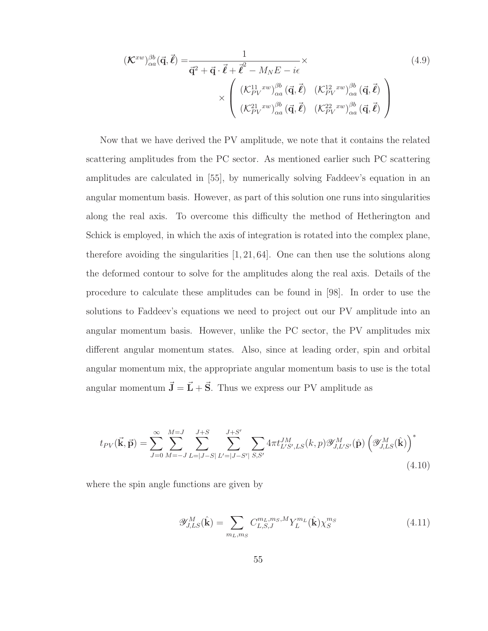$$
(\mathcal{K}^{xw})_{\alpha a}^{\beta b}(\vec{\mathbf{q}}, \vec{\ell}) = \frac{1}{\vec{\mathbf{q}}^2 + \vec{\mathbf{q}} \cdot \vec{\ell} + \vec{\ell}^2 - M_N E - i\epsilon} \times \left(\begin{array}{cc} (\mathcal{K}_{PV}^{11} \, xw)^{\beta b} \\ \times \end{array} \begin{array}{cc} (\vec{\mathbf{q}}, \vec{\ell}) & (\mathcal{K}_{PV}^{12} \, xw)^{\beta b} \\ (\mathcal{K}_{PV}^{21} \, xw)^{\beta b} & (\vec{\mathbf{q}}, \vec{\ell}) & (\mathcal{K}_{PV}^{22} \, xw)^{\beta b} \\ (\mathcal{K}_{PV}^{22} \, xw)^{\beta b} & (\vec{\mathbf{q}}, \vec{\ell}) \end{array}\right) \tag{4.9}
$$

Now that we have derived the PV amplitude, we note that it contains the related scattering amplitudes from the PC sector. As mentioned earlier such PC scattering amplitudes are calculated in [55], by numerically solving Faddeev's equation in an angular momentum basis. However, as part of this solution one runs into singularities along the real axis. To overcome this difficulty the method of Hetherington and Schick is employed, in which the axis of integration is rotated into the complex plane, therefore avoiding the singularities [1, 21, 64]. One can then use the solutions along the deformed contour to solve for the amplitudes along the real axis. Details of the procedure to calculate these amplitudes can be found in [98]. In order to use the solutions to Faddeev's equations we need to project out our PV amplitude into an angular momentum basis. However, unlike the PC sector, the PV amplitudes mix different angular momentum states. Also, since at leading order, spin and orbital angular momentum mix, the appropriate angular momentum basis to use is the total angular momentum  $\vec{\mathbf{J}} = \vec{\mathbf{L}} + \vec{\mathbf{S}}$ . Thus we express our PV amplitude as

$$
t_{PV}(\vec{k}, \vec{p}) = \sum_{J=0}^{\infty} \sum_{M=-J}^{M=J} \sum_{L=|J-S|}^{J+S} \sum_{L'=|J-S'|}^{J+S'} \sum_{S,S'} 4\pi t_{L'S',LS}^{JM}(k, p) \mathcal{Y}_{J,L'S'}^{M}(\hat{\mathbf{p}}) \left(\mathcal{Y}_{J,LS}^{M}(\hat{\mathbf{k}})\right)^{*}
$$
\n(4.10)

where the spin angle functions are given by

$$
\mathscr{Y}_{J,LS}^{M}(\hat{\mathbf{k}}) = \sum_{m_L,m_S} C_{L,S,J}^{m_L,m_S,M} Y_L^{m_L}(\hat{\mathbf{k}}) \chi_S^{m_S}
$$
(4.11)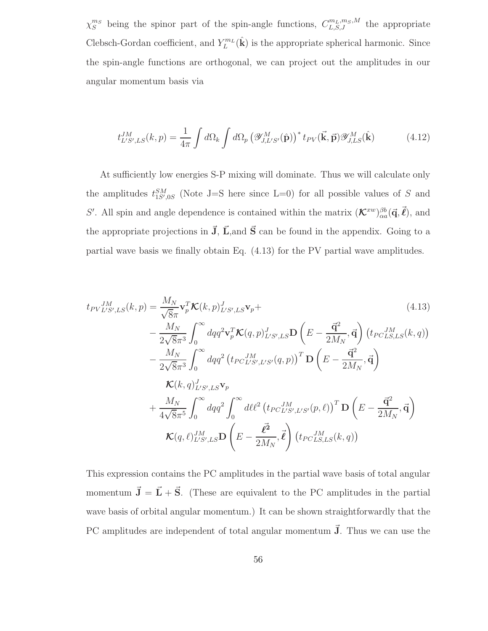$\chi_S^{m_S}$  being the spinor part of the spin-angle functions,  $C_{L,S,J}^{m_L,m_S,M}$  the appropriate Clebsch-Gordan coefficient, and  $Y_L^{m_L}(\hat{\mathbf{k}})$  is the appropriate spherical harmonic. Since the spin-angle functions are orthogonal, we can project out the amplitudes in our angular momentum basis via

$$
t_{L'S',LS}^{JM}(k,p) = \frac{1}{4\pi} \int d\Omega_k \int d\Omega_p \left( \mathcal{Y}_{J,L'S'}^M(\hat{\mathbf{p}}) \right)^* t_{PV}(\vec{\mathbf{k}}, \vec{\mathbf{p}}) \mathcal{Y}_{J,LS}^M(\hat{\mathbf{k}})
$$
(4.12)

At sufficiently low energies S-P mixing will dominate. Thus we will calculate only the amplitudes  $t_{1S',0S}^{SM}$  (Note J=S here since L=0) for all possible values of S and S'. All spin and angle dependence is contained within the matrix  $(\mathcal{K}^{xw})_{\alpha a}^{\beta b}(\vec{q}, \vec{\ell})$ , and the appropriate projections in  $\vec{J}$ ,  $\vec{L}$ , and  $\vec{S}$  can be found in the appendix. Going to a partial wave basis we finally obtain Eq. (4.13) for the PV partial wave amplitudes.

$$
t_{PV}^{JM}_{L'S',LS}(k,p) = \frac{M_N}{\sqrt{8}\pi} \mathbf{v}_p^T \mathbf{K}(k,p)_{L'S',LS}^{J} \mathbf{v}_p +
$$
\n
$$
- \frac{M_N}{2\sqrt{8}\pi^3} \int_0^\infty dq q^2 \mathbf{v}_p^T \mathbf{K}(q,p)_{L'S',LS}^{J} \mathbf{D} \left( E - \frac{\vec{\mathbf{q}}^2}{2M_N}, \vec{\mathbf{q}} \right) (t_{PC}^{JM}_{L.S,LS}(k,q))
$$
\n
$$
- \frac{M_N}{2\sqrt{8}\pi^3} \int_0^\infty dq q^2 (t_{PC}^{JM}_{L'S',L'S'}(q,p))^T \mathbf{D} \left( E - \frac{\vec{\mathbf{q}}^2}{2M_N}, \vec{\mathbf{q}} \right)
$$
\n
$$
\mathbf{K}(k,q)_{L'S',LS}^{J} \mathbf{v}_p
$$
\n
$$
+ \frac{M_N}{4\sqrt{8}\pi^5} \int_0^\infty dq q^2 \int_0^\infty d\ell \ell^2 (t_{PC}^{JM}_{L'S',L'S'}(p,\ell))^T \mathbf{D} \left( E - \frac{\vec{\mathbf{q}}^2}{2M_N}, \vec{\mathbf{q}} \right)
$$
\n
$$
\mathbf{K}(q,\ell)_{L'S',LS}^{JM} \mathbf{D} \left( E - \frac{\vec{\ell}^2}{2M_N}, \vec{\ell} \right) (t_{PC}^{JM}_{L.S,LS}(k,q))
$$
\n(4.13)

This expression contains the PC amplitudes in the partial wave basis of total angular momentum  $\vec{J} = \vec{L} + \vec{S}$ . (These are equivalent to the PC amplitudes in the partial wave basis of orbital angular momentum.) It can be shown straightforwardly that the PC amplitudes are independent of total angular momentum  $\vec{J}$ . Thus we can use the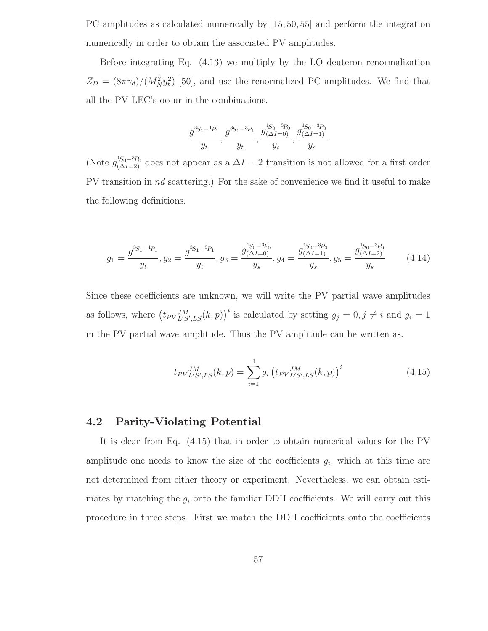PC amplitudes as calculated numerically by [15, 50, 55] and perform the integration numerically in order to obtain the associated PV amplitudes.

Before integrating Eq. (4.13) we multiply by the LO deuteron renormalization  $Z_D = (8\pi\gamma_d)/(M_N^2 y_t^2)$  [50], and use the renormalized PC amplitudes. We find that all the PV LEC's occur in the combinations.

$$
\frac{g^{3S_1-1 p_1}}{y_t}, \frac{g^{3S_1-3 p_1}}{y_t}, \frac{g_{(\Delta I=0)}^{1 S_0-3 p_0}}{y_s}, \frac{g_{(\Delta I=1)}^{1 S_0-3 p_0}}{y_s}
$$

(Note  $g_{(\Delta I=2)}^{1S_0-3p_0}$  does not appear as a  $\Delta I=2$  transition is not allowed for a first order PV transition in nd scattering.) For the sake of convenience we find it useful to make the following definitions.

$$
g_1 = \frac{g^{3S_1 - 1}P_1}{y_t}, g_2 = \frac{g^{3S_1 - 3P_1}}{y_t}, g_3 = \frac{g^{1S_0 - 3P_0}_{(\Delta I = 0)}}{y_s}, g_4 = \frac{g^{1S_0 - 3P_0}_{(\Delta I = 1)}}{y_s}, g_5 = \frac{g^{1S_0 - 3P_0}_{(\Delta I = 2)}}{y_s}
$$
(4.14)

Since these coefficients are unknown, we will write the PV partial wave amplitudes as follows, where  $(t_{PV}^{JM}_{L'S',LS}(k, p))^{i}$  is calculated by setting  $g_j = 0, j \neq i$  and  $g_i = 1$ in the PV partial wave amplitude. Thus the PV amplitude can be written as.

$$
t_{PV}^{JM}_{L'S',LS}(k,p) = \sum_{i=1}^{4} g_i \left( t_{PV}^{JM}_{L'S',LS}(k,p) \right)^i
$$
 (4.15)

# 4.2 Parity-Violating Potential

It is clear from Eq. (4.15) that in order to obtain numerical values for the PV amplitude one needs to know the size of the coefficients  $g_i$ , which at this time are not determined from either theory or experiment. Nevertheless, we can obtain estimates by matching the  $g_i$  onto the familiar DDH coefficients. We will carry out this procedure in three steps. First we match the DDH coefficients onto the coefficients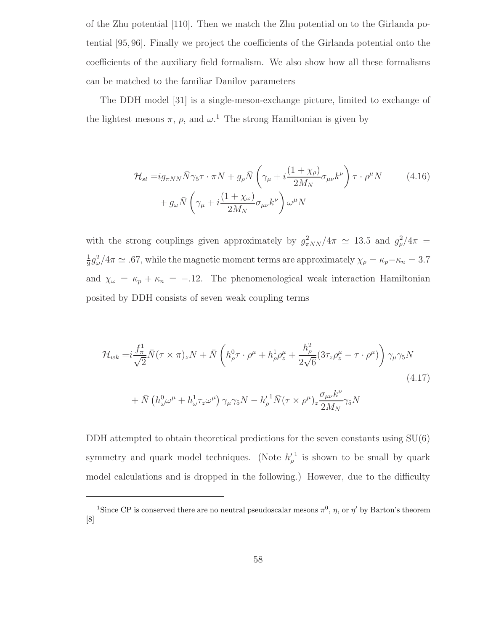of the Zhu potential [110]. Then we match the Zhu potential on to the Girlanda potential [95, 96]. Finally we project the coefficients of the Girlanda potential onto the coefficients of the auxiliary field formalism. We also show how all these formalisms can be matched to the familiar Danilov parameters

The DDH model [31] is a single-meson-exchange picture, limited to exchange of the lightest mesons  $\pi$ ,  $\rho$ , and  $\omega$ <sup>1</sup>. The strong Hamiltonian is given by

$$
\mathcal{H}_{st} = ig_{\pi NN} \bar{N} \gamma_5 \tau \cdot \pi N + g_{\rho} \bar{N} \left( \gamma_{\mu} + i \frac{(1 + \chi_{\rho})}{2M_N} \sigma_{\mu\nu} k^{\nu} \right) \tau \cdot \rho^{\mu} N \qquad (4.16)
$$

$$
+ g_{\omega} \bar{N} \left( \gamma_{\mu} + i \frac{(1 + \chi_{\omega})}{2M_N} \sigma_{\mu\nu} k^{\nu} \right) \omega^{\mu} N
$$

with the strong couplings given approximately by  $g_{\pi NN}^2/4\pi \simeq 13.5$  and  $g_{\rho}^2/4\pi =$ 1  $\frac{1}{9}g_{\omega}^2/4\pi \simeq .67$ , while the magnetic moment terms are approximately  $\chi_{\rho} = \kappa_p - \kappa_n = 3.7$ and  $\chi_{\omega} = \kappa_p + \kappa_n = -.12$ . The phenomenological weak interaction Hamiltonian posited by DDH consists of seven weak coupling terms

$$
\mathcal{H}_{wk} = i \frac{f_{\pi}^1}{\sqrt{2}} \bar{N} (\tau \times \pi)_z N + \bar{N} \left( h_{\rho}^0 \tau \cdot \rho^{\mu} + h_{\rho}^1 \rho_z^{\mu} + \frac{h_{\rho}^2}{2\sqrt{6}} (3\tau_z \rho_z^{\mu} - \tau \cdot \rho^{\mu}) \right) \gamma_{\mu} \gamma_5 N
$$
\n
$$
+ \bar{N} \left( h_{\omega}^0 \omega^{\mu} + h_{\omega}^1 \tau_z \omega^{\mu} \right) \gamma_{\mu} \gamma_5 N - h_{\rho}^{\prime 1} \bar{N} (\tau \times \rho^{\mu})_z \frac{\sigma_{\mu\nu} k^{\nu}}{2M_N} \gamma_5 N
$$
\n
$$
(4.17)
$$

DDH attempted to obtain theoretical predictions for the seven constants using  $SU(6)$ symmetry and quark model techniques. (Note  $h'_{\rho}$ <sup>1</sup> is shown to be small by quark model calculations and is dropped in the following.) However, due to the difficulty

<sup>&</sup>lt;sup>1</sup>Since CP is conserved there are no neutral pseudoscalar mesons  $\pi^0$ ,  $\eta$ , or  $\eta'$  by Barton's theorem [8]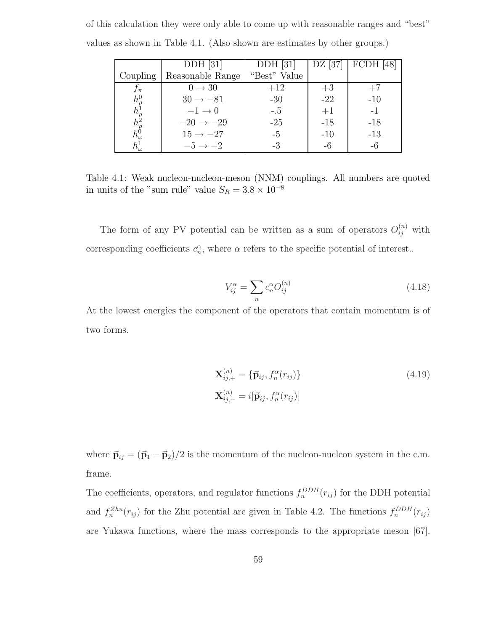|                                                                                  | $DDH$ [31]            | $DDH$ [31]   |       | DZ [37]   FCDH [48] |
|----------------------------------------------------------------------------------|-----------------------|--------------|-------|---------------------|
| Coupling                                                                         | Reasonable Range      | "Best" Value |       |                     |
| $J_{\pi}$                                                                        | $0 \rightarrow 30$    | $+12$        | $+3$  | $+7$                |
|                                                                                  | $30 \rightarrow -81$  | $-30$        | $-22$ | $-10$               |
| $h^0_{\rho} \overline{h^1_{\rho} \overline{h^2_{\rho} \overline{h^0_{\omega}}}}$ | $-1 \rightarrow 0$    | $-.5$        | $+1$  | $-1$                |
|                                                                                  | $-20 \rightarrow -29$ | $-25$        | $-18$ | $-18$               |
|                                                                                  | $15 \rightarrow -27$  | $-5$         | $-10$ | $-13$               |
| $h^1_\omega$                                                                     | $-5 \rightarrow -2$   | $-3$         | -6    | -6                  |

of this calculation they were only able to come up with reasonable ranges and "best" values as shown in Table 4.1. (Also shown are estimates by other groups.)

Table 4.1: Weak nucleon-nucleon-meson (NNM) couplings. All numbers are quoted in units of the "sum rule" value  $S_R = 3.8 \times 10^{-8}$ 

The form of any PV potential can be written as a sum of operators  $O_{ij}^{(n)}$  with corresponding coefficients  $c_n^{\alpha}$ , where  $\alpha$  refers to the specific potential of interest..

$$
V_{ij}^{\alpha} = \sum_{n} c_n^{\alpha} O_{ij}^{(n)} \tag{4.18}
$$

At the lowest energies the component of the operators that contain momentum is of two forms.

$$
\mathbf{X}_{ij,+}^{(n)} = {\{\vec{\mathbf{p}}_{ij}, f_n^{\alpha}(r_{ij})\}}
$$
\n
$$
\mathbf{X}_{ij,-}^{(n)} = i[\vec{\mathbf{p}}_{ij}, f_n^{\alpha}(r_{ij})]
$$
\n(4.19)

where  $\vec{p}_{ij} = (\vec{p}_1 - \vec{p}_2)/2$  is the momentum of the nucleon-nucleon system in the c.m. frame.

The coefficients, operators, and regulator functions  $f_n^{DDH}(r_{ij})$  for the DDH potential and  $f_n^{Zhu}(r_{ij})$  for the Zhu potential are given in Table 4.2. The functions  $f_n^{DDH}(r_{ij})$ are Yukawa functions, where the mass corresponds to the appropriate meson [67].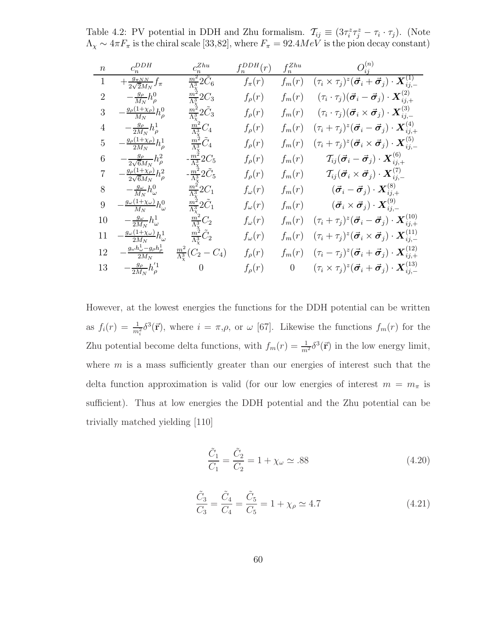Table 4.2: PV potential in DDH and Zhu formalism.  $\mathcal{T}_{ij} \equiv (3\tau_i^z \tau_j^z - \tau_i \cdot \tau_j)$ . (Note  $\Lambda_{\chi} \sim 4\pi F_{\pi}$  is the chiral scale [33,82], where  $F_{\pi} = 92.4 MeV$  is the pion decay constant)

| $\boldsymbol{n}$ | $c_n^{DDH}$                                                  | $c_n^{Zhu}\,$                           | $f_n^{DDH}(r)$  | $f_n^{Zhu}$      |                                                                                                                           |
|------------------|--------------------------------------------------------------|-----------------------------------------|-----------------|------------------|---------------------------------------------------------------------------------------------------------------------------|
| 1                | $+\frac{g_{\pi NN}}{2\sqrt{2}M_N}f_{\pi}$                    | $\frac{m^2}{\Lambda^3} 2 \tilde{C}_6$   | $f_{\pi}(r)$    | $f_m(r)$         | $(\tau_i \times \tau_j)^z (\vec{\boldsymbol{\sigma}}_i + \vec{\boldsymbol{\sigma}}_j) \cdot \boldsymbol{X}^{(1)}_{ij,-1}$ |
| $\overline{2}$   | $-\frac{g_{\rho}}{M_{N}}h_{\rho}^{0}$                        | $\frac{m^2}{\Lambda^3}$ 2C <sub>3</sub> | $f_{\rho}(r)$   | $f_m(r)$         | $(\tau_i\cdot \tau_j)(\vec{\boldsymbol{\sigma}}_i-\vec{\boldsymbol{\sigma}}_j)\cdot \boldsymbol{X}^{(2)}_{i\,i}$          |
| 3                | $\frac{g_{\rho}(1+\chi_{\rho})}{M_N}h_{\rho}^0$              | $\frac{m^2}{\Lambda^3}$ 2 $C_3$         | $f_{\rho}(r)$   | $f_m(r)$         | $(\tau_i\cdot \tau_j)(\vec{\bm{\sigma}}_i \times \vec{\bm{\sigma}}_j)\cdot \bm{X}^{(3)}_{ij,-}$                           |
| 4                | $-\frac{g_{\rho}}{2M_{N}}h_{\rho}^{1}$                       | $\frac{m^2}{\Lambda^3}C_4$              | $f_{\rho}(r)$   | $f_m(r)$         | $(\tau_i+\tau_j)^z(\vec{\boldsymbol{\sigma}}_i-\vec{\boldsymbol{\sigma}}_j)\cdot\boldsymbol{X}^{(4)}_{ii}$ .              |
| 5                | $\frac{g_{\rho}(1+\chi_{\rho})}{2M_{N}}h_{\rho}^{1}$         | $rac{m^2}{\Lambda^3}\tilde{C}_4$        | $f_{\rho}(r)$   | $f_m(r)$         | $(\tau_i+\tau_j)^z(\vec{\bm{\sigma}}_i\times\vec{\bm{\sigma}}_j)\cdot\bm{X}^{(5)}_{ij,-}$                                 |
| 6                | $-\frac{g_{\rho}}{2\sqrt{6}M_N}h_{\rho}^2$                   | $-\frac{m^2}{\Lambda^3} 2C_5$           | $f_{\rho}(r)$   | $f_m(r)$         | $\mathcal{T}_{ij}(\vec{\bm{\sigma}}_i-\vec{\bm{\sigma}}_j)\cdot\bm{X}^{(6)}_{ij,+}$                                       |
|                  | $\frac{g_{\rho}(1+\chi_{\rho})}{2\sqrt{6}M_{N}}h_{\rho}^{2}$ | $-\frac{m^2}{\Lambda^3}2C_5$            | $f_{\rho}(r)$   | $f_m(r)$         | $\mathcal{T}_{ij}(\vec{\boldsymbol{\sigma}}_i\times\vec{\boldsymbol{\sigma}}_j)\cdot\boldsymbol{X}^{(7)}_{ij}$            |
| 8                | $-\frac{g_{\omega}}{M_N}h_{\omega}^0$                        | $\frac{m^2}{\Lambda^3}$ 2C <sub>1</sub> | $f_{\omega}(r)$ | $f_m(r)$         | $\big(\vec{\bm{\sigma}}_i-\vec{\bm{\sigma}}_j\big)\cdot\bm{X}^{(8)}_{ij,+}$                                               |
| 9                | $-\frac{g_{\omega}(1+\chi_{\omega})}{M_N}h_{\omega}^0$       | $\frac{m^2}{\Lambda^3}$ 2C <sub>1</sub> | $f_{\omega}(r)$ | $f_m(r)$         | $\left(\vec{\bm{\sigma}}_i \times \vec{\bm{\sigma}}_j\right) \cdot \bm{X}_{ii,-}^{(9)}$                                   |
| 10               | $-\frac{g_{\omega}}{2M_N}h_{\omega}^1$                       | $\frac{m^2}{\Lambda_v^3}C_2$            | $f_{\omega}(r)$ | $f_m(r)$         | $(\tau_i+\tau_j)^z(\vec{\bm{\sigma}}_i-\vec{\bm{\sigma}}_j)\cdot\bm{X}^{(10)}_{ij,+}$                                     |
| 11               | $\frac{g_\omega(1+\chi_\omega)}{2M_N}h_\omega^1$             | $\frac{m^2}{\Lambda_v^3}C_2$            | $f_{\omega}(r)$ | $f_m(r)$         | $(\tau_i+\tau_j)^z(\vec{\bm{\sigma}}_i\times\vec{\bm{\sigma}}_j)\cdot\bm{X}^{(11)}_{ij,-}$                                |
| 12               | $g_{\omega}h_{\omega}^1-g_{\rho}h_{\rho}^1$                  | $\frac{m^2}{\Lambda_{\chi}^3}(C_2-C_4)$ | $f_{\rho}(r)$   | $f_m(r)$         | $(\tau_i - \tau_j)^z (\vec{\boldsymbol{\sigma}}_i + \vec{\boldsymbol{\sigma}}_j) \cdot \boldsymbol{X}^{(12)}_{i i + 1}$   |
| 13               | $-\frac{g_{\rho}}{2M_N}h^{'1}_{\rho}$                        | $\overline{0}$                          | $f_{\rho}(r)$   | $\boldsymbol{0}$ | $(\tau_i \times \tau_j)^z (\vec{\boldsymbol{\sigma}}_i + \vec{\boldsymbol{\sigma}}_j) \cdot \boldsymbol{X}^{(13)}_{ii}$   |

However, at the lowest energies the functions for the DDH potential can be written as  $f_i(r) = \frac{1}{m_i^2} \delta^3(\vec{r})$ , where  $i = \pi, \rho$ , or  $\omega$  [67]. Likewise the functions  $f_m(r)$  for the Zhu potential become delta functions, with  $f_m(r) = \frac{1}{m^2} \delta^3(\vec{r})$  in the low energy limit, where  $m$  is a mass sufficiently greater than our energies of interest such that the delta function approximation is valid (for our low energies of interest  $m = m_{\pi}$  is sufficient). Thus at low energies the DDH potential and the Zhu potential can be trivially matched yielding [110]

$$
\frac{\tilde{C}_1}{C_1} = \frac{\tilde{C}_2}{C_2} = 1 + \chi_{\omega} \simeq .88
$$
\n(4.20)

$$
\frac{\tilde{C}_3}{C_3} = \frac{\tilde{C}_4}{C_4} = \frac{\tilde{C}_5}{C_5} = 1 + \chi_\rho \simeq 4.7
$$
\n(4.21)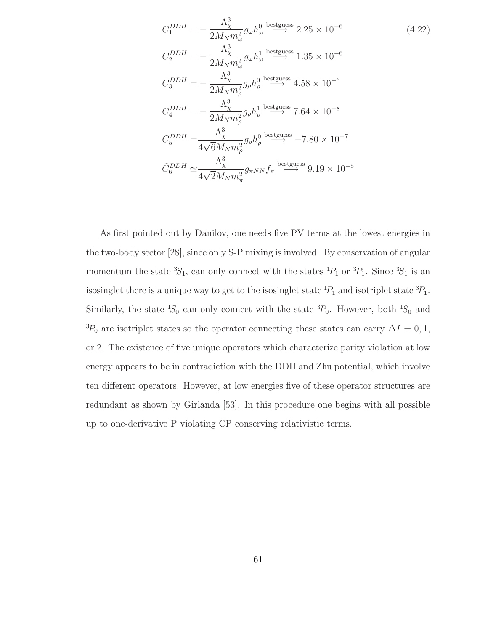$$
C_1^{DDH} = -\frac{\Lambda_{\chi}^3}{2M_N m_{\omega}^2} g_{\omega} h_{\omega}^0 \stackrel{\text{bestguess}}{\longrightarrow} 2.25 \times 10^{-6}
$$
\n
$$
C_2^{DDH} = -\frac{\Lambda_{\chi}^3}{2M_N m_{\omega}^2} g_{\omega} h_{\omega}^1 \stackrel{\text{bestguess}}{\longrightarrow} 1.35 \times 10^{-6}
$$
\n
$$
C_3^{DDH} = -\frac{\Lambda_{\chi}^3}{2M_N m_{\rho}^2} g_{\rho} h_{\rho}^0 \stackrel{\text{bestguess}}{\longrightarrow} 4.58 \times 10^{-6}
$$
\n
$$
C_4^{DDH} = -\frac{\Lambda_{\chi}^3}{2M_N m_{\rho}^2} g_{\rho} h_{\rho}^1 \stackrel{\text{bestguess}}{\longrightarrow} 7.64 \times 10^{-8}
$$
\n
$$
C_5^{DDH} = \frac{\Lambda_{\chi}^3}{4\sqrt{6}M_N m_{\rho}^2} g_{\rho} h_{\rho}^0 \stackrel{\text{bestguess}}{\longrightarrow} -7.80 \times 10^{-7}
$$
\n
$$
\tilde{C}_6^{DDH} \simeq \frac{\Lambda_{\chi}^3}{4\sqrt{2}M_N m_{\pi}^2} g_{\pi NN} f_{\pi} \stackrel{\text{bestguess}}{\longrightarrow} 9.19 \times 10^{-5}
$$

As first pointed out by Danilov, one needs five PV terms at the lowest energies in the two-body sector [28], since only S-P mixing is involved. By conservation of angular momentum the state  ${}^{3}S_1$ , can only connect with the states  ${}^{1}P_1$  or  ${}^{3}P_1$ . Since  ${}^{3}S_1$  is an isosinglet there is a unique way to get to the isosinglet state  ${}^{1}P_1$  and isotriplet state  ${}^{3}P_1$ . Similarly, the state  ${}^{1}S_{0}$  can only connect with the state  ${}^{3}P_{0}$ . However, both  ${}^{1}S_{0}$  and  ${}^{3}P_{0}$  are isotriplet states so the operator connecting these states can carry  $\Delta I = 0, 1$ , or 2. The existence of five unique operators which characterize parity violation at low energy appears to be in contradiction with the DDH and Zhu potential, which involve ten different operators. However, at low energies five of these operator structures are redundant as shown by Girlanda [53]. In this procedure one begins with all possible up to one-derivative P violating CP conserving relativistic terms.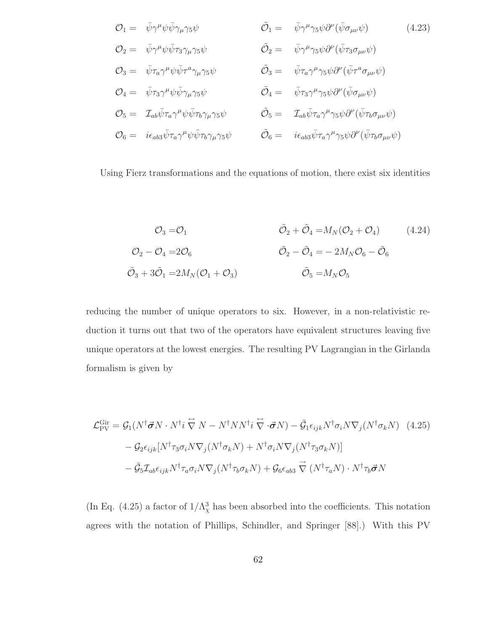$$
\mathcal{O}_{1} = \bar{\psi}\gamma^{\mu}\psi\bar{\psi}\gamma_{\mu}\gamma_{5}\psi \qquad \tilde{\mathcal{O}}_{1} = \bar{\psi}\gamma^{\mu}\gamma_{5}\psi\partial^{\nu}(\bar{\psi}\sigma_{\mu\nu}\psi) \qquad (4.23)
$$
\n
$$
\mathcal{O}_{2} = \bar{\psi}\gamma^{\mu}\psi\bar{\psi}\tau_{3}\gamma_{\mu}\gamma_{5}\psi \qquad \tilde{\mathcal{O}}_{2} = \bar{\psi}\gamma^{\mu}\gamma_{5}\psi\partial^{\nu}(\bar{\psi}\tau_{3}\sigma_{\mu\nu}\psi)
$$
\n
$$
\mathcal{O}_{3} = \bar{\psi}\tau_{a}\gamma^{\mu}\psi\bar{\psi}\tau^{a}\gamma_{\mu}\gamma_{5}\psi \qquad \tilde{\mathcal{O}}_{3} = \bar{\psi}\tau_{a}\gamma^{\mu}\gamma_{5}\psi\partial^{\nu}(\bar{\psi}\tau^{a}\sigma_{\mu\nu}\psi)
$$
\n
$$
\mathcal{O}_{4} = \bar{\psi}\tau_{3}\gamma^{\mu}\psi\bar{\psi}\gamma_{\mu}\gamma_{5}\psi \qquad \tilde{\mathcal{O}}_{4} = \bar{\psi}\tau_{3}\gamma^{\mu}\gamma_{5}\psi\partial^{\nu}(\bar{\psi}\sigma_{\mu\nu}\psi)
$$
\n
$$
\mathcal{O}_{5} = \mathcal{I}_{ab}\bar{\psi}\tau_{a}\gamma^{\mu}\psi\bar{\psi}\tau_{b}\gamma_{\mu}\gamma_{5}\psi \qquad \tilde{\mathcal{O}}_{5} = \mathcal{I}_{ab}\bar{\psi}\tau_{a}\gamma^{\mu}\gamma_{5}\psi\partial^{\nu}(\bar{\psi}\tau_{b}\sigma_{\mu\nu}\psi)
$$
\n
$$
\mathcal{O}_{6} = i\epsilon_{ab3}\bar{\psi}\tau_{a}\gamma^{\mu}\psi\bar{\psi}\tau_{b}\gamma_{\mu}\gamma_{5}\psi \qquad \tilde{\mathcal{O}}_{6} = i\epsilon_{ab3}\bar{\psi}\tau_{a}\gamma^{\mu}\gamma_{5}\psi\partial^{\nu}(\bar{\psi}\tau_{b}\sigma_{\mu\nu}\psi)
$$

Using Fierz transformations and the equations of motion, there exist six identities

$$
\mathcal{O}_3 = \mathcal{O}_1 \qquad \qquad \tilde{\mathcal{O}}_2 + \tilde{\mathcal{O}}_4 = M_N(\mathcal{O}_2 + \mathcal{O}_4) \qquad (4.24)
$$
\n
$$
\mathcal{O}_2 - \mathcal{O}_4 = 2\mathcal{O}_6 \qquad \qquad \tilde{\mathcal{O}}_2 - \tilde{\mathcal{O}}_4 = -2M_N\mathcal{O}_6 - \tilde{\mathcal{O}}_6
$$
\n
$$
\tilde{\mathcal{O}}_3 + 3\tilde{\mathcal{O}}_1 = 2M_N(\mathcal{O}_1 + \mathcal{O}_3) \qquad \qquad \tilde{\mathcal{O}}_5 = M_N\mathcal{O}_5
$$

reducing the number of unique operators to six. However, in a non-relativistic reduction it turns out that two of the operators have equivalent structures leaving five unique operators at the lowest energies. The resulting PV Lagrangian in the Girlanda formalism is given by

$$
\mathcal{L}_{\text{PV}}^{\text{Gir}} = \mathcal{G}_1(N^{\dagger} \vec{\sigma} N \cdot N^{\dagger} i \stackrel{\leftrightarrow}{\nabla} N - N^{\dagger} N N^{\dagger} i \stackrel{\leftrightarrow}{\nabla} \cdot \vec{\sigma} N) - \tilde{\mathcal{G}}_1 \epsilon_{ijk} N^{\dagger} \sigma_i N \nabla_j (N^{\dagger} \sigma_k N) \quad (4.25)
$$

$$
- \mathcal{G}_2 \epsilon_{ijk} [N^{\dagger} \tau_3 \sigma_i N \nabla_j (N^{\dagger} \sigma_k N) + N^{\dagger} \sigma_i N \nabla_j (N^{\dagger} \tau_3 \sigma_k N)]
$$

$$
- \tilde{\mathcal{G}}_5 \mathcal{I}_{ab} \epsilon_{ijk} N^{\dagger} \tau_a \sigma_i N \nabla_j (N^{\dagger} \tau_b \sigma_k N) + \mathcal{G}_6 \epsilon_{ab3} \stackrel{\rightarrow}{\nabla} (N^{\dagger} \tau_a N) \cdot N^{\dagger} \tau_b \vec{\sigma} N
$$

(In Eq. (4.25) a factor of  $1/\Lambda_{\chi}^{3}$  has been absorbed into the coefficients. This notation agrees with the notation of Phillips, Schindler, and Springer [88].) With this PV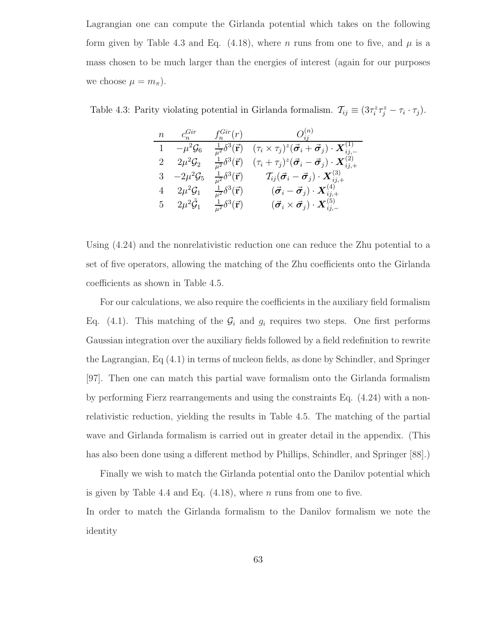Lagrangian one can compute the Girlanda potential which takes on the following form given by Table 4.3 and Eq. (4.18), where n runs from one to five, and  $\mu$  is a mass chosen to be much larger than the energies of interest (again for our purposes we choose  $\mu = m_{\pi}$ ).

Table 4.3: Parity violating potential in Girlanda formalism.  $\mathcal{T}_{ij} \equiv (3\tau_i^z \tau_j^z - \tau_i \cdot \tau_j)$ .

| $n \qquad c_n^{Gir}$      | $f_n^{Gir}(r)$                      | $O^{(n)}_{ii}$                                                                                                           |
|---------------------------|-------------------------------------|--------------------------------------------------------------------------------------------------------------------------|
| $-\mu^2 \mathcal{G}_6$    | $\frac{1}{\mu^2} \delta^3(\vec{r})$ | $(\tau_i \times \tau_j)^z (\vec{\boldsymbol{\sigma}}_i + \vec{\boldsymbol{\sigma}}_j) \cdot \boldsymbol{X}_{ij,-}^{(1)}$ |
| $2\mu^2\mathcal{G}_2$     | $\frac{1}{\mu^2} \delta^3(\vec{r})$ | $(\tau_i+\tau_j)^z(\vec{\boldsymbol{\sigma}}_i-\vec{\boldsymbol{\sigma}}_j)\cdot\boldsymbol{X}^{(2)}_{ij,+}$             |
| 3 $-2\mu^2 \mathcal{G}_5$ | $\frac{1}{\mu^2} \delta^3(\vec{r})$ | $\mathcal{T}_{ij}(\vec{\boldsymbol{\sigma}}_i-\vec{\boldsymbol{\sigma}}_j)\cdot\boldsymbol{X}^{(3)}_{ij,+}$              |
| 4 $2\mu^2\mathcal{G}_1$   | $\frac{1}{\mu^2} \delta^3(\vec{r})$ | $\big(\vec{\bm{\sigma}}_i-\vec{\bm{\sigma}}_j)\cdot\bm{X}^{(4)}_{ij,+}$                                                  |
| 5 $2\mu^2 \tilde{G}_1$    | $\frac{1}{\mu^2} \delta^3(\vec{r})$ | $(\vec{\bm{\sigma}}_i \times \vec{\bm{\sigma}}_j) \cdot \bm{X}_{ii,-}^{(5)}$                                             |

Using (4.24) and the nonrelativistic reduction one can reduce the Zhu potential to a set of five operators, allowing the matching of the Zhu coefficients onto the Girlanda coefficients as shown in Table 4.5.

For our calculations, we also require the coefficients in the auxiliary field formalism Eq. (4.1). This matching of the  $\mathcal{G}_i$  and  $g_i$  requires two steps. One first performs Gaussian integration over the auxiliary fields followed by a field redefinition to rewrite the Lagrangian, Eq (4.1) in terms of nucleon fields, as done by Schindler, and Springer [97]. Then one can match this partial wave formalism onto the Girlanda formalism by performing Fierz rearrangements and using the constraints Eq. (4.24) with a nonrelativistic reduction, yielding the results in Table 4.5. The matching of the partial wave and Girlanda formalism is carried out in greater detail in the appendix. (This has also been done using a different method by Phillips, Schindler, and Springer [88].)

Finally we wish to match the Girlanda potential onto the Danilov potential which is given by Table 4.4 and Eq.  $(4.18)$ , where *n* runs from one to five. In order to match the Girlanda formalism to the Danilov formalism we note the identity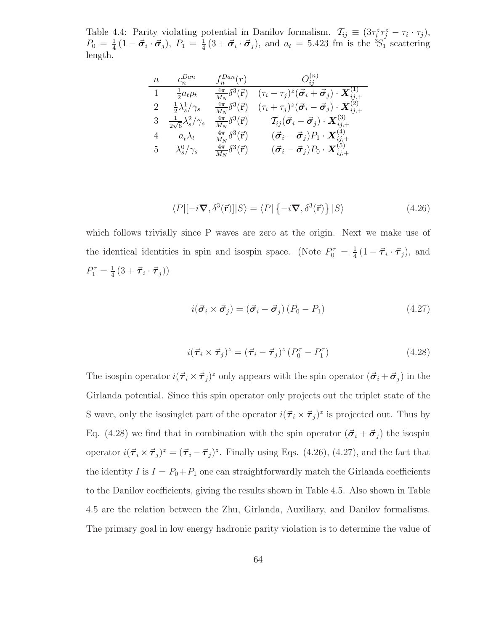Table 4.4: Parity violating potential in Danilov formalism.  $\mathcal{T}_{ij} \equiv (3\tau_i^z \tau_j^z - \tau_i \cdot \tau_j),$  $P_0 = \frac{1}{4}$  $\frac{1}{4}(1-\vec{\sigma}_i \cdot \vec{\sigma}_j),\ P_1 = \frac{1}{4}$  $\frac{1}{4}(3+\vec{\sigma}_i\cdot\vec{\sigma}_j)$ , and  $a_t=5.423$  fm is the  ${}^3S_1$ <sup>\*</sup> scattering length.

$$
\begin{array}{cccccc}\nn & c_n^{Dan} & f_n^{Dan}(r) & O_{ij}^{(n)} \\
\hline\n1 & \frac{1}{2}a_t \rho_t & \frac{4\pi}{M_N} \delta^3(\vec{r}) & (\tau_i - \tau_j)^z (\vec{\sigma}_i + \vec{\sigma}_j) \cdot \mathbf{X}_{ij,+}^{(1)} \\
2 & \frac{1}{2} \lambda_s^1 / \gamma_s & \frac{4\pi}{M_N} \delta^3(\vec{r}) & (\tau_i + \tau_j)^z (\vec{\sigma}_i - \vec{\sigma}_j) \cdot \mathbf{X}_{ij,+}^{(2)} \\
3 & \frac{1}{2\sqrt{6}} \lambda_s^2 / \gamma_s & \frac{4\pi}{M_N} \delta^3(\vec{r}) & \mathcal{T}_{ij} (\vec{\sigma}_i - \vec{\sigma}_j) \cdot \mathbf{X}_{ij,+}^{(3)} \\
4 & a_t \lambda_t & \frac{4\pi}{M_N} \delta^3(\vec{r}) & (\vec{\sigma}_i - \vec{\sigma}_j) P_1 \cdot \mathbf{X}_{ij,+}^{(4)} \\
5 & \lambda_s^0 / \gamma_s & \frac{4\pi}{M_N} \delta^3(\vec{r}) & (\vec{\sigma}_i - \vec{\sigma}_j) P_0 \cdot \mathbf{X}_{ij,+}^{(5)}\n\end{array}
$$

$$
\langle P|[-i\nabla, \delta^3(\vec{r})]|S\rangle = \langle P|\{-i\nabla, \delta^3(\vec{r})\}|S\rangle
$$
\n(4.26)

which follows trivially since P waves are zero at the origin. Next we make use of the identical identities in spin and isospin space. (Note  $P_0^{\tau} = \frac{1}{4}$  $\frac{1}{4}(1-\vec{\tau}_i\cdot\vec{\tau}_j),$  and  $P_1^{\tau} = \frac{1}{4}$  $\frac{1}{4}\left(3+\vec{\boldsymbol{\tau}}_i\cdot\vec{\boldsymbol{\tau}}_j\right)\right)$ 

$$
i(\vec{\boldsymbol{\sigma}}_i \times \vec{\boldsymbol{\sigma}}_j) = (\vec{\boldsymbol{\sigma}}_i - \vec{\boldsymbol{\sigma}}_j) (P_0 - P_1)
$$
\n(4.27)

$$
i(\vec{\boldsymbol{\tau}}_i \times \vec{\boldsymbol{\tau}}_j)^z = (\vec{\boldsymbol{\tau}}_i - \vec{\boldsymbol{\tau}}_j)^z (P_0^{\tau} - P_1^{\tau})
$$
\n(4.28)

The isospin operator  $i(\vec{\tau}_i \times \vec{\tau}_j)^z$  only appears with the spin operator  $(\vec{\sigma}_i + \vec{\sigma}_j)$  in the Girlanda potential. Since this spin operator only projects out the triplet state of the S wave, only the isosinglet part of the operator  $i(\vec{\tau}_i \times \vec{\tau}_j)^z$  is projected out. Thus by Eq. (4.28) we find that in combination with the spin operator  $(\vec{\sigma}_i + \vec{\sigma}_j)$  the isospin operator  $i(\vec{\tau}_i \times \vec{\tau}_j)^z = (\vec{\tau}_i - \vec{\tau}_j)^z$ . Finally using Eqs. (4.26), (4.27), and the fact that the identity  $I$  is  $I = P_0 + P_1$  one can straightforwardly match the Girlanda coefficients to the Danilov coefficients, giving the results shown in Table 4.5. Also shown in Table 4.5 are the relation between the Zhu, Girlanda, Auxiliary, and Danilov formalisms. The primary goal in low energy hadronic parity violation is to determine the value of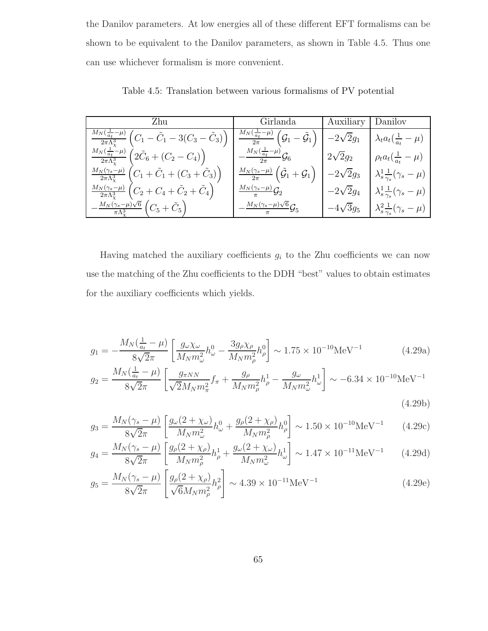the Danilov parameters. At low energies all of these different EFT formalisms can be shown to be equivalent to the Danilov parameters, as shown in Table 4.5. Thus one can use whichever formalism is more convenient.

| Zhu                                                                                                               | Girlanda                                                                              | Auxiliary   Danilov |                                                         |
|-------------------------------------------------------------------------------------------------------------------|---------------------------------------------------------------------------------------|---------------------|---------------------------------------------------------|
| $\frac{\overline{M}_N(\frac{1}{a_t}-\mu)}{2\pi\Lambda^3_{\gamma}}\left(C_1-\tilde{C}_1-3(C_3-\tilde{C}_3)\right)$ | $\frac{M_N(\frac{1}{a_t}-\mu)}{2\pi}\left(\mathcal{G}_1-\tilde{\mathcal{G}}_1\right)$ | $-2\sqrt{2}g_1$     | $\lambda_t a_t(\frac{1}{a_t}-\mu)$                      |
| $\frac{M_N(\frac{1}{a_t}-\mu)}{2\pi\Lambda_v^3}\left(2\tilde{C}_6 + (C_2 - C_4)\right)$                           | $-\frac{M_N(\frac{1}{a_t}-\mu)}{2\pi}\mathcal{G}_6$                                   | $2\sqrt{2}g_2$      | $\rho_t a_t(\frac{1}{a_t}-\mu)$                         |
| $\frac{M_N(\gamma_s-\mu)}{2\pi\Lambda_v^3}\left(C_1+\tilde{C}_1+(C_3+\tilde{C}_3)\right)$                         | $\frac{M_N(\gamma_s-\mu)}{2\pi}\left(\tilde{\cal G}_1+{\cal G}_1\right)$              | $-2\sqrt{2}g_3$     | $\lambda_s^1 \frac{1}{\gamma_s} (\gamma_s - \mu)$       |
| $\frac{M_N(\gamma_s-\mu)}{2\pi\Lambda_s^3}\left(C_2+C_4+\tilde{C}_2+\tilde{C}_4\right).$                          | $\frac{M_N(\gamma_s-\mu)}{\pi}G_2$                                                    | $-2\sqrt{2}g_4$     | $\lambda_s^1 \frac{1}{\gamma_s} (\gamma_s - \mu)$       |
| $-\frac{M_N(\gamma_s-\mu)\sqrt{6}}{\pi\Lambda^3_\nu}\left(C_5+\tilde{C}_5\right).$                                | $-\frac{M_N(\gamma_s-\mu)\sqrt{6}}{2}\mathcal{G}_5$                                   | $-4\sqrt{3}g_5$     | $\big  \lambda_s^2 \frac{1}{\gamma_s} (\gamma_s - \mu)$ |

Table 4.5: Translation between various formalisms of PV potential

Having matched the auxiliary coefficients  $g_i$  to the Zhu coefficients we can now use the matching of the Zhu coefficients to the DDH "best" values to obtain estimates for the auxiliary coefficients which yields.

$$
g_1 = -\frac{M_N(\frac{1}{a_t} - \mu)}{8\sqrt{2}\pi} \left[ \frac{g_\omega \chi_\omega}{M_N m_\omega^2} h_\omega^0 - \frac{3g_\rho \chi_\rho}{M_N m_\rho^2} h_\rho^0 \right] \sim 1.75 \times 10^{-10} \text{MeV}^{-1}
$$
(4.29a)

$$
g_2 = \frac{M_N(\frac{1}{a_t} - \mu)}{8\sqrt{2}\pi} \left[ \frac{g_{\pi NN}}{\sqrt{2}M_N m_\pi^2} f_\pi + \frac{g_\rho}{M_N m_\rho^2} h_\rho^1 - \frac{g_\omega}{M_N m_\omega^2} h_\omega^1 \right] \sim -6.34 \times 10^{-10} \text{MeV}^{-1}
$$
\n(4.29b)

$$
g_3 = \frac{M_N(\gamma_s - \mu)}{8\sqrt{2}\pi} \left[ \frac{g_\omega(2 + \chi_\omega)}{M_N m_\omega^2} h_\omega^0 + \frac{g_\rho(2 + \chi_\rho)}{M_N m_\rho^2} h_\rho^0 \right] \sim 1.50 \times 10^{-10} \text{MeV}^{-1}
$$
 (4.29c)

$$
g_4 = \frac{M_N(\gamma_s - \mu)}{8\sqrt{2}\pi} \left[ \frac{g_\rho (2 + \chi_\rho)}{M_N m_\rho^2} h_\rho^1 + \frac{g_\omega (2 + \chi_\omega)}{M_N m_\omega^2} h_\omega^1 \right] \sim 1.47 \times 10^{-11} \text{MeV}^{-1}
$$
 (4.29d)

$$
g_5 = \frac{M_N(\gamma_s - \mu)}{8\sqrt{2}\pi} \left[ \frac{g_\rho (2 + \chi_\rho)}{\sqrt{6} M_N m_\rho^2} h_\rho^2 \right] \sim 4.39 \times 10^{-11} \text{MeV}^{-1}
$$
 (4.29e)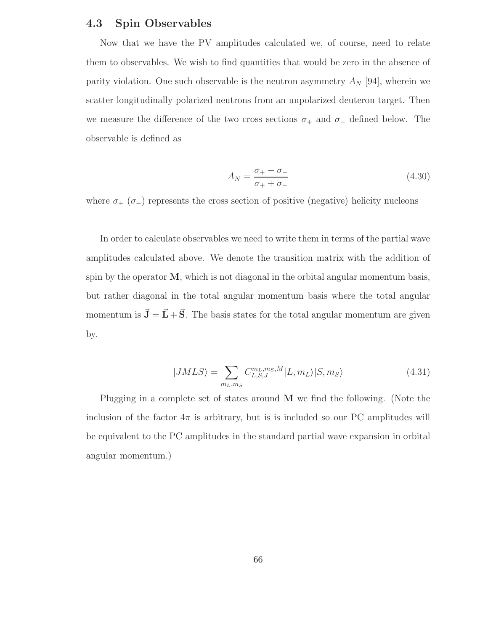#### 4.3 Spin Observables

Now that we have the PV amplitudes calculated we, of course, need to relate them to observables. We wish to find quantities that would be zero in the absence of parity violation. One such observable is the neutron asymmetry  $A_N$  [94], wherein we scatter longitudinally polarized neutrons from an unpolarized deuteron target. Then we measure the difference of the two cross sections  $\sigma_+$  and  $\sigma_-$  defined below. The observable is defined as

$$
A_N = \frac{\sigma_+ - \sigma_-}{\sigma_+ + \sigma_-} \tag{4.30}
$$

where  $\sigma_{+}$  ( $\sigma_{-}$ ) represents the cross section of positive (negative) helicity nucleons

In order to calculate observables we need to write them in terms of the partial wave amplitudes calculated above. We denote the transition matrix with the addition of spin by the operator  $M$ , which is not diagonal in the orbital angular momentum basis, but rather diagonal in the total angular momentum basis where the total angular momentum is  $\vec{J} = \vec{L} + \vec{S}$ . The basis states for the total angular momentum are given by.

$$
|JMLS\rangle = \sum_{m_L, m_S} C_{L,S,J}^{m_L, m_S, M} |L, m_L\rangle |S, m_S\rangle \tag{4.31}
$$

Plugging in a complete set of states around M we find the following. (Note the inclusion of the factor  $4\pi$  is arbitrary, but is is included so our PC amplitudes will be equivalent to the PC amplitudes in the standard partial wave expansion in orbital angular momentum.)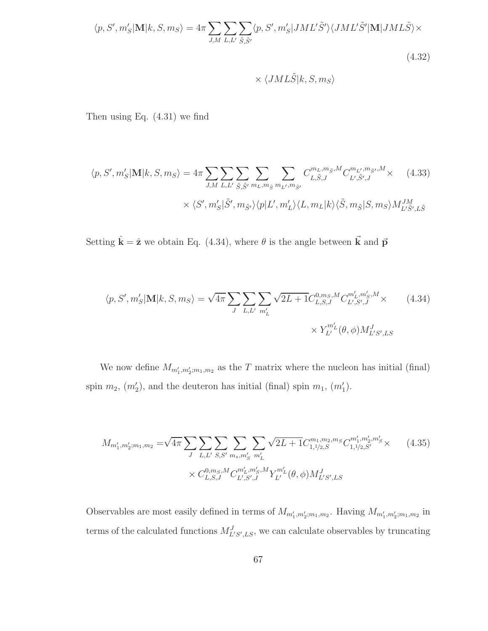$$
\langle p, S', m'_{S} | \mathbf{M} | k, S, m_{S} \rangle = 4\pi \sum_{J, M} \sum_{L, L'} \sum_{\tilde{S}, \tilde{S}'} \langle p, S', m'_{S} | JML'\tilde{S}' \rangle \langle JML'\tilde{S}' | \mathbf{M} | JML\tilde{S} \rangle \times
$$
\n(4.32)

$$
\times \langle JML\tilde{S}|k,S,m_S\rangle
$$

Then using Eq. (4.31) we find

$$
\langle p, S', m'_{S} | \mathbf{M} | k, S, m_{S} \rangle = 4\pi \sum_{J, M} \sum_{L, L'} \sum_{\tilde{S}, \tilde{S}'} \sum_{m_{L}, m_{\tilde{S}}} \sum_{m_{L'}, m_{\tilde{S}'}} C_{L, \tilde{S}, J}^{m_{L}, m_{\tilde{S}}, M} C_{L', \tilde{S}', J}^{m_{L'}, m_{\tilde{S}'}, M} \times
$$
\n
$$
\times \langle S', m'_{S} | \tilde{S}', m_{\tilde{S}'} \rangle \langle p | L', m'_{L} \rangle \langle L, m_{L} | k \rangle \langle \tilde{S}, m_{\tilde{S}} | S, m_{S} \rangle M_{L' \tilde{S}', L \tilde{S}}^{JM}
$$
\n(4.33)

Setting  $\hat{\mathbf{k}} = \hat{\mathbf{z}}$  we obtain Eq. (4.34), where  $\theta$  is the angle between  $\vec{\mathbf{k}}$  and  $\vec{\mathbf{p}}$ 

$$
\langle p, S', m'_{S} | \mathbf{M} | k, S, m_{S} \rangle = \sqrt{4\pi} \sum_{J} \sum_{L, L'} \sum_{m'_{L}} \sqrt{2L + 1} C_{L, S, J}^{0, m_{S}, M} C_{L', S', J}^{m'_{L}, m'_{S}, M} \times
$$
\n
$$
\times Y_{L'}^{m'_{L}}(\theta, \phi) M_{L'S', LS}^{J}
$$
\n(4.34)

We now define  $M_{m'_1,m'_2;m_1,m_2}$  as the T matrix where the nucleon has initial (final) spin  $m_2$ ,  $(m'_2)$ , and the deuteron has initial (final) spin  $m_1$ ,  $(m'_1)$ .

$$
M_{m'_1, m'_2; m_1, m_2} = \sqrt{4\pi} \sum_{J} \sum_{L, L'} \sum_{S, S'} \sum_{m_s, m'_S} \sum_{m'_L} \sqrt{2L + 1} C^{m_1, m_2, m_S}_{1, 1/2, S'} C^{m'_1, m'_2, m'_S}_{1, 1/2, S'} \times (4.35)
$$
  
 
$$
\times C^{0, m_S, M}_{L, S, J} C^{m'_L, m'_S, M}_{L', S', J} Y^{m'_L}_{L'}(\theta, \phi) M^J_{L'S', LS}
$$

Observables are most easily defined in terms of  $M_{m'_1,m'_2;m_1,m_2}$ . Having  $M_{m'_1,m'_2;m_1,m_2}$  in terms of the calculated functions  $M_{L'S',LS}^J$ , we can calculate observables by truncating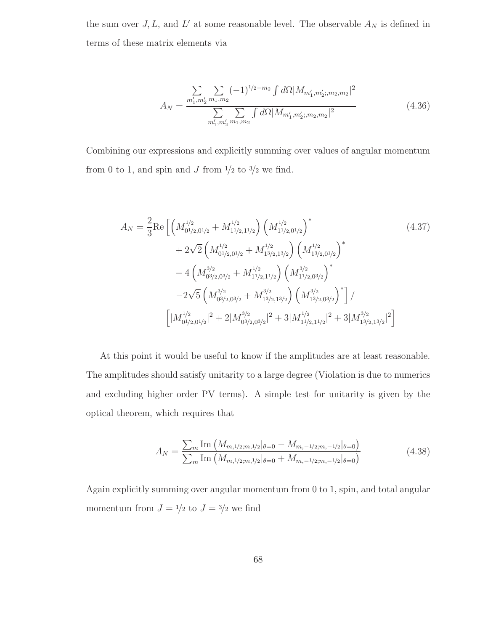the sum over  $J, L$ , and  $L'$  at some reasonable level. The observable  $A_N$  is defined in terms of these matrix elements via

$$
A_N = \frac{\sum_{m'_1, m'_2} \sum_{m_1, m_2} (-1)^{1/2 - m_2} \int d\Omega |M_{m'_1, m'_2; m_2, m_2}|^2}{\sum_{m'_1, m'_2} \sum_{m_1, m_2} \int d\Omega |M_{m'_1, m'_2; m_2, m_2}|^2}
$$
(4.36)

Combining our expressions and explicitly summing over values of angular momentum from 0 to 1, and spin and  $J$  from  $^{1}\!/_{2}$  to  $^{3}\!/_{2}$  we find.

$$
A_N = \frac{2}{3} \text{Re} \left[ \left( M_{01/2,01/2}^{1/2} + M_{11/2,11/2}^{1/2} \right) \left( M_{11/2,01/2}^{1/2} \right)^* \right. \tag{4.37}
$$
  
\n
$$
+ 2\sqrt{2} \left( M_{01/2,01/2}^{1/2} + M_{13/2,13/2}^{1/2} \right) \left( M_{13/2,01/2}^{1/2} \right)^* \right. \tag{4.37}
$$
  
\n
$$
- 4 \left( M_{03/2,03/2}^{3/2} + M_{11/2,11/2}^{1/2} \right) \left( M_{11/2,03/2}^{3/2} \right)^* \right. \tag{4.37}
$$
  
\n
$$
- 2\sqrt{5} \left( M_{03/2,03/2}^{3/2} + M_{13/2,13/2}^{3/2} \right) \left( M_{13/2,03/2}^{3/2} \right)^* \right] / \left[ |M_{01/2,01/2}^{1/2} |^2 + 2 |M_{03/2,03/2}^{3/2} |^2 + 3 |M_{11/2,11/2}^{1/2} |^2 + 3 |M_{13/2,13/2}^{3/2} |^2 \right]
$$

At this point it would be useful to know if the amplitudes are at least reasonable. The amplitudes should satisfy unitarity to a large degree (Violation is due to numerics and excluding higher order PV terms). A simple test for unitarity is given by the optical theorem, which requires that

$$
A_N = \frac{\sum_m \text{Im}\left(M_{m,1/2;m,1/2}\middle|\theta=0} - M_{m,-1/2;m,-1/2}\middle|\theta=0\right)}{\sum_m \text{Im}\left(M_{m,1/2;m,1/2}\middle|\theta=0} + M_{m,-1/2;m,-1/2}\middle|\theta=0\right)}\tag{4.38}
$$

Again explicitly summing over angular momentum from 0 to 1, spin, and total angular momentum from  $J = \frac{1}{2}$  to  $J = \frac{3}{2}$  we find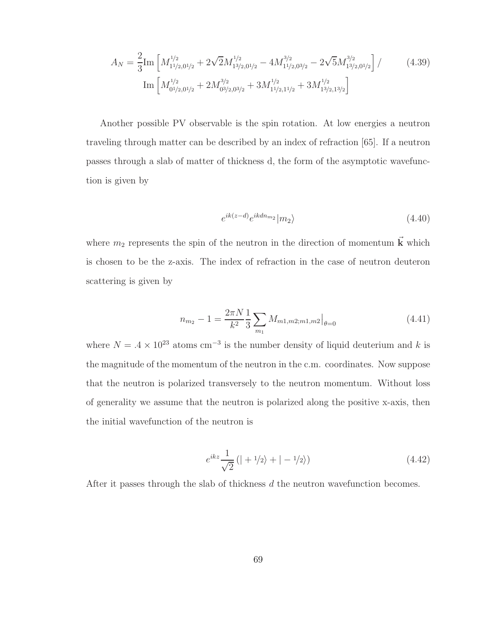$$
A_N = \frac{2}{3} \text{Im} \left[ M_{11/2,01/2}^{1/2} + 2\sqrt{2} M_{13/2,01/2}^{1/2} - 4M_{11/2,03/2}^{3/2} - 2\sqrt{5} M_{13/2,01/2}^{3/2} \right] / \tag{4.39}
$$
  

$$
\text{Im} \left[ M_{01/2,01/2}^{1/2} + 2M_{03/2,03/2}^{3/2} + 3M_{11/2,11/2}^{1/2} + 3M_{13/2,13/2}^{1/2} \right]
$$

Another possible PV observable is the spin rotation. At low energies a neutron traveling through matter can be described by an index of refraction [65]. If a neutron passes through a slab of matter of thickness d, the form of the asymptotic wavefunction is given by

$$
e^{ik(z-d)}e^{ikdn_{m_2}}|m_2\rangle \tag{4.40}
$$

where  $m_2$  represents the spin of the neutron in the direction of momentum  $\vec{k}$  which is chosen to be the z-axis. The index of refraction in the case of neutron deuteron scattering is given by

$$
n_{m_2} - 1 = \frac{2\pi N}{k^2} \frac{1}{3} \sum_{m_1} M_{m1,m2;m1,m2} \big|_{\theta=0}
$$
 (4.41)

where  $N = .4 \times 10^{23}$  atoms cm<sup>-3</sup> is the number density of liquid deuterium and k is the magnitude of the momentum of the neutron in the c.m. coordinates. Now suppose that the neutron is polarized transversely to the neutron momentum. Without loss of generality we assume that the neutron is polarized along the positive x-axis, then the initial wavefunction of the neutron is

$$
e^{ikz}\frac{1}{\sqrt{2}}\left(|+1/2\rangle+|-1/2\rangle\right)
$$
\n(4.42)

After it passes through the slab of thickness d the neutron wavefunction becomes.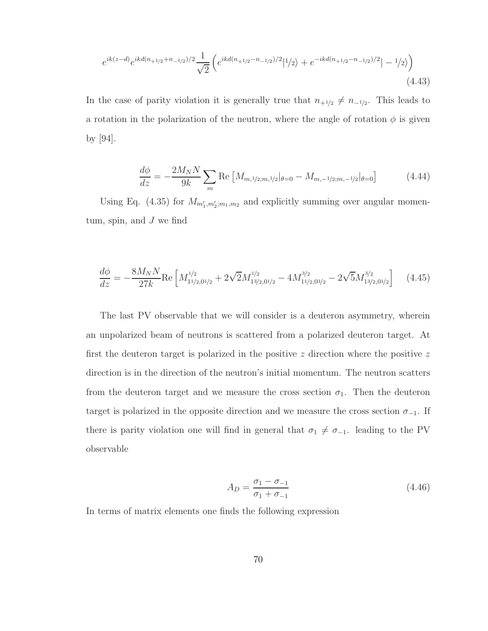$$
e^{ik(z-d)}e^{ikd(n_{+1/2}+n_{-1/2})/2}\frac{1}{\sqrt{2}}\left(e^{ikd(n_{+1/2}-n_{-1/2})/2}|1/2\rangle+e^{-ikd(n_{+1/2}-n_{-1/2})/2}|-1/2\rangle\right)
$$
\n(4.43)

In the case of parity violation it is generally true that  $n_{+1/2} \neq n_{-1/2}$ . This leads to a rotation in the polarization of the neutron, where the angle of rotation  $\phi$  is given by [94].

$$
\frac{d\phi}{dz} = -\frac{2M_N N}{9k} \sum_m \text{Re}\left[M_{m,1/2;m,1/2}|\theta=0} - M_{m,-1/2;m,-1/2}|\theta=0\right] \tag{4.44}
$$

Using Eq. (4.35) for  $M_{m'_1,m'_2;m_1,m_2}$  and explicitly summing over angular momentum, spin, and  $J$  we find

$$
\frac{d\phi}{dz} = -\frac{8M_N N}{27k} \text{Re} \left[ M_{1\frac{1}{2},0\frac{1}{2}}^{1/2} + 2\sqrt{2} M_{1\frac{3}{2},0\frac{1}{2}}^{1/2} - 4M_{1\frac{1}{2},0\frac{3}{2}}^{3/2} - 2\sqrt{5} M_{1\frac{3}{2},0\frac{1}{2}}^{3/2} \right] \tag{4.45}
$$

The last PV observable that we will consider is a deuteron asymmetry, wherein an unpolarized beam of neutrons is scattered from a polarized deuteron target. At first the deuteron target is polarized in the positive  $z$  direction where the positive  $z$ direction is in the direction of the neutron's initial momentum. The neutron scatters from the deuteron target and we measure the cross section  $\sigma_1$ . Then the deuteron target is polarized in the opposite direction and we measure the cross section  $\sigma_{-1}$ . If there is parity violation one will find in general that  $\sigma_1 \neq \sigma_{-1}$ . leading to the PV observable

$$
A_D = \frac{\sigma_1 - \sigma_{-1}}{\sigma_1 + \sigma_{-1}}\tag{4.46}
$$

In terms of matrix elements one finds the following expression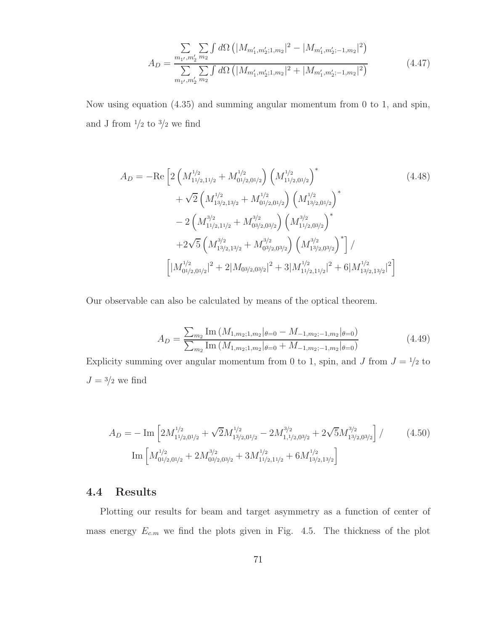$$
A_D = \frac{\sum_{m_1, m_2' m_2} \sum_{m_2} \int d\Omega \left( |M_{m_1', m_2'; 1, m_2}|^2 - |M_{m_1', m_2'; - 1, m_2}|^2 \right)}{\sum_{m_1', m_2'} \sum_{m_2} \int d\Omega \left( |M_{m_1', m_2'; 1, m_2}|^2 + |M_{m_1', m_2'; - 1, m_2}|^2 \right)} \tag{4.47}
$$

Now using equation (4.35) and summing angular momentum from 0 to 1, and spin, and J from  $\frac{1}{2}$  to  $\frac{3}{2}$  we find

$$
A_D = -\text{Re}\left[2\left(M_{11/2,11/2}^{1/2} + M_{01/2,01/2}^{1/2}\right)\left(M_{11/2,01/2}^{1/2}\right)^{*}\right] \qquad (4.48)
$$
  
+  $\sqrt{2}\left(M_{13/2,13/2}^{1/2} + M_{01/2,01/2}^{1/2}\right)\left(M_{13/2,01/2}^{1/2}\right)^{*}$   
-  $2\left(M_{11/2,11/2}^{3/2} + M_{03/2,03/2}^{3/2}\right)\left(M_{11/2,03/2}^{3/2}\right)^{*}$   
+  $2\sqrt{5}\left(M_{13/2,13/2}^{3/2} + M_{03/2,03/2}^{3/2}\right)\left(M_{13/2,03/2}^{3/2}\right)^{*}\right]/$   

$$
\left[\left|M_{01/2,01/2}^{1/2}\right|^{2} + 2\left|M_{03/2,03/2}\right|^{2} + 3\left|M_{11/2,11/2}^{1/2}\right|^{2} + 6\left|M_{13/2,13/2}^{1/2}\right|^{2}\right]
$$

Our observable can also be calculated by means of the optical theorem.

$$
A_D = \frac{\sum_{m_2} \text{Im} \left( M_{1,m_2;1,m_2} |_{\theta=0} - M_{-1,m_2;-1,m_2} |_{\theta=0} \right)}{\sum_{m_2} \text{Im} \left( M_{1,m_2;1,m_2} |_{\theta=0} + M_{-1,m_2;-1,m_2} |_{\theta=0} \right)}
$$
(4.49)

Explicity summing over angular momentum from 0 to 1, spin, and J from  $J = \frac{1}{2}$  to  $J = \frac{3}{2}$  we find

$$
A_D = -\operatorname{Im}\left[2M_{11/2,01/2}^{1/2} + \sqrt{2}M_{13/2,01/2}^{1/2} - 2M_{1,1/2,03/2}^{3/2} + 2\sqrt{5}M_{13/2,03/2}^{3/2}\right]/\tag{4.50}
$$

$$
\operatorname{Im}\left[M_{01/2,01/2}^{1/2} + 2M_{03/2,03/2}^{3/2} + 3M_{11/2,11/2}^{1/2} + 6M_{13/2,13/2}^{1/2}\right]
$$

### 4.4 Results

Plotting our results for beam and target asymmetry as a function of center of mass energy  $E_{c,m}$  we find the plots given in Fig. 4.5. The thickness of the plot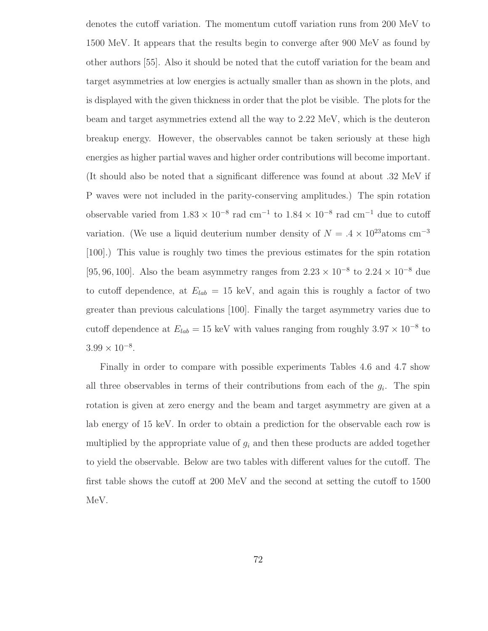denotes the cutoff variation. The momentum cutoff variation runs from 200 MeV to 1500 MeV. It appears that the results begin to converge after 900 MeV as found by other authors [55]. Also it should be noted that the cutoff variation for the beam and target asymmetries at low energies is actually smaller than as shown in the plots, and is displayed with the given thickness in order that the plot be visible. The plots for the beam and target asymmetries extend all the way to 2.22 MeV, which is the deuteron breakup energy. However, the observables cannot be taken seriously at these high energies as higher partial waves and higher order contributions will become important. (It should also be noted that a significant difference was found at about .32 MeV if P waves were not included in the parity-conserving amplitudes.) The spin rotation observable varied from  $1.83 \times 10^{-8}$  rad cm<sup>-1</sup> to  $1.84 \times 10^{-8}$  rad cm<sup>-1</sup> due to cutoff variation. (We use a liquid deuterium number density of  $N = .4 \times 10^{23}$ atoms cm<sup>-3</sup> [100].) This value is roughly two times the previous estimates for the spin rotation [95, 96, 100]. Also the beam asymmetry ranges from  $2.23 \times 10^{-8}$  to  $2.24 \times 10^{-8}$  due to cutoff dependence, at  $E_{lab} = 15$  keV, and again this is roughly a factor of two greater than previous calculations [100]. Finally the target asymmetry varies due to cutoff dependence at  $E_{lab} = 15 \text{ keV}$  with values ranging from roughly  $3.97 \times 10^{-8}$  to  $3.99 \times 10^{-8}$ .

Finally in order to compare with possible experiments Tables 4.6 and 4.7 show all three observables in terms of their contributions from each of the  $g_i$ . The spin rotation is given at zero energy and the beam and target asymmetry are given at a lab energy of 15 keV. In order to obtain a prediction for the observable each row is multiplied by the appropriate value of  $g_i$  and then these products are added together to yield the observable. Below are two tables with different values for the cutoff. The first table shows the cutoff at 200 MeV and the second at setting the cutoff to 1500 MeV.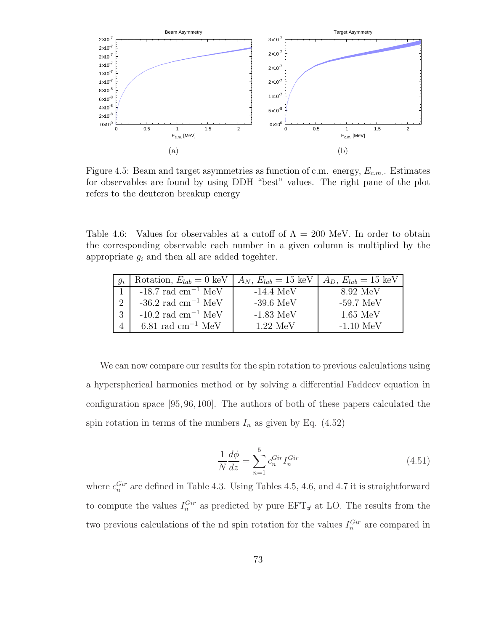

Figure 4.5: Beam and target asymmetries as function of c.m. energy,  $E_{c.m.}$ . Estimates for observables are found by using DDH "best" values. The right pane of the plot refers to the deuteron breakup energy

Table 4.6: Values for observables at a cutoff of  $\Lambda = 200$  MeV. In order to obtain the corresponding observable each number in a given column is multiplied by the appropriate  $g_i$  and then all are added togehter.

| $g_i$    | Rotation, $E_{lab} = 0 \text{ keV}$    | $A_N, E_{lab} = 15 \text{ keV}$ | $A_D, E_{lab} = 15 \text{ keV}$ |
|----------|----------------------------------------|---------------------------------|---------------------------------|
|          | $-18.7$ rad cm <sup>-1</sup> MeV       | $-14.4~MeV$                     | 8.92 MeV                        |
| $\Omega$ | $-36.2$ rad cm <sup>-1</sup> MeV       | $-39.6$ MeV                     | $-59.7~\mathrm{MeV}$            |
| 3        | $-10.2$ rad cm <sup>-1</sup> MeV       | $-1.83\;\mathrm{MeV}$           | $1.65 \text{ MeV}$              |
|          | $6.81 \text{ rad cm}^{-1} \text{ MeV}$ | 1.22~MeV                        | $-1.10~MeV$                     |

We can now compare our results for the spin rotation to previous calculations using a hyperspherical harmonics method or by solving a differential Faddeev equation in configuration space [95, 96, 100]. The authors of both of these papers calculated the spin rotation in terms of the numbers  $I_n$  as given by Eq. (4.52)

$$
\frac{1}{N}\frac{d\phi}{dz} = \sum_{n=1}^{5} c_n^{Gir} I_n^{Gir}
$$
\n(4.51)

where  $c_n^{Gir}$  are defined in Table 4.3. Using Tables 4.5, 4.6, and 4.7 it is straightforward to compute the values  $I_n^{Gir}$  as predicted by pure  $EFT_{\pi}$  at LO. The results from the two previous calculations of the nd spin rotation for the values  $I_n^{Gir}$  are compared in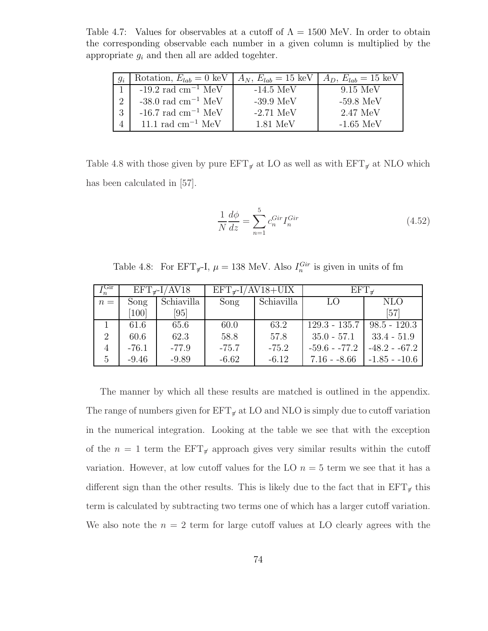Table 4.7: Values for observables at a cutoff of  $\Lambda = 1500$  MeV. In order to obtain the corresponding observable each number in a given column is multiplied by the appropriate  $g_i$  and then all are added togehter.

| $g_i$                       | Rotation, $E_{lab} = 0$ keV   $A_N$ , $E_{lab} = 15$ keV |             | $A_D, E_{lab} = 15 \text{ keV}$ |
|-----------------------------|----------------------------------------------------------|-------------|---------------------------------|
|                             | $-19.2$ rad cm <sup>-1</sup> MeV                         | $-14.5$ MeV | 9.15~MeV                        |
| $\mathcal{D}_{\mathcal{L}}$ | -38.0 rad $\rm cm^{-1}~MeV$                              | $-39.9$ MeV | $-59.8~MeV$                     |
| 3                           | -16.7 rad cm <sup>-1</sup> MeV                           | $-2.71$ MeV | 2.47 MeV                        |
|                             | 11.1 rad $\text{cm}^{-1}$ MeV                            | 1.81 MeV    | $-1.65$ MeV                     |

Table 4.8 with those given by pure  $EFT_{\tilde{r}}$  at LO as well as with  $EFT_{\tilde{r}}$  at NLO which has been calculated in [57].

$$
\frac{1}{N}\frac{d\phi}{dz} = \sum_{n=1}^{5} c_n^{Gir} I_n^{Gir}
$$
\n(4.52)

Table 4.8: For  $EFT_{\pi}I$ ,  $\mu = 138$  MeV. Also  $I_n^{Gir}$  is given in units of fm

| τGir<br>$\cdot$ <sub>n</sub> | $EFT_{\pi}$ -I/AV18 |            | $EFT_{\pi}$ -I/AV18+UIX |            | $EFT_{\pi}$     |                |
|------------------------------|---------------------|------------|-------------------------|------------|-----------------|----------------|
| $n =$                        | Song                | Schiavilla | Song                    | Schiavilla | LO.             | <b>NLO</b>     |
|                              | [100]               | [95]       |                         |            |                 | [57]           |
|                              | 61.6                | 65.6       | 60.0                    | 63.2       | $129.3 - 135.7$ | $98.5 - 120.3$ |
| 2                            | 60.6                | 62.3       | 58.8                    | 57.8       | $35.0 - 57.1$   | $33.4 - 51.9$  |
| $\overline{4}$               | $-76.1$             | $-77.9$    | $-75.7$                 | $-75.2$    | $-59.6 - 77.2$  | $-48.2 - 67.2$ |
| 5                            | $-9.46$             | $-9.89$    | $-6.62$                 | $-6.12$    | $7.16 - 8.66$   | $-1.85 - 10.6$ |

The manner by which all these results are matched is outlined in the appendix. The range of numbers given for  $EFT_{\pi}$  at LO and NLO is simply due to cutoff variation in the numerical integration. Looking at the table we see that with the exception of the  $n = 1$  term the  $EFT_{\pi}$  approach gives very similar results within the cutoff variation. However, at low cutoff values for the LO  $n = 5$  term we see that it has a different sign than the other results. This is likely due to the fact that in  $EFT_{\sigma}$  this term is calculated by subtracting two terms one of which has a larger cutoff variation. We also note the  $n = 2$  term for large cutoff values at LO clearly agrees with the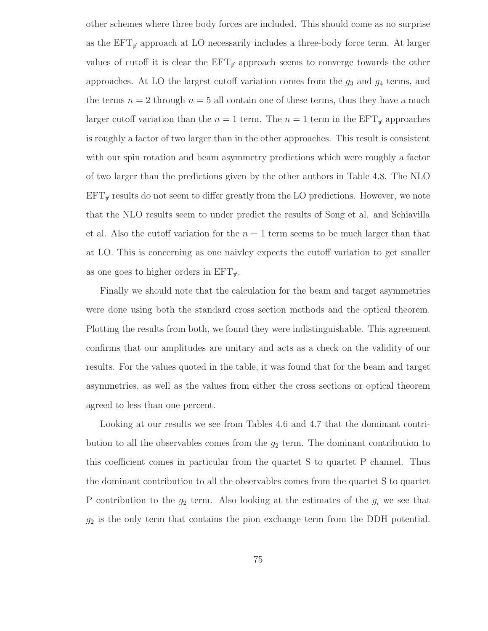other schemes where three body forces are included. This should come as no surprise as the  $EFT_{\pi}$  approach at LO necessarily includes a three-body force term. At larger values of cutoff it is clear the  $EFT_{\pi}$  approach seems to converge towards the other approaches. At LO the largest cutoff variation comes from the  $g_3$  and  $g_4$  terms, and the terms  $n = 2$  through  $n = 5$  all contain one of these terms, thus they have a much larger cutoff variation than the  $n = 1$  term. The  $n = 1$  term in the  $EFT_{\pi}$  approaches is roughly a factor of two larger than in the other approaches. This result is consistent with our spin rotation and beam asymmetry predictions which were roughly a factor of two larger than the predictions given by the other authors in Table 4.8. The NLO  $EFT_{\mathcal{H}}$  results do not seem to differ greatly from the LO predictions. However, we note that the NLO results seem to under predict the results of Song et al. and Schiavilla et al. Also the cutoff variation for the  $n = 1$  term seems to be much larger than that at LO. This is concerning as one naivley expects the cutoff variation to get smaller as one goes to higher orders in  $EFT_{\pi}$ .

Finally we should note that the calculation for the beam and target asymmetries were done using both the standard cross section methods and the optical theorem. Plotting the results from both, we found they were indistinguishable. This agreement confirms that our amplitudes are unitary and acts as a check on the validity of our results. For the values quoted in the table, it was found that for the beam and target asymmetries, as well as the values from either the cross sections or optical theorem agreed to less than one percent.

Looking at our results we see from Tables 4.6 and 4.7 that the dominant contribution to all the observables comes from the  $g_2$  term. The dominant contribution to this coefficient comes in particular from the quartet S to quartet P channel. Thus the dominant contribution to all the observables comes from the quartet S to quartet P contribution to the  $g_2$  term. Also looking at the estimates of the  $g_i$  we see that  $g_2$  is the only term that contains the pion exchange term from the DDH potential.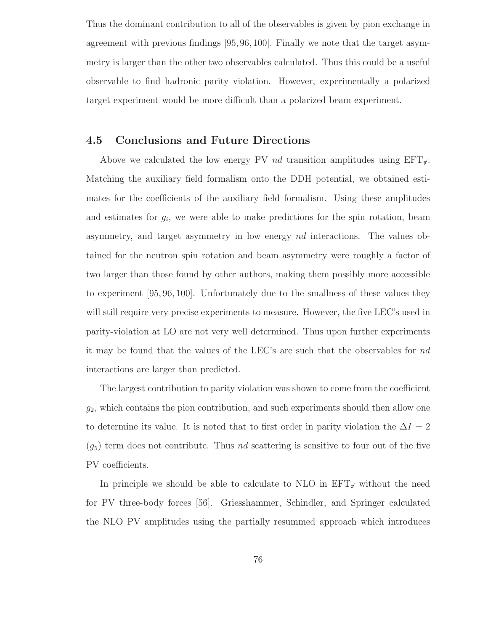Thus the dominant contribution to all of the observables is given by pion exchange in agreement with previous findings [95, 96, 100]. Finally we note that the target asymmetry is larger than the other two observables calculated. Thus this could be a useful observable to find hadronic parity violation. However, experimentally a polarized target experiment would be more difficult than a polarized beam experiment.

#### 4.5 Conclusions and Future Directions

Above we calculated the low energy PV nd transition amplitudes using  $EFT_{\tau}$ . Matching the auxiliary field formalism onto the DDH potential, we obtained estimates for the coefficients of the auxiliary field formalism. Using these amplitudes and estimates for  $g_i$ , we were able to make predictions for the spin rotation, beam asymmetry, and target asymmetry in low energy nd interactions. The values obtained for the neutron spin rotation and beam asymmetry were roughly a factor of two larger than those found by other authors, making them possibly more accessible to experiment [95, 96, 100]. Unfortunately due to the smallness of these values they will still require very precise experiments to measure. However, the five LEC's used in parity-violation at LO are not very well determined. Thus upon further experiments it may be found that the values of the LEC's are such that the observables for nd interactions are larger than predicted.

The largest contribution to parity violation was shown to come from the coefficient  $g_2$ , which contains the pion contribution, and such experiments should then allow one to determine its value. It is noted that to first order in parity violation the  $\Delta I = 2$  $(g_5)$  term does not contribute. Thus nd scattering is sensitive to four out of the five PV coefficients.

In principle we should be able to calculate to NLO in  $EFT_{\pi}$  without the need for PV three-body forces [56]. Griesshammer, Schindler, and Springer calculated the NLO PV amplitudes using the partially resummed approach which introduces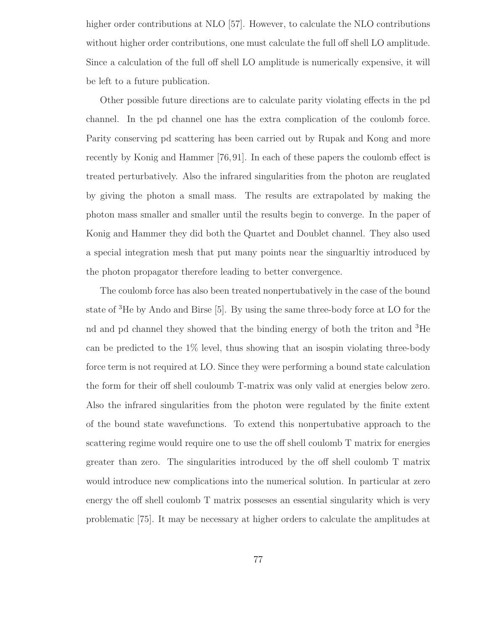higher order contributions at NLO [57]. However, to calculate the NLO contributions without higher order contributions, one must calculate the full off shell LO amplitude. Since a calculation of the full off shell LO amplitude is numerically expensive, it will be left to a future publication.

Other possible future directions are to calculate parity violating effects in the pd channel. In the pd channel one has the extra complication of the coulomb force. Parity conserving pd scattering has been carried out by Rupak and Kong and more recently by Konig and Hammer [76,91]. In each of these papers the coulomb effect is treated perturbatively. Also the infrared singularities from the photon are reuglated by giving the photon a small mass. The results are extrapolated by making the photon mass smaller and smaller until the results begin to converge. In the paper of Konig and Hammer they did both the Quartet and Doublet channel. They also used a special integration mesh that put many points near the singuarltiy introduced by the photon propagator therefore leading to better convergence.

The coulomb force has also been treated nonpertubatively in the case of the bound state of <sup>3</sup>He by Ando and Birse [5]. By using the same three-body force at LO for the nd and pd channel they showed that the binding energy of both the triton and <sup>3</sup>He can be predicted to the  $1\%$  level, thus showing that an isospin violating three-body force term is not required at LO. Since they were performing a bound state calculation the form for their off shell couloumb T-matrix was only valid at energies below zero. Also the infrared singularities from the photon were regulated by the finite extent of the bound state wavefunctions. To extend this nonpertubative approach to the scattering regime would require one to use the off shell coulomb T matrix for energies greater than zero. The singularities introduced by the off shell coulomb T matrix would introduce new complications into the numerical solution. In particular at zero energy the off shell coulomb T matrix posseses an essential singularity which is very problematic [75]. It may be necessary at higher orders to calculate the amplitudes at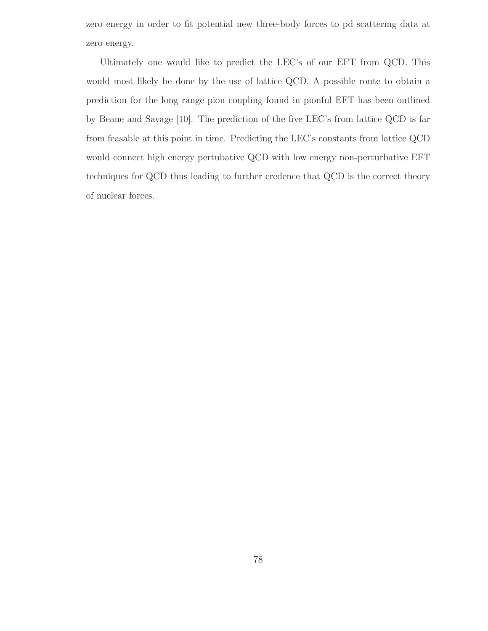zero energy in order to fit potential new three-body forces to pd scattering data at zero energy.

Ultimately one would like to predict the LEC's of our EFT from QCD. This would most likely be done by the use of lattice QCD. A possible route to obtain a prediction for the long range pion coupling found in pionful EFT has been outlined by Beane and Savage [10]. The prediction of the five LEC's from lattice QCD is far from feasable at this point in time. Predicting the LEC's constants from lattice QCD would connect high energy pertubative QCD with low energy non-perturbative EFT techniques for QCD thus leading to further credence that QCD is the correct theory of nuclear forces.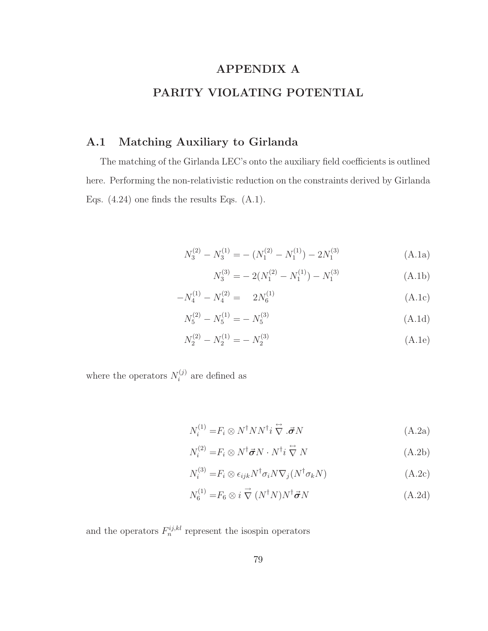## APPENDIX A PARITY VIOLATING POTENTIAL

### A.1 Matching Auxiliary to Girlanda

The matching of the Girlanda LEC's onto the auxiliary field coefficients is outlined here. Performing the non-relativistic reduction on the constraints derived by Girlanda Eqs. (4.24) one finds the results Eqs. (A.1).

$$
N_3^{(2)} - N_3^{(1)} = -\left(N_1^{(2)} - N_1^{(1)}\right) - 2N_1^{(3)}
$$
\n(A.1a)

$$
N_3^{(3)} = -2(N_1^{(2)} - N_1^{(1)}) - N_1^{(3)}
$$
\n(A.1b)

$$
-N_4^{(1)} - N_4^{(2)} = 2N_6^{(1)}
$$
 (A.1c)

$$
N_5^{(2)} - N_5^{(1)} = -N_5^{(3)}
$$
\n(A.1d)

$$
N_2^{(2)} - N_2^{(1)} = -N_2^{(3)}
$$
 (A.1e)

where the operators  $N_i^{(j)}$  $i^{(j)}$  are defined as

$$
N_i^{(1)} = F_i \otimes N^\dagger N N^\dagger i \stackrel{\leftrightarrow}{\nabla} .\vec{\sigma} N \tag{A.2a}
$$

$$
N_i^{(2)} = F_i \otimes N^{\dagger} \vec{\sigma} N \cdot N^{\dagger} i \stackrel{\leftrightarrow}{\nabla} N \tag{A.2b}
$$

$$
N_i^{(3)} = F_i \otimes \epsilon_{ijk} N^{\dagger} \sigma_i N \nabla_j (N^{\dagger} \sigma_k N) \tag{A.2c}
$$

$$
N_6^{(1)} = F_6 \otimes i \stackrel{\rightarrow}{\nabla} (N^\dagger N) N^\dagger \vec{\sigma} N \tag{A.2d}
$$

and the operators  $F_n^{ij,kl}$  represent the isospin operators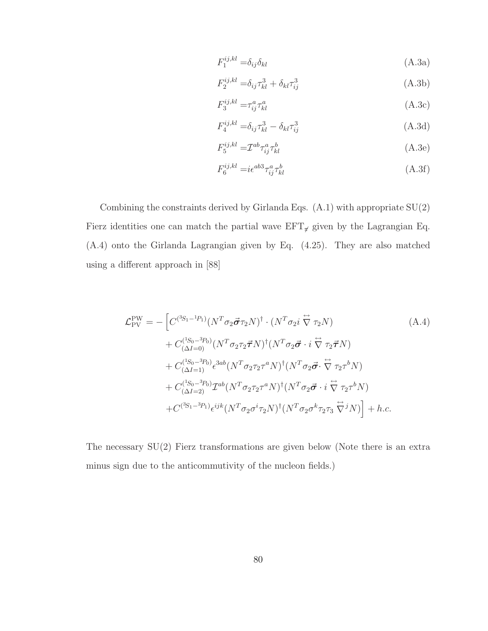$$
F_1^{ij,kl} = \delta_{ij}\delta_{kl} \tag{A.3a}
$$

$$
F_2^{ij,kl} = \delta_{ij}\tau_{kl}^3 + \delta_{kl}\tau_{ij}^3
$$
\n(A.3b)

$$
F_3^{ij,kl} = \tau_{ij}^a \tau_{kl}^a \tag{A.3c}
$$

$$
F_4^{ij,kl} = \delta_{ij}\tau_{kl}^3 - \delta_{kl}\tau_{ij}^3
$$
 (A.3d)

$$
F_5^{ij,kl} = \mathcal{I}^{ab} \tau_{ij}^a \tau_{kl}^b \tag{A.3e}
$$

$$
F_6^{ij,kl} = i\epsilon^{ab3}\tau_{ij}^a\tau_{kl}^b\tag{A.3f}
$$

Combining the constraints derived by Girlanda Eqs. (A.1) with appropriate SU(2) Fierz identities one can match the partial wave  $EFT_{\pi}$  given by the Lagrangian Eq. (A.4) onto the Girlanda Lagrangian given by Eq. (4.25). They are also matched using a different approach in [88]

$$
\mathcal{L}_{PV}^{PW} = -\left[C^{(3S_1 - 1P_1)}(N^T \sigma_2 \vec{\sigma} \tau_2 N)^{\dagger} \cdot (N^T \sigma_2 i \stackrel{\leftrightarrow}{\nabla} \tau_2 N)\right]
$$
\n
$$
+ C^{(1S_0 - 3P_0)}_{(\Delta I = 0)}(N^T \sigma_2 \tau_2 \vec{\tau} N)^{\dagger} (N^T \sigma_2 \vec{\sigma} \cdot i \stackrel{\leftrightarrow}{\nabla} \tau_2 \vec{\tau} N)\right]
$$
\n
$$
+ C^{(1S_0 - 3P_0)}_{(\Delta I = 1)} \epsilon^{3ab} (N^T \sigma_2 \tau_2 \tau^a N)^{\dagger} (N^T \sigma_2 \vec{\sigma} \cdot \stackrel{\leftrightarrow}{\nabla} \tau_2 \tau^b N)\right]
$$
\n
$$
+ C^{(1S_0 - 3P_0)}_{(\Delta I = 2)} \mathcal{I}^{ab} (N^T \sigma_2 \tau_2 \tau^a N)^{\dagger} (N^T \sigma_2 \vec{\sigma} \cdot i \stackrel{\leftrightarrow}{\nabla} \tau_2 \tau^b N)\right]
$$
\n
$$
+ C^{(3S_1 - 3P_1)} \epsilon^{ijk} (N^T \sigma_2 \sigma^i \tau_2 N)^{\dagger} (N^T \sigma_2 \sigma^k \tau_2 \tau_3 \stackrel{\leftrightarrow}{\nabla} j N)\right] + h.c.
$$
\n(4.4)

The necessary  $SU(2)$  Fierz transformations are given below (Note there is an extra minus sign due to the anticommutivity of the nucleon fields.)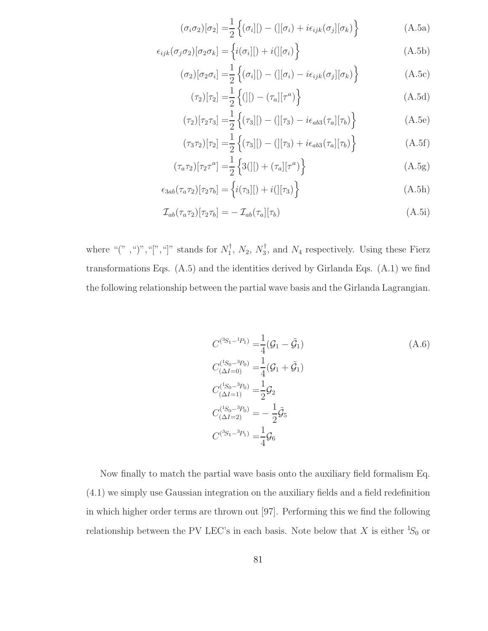$$
(\sigma_i \sigma_2)[\sigma_2] = \frac{1}{2} \left\{ (\sigma_i[|) - (|[\sigma_i] + i\epsilon_{ijk}(\sigma_j][\sigma_k)] \right\}
$$
 (A.5a)

$$
\epsilon_{ijk}(\sigma_j \sigma_2)[\sigma_2 \sigma_k] = \left\{ i(\sigma_i)[\sigma_i] \right\} \tag{A.5b}
$$

$$
(\sigma_2)[\sigma_2 \sigma_i] = \frac{1}{2} \left\{ (\sigma_i)[) - (][\sigma_i) - i\epsilon_{ijk}(\sigma_j][\sigma_k) \right\}
$$
 (A.5c)

$$
(\tau_2)[\tau_2] = \frac{1}{2} \left\{ (|1 - (\tau_a)[\tau^a) \right\} \tag{A.5d}
$$

$$
(\tau_2)[\tau_2 \tau_3] = \frac{1}{2} \left\{ (\tau_3)[) - (][\tau_3) - i\epsilon_{ab3}(\tau_a][\tau_b) \right\} \tag{A.5e}
$$

$$
(\tau_3 \tau_2)[\tau_2] = \frac{1}{2} \left\{ (\tau_3)[) - (][\tau_3) + i\epsilon_{ab3}(\tau_a][\tau_b) \right\} \tag{A.5f}
$$

$$
(\tau_a \tau_2)[\tau_2 \tau^a] = \frac{1}{2} \left\{ 3(|[) + (\tau_a][\tau^a) \right\} \tag{A.5g}
$$

$$
\epsilon_{3ab}(\tau_a \tau_2)[\tau_2 \tau_b] = \left\{ i(\tau_3)[\tau_3] \right\} \tag{A.5h}
$$

$$
\mathcal{I}_{ab}(\tau_a \tau_2)[\tau_2 \tau_b] = -\mathcal{I}_{ab}(\tau_a][\tau_b)
$$
\n(A.5i)

where " $($ ", " $)$ ", " $[$ ", " $]$ " stands for  $N_1^{\dagger}$ ,  $N_2$ ,  $N_3^{\dagger}$ , and  $N_4$  respectively. Using these Fierz transformations Eqs. (A.5) and the identities derived by Girlanda Eqs. (A.1) we find the following relationship between the partial wave basis and the Girlanda Lagrangian.

$$
C^{(3S_1 - 1P_1)} = \frac{1}{4} (\mathcal{G}_1 - \tilde{\mathcal{G}}_1)
$$
\n
$$
C^{(1S_0 - 3P_0)}_{(\Delta I = 0)} = \frac{1}{4} (\mathcal{G}_1 + \tilde{\mathcal{G}}_1)
$$
\n
$$
C^{(1S_0 - 3P_0)}_{(\Delta I = 1)} = \frac{1}{2} \mathcal{G}_2
$$
\n
$$
C^{(1S_0 - 3P_0)}_{(\Delta I = 2)} = -\frac{1}{2} \tilde{\mathcal{G}}_5
$$
\n
$$
C^{(3S_1 - 3P_1)} = \frac{1}{4} \mathcal{G}_6
$$
\n
$$
(3S_1 - 3S_1) = \frac{1}{4} \mathcal{G}_6
$$

Now finally to match the partial wave basis onto the auxiliary field formalism Eq. (4.1) we simply use Gaussian integration on the auxiliary fields and a field redefinition in which higher order terms are thrown out [97]. Performing this we find the following relationship between the PV LEC's in each basis. Note below that  $X$  is either  ${}^{1}S_{0}$  or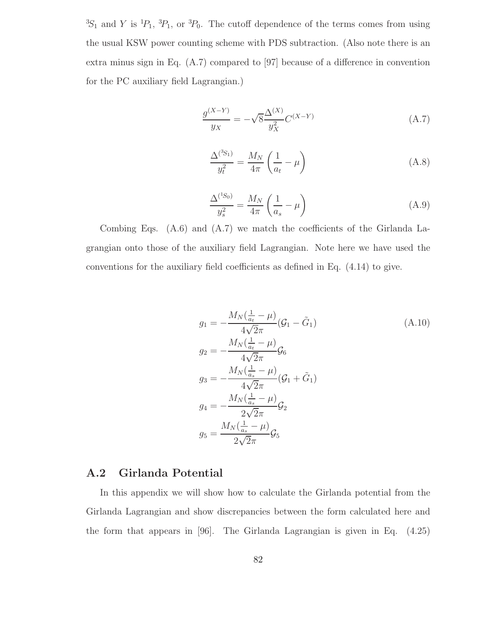${}^{3}S_{1}$  and Y is  ${}^{1}P_{1}$ ,  ${}^{3}P_{1}$ , or  ${}^{3}P_{0}$ . The cutoff dependence of the terms comes from using the usual KSW power counting scheme with PDS subtraction. (Also note there is an extra minus sign in Eq. (A.7) compared to [97] because of a difference in convention for the PC auxiliary field Lagrangian.)

$$
\frac{g^{(X-Y)}}{y_X} = -\sqrt{8} \frac{\Delta^{(X)}}{y_X^2} C^{(X-Y)} \tag{A.7}
$$

$$
\frac{\Delta^{(^3S_1)}}{y_t^2} = \frac{M_N}{4\pi} \left(\frac{1}{a_t} - \mu\right)
$$
 (A.8)

$$
\frac{\Delta^{(1S_0)}}{y_s^2} = \frac{M_N}{4\pi} \left(\frac{1}{a_s} - \mu\right)
$$
 (A.9)

Combing Eqs. (A.6) and (A.7) we match the coefficients of the Girlanda Lagrangian onto those of the auxiliary field Lagrangian. Note here we have used the conventions for the auxiliary field coefficients as defined in Eq. (4.14) to give.

$$
g_1 = -\frac{M_N(\frac{1}{a_t} - \mu)}{4\sqrt{2\pi}} (G_1 - \tilde{G}_1)
$$
\n
$$
g_2 = -\frac{M_N(\frac{1}{a_t} - \mu)}{4\sqrt{2\pi}} G_6
$$
\n
$$
g_3 = -\frac{M_N(\frac{1}{a_s} - \mu)}{4\sqrt{2\pi}} (G_1 + \tilde{G}_1)
$$
\n
$$
g_4 = -\frac{M_N(\frac{1}{a_s} - \mu)}{2\sqrt{2\pi}} G_2
$$
\n
$$
g_5 = \frac{M_N(\frac{1}{a_s} - \mu)}{2\sqrt{2\pi}} G_5
$$
\n(4.10)

#### A.2 Girlanda Potential

In this appendix we will show how to calculate the Girlanda potential from the Girlanda Lagrangian and show discrepancies between the form calculated here and the form that appears in [96]. The Girlanda Lagrangian is given in Eq. (4.25)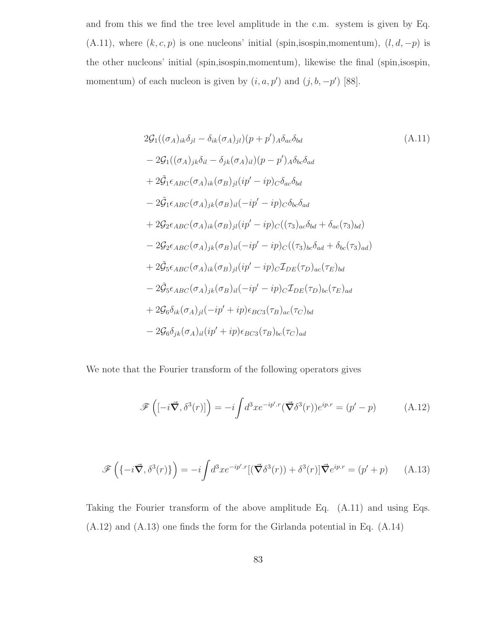and from this we find the tree level amplitude in the c.m. system is given by Eq. (A.11), where  $(k, c, p)$  is one nucleons' initial (spin,isospin,momentum),  $(l, d, -p)$  is the other nucleons' initial (spin,isospin,momentum), likewise the final (spin,isospin, momentum) of each nucleon is given by  $(i, a, p')$  and  $(j, b, -p')$  [88].

$$
2\mathcal{G}_{1}((\sigma_{A})_{ik}\delta_{jl} - \delta_{ik}(\sigma_{A})_{jl})(p+p')_{A}\delta_{ac}\delta_{bd}
$$
\n
$$
-2\mathcal{G}_{1}((\sigma_{A})_{jk}\delta_{il} - \delta_{jk}(\sigma_{A})_{il})(p-p')_{A}\delta_{bc}\delta_{ad}
$$
\n
$$
+2\tilde{\mathcal{G}}_{1}\epsilon_{ABC}(\sigma_{A})_{ik}(\sigma_{B})_{jl}(ip'-ip)_{C}\delta_{ac}\delta_{bd}
$$
\n
$$
-2\tilde{\mathcal{G}}_{1}\epsilon_{ABC}(\sigma_{A})_{jk}(\sigma_{B})_{il}(-ip'-ip)_{C}\delta_{bc}\delta_{ad}
$$
\n
$$
+2\mathcal{G}_{2}\epsilon_{ABC}(\sigma_{A})_{ik}(\sigma_{B})_{jl}(ip'-ip)_{C}((\tau_{3})_{ac}\delta_{bd} + \delta_{ac}(\tau_{3})_{bd})
$$
\n
$$
-2\mathcal{G}_{2}\epsilon_{ABC}(\sigma_{A})_{jk}(\sigma_{B})_{il}(-ip'-ip)_{C}((\tau_{3})_{bc}\delta_{ad} + \delta_{bc}(\tau_{3})_{ad})
$$
\n
$$
+2\tilde{\mathcal{G}}_{5}\epsilon_{ABC}(\sigma_{A})_{ik}(\sigma_{B})_{jl}(ip'-ip)_{C}\mathcal{I}_{DE}(\tau_{D})_{ac}(\tau_{E})_{bd}
$$
\n
$$
-2\tilde{\mathcal{G}}_{5}\epsilon_{ABC}(\sigma_{A})_{jk}(\sigma_{B})_{il}(-ip'-ip)_{C}\mathcal{I}_{DE}(\tau_{D})_{bc}(\tau_{E})_{ad}
$$
\n
$$
+2\mathcal{G}_{6}\delta_{ik}(\sigma_{A})_{jl}(-ip'+ip)\epsilon_{BC3}(\tau_{B})_{ac}(\tau_{C})_{bd}
$$
\n
$$
-2\mathcal{G}_{6}\delta_{jk}(\sigma_{A})_{il}(ip'+ip)\epsilon_{BC3}(\tau_{B})_{bc}(\tau_{C})_{ad}
$$

We note that the Fourier transform of the following operators gives

$$
\mathscr{F}\left([-i\vec{\nabla},\delta^3(r)]\right) = -i\int d^3x e^{-ip'\cdot r}(\vec{\nabla}\delta^3(r))e^{ip.r} = (p'-p) \tag{A.12}
$$

$$
\mathscr{F}\left(\{-i\vec{\nabla},\delta^3(r)\}\right) = -i\int d^3x e^{-ip'\cdot r}[(\vec{\nabla}\delta^3(r)) + \delta^3(r)]\vec{\nabla}e^{ip.r} = (p'+p) \qquad (A.13)
$$

Taking the Fourier transform of the above amplitude Eq. (A.11) and using Eqs. (A.12) and (A.13) one finds the form for the Girlanda potential in Eq. (A.14)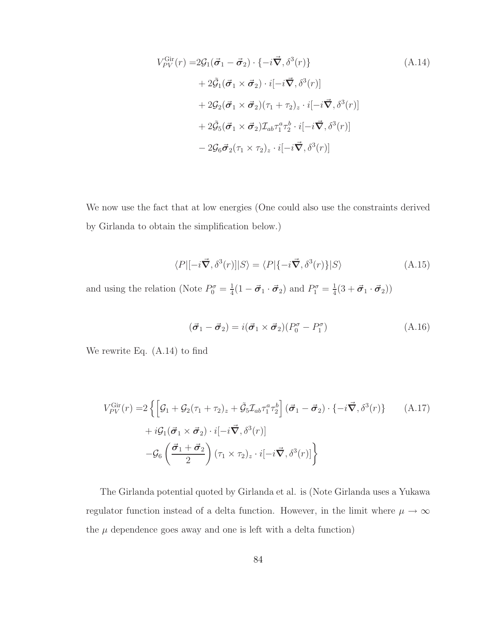$$
V_{PV}^{\text{Gir}}(r) = 2\mathcal{G}_{1}(\vec{\sigma}_{1} - \vec{\sigma}_{2}) \cdot \{-i\vec{\nabla}, \delta^{3}(r)\}\
$$
\n
$$
+ 2\tilde{\mathcal{G}}_{1}(\vec{\sigma}_{1} \times \vec{\sigma}_{2}) \cdot i[-i\vec{\nabla}, \delta^{3}(r)]
$$
\n
$$
+ 2\mathcal{G}_{2}(\vec{\sigma}_{1} \times \vec{\sigma}_{2})(\tau_{1} + \tau_{2})_{z} \cdot i[-i\vec{\nabla}, \delta^{3}(r)]
$$
\n
$$
+ 2\tilde{\mathcal{G}}_{5}(\vec{\sigma}_{1} \times \vec{\sigma}_{2})\mathcal{I}_{ab}\tau_{1}^{a}\tau_{2}^{b} \cdot i[-i\vec{\nabla}, \delta^{3}(r)]
$$
\n
$$
- 2\mathcal{G}_{6}\vec{\sigma}_{2}(\tau_{1} \times \tau_{2})_{z} \cdot i[-i\vec{\nabla}, \delta^{3}(r)]
$$
\n(A.14)

We now use the fact that at low energies (One could also use the constraints derived by Girlanda to obtain the simplification below.)

$$
\langle P|[-i\vec{\nabla}, \delta^3(r)]|S\rangle = \langle P|\{-i\vec{\nabla}, \delta^3(r)\}|S\rangle
$$
\n(A.15)

and using the relation (Note  $P_0^{\sigma} = \frac{1}{4}$  $\frac{1}{4}(1-\vec{\sigma}_1\cdot\vec{\sigma}_2)$  and  $P_1^{\sigma}=\frac{1}{4}$  $\frac{1}{4}(3+\vec{\boldsymbol{\sigma}}_1\cdot\vec{\boldsymbol{\sigma}}_2))$ 

$$
(\vec{\boldsymbol{\sigma}}_1 - \vec{\boldsymbol{\sigma}}_2) = i(\vec{\boldsymbol{\sigma}}_1 \times \vec{\boldsymbol{\sigma}}_2)(P_0^{\sigma} - P_1^{\sigma})
$$
\n(A.16)

We rewrite Eq. (A.14) to find

$$
V_{PV}^{\text{Gir}}(r) = 2\left\{ \left[ \mathcal{G}_1 + \mathcal{G}_2(\tau_1 + \tau_2)_z + \tilde{\mathcal{G}}_5 \mathcal{I}_{ab} \tau_1^a \tau_2^b \right] (\vec{\sigma}_1 - \vec{\sigma}_2) \cdot \{-i \vec{\nabla}, \delta^3(r) \} \right\}
$$
\n
$$
+ i \mathcal{G}_1(\vec{\sigma}_1 \times \vec{\sigma}_2) \cdot i[-i \vec{\nabla}, \delta^3(r)]
$$
\n
$$
- \mathcal{G}_6\left(\frac{\vec{\sigma}_1 + \vec{\sigma}_2}{2}\right) (\tau_1 \times \tau_2)_z \cdot i[-i \vec{\nabla}, \delta^3(r)] \right\}
$$
\n(A.17)

The Girlanda potential quoted by Girlanda et al. is (Note Girlanda uses a Yukawa regulator function instead of a delta function. However, in the limit where  $\mu \rightarrow \infty$ the  $\mu$  dependence goes away and one is left with a delta function)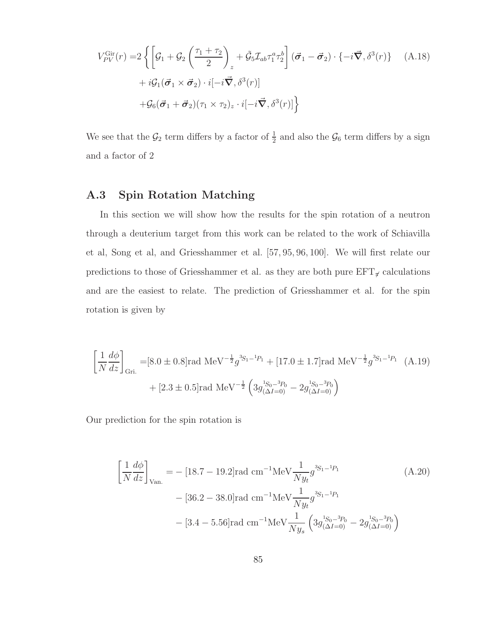$$
V_{PV}^{\text{Gir}}(r) = 2 \left\{ \left[ \mathcal{G}_1 + \mathcal{G}_2 \left( \frac{\tau_1 + \tau_2}{2} \right)_z + \tilde{\mathcal{G}}_5 \mathcal{I}_{ab} \tau_1^a \tau_2^b \right] (\vec{\sigma}_1 - \vec{\sigma}_2) \cdot \{-i \vec{\nabla}, \delta^3(r)\} \right\}
$$
\n
$$
+ i \mathcal{G}_1 (\vec{\sigma}_1 \times \vec{\sigma}_2) \cdot i[-i \vec{\nabla}, \delta^3(r)]
$$
\n
$$
+ \mathcal{G}_6 (\vec{\sigma}_1 + \vec{\sigma}_2) (\tau_1 \times \tau_2)_z \cdot i[-i \vec{\nabla}, \delta^3(r)] \right\}
$$
\n(A.18)

We see that the  $\mathcal{G}_2$  term differs by a factor of  $\frac{1}{2}$  and also the  $\mathcal{G}_6$  term differs by a sign and a factor of 2

## A.3 Spin Rotation Matching

In this section we will show how the results for the spin rotation of a neutron through a deuterium target from this work can be related to the work of Schiavilla et al, Song et al, and Griesshammer et al. [57, 95, 96, 100]. We will first relate our predictions to those of Griesshammer et al. as they are both pure  $EFT_{\pi}$  calculations and are the easiest to relate. The prediction of Griesshammer et al. for the spin rotation is given by

$$
\left[\frac{1}{N}\frac{d\phi}{dz}\right]_{\text{Gri.}} = [8.0 \pm 0.8] \text{rad MeV}^{-\frac{1}{2}} g^{3S_1 - ^1P_1} + [17.0 \pm 1.7] \text{rad MeV}^{-\frac{1}{2}} g^{3S_1 - ^1P_1} \quad \text{(A.19)}
$$

$$
+ [2.3 \pm 0.5] \text{rad MeV}^{-\frac{1}{2}} \left(3g^{1S_0 - ^3P_0}_{(\Delta I = 0)} - 2g^{1S_0 - ^3P_0}_{(\Delta I = 0)}\right)
$$

Our prediction for the spin rotation is

$$
\left[\frac{1}{N}\frac{d\phi}{dz}\right]_{\text{Van.}} = -[18.7 - 19.2]\text{rad cm}^{-1}\text{MeV}\frac{1}{Ny_t}g^{3S_1 - 1p_1}
$$
\n
$$
- [36.2 - 38.0]\text{rad cm}^{-1}\text{MeV}\frac{1}{Ny_t}g^{3S_1 - 1p_1}
$$
\n
$$
- [3.4 - 5.56]\text{rad cm}^{-1}\text{MeV}\frac{1}{Ny_s}\left(3g_{(\Delta I = 0)}^{1S_0 - 3p_0} - 2g_{(\Delta I = 0)}^{1S_0 - 3p_0}\right)
$$
\n(A.20)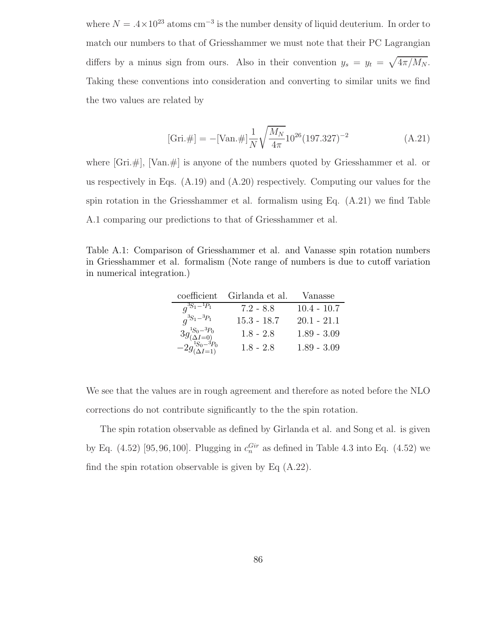where  $N = .4 \times 10^{23}$  atoms cm<sup>-3</sup> is the number density of liquid deuterium. In order to match our numbers to that of Griesshammer we must note that their PC Lagrangian differs by a minus sign from ours. Also in their convention  $y_s = y_t = \sqrt{4\pi/M_N}$ . Taking these conventions into consideration and converting to similar units we find the two values are related by

[Gri.#] = -[Van.#]
$$
\frac{1}{N} \sqrt{\frac{M_N}{4\pi}} 10^{26} (197.327)^{-2}
$$
 (A.21)

where  $[Gri, \#]$ ,  $[Van, \#]$  is anyone of the numbers quoted by Griesshammer et al. or us respectively in Eqs.  $(A.19)$  and  $(A.20)$  respectively. Computing our values for the spin rotation in the Griesshammer et al. formalism using Eq. (A.21) we find Table A.1 comparing our predictions to that of Griesshammer et al.

Table A.1: Comparison of Griesshammer et al. and Vanasse spin rotation numbers in Griesshammer et al. formalism (Note range of numbers is due to cutoff variation in numerical integration.)

| coefficient                                                                | Girlanda et al. | Vanasse       |  |
|----------------------------------------------------------------------------|-----------------|---------------|--|
| $q^{3S_1 - 1}P_1$                                                          | $7.2 - 8.8$     | $10.4 - 10.7$ |  |
| $q^{3S_1-3P_1}$                                                            | $15.3 - 18.7$   | $20.1 - 21.1$ |  |
| $3g^{^{1}S_0-{}^3P_0}_{(\Delta I=0)} -2g^{^{1}S_0-{}^3P_0}_{(\Delta I=1)}$ | $1.8 - 2.8$     | $1.89 - 3.09$ |  |
|                                                                            | $1.8 - 2.8$     | $1.89 - 3.09$ |  |

We see that the values are in rough agreement and therefore as noted before the NLO corrections do not contribute significantly to the the spin rotation.

The spin rotation observable as defined by Girlanda et al. and Song et al. is given by Eq.  $(4.52)$  [95,96,100]. Plugging in  $c_n^{Gir}$  as defined in Table 4.3 into Eq.  $(4.52)$  we find the spin rotation observable is given by Eq  $(A.22)$ .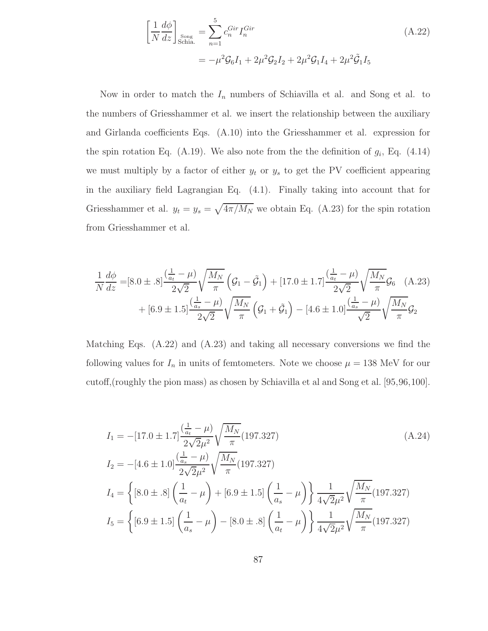$$
\left[\frac{1}{N}\frac{d\phi}{dz}\right]_{\text{Sonia.}} = \sum_{n=1}^{5} c_n^{Gir} I_n^{Gir}
$$
\n
$$
= -\mu^2 \mathcal{G}_6 I_1 + 2\mu^2 \mathcal{G}_2 I_2 + 2\mu^2 \mathcal{G}_1 I_4 + 2\mu^2 \tilde{\mathcal{G}}_1 I_5
$$
\n(A.22)

Now in order to match the  $I_n$  numbers of Schiavilla et al. and Song et al. to the numbers of Griesshammer et al. we insert the relationship between the auxiliary and Girlanda coefficients Eqs. (A.10) into the Griesshammer et al. expression for the spin rotation Eq. (A.19). We also note from the the definition of  $g_i$ , Eq. (4.14) we must multiply by a factor of either  $y_t$  or  $y_s$  to get the PV coefficient appearing in the auxiliary field Lagrangian Eq. (4.1). Finally taking into account that for Griesshammer et al.  $y_t = y_s = \sqrt{4\pi/M_N}$  we obtain Eq. (A.23) for the spin rotation from Griesshammer et al.

$$
\frac{1}{N}\frac{d\phi}{dz} = [8.0 \pm .8] \frac{(\frac{1}{a_t} - \mu)}{2\sqrt{2}} \sqrt{\frac{M_N}{\pi}} \left( \mathcal{G}_1 - \tilde{\mathcal{G}}_1 \right) + [17.0 \pm 1.7] \frac{(\frac{1}{a_t} - \mu)}{2\sqrt{2}} \sqrt{\frac{M_N}{\pi}} \mathcal{G}_6 \quad (A.23)
$$

$$
+ [6.9 \pm 1.5] \frac{(\frac{1}{a_s} - \mu)}{2\sqrt{2}} \sqrt{\frac{M_N}{\pi}} \left( \mathcal{G}_1 + \tilde{\mathcal{G}}_1 \right) - [4.6 \pm 1.0] \frac{(\frac{1}{a_s} - \mu)}{\sqrt{2}} \sqrt{\frac{M_N}{\pi}} \mathcal{G}_2
$$

Matching Eqs. (A.22) and (A.23) and taking all necessary conversions we find the following values for  $I_n$  in units of femtometers. Note we choose  $\mu = 138$  MeV for our cutoff,(roughly the pion mass) as chosen by Schiavilla et al and Song et al. [95,96,100].

$$
I_{1} = -[17.0 \pm 1.7] \frac{(\frac{1}{a_{t}} - \mu)}{2\sqrt{2\mu^{2}}} \sqrt{\frac{M_{N}}{\pi}} (197.327)
$$
\n
$$
I_{2} = -[4.6 \pm 1.0] \frac{(\frac{1}{a_{s}} - \mu)}{2\sqrt{2\mu^{2}}} \sqrt{\frac{M_{N}}{\pi}} (197.327)
$$
\n
$$
I_{4} = \left\{ [8.0 \pm .8] \left( \frac{1}{a_{t}} - \mu \right) + [6.9 \pm 1.5] \left( \frac{1}{a_{s}} - \mu \right) \right\} \frac{1}{4\sqrt{2\mu^{2}}} \sqrt{\frac{M_{N}}{\pi}} (197.327)
$$
\n
$$
I_{5} = \left\{ [6.9 \pm 1.5] \left( \frac{1}{a_{s}} - \mu \right) - [8.0 \pm .8] \left( \frac{1}{a_{t}} - \mu \right) \right\} \frac{1}{4\sqrt{2\mu^{2}}} \sqrt{\frac{M_{N}}{\pi}} (197.327)
$$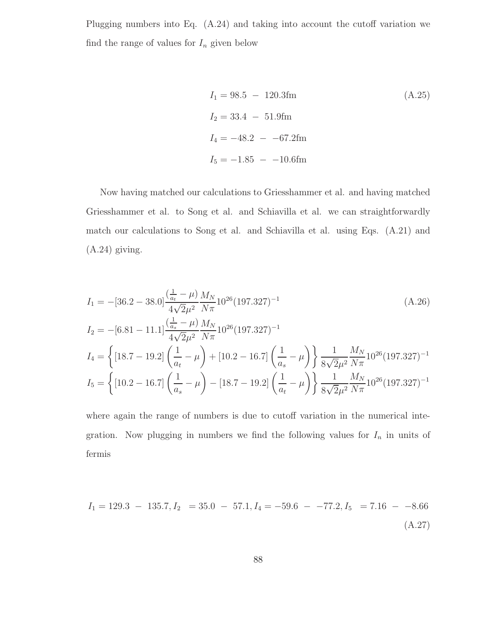Plugging numbers into Eq. (A.24) and taking into account the cutoff variation we find the range of values for  $I_n$  given below

$$
I_1 = 98.5 - 120.3 \text{fm}
$$
\n
$$
I_2 = 33.4 - 51.9 \text{fm}
$$
\n
$$
I_4 = -48.2 - 67.2 \text{fm}
$$
\n
$$
I_5 = -1.85 - 10.6 \text{fm}
$$
\n(A.25)

Now having matched our calculations to Griesshammer et al. and having matched Griesshammer et al. to Song et al. and Schiavilla et al. we can straightforwardly match our calculations to Song et al. and Schiavilla et al. using Eqs. (A.21) and (A.24) giving.

$$
I_{1} = -[36.2 - 38.0] \frac{(\frac{1}{a_{t}} - \mu)}{4\sqrt{2\mu^{2}}} \frac{M_{N}}{N\pi} 10^{26} (197.327)^{-1}
$$
\n
$$
I_{2} = -[6.81 - 11.1] \frac{(\frac{1}{a_{s}} - \mu)}{4\sqrt{2\mu^{2}}} \frac{M_{N}}{N\pi} 10^{26} (197.327)^{-1}
$$
\n
$$
I_{4} = \left\{ [18.7 - 19.2] \left( \frac{1}{a_{t}} - \mu \right) + [10.2 - 16.7] \left( \frac{1}{a_{s}} - \mu \right) \right\} \frac{1}{8\sqrt{2\mu^{2}}} \frac{M_{N}}{N\pi} 10^{26} (197.327)^{-1}
$$
\n
$$
I_{5} = \left\{ [10.2 - 16.7] \left( \frac{1}{a_{s}} - \mu \right) - [18.7 - 19.2] \left( \frac{1}{a_{t}} - \mu \right) \right\} \frac{1}{8\sqrt{2\mu^{2}}} \frac{M_{N}}{N\pi} 10^{26} (197.327)^{-1}
$$

where again the range of numbers is due to cutoff variation in the numerical integration. Now plugging in numbers we find the following values for  $I_n$  in units of fermis

$$
I_1 = 129.3 - 135.7, I_2 = 35.0 - 57.1, I_4 = -59.6 - -77.2, I_5 = 7.16 - -8.66
$$
\n(A.27)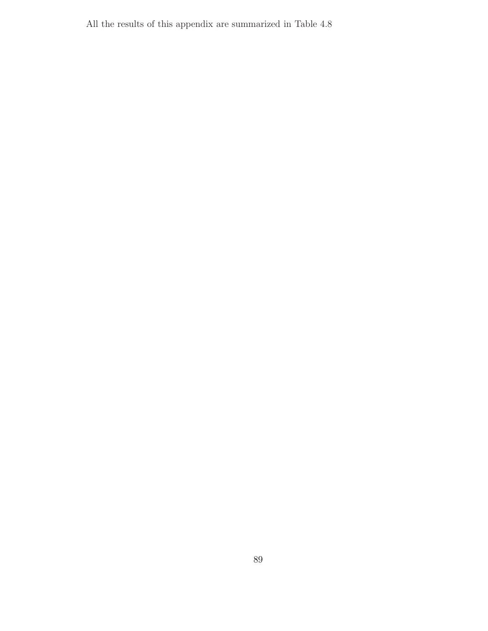All the results of this appendix are summarized in Table 4.8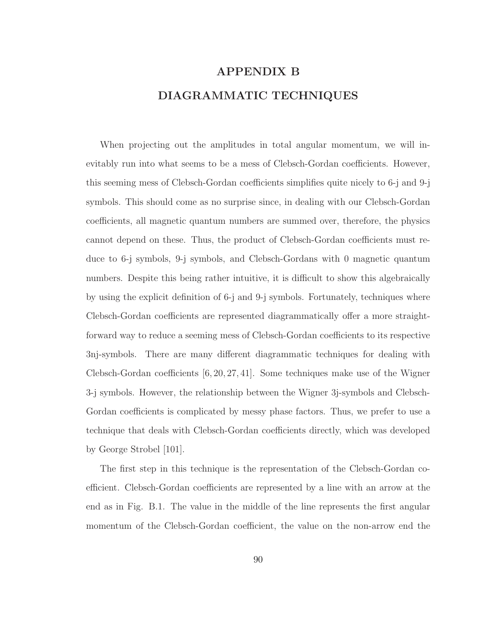# APPENDIX B DIAGRAMMATIC TECHNIQUES

When projecting out the amplitudes in total angular momentum, we will inevitably run into what seems to be a mess of Clebsch-Gordan coefficients. However, this seeming mess of Clebsch-Gordan coefficients simplifies quite nicely to 6-j and 9-j symbols. This should come as no surprise since, in dealing with our Clebsch-Gordan coefficients, all magnetic quantum numbers are summed over, therefore, the physics cannot depend on these. Thus, the product of Clebsch-Gordan coefficients must reduce to 6-j symbols, 9-j symbols, and Clebsch-Gordans with 0 magnetic quantum numbers. Despite this being rather intuitive, it is difficult to show this algebraically by using the explicit definition of 6-j and 9-j symbols. Fortunately, techniques where Clebsch-Gordan coefficients are represented diagrammatically offer a more straightforward way to reduce a seeming mess of Clebsch-Gordan coefficients to its respective 3nj-symbols. There are many different diagrammatic techniques for dealing with Clebsch-Gordan coefficients [6, 20, 27, 41]. Some techniques make use of the Wigner 3-j symbols. However, the relationship between the Wigner 3j-symbols and Clebsch-Gordan coefficients is complicated by messy phase factors. Thus, we prefer to use a technique that deals with Clebsch-Gordan coefficients directly, which was developed by George Strobel [101].

The first step in this technique is the representation of the Clebsch-Gordan coefficient. Clebsch-Gordan coefficients are represented by a line with an arrow at the end as in Fig. B.1. The value in the middle of the line represents the first angular momentum of the Clebsch-Gordan coefficient, the value on the non-arrow end the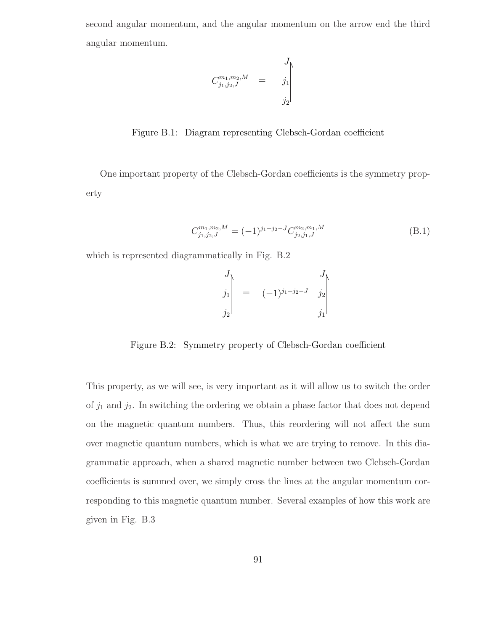second angular momentum, and the angular momentum on the arrow end the third angular momentum.

$$
C^{m_1, m_2, M}_{j_1, j_2, J} = \begin{vmatrix} J \\ j_1 \\ j_2 \end{vmatrix}
$$

Figure B.1: Diagram representing Clebsch-Gordan coefficient

One important property of the Clebsch-Gordan coefficients is the symmetry property

$$
C_{j_1,j_2,J}^{m_1,m_2,M} = (-1)^{j_1+j_2-J} C_{j_2,j_1,J}^{m_2,m_1,M}
$$
\n(B.1)

which is represented diagrammatically in Fig. B.2

$$
\begin{vmatrix} J \\ j_1 \\ j_2 \end{vmatrix} = (-1)^{j_1+j_2-J} \begin{vmatrix} J \\ j_2 \\ j_1 \end{vmatrix}
$$

Figure B.2: Symmetry property of Clebsch-Gordan coefficient

This property, as we will see, is very important as it will allow us to switch the order of  $j_1$  and  $j_2$ . In switching the ordering we obtain a phase factor that does not depend on the magnetic quantum numbers. Thus, this reordering will not affect the sum over magnetic quantum numbers, which is what we are trying to remove. In this diagrammatic approach, when a shared magnetic number between two Clebsch-Gordan coefficients is summed over, we simply cross the lines at the angular momentum corresponding to this magnetic quantum number. Several examples of how this work are given in Fig. B.3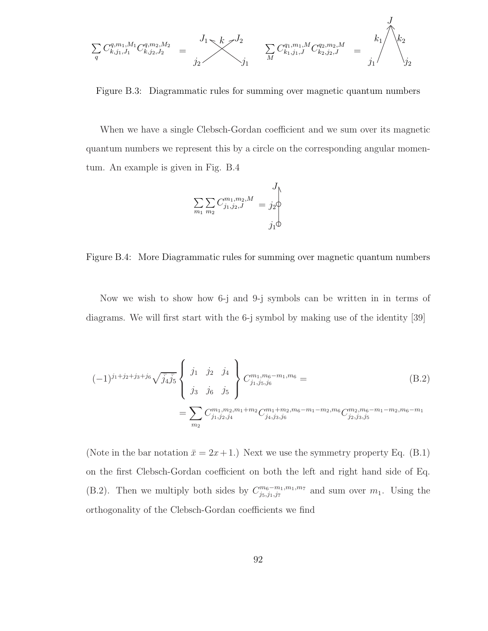$$
\sum_{q} C_{k,j_1,J_1}^{q,m_1,M_1} C_{k,j_2,J_2}^{q,m_2,M_2} = \sum_{j_2}^{J_1 \le k \ge J_2} \sum_{j_1} C_{k_1,j_1,J}^{q_1,m_1,M} C_{k_2,j_2,J}^{q_2,m_2,M} = \sum_{j_1}^{J} \left\langle k_1 \atop \right\rangle_{j_2}^{J}
$$

Figure B.3: Diagrammatic rules for summing over magnetic quantum numbers

When we have a single Clebsch-Gordan coefficient and we sum over its magnetic quantum numbers we represent this by a circle on the corresponding angular momentum. An example is given in Fig. B.4

$$
\sum_{m_1} \sum_{m_2} C^{m_1, m_2, M}_{j_1, j_2, J} = j_2 \updownarrow
$$
  

$$
j_1 \updownarrow
$$

Figure B.4: More Diagrammatic rules for summing over magnetic quantum numbers

Now we wish to show how 6-j and 9-j symbols can be written in in terms of diagrams. We will first start with the 6-j symbol by making use of the identity [39]

$$
(-1)^{j_1+j_2+j_3+j_6}\sqrt{\bar{j}_4\bar{j}_5}\begin{Bmatrix}j_1 & j_2 & j_4 \ j_3 & j_6 & j_5 \end{Bmatrix}C^{m_1,m_6-m_1,m_6}_{j_1,j_5,j_6} = \sum_{\substack{m_2\\m_2}}C^{m_1,m_2,m_1+m_2}_{j_1,j_2,j_4}C^{m_1+m_2,m_6-m_1-m_2,m_6-m_1-m_2,m_6-m_1-m_2,m_6-m_1}
$$
(B.2)

(Note in the bar notation  $\bar{x} = 2x + 1$ .) Next we use the symmetry property Eq. (B.1) on the first Clebsch-Gordan coefficient on both the left and right hand side of Eq. (B.2). Then we multiply both sides by  $C_{j_5,j_1,j_7}^{m_6-m_1,m_1,m_7}$  and sum over  $m_1$ . Using the orthogonality of the Clebsch-Gordan coefficients we find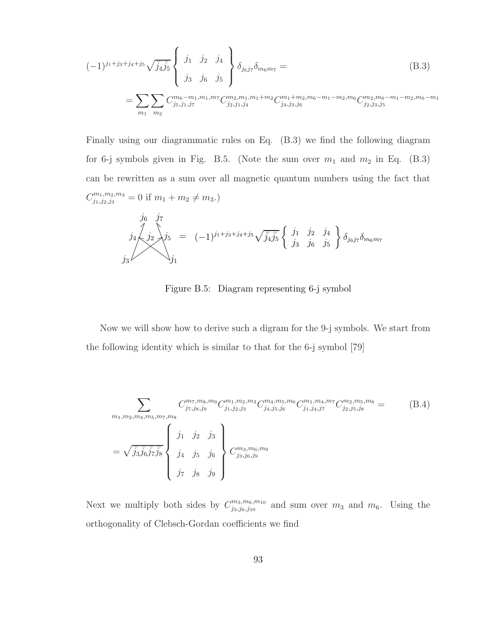$$
(-1)^{j_1+j_3+j_4+j_5}\sqrt{\bar{j}_4\bar{j}_5}\begin{Bmatrix}j_1 & j_2 & j_4\\j_3 & j_6 & j_5\end{Bmatrix}\delta_{j_6j_7}\delta_{m_6m_7} =
$$
\n
$$
= \sum_{m_1} \sum_{m_2} C^{m_6-m_1,m_1,m_7}_{j_5,j_1,j_7} C^{m_2,m_1,m_1+m_2}_{j_2,j_1,j_4} C^{m_1+m_2,m_6-m_1-m_2,m_6-m_1-m_2,m_6-m_1-m_2,m_6-m_1}
$$
\n(B.3)

Finally using our diagrammatic rules on Eq. (B.3) we find the following diagram for 6-j symbols given in Fig. B.5. (Note the sum over  $m_1$  and  $m_2$  in Eq. (B.3) can be rewritten as a sum over all magnetic quantum numbers using the fact that  $C_{j_1,j_2,j_3}^{m_1,m_2,m_3} = 0$  if  $m_1 + m_2 \neq m_3$ .)

$$
\begin{array}{ccc}\nj_6 & j_7 \\
j_4 \n\searrow j_2\n\searrow j_5 = (-1)^{j_1+j_3+j_4+j_5}\sqrt{j_4j_5}\n\left\{\n\begin{array}{ccc}\nj_1 & j_2 & j_4 \\
j_3 & j_6 & j_5\n\end{array}\n\right\}\n\delta_{j_6j_7}\delta_{m_6m_7}\n\end{array}
$$

Figure B.5: Diagram representing 6-j symbol

Now we will show how to derive such a digram for the 9-j symbols. We start from the following identity which is similar to that for the 6-j symbol [79]

$$
\sum_{m_1,m_2,m_4,m_5,m_7,m_8} C^{m_7,m_8,m_9}_{j_7,j_8,j_9} C^{m_1,m_2,m_3}_{j_1,j_2,j_3} C^{m_4,m_5,m_6}_{j_4,j_5,j_6} C^{m_1,m_4,m_7}_{j_1,j_4,j_7} C^{m_2,m_5,m_8}_{j_2,j_5,j_8} =
$$
\n(B.4)\n
$$
= \sqrt{\bar{j}_3\bar{j}_6\bar{j}_7\bar{j}_8} \begin{Bmatrix} j_1 & j_2 & j_3 \ j_4 & j_5 & j_6 \ j_7 & j_8 & j_9 \end{Bmatrix} C^{m_3,m_6,m_9}_{j_3,j_6,j_9}
$$

Next we multiply both sides by  $C^{m_3,m_6,m_{10}}_{i_3,i_6,i_{10}}$  $\frac{m_3,m_6,m_{10}}{j_3,j_6,j_{10}}$  and sum over  $m_3$  and  $m_6$ . Using the orthogonality of Clebsch-Gordan coefficients we find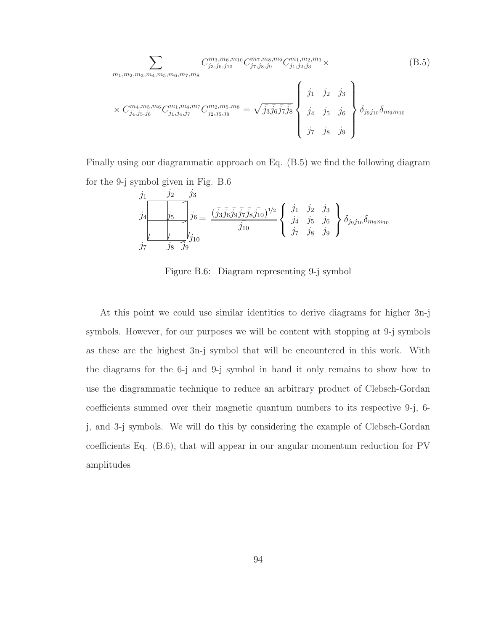$$
\sum_{m_1,m_2,m_3,m_4,m_5,m_6,m_7,m_8} C^{m_3,m_6,m_{10}}_{j_3,j_6,j_{10}} C^{m_7,m_8,m_9}_{j_7,j_8,j_9} C^{m_1,m_2,m_3}_{j_1,j_2,j_3} \times
$$
\n
$$
\times C^{m_4,m_5,m_6}_{j_4,j_5,j_6} C^{m_1,m_4,m_7}_{j_1,j_4,j_7} C^{m_2,m_5,m_8}_{j_2,j_5,j_8} = \sqrt{\bar{j}_3\bar{j}_6\bar{j}_7\bar{j}_8} \begin{Bmatrix} j_1 & j_2 & j_3 \\ j_1 & j_2 & j_3 \\ j_4 & j_5 & j_6 \\ j_7 & j_8 & j_9 \end{Bmatrix} \delta_{j_9j_{10}} \delta_{m_9m_{10}}
$$
\n(B.5)

Finally using our diagrammatic approach on Eq. (B.5) we find the following diagram for the 9-j symbol given in Fig. B.6

$$
\begin{array}{ccc}\nj_1 & j_2 & j_3 \\
j_4 & j_5 & j_6 \\
\hline\n\end{array}\n\begin{array}{c}\nj_3 \\
j_6 = \frac{(\bar{j}_3 \bar{j}_6 \bar{j}_9 \bar{j}_7 \bar{j}_8 \bar{j}_{10})^{1/2}}{j_{10}} \begin{Bmatrix}j_1 & j_2 & j_3 \\
j_4 & j_5 & j_6 \\
j_7 & j_8 & j_9\n\end{Bmatrix} \delta_{j_9 j_{10}} \delta_{m_9 m_{10}}
$$

Figure B.6: Diagram representing 9-j symbol

At this point we could use similar identities to derive diagrams for higher 3n-j symbols. However, for our purposes we will be content with stopping at 9-j symbols as these are the highest 3n-j symbol that will be encountered in this work. With the diagrams for the 6-j and 9-j symbol in hand it only remains to show how to use the diagrammatic technique to reduce an arbitrary product of Clebsch-Gordan coefficients summed over their magnetic quantum numbers to its respective 9-j, 6 j, and 3-j symbols. We will do this by considering the example of Clebsch-Gordan coefficients Eq. (B.6), that will appear in our angular momentum reduction for PV amplitudes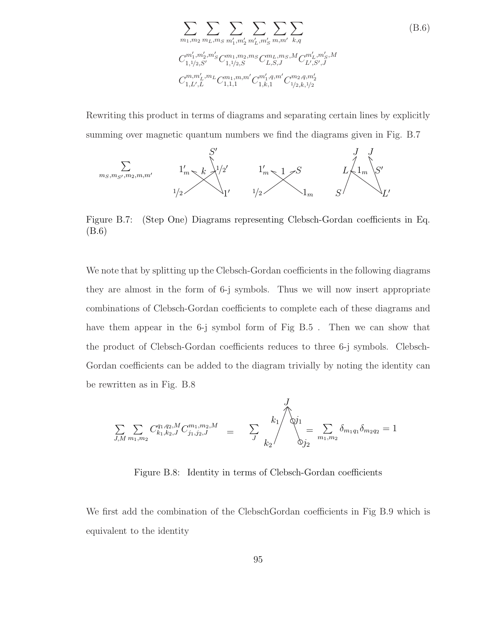$$
\sum_{m_1,m_2} \sum_{m_L,m_S} \sum_{m'_1,m'_2} \sum_{m'_L,m'_S} \sum_{m,m'} \sum_{k,q}
$$
\n
$$
C_{1,1/2,S'}^{m'_1,m'_2,m'_S} C_{1,1/2,S}^{m_1,m_2,m_S} C_{L,S,J}^{m_L,m_S,M} C_{L',S',J}^{m'_L,m'_S,M}
$$
\n
$$
C_{1,L',L}^{m,m'_L,m_L} C_{1,1,1}^{m_1,m,m'} C_{1,k,1}^{m'_1,m'} C_{1/2,k,1/2}^{m_2,q,m'_2}
$$
\n(B.6)

Rewriting this product in terms of diagrams and separating certain lines by explicitly summing over magnetic quantum numbers we find the diagrams given in Fig. B.7



Figure B.7: (Step One) Diagrams representing Clebsch-Gordan coefficients in Eq. (B.6)

We note that by splitting up the Clebsch-Gordan coefficients in the following diagrams they are almost in the form of 6-j symbols. Thus we will now insert appropriate combinations of Clebsch-Gordan coefficients to complete each of these diagrams and have them appear in the 6-j symbol form of Fig B.5. Then we can show that the product of Clebsch-Gordan coefficients reduces to three 6-j symbols. Clebsch-Gordan coefficients can be added to the diagram trivially by noting the identity can be rewritten as in Fig. B.8

$$
\sum_{J,M} \sum_{m_1,m_2} C_{k_1,k_2,J}^{q_1,q_2,M} C_{j_1,j_2,J}^{m_1,m_2,M} = \sum_{J} \left\{\begin{matrix} & J \\ & \downarrow \\ & & \downarrow \\ & & \downarrow \\ & & & \downarrow \end{matrix} \right\} = \sum_{m_1,m_2} \delta_{m_1q_1} \delta_{m_2q_2} = 1
$$

Figure B.8: Identity in terms of Clebsch-Gordan coefficients

We first add the combination of the ClebschGordan coefficients in Fig B.9 which is equivalent to the identity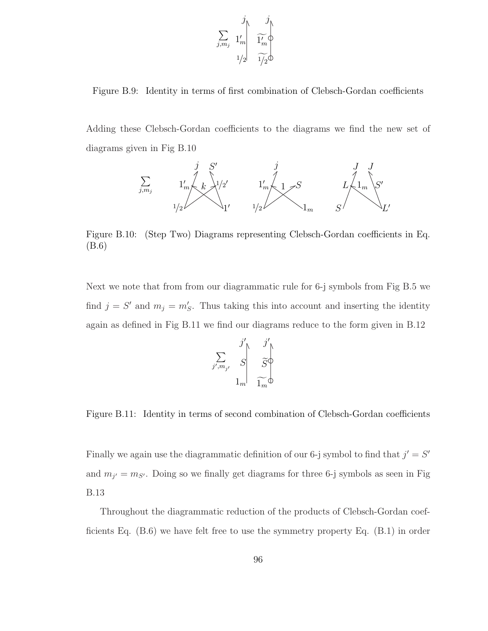$$
\sum_{j,m_j} \frac{j}{1'_m} \left\{ \begin{array}{c} j \\ \widetilde{1'_m} \\ \widetilde{1'_2} \end{array} \right.
$$

Figure B.9: Identity in terms of first combination of Clebsch-Gordan coefficients

Adding these Clebsch-Gordan coefficients to the diagrams we find the new set of diagrams given in Fig B.10



Figure B.10: (Step Two) Diagrams representing Clebsch-Gordan coefficients in Eq. (B.6)

Next we note that from from our diagrammatic rule for 6-j symbols from Fig B.5 we find  $j = S'$  and  $m_j = m'_S$ . Thus taking this into account and inserting the identity again as defined in Fig B.11 we find our diagrams reduce to the form given in B.12

$$
\sum_{j',m_{j'}} \frac{j'}{S} \sum_{i=1}^j \frac{j'}{\widetilde{S}^{\bigcirc}
$$

Figure B.11: Identity in terms of second combination of Clebsch-Gordan coefficients

Finally we again use the diagrammatic definition of our 6-j symbol to find that  $j' = S'$ and  $m_{j'} = m_{S'}$ . Doing so we finally get diagrams for three 6-j symbols as seen in Fig B.13

Throughout the diagrammatic reduction of the products of Clebsch-Gordan coefficients Eq.  $(B.6)$  we have felt free to use the symmetry property Eq.  $(B.1)$  in order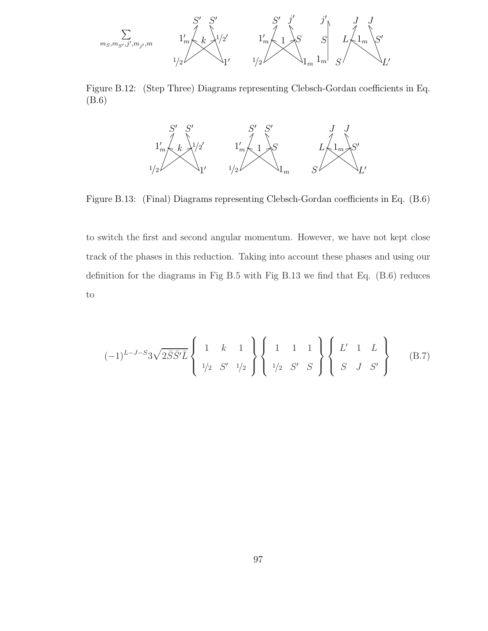

Figure B.12: (Step Three) Diagrams representing Clebsch-Gordan coefficients in Eq. (B.6)



Figure B.13: (Final) Diagrams representing Clebsch-Gordan coefficients in Eq. (B.6)

to switch the first and second angular momentum. However, we have not kept close track of the phases in this reduction. Taking into account these phases and using our definition for the diagrams in Fig B.5 with Fig B.13 we find that Eq. (B.6) reduces to

$$
(-1)^{L-J-S}3\sqrt{2\bar{S}\bar{S}'\bar{L}}\left\{\begin{array}{ccc}1 & k & 1\\ 1/2 & S' & 1/2\end{array}\right\}\left\{\begin{array}{ccc}1 & 1 & 1\\ 1/2 & S' & S\end{array}\right\}\left\{\begin{array}{ccc}L' & 1 & L\\ S & J & S'\end{array}\right\}\n(B.7)
$$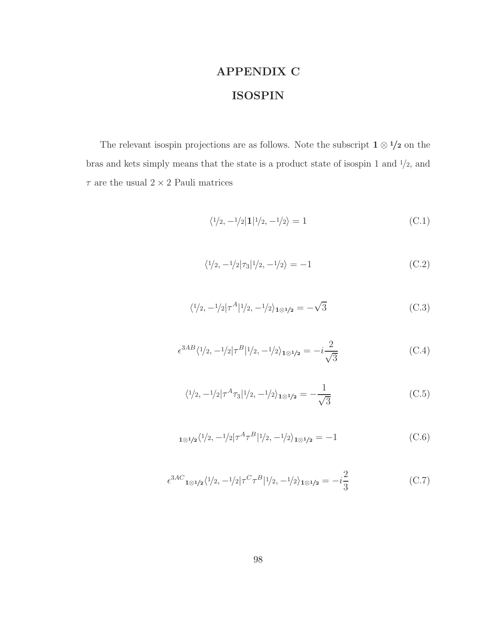# APPENDIX C ISOSPIN

The relevant isospin projections are as follows. Note the subscript  $1 \otimes 1/2$  on the bras and kets simply means that the state is a product state of isospin 1 and  $\frac{1}{2}$ , and  $\tau$  are the usual  $2\times 2$  Pauli matrices

$$
\langle \frac{1}{2}, \frac{-1}{2} | \mathbf{1} | \frac{1}{2}, \frac{-1}{2} \rangle = 1
$$
\n(C.1)

$$
\langle 1/2, -1/2 | \tau_3 | 1/2, -1/2 \rangle = -1 \tag{C.2}
$$

$$
\langle 1/2, -1/2 | \tau^A | 1/2, -1/2 \rangle_{1 \otimes 1/2} = -\sqrt{3}
$$
 (C.3)

$$
\epsilon^{3AB} \langle 1/2, -1/2 | \tau^B | 1/2, -1/2 \rangle_{1 \otimes 1/2} = -i \frac{2}{\sqrt{3}} \tag{C.4}
$$

$$
\langle 1/2, -1/2 | \tau^A \tau_3 | 1/2, -1/2 \rangle_{1 \otimes 1/2} = -\frac{1}{\sqrt{3}} \tag{C.5}
$$

$$
_{1\otimes 1/2}\langle \frac{1}{2}, -\frac{1}{2}|\tau^A \tau^B| \frac{1}{2}, -\frac{1}{2}\rangle_{1\otimes 1/2} = -1
$$
 (C.6)

$$
\epsilon^{3AC} {}_{1\otimes 1/2} \langle 1/2, -1/2 | \tau^C \tau^B | 1/2, -1/2 \rangle_{1\otimes 1/2} = -i\frac{2}{3}
$$
 (C.7)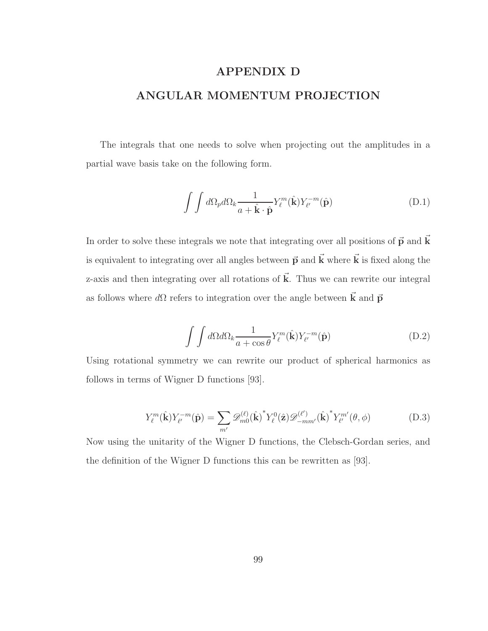## APPENDIX D

## ANGULAR MOMENTUM PROJECTION

The integrals that one needs to solve when projecting out the amplitudes in a partial wave basis take on the following form.

$$
\int \int d\Omega_p d\Omega_k \frac{1}{a + \hat{\mathbf{k}} \cdot \hat{\mathbf{p}}} Y_\ell^m(\hat{\mathbf{k}}) Y_{\ell'}^{-m}(\hat{\mathbf{p}})
$$
(D.1)

In order to solve these integrals we note that integrating over all positions of  $\vec{p}$  and  $\vec{k}$ is equivalent to integrating over all angles between  $\vec{p}$  and  $\vec{k}$  where  $\vec{k}$  is fixed along the z-axis and then integrating over all rotations of  $\vec{k}$ . Thus we can rewrite our integral as follows where  $d\Omega$  refers to integration over the angle between  $\vec{k}$  and  $\vec{p}$ 

$$
\int \int d\Omega d\Omega_k \frac{1}{a + \cos \theta} Y_{\ell}^m(\hat{\mathbf{k}}) Y_{\ell'}^{-m}(\hat{\mathbf{p}})
$$
(D.2)

Using rotational symmetry we can rewrite our product of spherical harmonics as follows in terms of Wigner D functions [93].

$$
Y_{\ell}^{m}(\hat{\mathbf{k}})Y_{\ell'}^{-m}(\hat{\mathbf{p}}) = \sum_{m'} \mathscr{D}_{m0}^{(\ell)}(\hat{\mathbf{k}})^{*} Y_{\ell}^{0}(\hat{\mathbf{z}}) \mathscr{D}_{-mm'}^{(\ell')}(\hat{\mathbf{k}})^{*} Y_{\ell'}^{m'}(\theta, \phi)
$$
(D.3)

Now using the unitarity of the Wigner D functions, the Clebsch-Gordan series, and the definition of the Wigner D functions this can be rewritten as [93].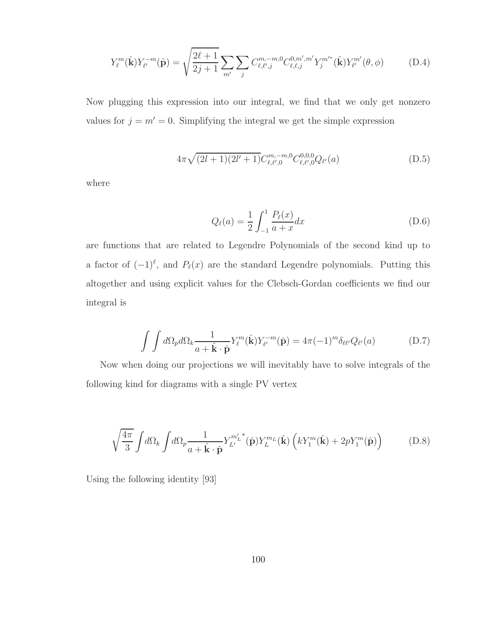$$
Y_{\ell}^{m}(\hat{\mathbf{k}})Y_{\ell'}^{-m}(\hat{\mathbf{p}}) = \sqrt{\frac{2\ell+1}{2j+1}} \sum_{m'} \sum_{j} C_{\ell,\ell',j}^{m,-m,0} C_{\ell,\ell,j}^{0,m',m'} Y_{j}^{m'}(\hat{\mathbf{k}}) Y_{\ell'}^{m'}(\theta,\phi)
$$
(D.4)

Now plugging this expression into our integral, we find that we only get nonzero values for  $j = m' = 0$ . Simplifying the integral we get the simple expression

$$
4\pi\sqrt{(2l+1)(2l'+1)}C_{\ell,\ell',0}^{m,-m,0}C_{\ell,\ell',0}^{0,0,0}Q_{\ell'}(a)
$$
 (D.5)

where

$$
Q_{\ell}(a) = \frac{1}{2} \int_{-1}^{1} \frac{P_{\ell}(x)}{a+x} dx
$$
 (D.6)

are functions that are related to Legendre Polynomials of the second kind up to a factor of  $(-1)^{\ell}$ , and  $P_{\ell}(x)$  are the standard Legendre polynomials. Putting this altogether and using explicit values for the Clebsch-Gordan coefficients we find our integral is

$$
\int \int d\Omega_p d\Omega_k \frac{1}{a + \hat{\mathbf{k}} \cdot \hat{\mathbf{p}}} Y_\ell^m(\hat{\mathbf{k}}) Y_{\ell'}^{-m}(\hat{\mathbf{p}}) = 4\pi (-1)^m \delta_{\ell \ell'} Q_{\ell'}(a) \tag{D.7}
$$

Now when doing our projections we will inevitably have to solve integrals of the following kind for diagrams with a single PV vertex

$$
\sqrt{\frac{4\pi}{3}} \int d\Omega_k \int d\Omega_p \frac{1}{a + \hat{\mathbf{k}} \cdot \hat{\mathbf{p}}} Y_{L'}^{m'_L}^*(\hat{\mathbf{p}}) Y_L^{m_L}(\hat{\mathbf{k}}) \left( k Y_1^m(\hat{\mathbf{k}}) + 2p Y_1^m(\hat{\mathbf{p}}) \right) \tag{D.8}
$$

Using the following identity [93]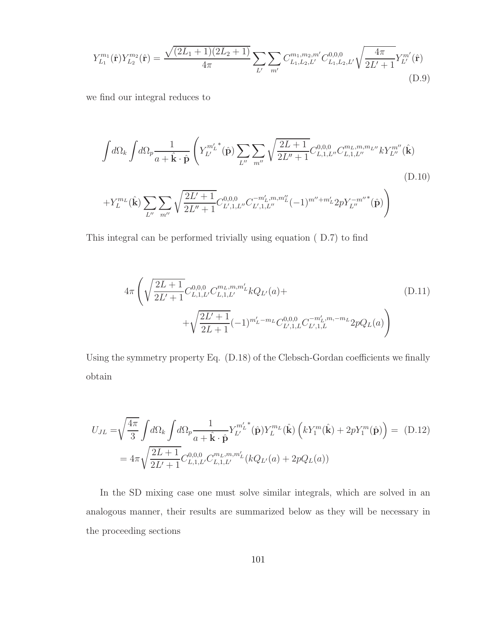$$
Y_{L_1}^{m_1}(\hat{\mathbf{r}})Y_{L_2}^{m_2}(\hat{\mathbf{r}}) = \frac{\sqrt{(2L_1+1)(2L_2+1)}}{4\pi} \sum_{L'} \sum_{m'} C_{L_1, L_2, L'}^{m_1, m_2, m'} C_{L_1, L_2, L'}^{0, 0, 0} \sqrt{\frac{4\pi}{2L' + 1}} Y_{L'}^{m'}(\hat{\mathbf{r}})
$$
\n(D.9)

we find our integral reduces to

$$
\int d\Omega_k \int d\Omega_p \frac{1}{a + \hat{\mathbf{k}} \cdot \hat{\mathbf{p}}} \left( Y_{L'}^{m_L'}(\hat{\mathbf{p}}) \sum_{L''} \sum_{m''} \sqrt{\frac{2L+1}{2L''+1}} C_{L,1,L''}^{0,0,0} C_{L,1,L''}^{m_L, m, m_{L''}} k Y_{L''}^{m''}(\hat{\mathbf{k}}) \right)
$$
\n
$$
+ Y_L^{m_L}(\hat{\mathbf{k}}) \sum_{L''} \sum_{m''} \sqrt{\frac{2L'+1}{2L''+1}} C_{L',1,L''}^{0,0,0} C_{L',1,L''}^{-m_L', m, m_L''}(-1)^{m''+m'_L} 2p Y_{L''}^{-m''*}(\hat{\mathbf{p}}) \right)
$$
\n(D.10)

This integral can be performed trivially using equation ( D.7) to find

$$
4\pi \left( \sqrt{\frac{2L+1}{2L'+1}} C_{L,1,L'}^{0,0,0} C_{L,1,L'}^{m_L, m, m'_L} kQ_{L'}(a) + + \sqrt{\frac{2L'+1}{2L+1}} (-1)^{m'_L - m_L} C_{L',1,L}^{0,0,0} C_{L',1,L}^{-m'_L, m, -m_L} 2pQ_L(a) \right)
$$
(D.11)

Using the symmetry property Eq. (D.18) of the Clebsch-Gordan coefficients we finally obtain

$$
U_{JL} = \sqrt{\frac{4\pi}{3}} \int d\Omega_k \int d\Omega_p \frac{1}{a + \hat{\mathbf{k}} \cdot \hat{\mathbf{p}}} Y_{L'}^{m'_L}(\hat{\mathbf{p}}) Y_L^{m_L}(\hat{\mathbf{k}}) \left( k Y_1^m(\hat{\mathbf{k}}) + 2p Y_1^m(\hat{\mathbf{p}}) \right) = (D.12)
$$
  
=  $4\pi \sqrt{\frac{2L+1}{2L'+1}} C_{L,1,L'}^{0,0,0} C_{L,1,L'}^{m_L, m, m'_L} (k Q_{L'}(a) + 2p Q_L(a))$ 

In the SD mixing case one must solve similar integrals, which are solved in an analogous manner, their results are summarized below as they will be necessary in the proceeding sections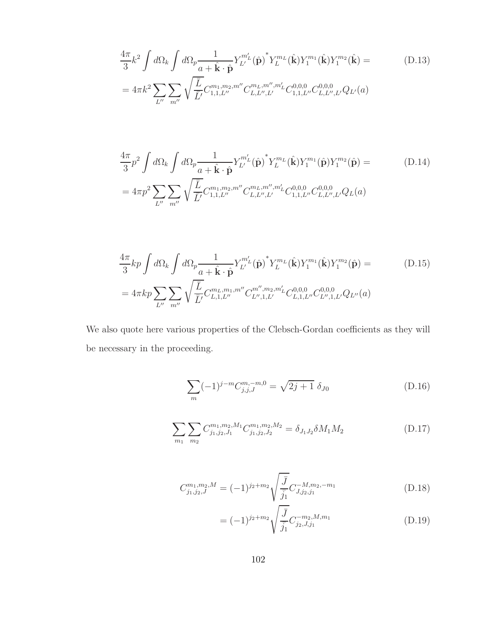$$
\frac{4\pi}{3}k^2 \int d\Omega_k \int d\Omega_p \frac{1}{a + \hat{\mathbf{k}} \cdot \hat{\mathbf{p}}} Y_L^{m'_L}(\hat{\mathbf{p}})^* Y_L^{m_L}(\hat{\mathbf{k}}) Y_1^{m_1}(\hat{\mathbf{k}}) Y_1^{m_2}(\hat{\mathbf{k}}) =
$$
\n
$$
= 4\pi k^2 \sum_{L''} \sum_{m''} \sqrt{\frac{\bar{L}}{\bar{L}'} C_{1,1,L''}^{m_1, m_2, m''} C_{L,L'',L'}^{m_L, m'',m'_L} C_{1,1,L''}^{0,0,0} C_{L,L'',L'}^{0,0,0} Q_{L'}(a)
$$
\n(D.13)

$$
\frac{4\pi}{3}p^2 \int d\Omega_k \int d\Omega_p \frac{1}{a + \hat{\mathbf{k}} \cdot \hat{\mathbf{p}}} Y_{L'}^{m'_L}(\hat{\mathbf{p}})^* Y_L^{m_L}(\hat{\mathbf{k}}) Y_1^{m_1}(\hat{\mathbf{p}}) Y_1^{m_2}(\hat{\mathbf{p}}) =
$$
\n
$$
= 4\pi p^2 \sum_{L''} \sum_{m''} \sqrt{\frac{\bar{L}}{\bar{L}'} C_{1,1,L''}^{m_1, m_2, m''} C_{L,L'',L'}^{m_L, m'', m'_L} C_{1,1,L''}^{0,0,0} C_{L,L'',L'}^{0,0,0} Q_L(a)
$$
\n(D.14)

$$
\frac{4\pi}{3}kp\int d\Omega_k \int d\Omega_p \frac{1}{a+\hat{\mathbf{k}}\cdot\hat{\mathbf{p}}} Y_L^{m'_L}(\hat{\mathbf{p}})^* Y_L^{m_L}(\hat{\mathbf{k}}) Y_1^{m_1}(\hat{\mathbf{k}}) Y_1^{m_2}(\hat{\mathbf{p}}) =
$$
\n
$$
= 4\pi kp \sum_{L''} \sum_{m''} \sqrt{\frac{\bar{L}}{\bar{L}'} C_{L,1,L''}^{m_L, m_1, m''} C_{L'',1,L'}^{m'', m_2, m'_L} C_{L,1,L''}^{0,0,0} C_{L'',1,L'}^{0,0,0} Q_{L''}(a)
$$
\n(D.15)

We also quote here various properties of the Clebsch-Gordan coefficients as they will be necessary in the proceeding.

$$
\sum_{m} (-1)^{j-m} C_{j,j,J}^{m,-m,0} = \sqrt{2j+1} \, \delta_{J0}
$$
 (D.16)

$$
\sum_{m_1} \sum_{m_2} C^{m_1, m_2, M_1}_{j_1, j_2, J_1} C^{m_1, m_2, M_2}_{j_1, j_2, J_2} = \delta_{J_1 J_2} \delta M_1 M_2 \tag{D.17}
$$

$$
C_{j_1,j_2,J}^{m_1,m_2,M} = (-1)^{j_2+m_2} \sqrt{\frac{\bar{J}}{\bar{j_1}}} C_{J,j_2,j_1}^{-M,m_2,-m_1}
$$
(D.18)

$$
= (-1)^{j_2 + m_2} \sqrt{\frac{\bar{J}}{\bar{j}_1}} C^{-m_2, M, m_1}_{j_2, J, j_1}
$$
 (D.19)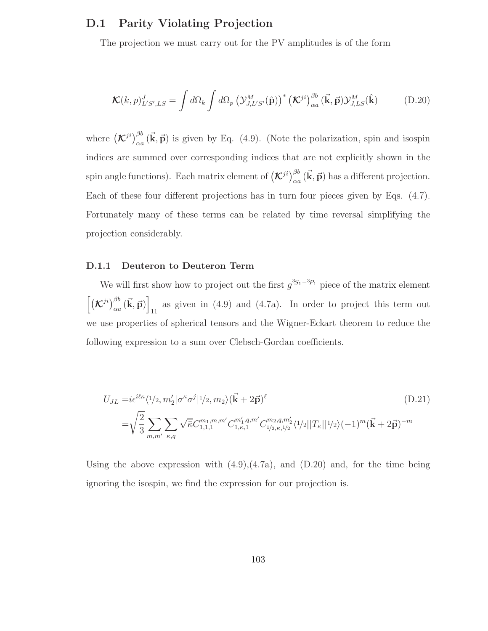## D.1 Parity Violating Projection

The projection we must carry out for the PV amplitudes is of the form

$$
\mathcal{K}(k,p)_{L'S',LS}^J = \int d\Omega_k \int d\Omega_p \left( \mathcal{Y}_{J,L'S'}^M(\hat{\mathbf{p}}) \right)^* \left( \mathcal{K}^{ji} \right)_{\alpha a}^{\beta b} (\vec{\mathbf{k}}, \vec{\mathbf{p}}) \mathcal{Y}_{J,LS}^M(\hat{\mathbf{k}})
$$
(D.20)

where  $(\mathcal{K}^{ji})_{\alpha a}^{\beta b}(\vec{k}, \vec{p})$  is given by Eq. (4.9). (Note the polarization, spin and isospin indices are summed over corresponding indices that are not explicitly shown in the spin angle functions). Each matrix element of  $(\mathcal{K}^{ji})_{\alpha a}^{\beta b}(\vec{k}, \vec{p})$  has a different projection. Each of these four different projections has in turn four pieces given by Eqs. (4.7). Fortunately many of these terms can be related by time reversal simplifying the projection considerably.

#### D.1.1 Deuteron to Deuteron Term

We will first show how to project out the first  $g^{3S_1-3P_1}$  piece of the matrix element  $\left[\left(\mathcal{K}^{ji}\right)_{\alpha a}^{\beta b}(\vec{\mathbf{k}},\vec{\mathbf{p}})\right]$ as given in  $(4.9)$  and  $(4.7a)$ . In order to project this term out we use properties of spherical tensors and the Wigner-Eckart theorem to reduce the following expression to a sum over Clebsch-Gordan coefficients.

$$
U_{JL} = i\epsilon^{i\ell\kappa} \langle 1/2, m_2' | \sigma^{\kappa} \sigma^j | 1/2, m_2 \rangle (\vec{\mathbf{k}} + 2\vec{\mathbf{p}})^{\ell}
$$
(D.21)  

$$
= \sqrt{\frac{2}{3}} \sum_{m,m'} \sum_{\kappa,q} \sqrt{\bar{\kappa}} C_{1,1,1}^{m_1, m,m'} C_{1,\kappa,1}^{m'_1, q,m'} C_{1/2,\kappa,1/2}^{m_2, q,m'_2} \langle 1/2 | |T_{\kappa}| | 1/2 \rangle (-1)^m (\vec{\mathbf{k}} + 2\vec{\mathbf{p}})^{-m}
$$

Using the above expression with  $(4.9)$ , $(4.7a)$ , and  $(D.20)$  and, for the time being ignoring the isospin, we find the expression for our projection is.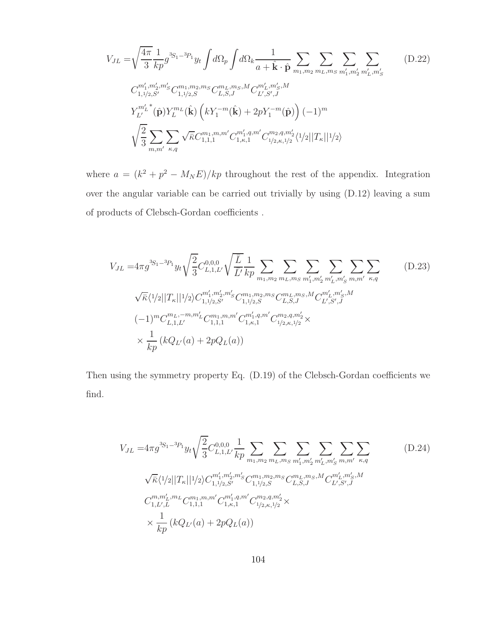$$
V_{JL} = \sqrt{\frac{4\pi}{3}} \frac{1}{kp} g^{3S_1 - 3p_1} y_t \int d\Omega_p \int d\Omega_k \frac{1}{a + \hat{\mathbf{k}} \cdot \hat{\mathbf{p}}} \sum_{m_1, m_2} \sum_{m_L, m_S} \sum_{m'_1, m'_2} \sum_{m'_L, m'_S} (D.22)
$$
  
\n
$$
C_{1,1/2,S'}^{m'_1, m'_2, m'_S} C_{1,1/2,S}^{m_1, m_2, m_S} C_{L,S,J}^{m_L, m_S, M} C_{L',S',J}^{m'_L, m'_S, M}
$$
  
\n
$$
Y_{L'}^{m'_L}^*(\hat{\mathbf{p}}) Y_L^{m_L}(\hat{\mathbf{k}}) \left(k Y_1^{-m} (\hat{\mathbf{k}}) + 2p Y_1^{-m} (\hat{\mathbf{p}})\right) (-1)^m
$$
  
\n
$$
\sqrt{\frac{2}{3}} \sum_{m,m'} \sum_{\kappa,q} \sqrt{\bar{\kappa}} C_{1,1,1}^{m_1, m,m'} C_{1,\kappa,1}^{m'_1, q,m'} C_{1/2,\kappa,1/2}^{m_2, q,m'_2} \langle 1/2 ||T_{\kappa}||1/2 \rangle
$$

where  $a = (k^2 + p^2 - M_N E)/kp$  throughout the rest of the appendix. Integration over the angular variable can be carried out trivially by using (D.12) leaving a sum of products of Clebsch-Gordan coefficients .

$$
V_{JL} = 4\pi g^{3S_1 - 3P_1} y_t \sqrt{\frac{2}{3}} C_{L,1,L'}^{0,0,0} \sqrt{\frac{L}{L}} \frac{1}{kp} \sum_{m_1, m_2} \sum_{m_L, m_S} \sum_{m'_1, m'_2} \sum_{m'_L, m'_S} \sum_{m, m'_L, m'_S} \sum_{m, m'_L, m'_S} \sqrt{\overline{\kappa}} \langle 1/2 | |T_{\kappa}| |1/2 \rangle C_{1,1/2,S'}^{m'_1, m'_2, m'_S} C_{1,1/2,S}^{m_1, m_2, m_S} C_{L,S,J}^{m_L, m_S, M} C_{L',S',J}^{m'_L, m'_S, M}
$$
  
\n
$$
(-1)^m C_{L,1,L'}^{m_L, -m, m'_L} C_{1,1,1}^{m_1, m, m'} C_{1,\kappa,1}^{m'_1, q, m'} C_{1/2,\kappa,1/2}^{m_2, q, m'_2} \times \frac{1}{kp} (kQ_{L'}(a) + 2pQ_L(a))
$$
\n
$$
(D.23)
$$

Then using the symmetry property Eq. (D.19) of the Clebsch-Gordan coefficients we find.

$$
V_{JL} = 4\pi g^{3S_1 - 3P_1} y_t \sqrt{\frac{2}{3}} C_{L,1,L'}^{0,0,0} \frac{1}{kp} \sum_{m_1, m_2} \sum_{m_L, m_S} \sum_{m'_1, m'_2} \sum_{m'_L, m'_S} \sum_{m, m'} \sum_{\kappa, q} \sqrt{\overline{\kappa}} \langle 1/2 | |T_{\kappa}| |1/2 \rangle C_{1,1/2,S'}^{m'_1, m'_2, m'_S} C_{1,1/2,S}^{m_1, m_2, m_S} C_{L,S,J}^{m_L, m_S, M} C_{L',S',J}^{m'_L, m'_S, M}
$$
  
\n
$$
C_{1,L',L}^{m, m'_L, m_L} C_{1,1,1}^{m_1, m, m'} C_{1,\kappa,1}^{m'_1, q, m'} C_{1/2,\kappa,1/2}^{m_2, q, m'_2} \times \frac{1}{kp} (kQ_{L'}(a) + 2pQ_L(a))
$$
\n
$$
(D.24)
$$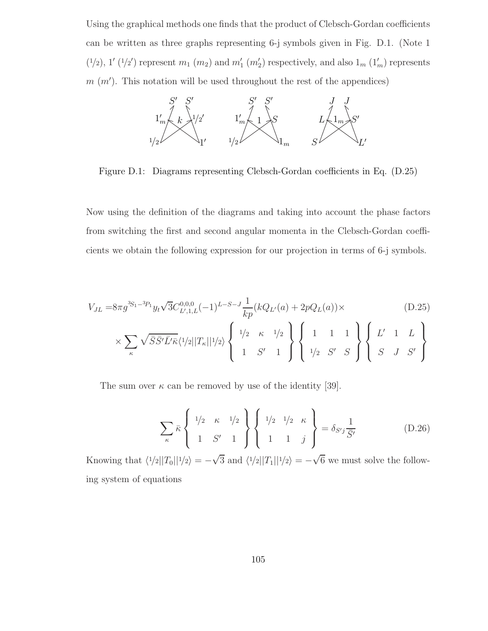Using the graphical methods one finds that the product of Clebsch-Gordan coefficients can be written as three graphs representing 6-j symbols given in Fig. D.1. (Note 1  $(1/2)$ ,  $1'$   $(1/2')$  represent  $m_1$   $(m_2)$  and  $m'_1$   $(m'_2)$  respectively, and also  $1_m$   $(1'_m)$  represents  $m(m')$ . This notation will be used throughout the rest of the appendices)



Figure D.1: Diagrams representing Clebsch-Gordan coefficients in Eq. (D.25)

Now using the definition of the diagrams and taking into account the phase factors from switching the first and second angular momenta in the Clebsch-Gordan coefficients we obtain the following expression for our projection in terms of 6-j symbols.

$$
V_{JL} = 8\pi g^{3S_1 - 3P_1} y_t \sqrt{3} C_{L',1,L}^{0,0,0} (-1)^{L-S-J} \frac{1}{kp} (kQ_{L'}(a) + 2pQ_L(a)) \times \tag{D.25}
$$

$$
\times \sum_{\kappa} \sqrt{\bar{S}\bar{S}'\bar{L}'\bar{\kappa}} \langle 1/2||T_{\kappa}||1/2 \rangle \left\{ \begin{array}{ccc} 1/2 & \kappa & 1/2 \\ 1 & S' & 1 \end{array} \right\} \left\{ \begin{array}{ccc} 1 & 1 & 1 \\ 1/2 & S' & S \end{array} \right\} \left\{ \begin{array}{ccc} L' & 1 & L \\ S & J & S' \end{array} \right\}
$$

The sum over  $\kappa$  can be removed by use of the identity [39].

$$
\sum_{\kappa} \bar{\kappa} \left\{ \begin{array}{ccc} 1/2 & \kappa & 1/2 \\ 1 & S' & 1 \end{array} \right\} \left\{ \begin{array}{ccc} 1/2 & 1/2 & \kappa \\ 1 & 1 & j \end{array} \right\} = \delta_{S'j} \frac{1}{\bar{S}'} \tag{D.26}
$$

Knowing that  $\langle 1/2||T_0||1/2\rangle = -\sqrt{3}$  and  $\langle 1/2||T_1||1/2\rangle = -\sqrt{6}$  we must solve the following system of equations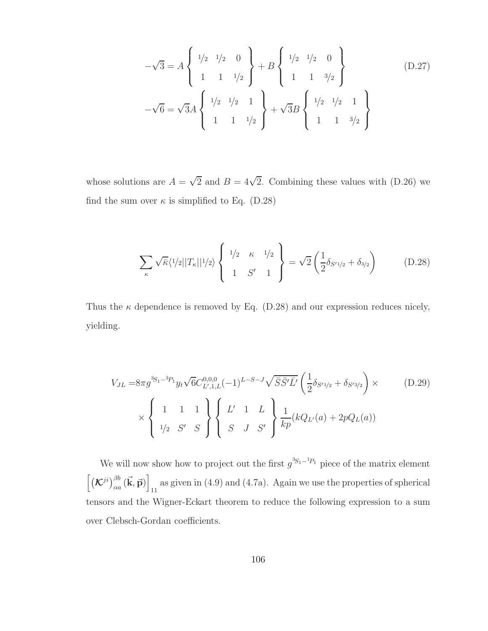$$
-\sqrt{3} = A \begin{Bmatrix} 1/2 & 1/2 & 0 \\ 1 & 1 & 1/2 \\ 0 & 0 & 1 \end{Bmatrix} + B \begin{Bmatrix} 1/2 & 1/2 & 0 \\ 1 & 1 & 3/2 \\ 1 & 1 & 3/2 \end{Bmatrix}
$$
(D.27)  

$$
-\sqrt{6} = \sqrt{3}A \begin{Bmatrix} 1/2 & 1/2 & 1 \\ 1 & 1 & 1/2 \\ 1 & 1 & 1/2 \end{Bmatrix} + \sqrt{3}B \begin{Bmatrix} 1/2 & 1/2 & 1 \\ 1 & 1 & 3/2 \\ 1 & 1 & 3/2 \end{Bmatrix}
$$

whose solutions are  $A = \sqrt{2}$  and  $B = 4\sqrt{2}$ . Combining these values with (D.26) we find the sum over  $\kappa$  is simplified to Eq. (D.28)

$$
\sum_{\kappa} \sqrt{\bar{\kappa}} \langle 1/2 ||T_{\kappa}||1/2 \rangle \left\{ 1/2 \kappa 1/2 \atop 1 \ S' 1 \right\} = \sqrt{2} \left( \frac{1}{2} \delta_{S'1/2} + \delta_{3/2} \right) \tag{D.28}
$$

Thus the  $\kappa$  dependence is removed by Eq. (D.28) and our expression reduces nicely, yielding.

$$
V_{JL} = 8\pi g^{3S_1 - 3P_1} y_t \sqrt{6} C_{L',1,L}^{0,0,0} (-1)^{L-S-J} \sqrt{\bar{S}\bar{S}'\bar{L}'} \left(\frac{1}{2} \delta_{S'1/2} + \delta_{S'3/2}\right) \times \qquad (D.29)
$$
  
\$\times \begin{cases} 1 & 1 & 1 \\ 1/2 & S' & S \end{cases} \begin{cases} L' & 1 & L \\ S & J & S' \end{cases} \begin{cases} \frac{1}{kp}(kQ\_{L'}(a) + 2pQ\_L(a)) \end{cases}

We will now show how to project out the first  $g^{3S_1-1}P_1$  piece of the matrix element  $\left[\left(\mathcal{K}^{ji}\right)_{\alpha a}^{\beta b}(\vec{\mathbf{k}},\vec{\mathbf{p}})\right]$ as given in  $(4.9)$  and  $(4.7a)$ . Again we use the properties of spherical tensors and the Wigner-Eckart theorem to reduce the following expression to a sum over Clebsch-Gordan coefficients.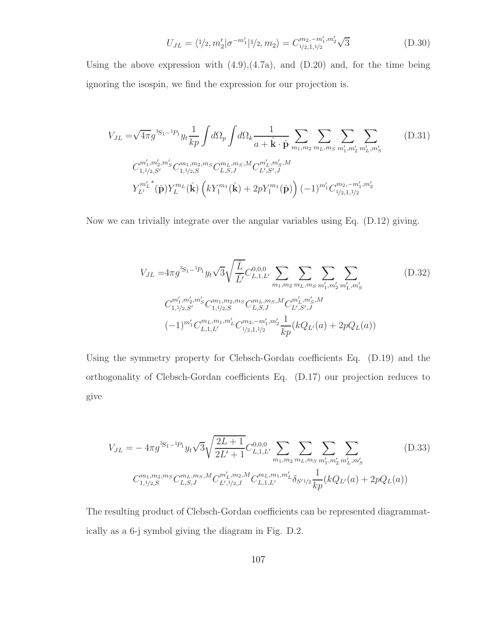$$
U_{JL} = \langle 1/2, m_2' | \sigma^{-m_1'} | 1/2, m_2 \rangle = C_{1/2, 1, 1/2}^{m_2, -m_1', m_2'} \sqrt{3}
$$
 (D.30)

Using the above expression with  $(4.9)$ , $(4.7a)$ , and  $(D.20)$  and, for the time being ignoring the isospin, we find the expression for our projection is.

$$
V_{JL} = \sqrt{4\pi} g^{3S_1 - 1} P_1 y_t \frac{1}{kp} \int d\Omega_p \int d\Omega_k \frac{1}{a + \hat{\mathbf{k}} \cdot \hat{\mathbf{p}}} \sum_{m_1, m_2} \sum_{m_L, m_S} \sum_{m'_1, m'_2} \sum_{m'_L, m'_S} \sum_{m'_L, m'_S} (D.31)
$$
  
\n
$$
C_{1,1/2,S'}^{m'_1, m'_2, m'_S} C_{1,1/2,S}^{m_1, m_2, m_S} C_{L,S,J}^{m_L, m_S, M} C_{L',S',J}^{m'_L, m'_S, M}
$$
  
\n
$$
Y_{L'}^{m'_L}(\hat{\mathbf{p}}) Y_L^{m_L}(\hat{\mathbf{k}}) \left( k Y_1^{m_1}(\hat{\mathbf{k}}) + 2p Y_1^{m_1}(\hat{\mathbf{p}}) \right) (-1)^{m'_1} C_{1/2,1,1/2}^{m_2, -m'_1, m'_2}
$$
 (D.31)

Now we can trivially integrate over the angular variables using Eq. (D.12) giving.

$$
V_{JL} = 4\pi g^{3S_1 - 1} P_1 y_t \sqrt{3} \sqrt{\frac{\overline{L}}{\overline{L}'}} C_{L,1,L'}^{0,0,0} \sum_{m_1, m_2} \sum_{m_L, m_S} \sum_{m'_1, m'_2} \sum_{m'_L, m'_S} (D.32)
$$
  

$$
C_{1,1/2,S'}^{m'_1, m'_2, m'_S} C_{1,1/2,S}^{m_1, m_2, m_S} C_{L,S,J}^{m_L, m_S, M} C_{L',S',J}^{m'_L, m'_S, M}
$$
  

$$
(-1)^{m'_1} C_{L,1,L'}^{m_L, m_1, m'_L} C_{1/2,1,1/2}^{m_2, -m'_1, m'_2} \frac{1}{kp} (kQ_{L'}(a) + 2pQ_L(a))
$$

Using the symmetry property for Clebsch-Gordan coefficients Eq. (D.19) and the orthogonality of Clebsch-Gordan coefficients Eq. (D.17) our projection reduces to give

$$
V_{JL} = -4\pi g^{3S_1 - 1} P_1 y_t \sqrt{3} \sqrt{\frac{2L+1}{2L'+1}} C_{L,1,L'}^{0,0,0} \sum_{m_1, m_2} \sum_{m_L, m_S} \sum_{m'_1, m'_2} \sum_{m'_L, m'_S} (D.33)
$$
  

$$
C_{1,1/2,S}^{m_1, m_2, m_S} C_{L,S,J}^{m_L, m_S, M} C_{L',1/2,J}^{m'_L, m_2, M} C_{L,1,L'}^{m_L, m_1, m'_L} \delta_{S'1/2} \frac{1}{kp} (kQ_{L'}(a) + 2pQ_L(a))
$$

The resulting product of Clebsch-Gordan coefficients can be represented diagrammatically as a 6-j symbol giving the diagram in Fig. D.2.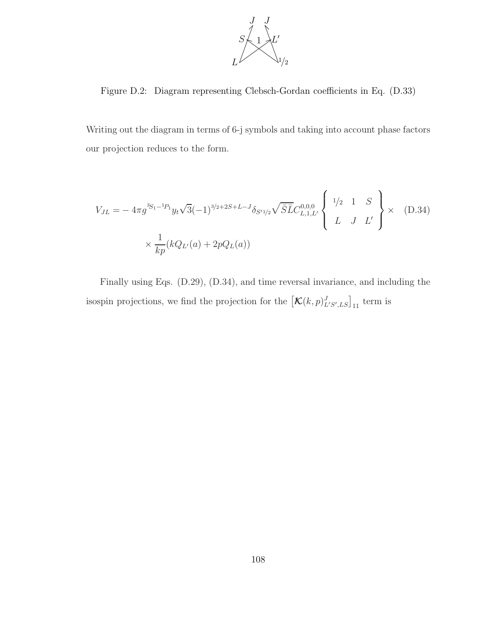

Figure D.2: Diagram representing Clebsch-Gordan coefficients in Eq. (D.33)

Writing out the diagram in terms of 6-j symbols and taking into account phase factors our projection reduces to the form.

$$
V_{JL} = -4\pi g^{3S_1 - 1} \nu_t \sqrt{3} (-1)^{3/2 + 2S + L - J} \delta_{S'1/2} \sqrt{\bar{S}L} C_{L,1,L'}^{0,0,0} \begin{Bmatrix} 1/2 & 1 & S \\ L & J & L' \end{Bmatrix} \times (D.34)
$$
  

$$
\times \frac{1}{kp} (kQ_{L'}(a) + 2pQ_L(a))
$$

Finally using Eqs. (D.29), (D.34), and time reversal invariance, and including the isospin projections, we find the projection for the  $\left[\mathcal{K}(k,p)_{L'S',LS}^J\right]_{11}$  term is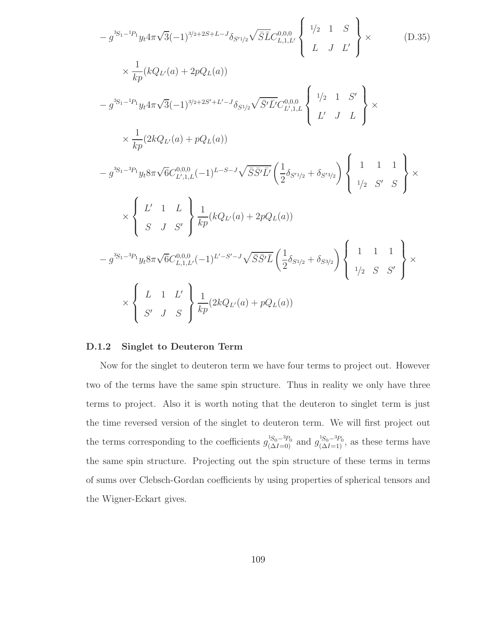$$
-g^{3S_{1}-1}P_{1}y_{t}4\pi\sqrt{3}(-1)^{3/2+2S+L-J}\delta_{S^{I}/2}\sqrt{\overline{S}}\overline{L}C_{L,1,L'}^{0,0,0}\left\{\begin{array}{l}1/2 & 1 & S\\L & J & L'\end{array}\right\}\times
$$
\n
$$
\times \frac{1}{kp}(kQ_{L'}(a)+2pQ_{L}(a))
$$
\n
$$
-g^{3S_{1}-1}P_{1}y_{t}4\pi\sqrt{3}(-1)^{3/2+2S'+L'-J}\delta_{S^{1/2}}\sqrt{\overline{S'}\overline{L}C_{L',1,L}^{0,0,0}}\left\{\begin{array}{l}1/2 & 1 & S'\\L' & J & L\end{array}\right\}\times
$$
\n
$$
\times \frac{1}{kp}(2kQ_{L'}(a)+pQ_{L}(a))
$$
\n
$$
-g^{3S_{1}-3}P_{1}y_{t}8\pi\sqrt{6}C_{L',1,L}^{0,0,0}(-1)^{L-S-J}\sqrt{\overline{S}\overline{S'}\overline{L}C}\left(\frac{1}{2}\delta_{S^{I}/2}+\delta_{S^{I}/2}\right)\left\{\begin{array}{l}1 & 1 & 1\\1/2 & S' & S\end{array}\right\}\times
$$
\n
$$
\times \left\{\begin{array}{l}L' & 1 & L\\S & J & S'\end{array}\right\}\frac{1}{kp}(kQ_{L'}(a)+2pQ_{L}(a))
$$
\n
$$
-g^{3S_{1}-3P_{1}}y_{t}8\pi\sqrt{6}C_{L,1,L'}^{0,0,0}(-1)^{L'-S'-J}\sqrt{\overline{S}\overline{S'}\overline{L}}\left(\frac{1}{2}\delta_{S^{1/2}}+\delta_{S^{3/2}}\right)\left\{\begin{array}{l}1 & 1 & 1\\1/2 & S & S'\end{array}\right\}\times
$$
\n
$$
\times \left\{\begin{array}{l}L & 1 & L'\\S' & J & S\end{array}\right\}\frac{1}{kp}(2kQ_{L'}(a)+pQ_{L}(a))
$$

## D.1.2 Singlet to Deuteron Term

Now for the singlet to deuteron term we have four terms to project out. However two of the terms have the same spin structure. Thus in reality we only have three terms to project. Also it is worth noting that the deuteron to singlet term is just the time reversed version of the singlet to deuteron term. We will first project out the terms corresponding to the coefficients  $g_{(\Delta I=0)}^{1S_0-3P_0}$  and  $g_{(\Delta I=1)}^{1S_0-3P_0}$ , as these terms have the same spin structure. Projecting out the spin structure of these terms in terms of sums over Clebsch-Gordan coefficients by using properties of spherical tensors and the Wigner-Eckart gives.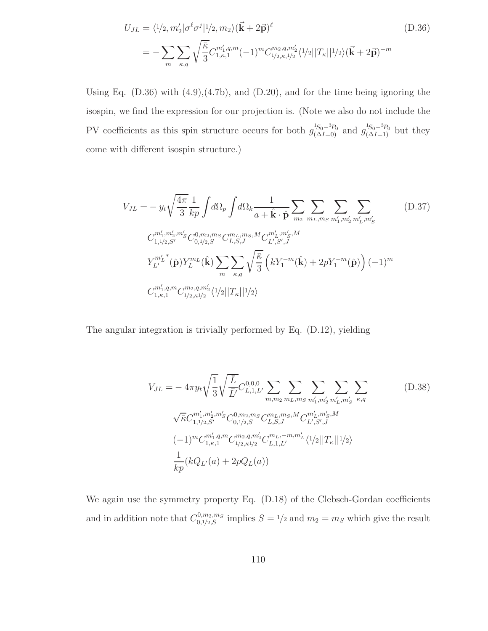$$
U_{JL} = \langle 1/2, m_2' | \sigma^{\ell} \sigma^j | 1/2, m_2 \rangle (\vec{\mathbf{k}} + 2\vec{\mathbf{p}})^{\ell}
$$
(D.36)  

$$
= -\sum_{m} \sum_{\kappa, q} \sqrt{\frac{\bar{\kappa}}{3}} C_{1,\kappa,1}^{m_1', q, m} (-1)^m C_{1/2,\kappa,1/2}^{m_2, q, m_2'} \langle 1/2 | |T_{\kappa}||^2 / 2 \rangle (\vec{\mathbf{k}} + 2\vec{\mathbf{p}})^{-m}
$$

Using Eq. (D.36) with (4.9),(4.7b), and (D.20), and for the time being ignoring the isospin, we find the expression for our projection is. (Note we also do not include the PV coefficients as this spin structure occurs for both  $g_{(\Delta I=0)}^{^{1S_0-3}P_0}$  and  $g_{(\Delta I=1)}^{^{1S_0-3}P_0}$  but they come with different isospin structure.)

$$
V_{JL} = -y_t \sqrt{\frac{4\pi}{3}} \frac{1}{kp} \int d\Omega_p \int d\Omega_k \frac{1}{a + \hat{\mathbf{k}} \cdot \hat{\mathbf{p}}} \sum_{m_2} \sum_{m_L, m_S} \sum_{m'_1, m'_2} \sum_{m'_L, m'_S} \sum_{m'_L, m'_S} (D.37)
$$
  
\n
$$
C_{1,1/2,S'}^{m'_1, m'_2, m'_S} C_{0,1/2,S}^{0, m_2, m_S} C_{L,S,J}^{m_L, m_S, M} C_{L',S',J}^{m'_L, m'_S, M}
$$
  
\n
$$
Y_{L'}^{m'_L}(\hat{\mathbf{p}}) Y_L^{m_L}(\hat{\mathbf{k}}) \sum_{m} \sum_{\kappa,q} \sqrt{\frac{\bar{\kappa}}{3}} \left( k Y_1^{-m}(\hat{\mathbf{k}}) + 2p Y_1^{-m}(\hat{\mathbf{p}}) \right) (-1)^m
$$
  
\n
$$
C_{1,\kappa,1}^{m'_1, q, m} C_{1/2,\kappa 1/2}^{m_2, q, m'_2} \langle 1/2 | |T_{\kappa}| | 1/2 \rangle
$$
\n(11)

The angular integration is trivially performed by Eq. (D.12), yielding

$$
V_{JL} = -4\pi y_t \sqrt{\frac{1}{3}} \sqrt{\frac{\bar{L}}{\bar{L}'}} C_{L,1,L'}^{0,0,0} \sum_{m,m_2} \sum_{m_L,m_S} \sum_{m'_1,m'_2} \sum_{m'_L,m'_S} \sum_{\kappa,q}
$$
\n
$$
\sqrt{\bar{\kappa}} C_{1,1/2,S'}^{m'_1,m'_2,m'_S} C_{0,1/2,S}^{0,m_2,m_S} C_{L,S,J}^{m_L,m_S,M} C_{L',S',J}^{m'_L,m'_S,M}
$$
\n
$$
(-1)^m C_{1,\kappa,1}^{m'_1,q,m} C_{1/2,\kappa1/2}^{m_2,q,m'_2} C_{L,1,L'}^{m_L,-m,m'_L} \langle 1/2 ||T_{\kappa}||1/2 \rangle
$$
\n
$$
\frac{1}{kp} (kQ_{L'}(a) + 2pQ_L(a))
$$
\n(11.1)

We again use the symmetry property Eq. (D.18) of the Clebsch-Gordan coefficients and in addition note that  $C_{0,1/2,S}^{0,m_2,m_S}$  implies  $S = 1/2$  and  $m_2 = m_S$  which give the result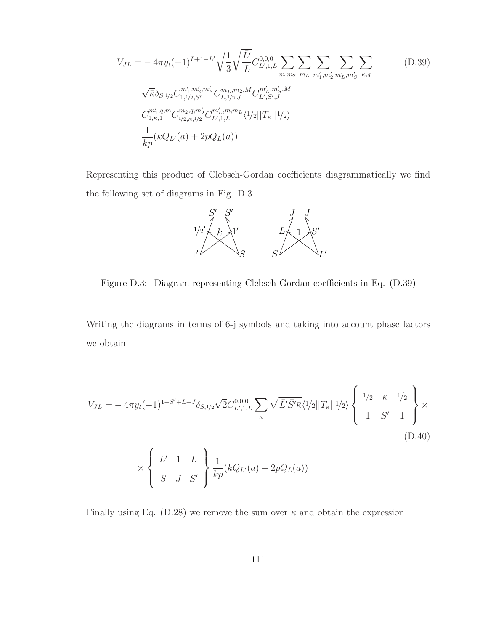$$
V_{JL} = -4\pi y_t (-1)^{L+1-L'} \sqrt{\frac{1}{3}} \sqrt{\frac{\bar{L}'}{\bar{L}}} C_{L',1,L}^{0,0,0} \sum_{m,m_2} \sum_{m_L} \sum_{m'_1, m'_2} \sum_{m'_L, m'_S} \sum_{\kappa,q} \sqrt{\bar{\kappa}} \delta_{S,1/2} C_{1,1/2,S'}^{m'_1, m'_2, m'_S} C_{L,1/2,J}^{m_L, m_2, M} C_{L',S',J}^{m'_L, m'_S, M}
$$
  
\n
$$
C_{1,\kappa,1}^{m'_1, q, m} C_{1/2,\kappa,1/2}^{m_2, q, m'_2} C_{L',1,L}^{m'_L, m, m_L} \langle 1/2 ||T_{\kappa}||1/2 \rangle
$$
  
\n
$$
\frac{1}{kp} (kQ_{L'}(a) + 2pQ_L(a))
$$
\n(10.39)

Representing this product of Clebsch-Gordan coefficients diagrammatically we find the following set of diagrams in Fig. D.3



Figure D.3: Diagram representing Clebsch-Gordan coefficients in Eq. (D.39)

Writing the diagrams in terms of 6-j symbols and taking into account phase factors we obtain

$$
V_{JL} = -4\pi y_t (-1)^{1+S'+L-J} \delta_{S,1/2} \sqrt{2} C_{L',1,L}^{0,0,0} \sum_{\kappa} \sqrt{\bar{L}' \bar{S}'} \bar{\kappa} \langle 1/2 ||T_{\kappa}||1/2 \rangle \begin{Bmatrix} 1/2 & \kappa & 1/2 \\ 1 & S' & 1 \end{Bmatrix} \times \begin{Bmatrix} \sum_{i=1}^{L} 1 & L \\ S & J & S' \end{Bmatrix} \frac{1}{kp} (kQ_{L'}(a) + 2pQ_{L}(a))
$$
\n(D.40)

Finally using Eq. (D.28) we remove the sum over  $\kappa$  and obtain the expression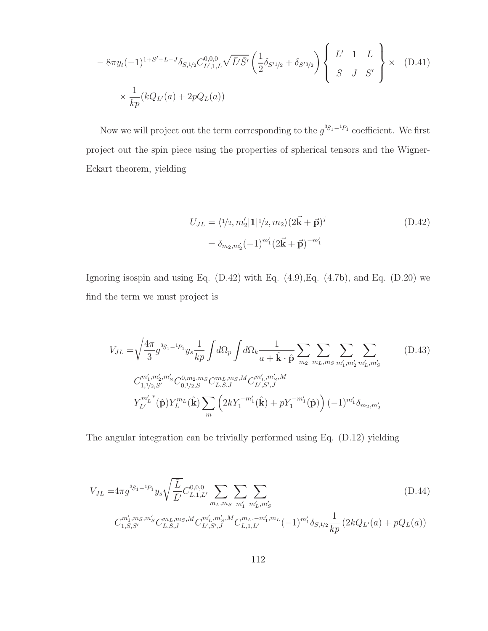$$
-8\pi y_t(-1)^{1+S'+L-J}\delta_{S,1/2}C_{L',1,L}^{0,0,0}\sqrt{\bar{L}'\bar{S}'}\left(\frac{1}{2}\delta_{S'1/2}+\delta_{S'3/2}\right)\left\{\begin{array}{ccc}L' & 1 & L \\ S & J & S'\end{array}\right\}\times (D.41)
$$
  

$$
\times \frac{1}{kp}(kQ_{L'}(a)+2pQ_L(a))
$$

Now we will project out the term corresponding to the  $g^{3S_1-1P_1}$  coefficient. We first project out the spin piece using the properties of spherical tensors and the Wigner-Eckart theorem, yielding

$$
U_{JL} = \langle 1/2, m_2' | 1 | 1/2, m_2 \rangle (2\vec{k} + \vec{p})^j
$$
  
=  $\delta_{m_2, m_2'}(-1)^{m_1'} (2\vec{k} + \vec{p})^{-m_1'}$  (D.42)

Ignoring isospin and using Eq.  $(D.42)$  with Eq.  $(4.9)$ , Eq.  $(4.7b)$ , and Eq.  $(D.20)$  we find the term we must project is

$$
V_{JL} = \sqrt{\frac{4\pi}{3}} g^{3S_1 - 1} P_1 y_s \frac{1}{kp} \int d\Omega_p \int d\Omega_k \frac{1}{a + \hat{\mathbf{k}} \cdot \hat{\mathbf{p}} \sum_{m_2} \sum_{m_L, m_S} \sum_{m'_1, m'_2} \sum_{m'_L, m'_S} (D.43)
$$
  
\n
$$
C_{1,1/2,S'}^{m'_1, m'_2, m'_S} C_{0,1/2,S}^{0, m_2, m_S} C_{L,S,J}^{m_L, m_S, M} C_{L',S',J}^{m'_L, m'_S, M}
$$
  
\n
$$
Y_{L'}^{m'_L}(\hat{\mathbf{p}}) Y_L^{m_L}(\hat{\mathbf{k}}) \sum_m \left(2k Y_1^{-m'_1}(\hat{\mathbf{k}}) + p Y_1^{-m'_1}(\hat{\mathbf{p}})\right) (-1)^{m'_1} \delta_{m_2, m'_2}
$$
\n(D.43)

The angular integration can be trivially performed using Eq. (D.12) yielding

$$
V_{JL} = 4\pi g^{3S_1 - 1} P_1 y_s \sqrt{\frac{\overline{L}}{\overline{L}'}} C_{L,1,L'}^{0,0,0} \sum_{m_L, m_S} \sum_{m'_1} \sum_{m'_L, m'_S} \chi_{m'_L, m'_S} \tag{D.44}
$$
  

$$
C_{1,S,S'}^{m'_1, m_S, m'_S} C_{L,S,J}^{m_L, m_S, M} C_{L',S',J}^{m'_L, m'_S, M} C_{L,1,L'}^{m_L, -m'_1, m_L} (-1)^{m'_1} \delta_{S,1/2} \frac{1}{kp} \left( 2kQ_{L'}(a) + pQ_L(a) \right)
$$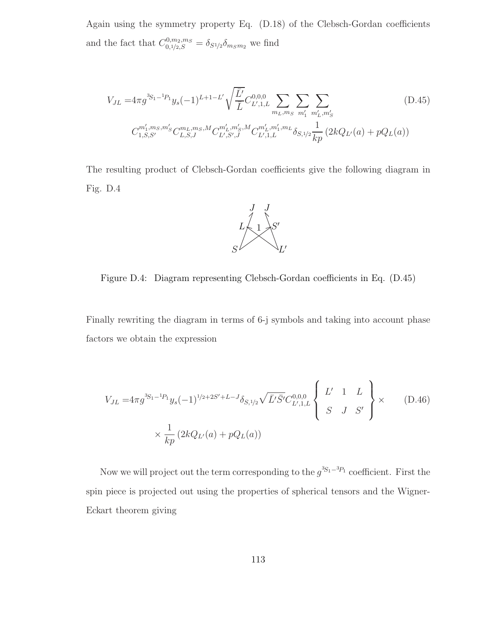Again using the symmetry property Eq. (D.18) of the Clebsch-Gordan coefficients and the fact that  $C_{0,1/2,S}^{0,m_2,m_S} = \delta_{S1/2} \delta_{m_S m_2}$  we find

$$
V_{JL} = 4\pi g^{3S_1 - 1} P_1 y_s (-1)^{L+1-L'} \sqrt{\frac{\bar{L'}}{\bar{L}}} C_{L',1,L}^{0,0,0} \sum_{m_L, m_S} \sum_{m'_1} \sum_{m'_L, m'_S} (D.45)
$$
  

$$
C_{1,S,S'}^{m'_1, m_S, m'_S} C_{L,S,J}^{m_L, m_S, M} C_{L',S',J}^{m'_L, m'_S, M} C_{L',1,L}^{m'_L, m'_1, m_L} \delta_{S,1/2} \frac{1}{kp} (2kQ_{L'}(a) + pQ_L(a))
$$

The resulting product of Clebsch-Gordan coefficients give the following diagram in Fig. D.4



Figure D.4: Diagram representing Clebsch-Gordan coefficients in Eq. (D.45)

Finally rewriting the diagram in terms of 6-j symbols and taking into account phase factors we obtain the expression

$$
V_{JL} = 4\pi g^{3S_1 - 1} y_s (-1)^{1/2 + 2S' + L - J} \delta_{S,1/2} \sqrt{\bar{L}' \bar{S}'} C_{L',1,L}^{0,0,0} \left\{ \begin{array}{ccc} L' & 1 & L \\ S & J & S' \end{array} \right\} \times \qquad (D.46)
$$
  

$$
\times \frac{1}{kp} (2kQ_{L'}(a) + pQ_L(a))
$$

Now we will project out the term corresponding to the  $g^{3S_1-3P_1}$  coefficient. First the spin piece is projected out using the properties of spherical tensors and the Wigner-Eckart theorem giving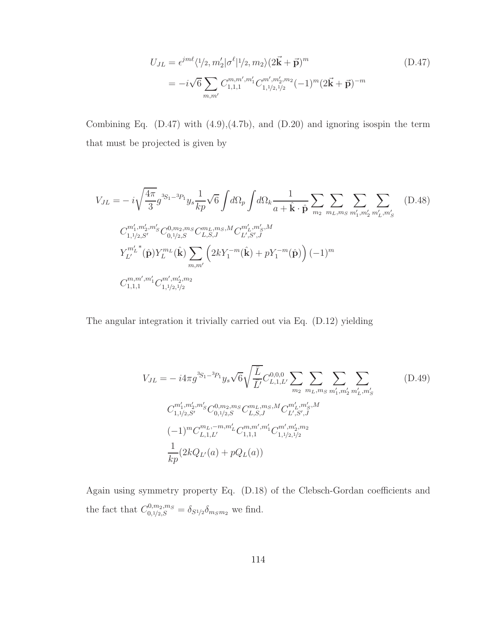$$
U_{JL} = \epsilon^{jm\ell} \langle 1/2, m_2' | \sigma^{\ell} | 1/2, m_2 \rangle (2\vec{k} + \vec{p})^m
$$
  
=  $-i\sqrt{6} \sum_{m,m'} C_{1,1,1}^{m,m',m_1'} C_{1,1/2,1/2}^{m',m_2'} (-1)^m (2\vec{k} + \vec{p})^{-m}$  (D.47)

Combining Eq.  $(D.47)$  with  $(4.9),(4.7b)$ , and  $(D.20)$  and ignoring isospin the term that must be projected is given by

$$
V_{JL} = -i\sqrt{\frac{4\pi}{3}}g^{3S_1-3P_1}y_s \frac{1}{kp}\sqrt{6}\int d\Omega_p \int d\Omega_k \frac{1}{a+\hat{\mathbf{k}}\cdot\hat{\mathbf{p}}} \sum_{m_2} \sum_{m_L, m_S} \sum_{m'_1, m'_2} \sum_{m'_L, m'_S} (D.48)
$$
  
\n
$$
C_{1,1/2,S'}^{m'_1, m'_2, m'_S} C_{0,1/2,S}^{0, m_2, m_S} C_{L,S,J}^{m_L, m_S, M} C_{L',S',J}^{m'_L, m'_S, M}
$$
  
\n
$$
Y_{L'}^{m'_L}(\hat{\mathbf{p}}) Y_{L}^{m_L}(\hat{\mathbf{k}}) \sum_{m,m'} \left(2kY_1^{-m}(\hat{\mathbf{k}}) + pY_1^{-m}(\hat{\mathbf{p}})\right) (-1)^m
$$
  
\n
$$
C_{1,1,1}^{m,m'_1, m'_1} C_{1,1/2,1/2}^{m', m'_2, m_2}
$$
 (2)

The angular integration it trivially carried out via Eq. (D.12) yielding

$$
V_{JL} = -i4\pi g^{3S_1 - 3p_1} y_s \sqrt{6} \sqrt{\frac{\bar{L}}{\bar{L}'}} C_{L,1,L'}^{0,0,0} \sum_{m_2} \sum_{m_L, m_S} \sum_{m'_1, m'_2} \sum_{m'_L, m'_S} (D.49)
$$
  

$$
C_{1,1/2,S'}^{m'_1, m'_2, m'_S} C_{0,1/2,S}^{0, m_2, m_S} C_{L,S,J}^{m_L, m_S, M} C_{L',S',J}^{m'_L, m'_S, M}
$$
  

$$
(-1)^m C_{L,1,L'}^{m_L, -m, m'_L} C_{1,1,1}^{m, m'_1, m'_1} C_{1,1/2,1/2}^{m', m'_2, m_2}
$$
  

$$
\frac{1}{kp} (2kQ_{L'}(a) + pQ_L(a))
$$
 (1)

Again using symmetry property Eq. (D.18) of the Clebsch-Gordan coefficients and the fact that  $C_{0,1/2,S}^{0,m_2,m_S} = \delta_{S1/2} \delta_{m_S m_2}$  we find.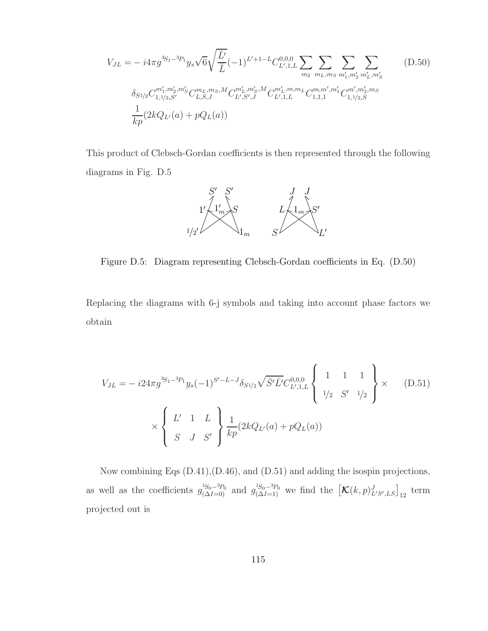$$
V_{JL} = -i4\pi g^{3S_1 - 3P_1} y_s \sqrt{6} \sqrt{\frac{\bar{L}'}{\bar{L}}} (-1)^{L' + 1 - L} C_{L',1,L}^{0,0,0} \sum_{m_2} \sum_{m_L, m_S} \sum_{m'_1, m'_2} \sum_{m'_L, m'_S} \sum_{m'_L, m'_S} \left( D.50 \right)
$$
  

$$
\delta_{S_1/2} C_{1,1/2,S'}^{m'_1, m'_2, m'_S} C_{L,S,J}^{m_L, m_S, M} C_{L',S',J}^{m'_L, m'_S} C_{L',1,L}^{m'_L, m, m_L} C_{1,1,1}^{m, m'_1, m'_1} C_{1,1/2,S}^{m', m'_2, m_S} \frac{1}{kp} (2kQ_{L'}(a) + pQ_L(a))
$$
 (D.50)

This product of Clebsch-Gordan coefficients is then represented through the following diagrams in Fig. D.5



Figure D.5: Diagram representing Clebsch-Gordan coefficients in Eq. (D.50)

Replacing the diagrams with 6-j symbols and taking into account phase factors we obtain

$$
V_{JL} = -i24\pi g^{3S_1 - 3P_1} y_s (-1)^{S'-L-J} \delta_{S^1/2} \sqrt{\bar{S}' \bar{L}'} C_{L',1,L}^{0,0,0} \left\{ \begin{array}{ccc} 1 & 1 & 1 \\ 1/2 & S' & 1/2 \end{array} \right\} \times \left\{ \begin{array}{ccc} L' & 1 & L \\ S & J & S' \end{array} \right\} \frac{1}{kp} (2kQ_{L'}(a) + pQ_L(a))
$$
\n
$$
(D.51)
$$

Now combining Eqs (D.41),(D.46), and (D.51) and adding the isospin projections, as well as the coefficients  $g_{(\Delta I=0)}^{^{1S_0-3p_0}}$  and  $g_{(\Delta I=1)}^{^{1S_0-3p_0}}$  we find the  $[\mathcal{K}(k,p)_{L'S',LS}^J]_{12}$  term projected out is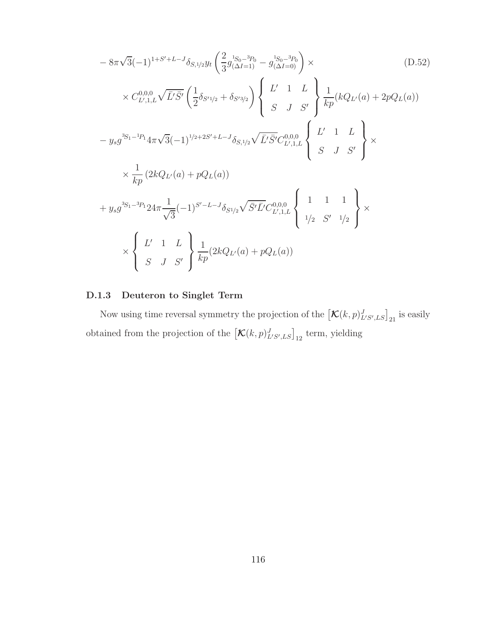$$
-8\pi\sqrt{3}(-1)^{1+S'+L-J}\delta_{S,1/2}y_t\left(\frac{2}{3}g_{(\Delta I=1)}^{1+S_0-3} - g_{(\Delta I=0)}^{1-S_0-3} - \frac{2}{3}\delta_{(\Delta I=0)}^{1-S_0-3} - \frac{2}{3}\delta_{(\Delta I=0)}^{1-S_0-3} - \frac{2}{3}\delta_{(\Delta I=0)}^{1-S_0-3} - \frac{2}{3}\delta_{(\Delta I=0)}^{1-S_0-3} - \frac{2}{3}\delta_{(\Delta I=0)}^{1-S_0-3} - \frac{2}{3}\delta_{(\Delta I=0)}^{1-S_0-3} - \frac{2}{3}\delta_{(\Delta I=0)}^{1-S_0-3} - \frac{2}{3}\delta_{(\Delta I=0)}^{1-S_0-3} - \frac{2}{3}\delta_{(\Delta I=0)}^{1-S_0-3} - \frac{2}{3}\delta_{(\Delta I=0)}^{1-S_0-3} - \frac{2}{3}\delta_{(\Delta I=0)}^{1-S_0-3} - \frac{2}{3}\delta_{(\Delta I=0)}^{1-S_0-3} - \frac{2}{3}\delta_{(\Delta I=0)}^{1-S_0-3} - \frac{2}{3}\delta_{(\Delta I=0)}^{1-S_0-3} - \frac{2}{3}\delta_{(\Delta I=0)}^{1-S_0-3} - \frac{2}{3}\delta_{(\Delta I=0)}^{1-S_0-3} - \frac{2}{3}\delta_{(\Delta I=0)}^{1-S_0-3} - \frac{2}{3}\delta_{(\Delta I=0)}^{1-S_0-3} - \frac{2}{3}\delta_{(\Delta I=0)}^{1-S_0-3} - \frac{2}{3}\delta_{(\Delta I=0)}^{1-S_0-3} - \frac{2}{3}\delta_{(\Delta I=0)}^{1-S_0-3} - \frac{2}{3}\delta_{(\Delta I=0)}^{1-S_0-3} - \frac{2}{3}\delta_{(\Delta I=0)}^{1-S_0-3} - \frac{2}{3}\delta_{(\Delta I=0)}^{1-S_0-3} - \frac{2}{3}\delta_{(\Delta I=0)}^{1-S_0-3} - \frac{2}{3}\delta_{(\Delta I=0)}^{1-S_0-3} - \frac{2}{3}\delta_{(\Delta I=0)}^{1-S_0-3} - \frac{2}{3}\delta_{(\Delta I=0)}^{1-S_0-3} - \frac{2}{3}\delta_{(\Delta I=0)}
$$

# D.1.3 Deuteron to Singlet Term

Now using time reversal symmetry the projection of the  $\left[{\cal K}(k,p)_{L^{\prime}S^{\prime},LS}^J\right]_{21}$  is easily obtained from the projection of the  $\left[\mathcal{K}(k,p)_{L^{\prime}S^{\prime},LS}^J\right]_{12}$  term, yielding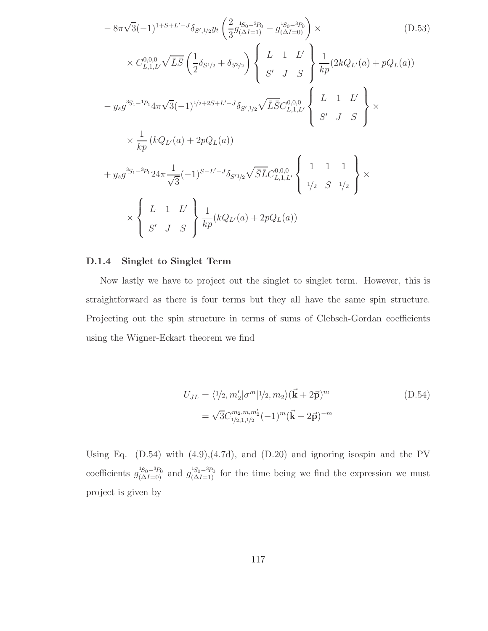$$
-8\pi\sqrt{3}(-1)^{1+S+L'-J}\delta_{S',1/2}y_t\left(\frac{2}{3}g_{(\Delta I=1)}^{3S_0-3p_0} - g_{(\Delta I=0)}^{1S_0-3p_0}\right) \times \qquad (D.53)
$$
  

$$
\times C_{L,1,L'}^{0,0,0}\sqrt{\bar{L}\bar{S}}\left(\frac{1}{2}\delta_{S^{1/2}} + \delta_{S^{3/2}}\right)\left\{\begin{array}{cc}L & 1 & L' \\ S' & J & S\end{array}\right\}\frac{1}{kp}(2kQ_{L'}(a) + pQ_{L}(a))
$$
  

$$
-y_s g^{3S_1-1p_1}4\pi\sqrt{3}(-1)^{1/2+2S+L'-J}\delta_{S',1/2}\sqrt{\bar{L}\bar{S}}C_{L,1,L'}^{0,0,0}\left\{\begin{array}{cc}L & 1 & L' \\ S' & J & S\end{array}\right\} \times \qquad (kQ_{L'}(a) + 2pQ_{L}(a))
$$
  

$$
+y_s g^{3S_1-3p_1}24\pi\frac{1}{\sqrt{3}}(-1)^{S-L'-J}\delta_{S'1/2}\sqrt{\bar{S}\bar{L}}C_{L,1,L'}^{0,0,0}\left\{\begin{array}{cc}1 & 1 & 1 \\ 1/2 & S & 1/2\end{array}\right\} \times \qquad (kQ_{L'}(a) + 2pQ_{L}(a))
$$

#### D.1.4 Singlet to Singlet Term

Now lastly we have to project out the singlet to singlet term. However, this is straightforward as there is four terms but they all have the same spin structure. Projecting out the spin structure in terms of sums of Clebsch-Gordan coefficients using the Wigner-Eckart theorem we find

$$
U_{JL} = \langle 1/2, m_2' | \sigma^m | 1/2, m_2 \rangle (\vec{\mathbf{k}} + 2\vec{\mathbf{p}})^m
$$
  
=  $\sqrt{3} C_{1/2, 1, 1/2}^{m_2, m, m_2'} (-1)^m (\vec{\mathbf{k}} + 2\vec{\mathbf{p}})^{-m}$  (D.54)

Using Eq.  $(D.54)$  with  $(4.9),(4.7d)$ , and  $(D.20)$  and ignoring isospin and the PV coefficients  $g_{(\Delta I=0)}^{1S_0-3p_0}$  and  $g_{(\Delta I=1)}^{1S_0-3p_0}$  for the time being we find the expression we must project is given by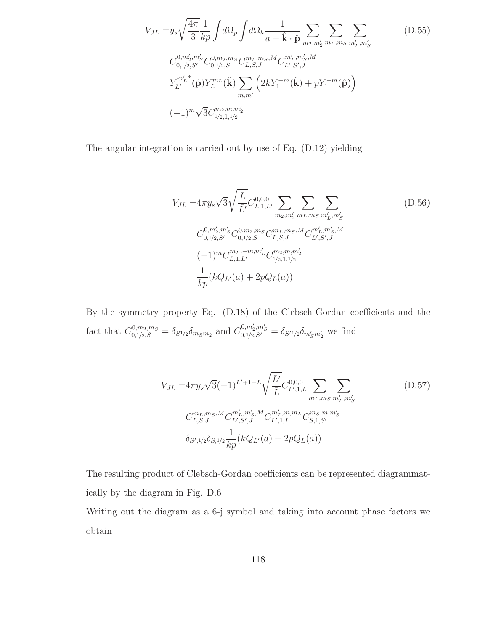$$
V_{JL} = y_s \sqrt{\frac{4\pi}{3}} \frac{1}{kp} \int d\Omega_p \int d\Omega_k \frac{1}{a + \hat{\mathbf{k}} \cdot \hat{\mathbf{p}}} \sum_{m_2, m'_2} \sum_{m_L, m_S} \sum_{m'_L, m'_S} (D.55)
$$
  
\n
$$
C_{0,1/2,S'}^{0,m'_2,m'_S} C_{0,1/2,S}^{0,m_2,m_S} C_{L,S,J}^{m_L,m_S,M} C_{L',S',J}^{m'_L,m'_S,M}
$$
  
\n
$$
Y_{L'}^{m'_L}{}^*(\hat{\mathbf{p}}) Y_L^{m_L}(\hat{\mathbf{k}}) \sum_{m,m'} \left(2kY_1^{-m}(\hat{\mathbf{k}}) + pY_1^{-m}(\hat{\mathbf{p}})\right)
$$
  
\n
$$
(-1)^m \sqrt{3} C_{1/2,1,1/2}^{m_2,m,m'_2}
$$
 (9)

The angular integration is carried out by use of Eq. (D.12) yielding

$$
V_{JL} = 4\pi y_s \sqrt{3} \sqrt{\frac{\overline{L}}{\overline{L}'}} C_{L,1,L'}^{0,0,0} \sum_{m_2,m'_2} \sum_{m_L,m_S} \sum_{m'_L,m'_S} \left( D.56 \right)
$$
  
\n
$$
C_{0,1/2,S'}^{0,m'_2,m'_S} C_{0,1/2,S}^{0,m_2,m_S} C_{L,S,J}^{m_L,m_S,M} C_{L',S',J}^{m'_L,m'_S,M}
$$
  
\n
$$
(-1)^m C_{L,1,L'}^{m_L,-m,m'_L} C_{1/2,1,1/2}^{m_2,m,m'_2}
$$
  
\n
$$
\frac{1}{kp} (kQ_{L'}(a) + 2pQ_L(a))
$$
\n(11)

By the symmetry property Eq. (D.18) of the Clebsch-Gordan coefficients and the fact that  $C_{0,1/2,S}^{0,m_2,m_S} = \delta_{S1/2} \delta_{m_S m_2}$  and  $C_{0,1/2,S'}^{0,m'_2,m'_S} = \delta_{S'1/2} \delta_{m'_S m'_2}$  we find

$$
V_{JL} = 4\pi y_s \sqrt{3}(-1)^{L'+1-L} \sqrt{\frac{\overline{L}'}{\overline{L}}} C_{L',1,L}^{0,0,0} \sum_{m_L, m_S} \sum_{m'_L, m'_S} (D.57)
$$
  
\n
$$
C_{L,S,J}^{m_L, m_S, M} C_{L',S',J}^{m'_L, m'_S, M} C_{L',1,L}^{m'_L, m, m_L} C_{S,1,S'}^{m_S, m, m'_S}
$$
  
\n
$$
\delta_{S',1/2} \delta_{S,1/2} \frac{1}{kp} (kQ_{L'}(a) + 2pQ_L(a))
$$

The resulting product of Clebsch-Gordan coefficients can be represented diagrammatically by the diagram in Fig. D.6

Writing out the diagram as a 6-j symbol and taking into account phase factors we obtain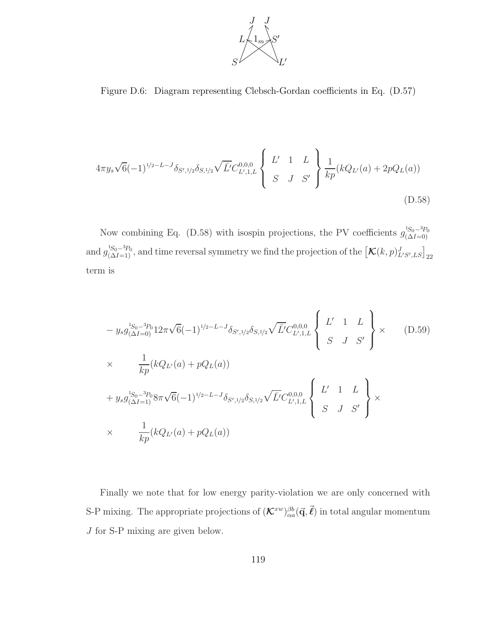

Figure D.6: Diagram representing Clebsch-Gordan coefficients in Eq. (D.57)

$$
4\pi y_s \sqrt{6}(-1)^{1/2-L-J} \delta_{S',1/2} \delta_{S,1/2} \sqrt{\bar{L}'} C_{L',1,L}^{0,0,0} \left\{ \begin{array}{ccc} L' & 1 & L \\ S & J & S' \end{array} \right\} \frac{1}{kp} (kQ_{L'}(a) + 2pQ_L(a))
$$
\n(D.58)

Now combining Eq. (D.58) with isospin projections, the PV coefficients  $g_{(\Delta I=0)}^{1_{S_0-3P_0}}$ and  $g_{(\Delta I=1)}^{^{1S_0-3p_0}}$ , and time reversal symmetry we find the projection of the  $[\mathcal{K}(k,p)_{L'S',LS}^J]_{22}$ term is

$$
- y_s g_{(\Delta I=0)}^{^{1S_0-3P_0} 12\pi \sqrt{6}} (-1)^{^{1/2-L-J} \delta_{S',1/2} \delta_{S,1/2}} \sqrt{\bar{L}'} C_{L',1,L}^{0,0,0} \left\{ \begin{array}{ll} L' & 1 & L \\ S & J & S' \end{array} \right\} \times \qquad (D.59)
$$
  
\n
$$
\times \frac{1}{kp} (kQ_{L'}(a) + pQ_{L}(a))
$$
  
\n
$$
+ y_s g_{(\Delta I=1)}^{^{1S_0-3P_0} 8\pi \sqrt{6}} (-1)^{^{1/2-L-J} \delta_{S',1/2} \delta_{S,1/2}} \sqrt{\bar{L}'} C_{L',1,L}^{0,0,0} \left\{ \begin{array}{ll} L' & 1 & L \\ S & J & S' \end{array} \right\} \times
$$
  
\n
$$
\times \frac{1}{kp} (kQ_{L'}(a) + pQ_{L}(a))
$$

Finally we note that for low energy parity-violation we are only concerned with S-P mixing. The appropriate projections of  $(\mathcal{K}^{xw})_{\alpha a}^{\beta b}(\vec{q}, \vec{\ell})$  in total angular momentum J for S-P mixing are given below.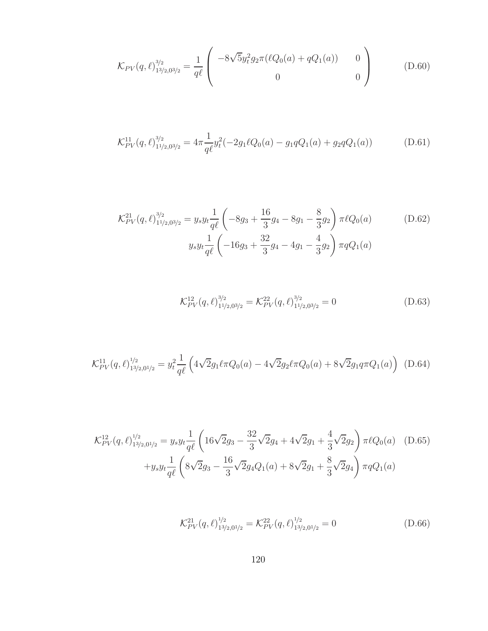$$
\mathcal{K}_{PV}(q,\ell)_{13/2,03/2}^{3/2} = \frac{1}{q\ell} \begin{pmatrix} -8\sqrt{5}y_t^2 g_2 \pi (\ell Q_0(a) + qQ_1(a)) & 0\\ 0 & 0 \end{pmatrix}
$$
 (D.60)

$$
\mathcal{K}_{PV}^{11}(q,\ell)_{11/2,03/2}^{3/2} = 4\pi \frac{1}{q\ell} y_t^2 (-2g_1 \ell Q_0(a) - g_1 q Q_1(a) + g_2 q Q_1(a)) \tag{D.61}
$$

$$
\mathcal{K}_{PV}^{21}(q,\ell)_{11/2,03/2}^{3/2} = y_s y_t \frac{1}{q\ell} \left( -8g_3 + \frac{16}{3}g_4 - 8g_1 - \frac{8}{3}g_2 \right) \pi \ell Q_0(a)
$$
(D.62)  

$$
y_s y_t \frac{1}{q\ell} \left( -16g_3 + \frac{32}{3}g_4 - 4g_1 - \frac{4}{3}g_2 \right) \pi q Q_1(a)
$$

$$
\mathcal{K}_{PV}^{12}(q,\ell)_{11/2,03/2}^{3/2} = \mathcal{K}_{PV}^{22}(q,\ell)_{11/2,03/2}^{3/2} = 0
$$
\n(D.63)

$$
\mathcal{K}_{PV}^{11}(q,\ell)_{13/2,01/2}^{1/2} = y_t^2 \frac{1}{q\ell} \left( 4\sqrt{2}g_1 \ell \pi Q_0(a) - 4\sqrt{2}g_2 \ell \pi Q_0(a) + 8\sqrt{2}g_1 q \pi Q_1(a) \right) \tag{D.64}
$$

$$
\mathcal{K}_{PV}^{12}(q,\ell)_{13/2,01/2}^{1/2} = y_s y_t \frac{1}{q\ell} \left( 16\sqrt{2}g_3 - \frac{32}{3}\sqrt{2}g_4 + 4\sqrt{2}g_1 + \frac{4}{3}\sqrt{2}g_2 \right) \pi \ell Q_0(a) \quad (D.65)
$$

$$
+ y_s y_t \frac{1}{q\ell} \left( 8\sqrt{2}g_3 - \frac{16}{3}\sqrt{2}g_4 Q_1(a) + 8\sqrt{2}g_1 + \frac{8}{3}\sqrt{2}g_4 \right) \pi q Q_1(a)
$$

$$
\mathcal{K}_{PV}^{21}(q,\ell)_{13/2,01/2}^{1/2} = \mathcal{K}_{PV}^{22}(q,\ell)_{13/2,01/2}^{1/2} = 0
$$
\n(D.66)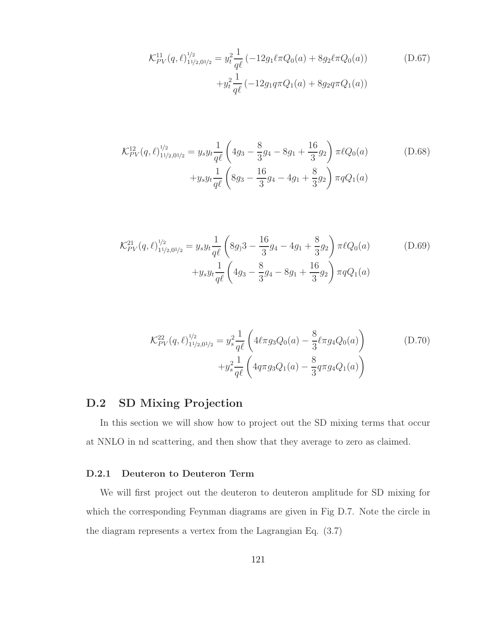$$
\mathcal{K}_{PV}^{11}(q,\ell)_{11/2,01/2}^{1/2} = y_t^2 \frac{1}{q\ell} \left( -12g_1 \ell \pi Q_0(a) + 8g_2 \ell \pi Q_0(a) \right)
$$
\n
$$
+ y_t^2 \frac{1}{q\ell} \left( -12g_1 q \pi Q_1(a) + 8g_2 q \pi Q_1(a) \right)
$$
\n(D.67)

$$
\mathcal{K}_{PV}^{12}(q,\ell)_{11/2,01/2}^{1/2} = y_s y_t \frac{1}{q\ell} \left( 4g_3 - \frac{8}{3}g_4 - 8g_1 + \frac{16}{3}g_2 \right) \pi \ell Q_0(a) \tag{D.68}
$$

$$
+ y_s y_t \frac{1}{q\ell} \left( 8g_3 - \frac{16}{3}g_4 - 4g_1 + \frac{8}{3}g_2 \right) \pi q Q_1(a)
$$

$$
\mathcal{K}_{PV}^{21}(q,\ell)_{11/2,01/2}^{1/2} = y_s y_t \frac{1}{q\ell} \left( 8g_1 3 - \frac{16}{3}g_4 - 4g_1 + \frac{8}{3}g_2 \right) \pi \ell Q_0(a) \tag{D.69}
$$

$$
+ y_s y_t \frac{1}{q\ell} \left( 4g_3 - \frac{8}{3}g_4 - 8g_1 + \frac{16}{3}g_2 \right) \pi q Q_1(a)
$$

$$
\mathcal{K}_{PV}^{22}(q,\ell)_{11/2,01/2}^{1/2} = y_s^2 \frac{1}{q\ell} \left( 4\ell \pi g_3 Q_0(a) - \frac{8}{3} \ell \pi g_4 Q_0(a) \right) + y_s^2 \frac{1}{q\ell} \left( 4q \pi g_3 Q_1(a) - \frac{8}{3} q \pi g_4 Q_1(a) \right)
$$
 (D.70)

## D.2 SD Mixing Projection

In this section we will show how to project out the SD mixing terms that occur at NNLO in nd scattering, and then show that they average to zero as claimed.

## D.2.1 Deuteron to Deuteron Term

We will first project out the deuteron to deuteron amplitude for SD mixing for which the corresponding Feynman diagrams are given in Fig D.7. Note the circle in the diagram represents a vertex from the Lagrangian Eq. (3.7)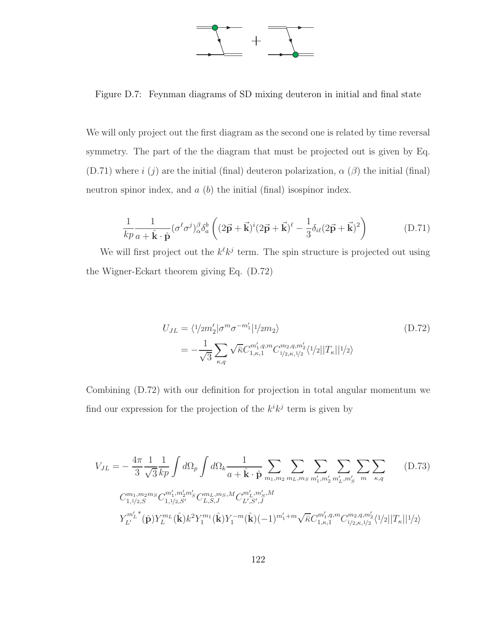

Figure D.7: Feynman diagrams of SD mixing deuteron in initial and final state

We will only project out the first diagram as the second one is related by time reversal symmetry. The part of the the diagram that must be projected out is given by Eq. (D.71) where  $i(j)$  are the initial (final) deuteron polarization,  $\alpha(\beta)$  the initial (final) neutron spinor index, and  $a$   $(b)$  the initial (final) isospinor index.

$$
\frac{1}{kp}\frac{1}{a+\hat{\mathbf{k}}\cdot\hat{\mathbf{p}}}(\sigma^{\ell}\sigma^{j})_{\alpha}^{\beta}\delta_{a}^{b}\left((2\vec{\mathbf{p}}+\vec{\mathbf{k}})^{i}(2\vec{\mathbf{p}}+\vec{\mathbf{k}})^{\ell}-\frac{1}{3}\delta_{i\ell}(2\vec{\mathbf{p}}+\vec{\mathbf{k}})^{2}\right)
$$
(D.71)

We will first project out the  $k^{\ell}k^{j}$  term. The spin structure is projected out using the Wigner-Eckart theorem giving Eq. (D.72)

$$
U_{JL} = \langle 1/2m_2' | \sigma^m \sigma^{-m_1'} | 1/2m_2 \rangle
$$
\n
$$
= -\frac{1}{\sqrt{3}} \sum_{\kappa, q} \sqrt{\bar{\kappa}} C_{1,\kappa,1}^{m_1', q, m} C_{1/2,\kappa,1/2}^{m_2, q, m_2'} \langle 1/2 | |T_{\kappa}||^1/2 \rangle
$$
\n(D.72)

Combining (D.72) with our definition for projection in total angular momentum we find our expression for the projection of the  $k^{i}k^{j}$  term is given by

$$
V_{JL} = -\frac{4\pi}{3} \frac{1}{\sqrt{3}} \frac{1}{kp} \int d\Omega_p \int d\Omega_k \frac{1}{a + \hat{\mathbf{k}} \cdot \hat{\mathbf{p}}} \sum_{m_1, m_2} \sum_{m_L, m_S} \sum_{m'_1, m'_2} \sum_{m'_L, m'_S} \sum_{m'_L, m'_S} \sum_{m'_R, q}
$$
(D.73)  
\n
$$
C_{1,1/2,S}^{m_1, m_2 m_S} C_{1,1/2,S'}^{m'_1, m'_2 m'_S} C_{L,S,J}^{m_L, m_S, M} C_{L',S',J}^{m'_L, m'_S, M}
$$
\n
$$
Y_{L'}^{m'_L}(\hat{\mathbf{p}}) Y_L^{m_L}(\hat{\mathbf{k}}) k^2 Y_1^{m_1}(\hat{\mathbf{k}}) Y_1^{-m}(\hat{\mathbf{k}}) (-1)^{m'_1 + m} \sqrt{\kappa} C_{1,\kappa,1}^{m'_1, q, m} C_{1/2,\kappa,1/2}^{m_2, q, m'_2} \langle 1/2 | |T_{\kappa}| |1/2 \rangle
$$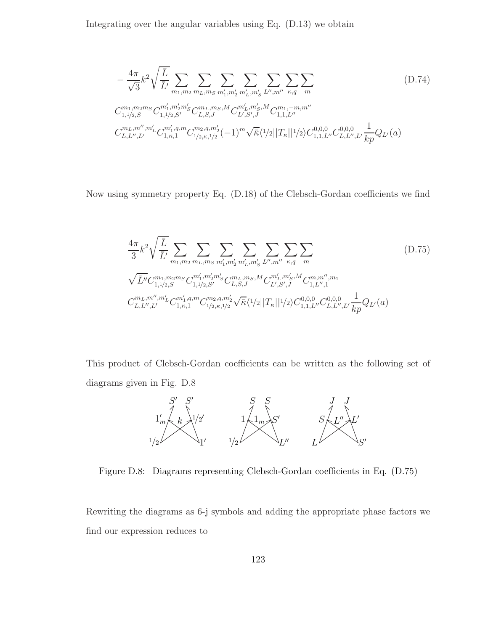Integrating over the angular variables using Eq. (D.13) we obtain

$$
-\frac{4\pi}{\sqrt{3}}k^2\sqrt{\frac{\overline{L}}{\overline{L}'}}\sum_{m_1,m_2}\sum_{m_L,m_S}\sum_{m'_1,m'_2}\sum_{m'_L,m'_S}\sum_{L'',m''} \sum_{\kappa,q}\sum_{m}
$$

$$
C_{1,1/2,S}^{m_1,m_2m_S}C_{1,1/2,S'}^{m'_1,m'_2m'_S}C_{L,S,J}^{m_L,m_S,M}C_{L',S',J}^{m'_L,m'_S,M}C_{1,1,L''}^{m_1,-m,m''}
$$

$$
C_{L,L'',L'}^{m_L,m'',m'_L}C_{1,\kappa,1}^{m'_1,q,m}C_{1/2,\kappa,1/2}^{m_2,q,m'_2}(-1)^m\sqrt{\overline{\kappa}}\langle 1/2||T_{\kappa}||1/2\rangle C_{1,1,L''}^{0,0,0}C_{L,L'',L'}^{0,0,0}\frac{1}{kp}Q_{L'}(a)
$$
(1)

Now using symmetry property Eq. (D.18) of the Clebsch-Gordan coefficients we find

$$
\frac{4\pi}{3}k^2\sqrt{\frac{\overline{L}}{\overline{L}'}}\sum_{m_1,m_2}\sum_{m_L,m_5}\sum_{m'_1,m'_2}\sum_{m'_L,m'_5}\sum_{L'',m''} \sum_{\kappa,q}\sum_{m}
$$
\n
$$
\sqrt{\overline{L}''}C_{1,1/2,S}^{m_1,m_2m_5}C_{1,1/2,S'}^{m'_1,m'_2m'_5}C_{L,S,J}^{m_L,m_5,M}C_{L',S',J}^{m'_L,m'_5,M}C_{1,L'',1}^{m,m'',m_1}
$$
\n
$$
C_{L,L'',L'}^{m_L,m'',m'_L}C_{1,\kappa,1}^{m'_1,q,m}C_{1/2,\kappa,1/2}^{m_2,q,m'_2}\sqrt{\overline{\kappa}}\langle 1/2||T_{\kappa}||1/2\rangle C_{1,1,L''}^{0,0,0}C_{L,L'',L'}^{0,0,0}\frac{1}{kp}Q_{L'}(a)
$$
\n
$$
(D.75)
$$

This product of Clebsch-Gordan coefficients can be written as the following set of diagrams given in Fig. D.8



Figure D.8: Diagrams representing Clebsch-Gordan coefficients in Eq. (D.75)

Rewriting the diagrams as 6-j symbols and adding the appropriate phase factors we find our expression reduces to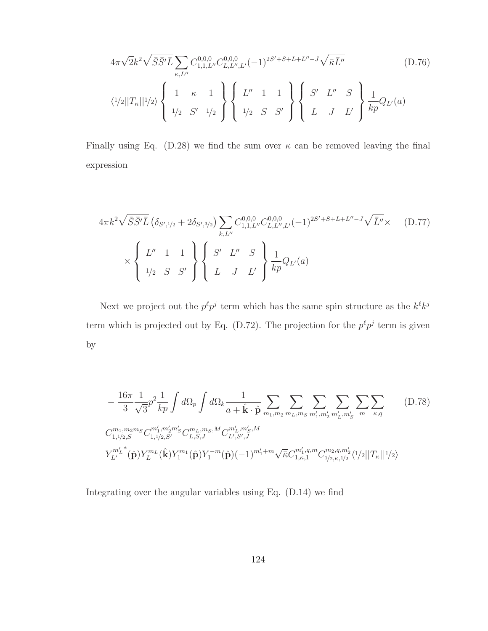$$
4\pi\sqrt{2}k^2\sqrt{\bar{S}\bar{S}'\bar{L}}\sum_{\kappa,L''}C_{1,1,L''}^{0,0,0}C_{L,L'',L'}^{0,0,0}(-1)^{2S'+S+L+L''-J}\sqrt{\bar{\kappa}\bar{L}''}
$$
(D.76)  

$$
\langle 1/2||T_{\kappa}||1/2\rangle\left\{\begin{array}{ccc}1 & \kappa & 1\\1/2 & S' & 1/2\end{array}\right\}\left\{\begin{array}{ccc}L'' & 1 & 1\\1/2 & S & S'\end{array}\right\}\left\{\begin{array}{ccc}S' & L'' & S\\L & J & L'\end{array}\right\}\frac{1}{kp}Q_{L'}(a)
$$

Finally using Eq. (D.28) we find the sum over  $\kappa$  can be removed leaving the final expression

$$
4\pi k^2 \sqrt{\bar{S}\bar{S}'\bar{L}} \left(\delta_{S',1/2} + 2\delta_{S',3/2}\right) \sum_{k,L''} C_{1,1,L''}^{0,0,0} C_{L,L'',L'}^{0,0,0} (-1)^{2S'+S+L+L''-J} \sqrt{\bar{L}''} \times \left(D.77\right)
$$
  
 
$$
\times \left\{\begin{array}{ccc} L'' & 1 & 1\\ 1/2 & S & S' \end{array}\right\} \left\{\begin{array}{ccc} S' & L'' & S\\ L & J & L' \end{array}\right\} \frac{1}{kp} Q_{L'}(a)
$$

Next we project out the  $p^{\ell}p^{j}$  term which has the same spin structure as the  $k^{\ell}k^{j}$ term which is projected out by Eq. (D.72). The projection for the  $p^{\ell}p^{j}$  term is given by

$$
-\frac{16\pi}{3} \frac{1}{\sqrt{3}} p^2 \frac{1}{kp} \int d\Omega_p \int d\Omega_k \frac{1}{a + \hat{\mathbf{k}} \cdot \hat{\mathbf{p}}} \sum_{m_1, m_2} \sum_{m_L, m_S} \sum_{m'_1, m'_2} \sum_{m'_L, m'_S} \sum_{m'_L, m'_S} \sum_{m'_L, m'_S} (D.78)
$$
  

$$
C_{1,1/2,S}^{m_1, m_2 m_S} C_{1,1/2,S'}^{m'_1, m'_2 m'_S} C_{L,S,J}^{m_L, m_S, M} C_{L',S',J}^{m'_L, m'_S, M}
$$
  

$$
Y_{L'}^{m'_L}(\hat{\mathbf{p}}) Y_L^{m_L}(\hat{\mathbf{k}}) Y_1^{m_1}(\hat{\mathbf{p}}) Y_1^{-m}(\hat{\mathbf{p}}) (-1)^{m'_1+m} \sqrt{\bar{\kappa}} C_{1,\kappa,1}^{m'_1, q, m} C_{1/2,\kappa,1/2}^{m_2, q, m'_2} \langle 1/2 | |T_{\kappa}| |1/2 \rangle
$$

Integrating over the angular variables using Eq. (D.14) we find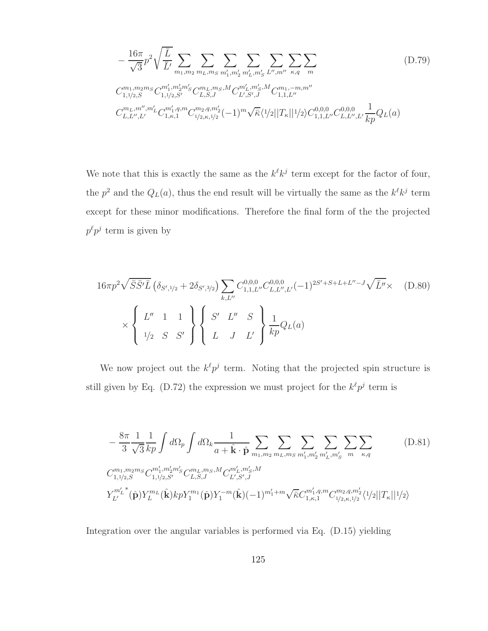$$
-\frac{16\pi}{\sqrt{3}}p^{2}\sqrt{\frac{\overline{L}}{\overline{L}'}}\sum_{m_{1},m_{2}}\sum_{m_{L},m_{S}}\sum_{m'_{1},m'_{2}}\sum_{m'_{L},m''_{S}}\sum_{L'',m''} \sum_{\kappa,q}\sum_{m}
$$

$$
C_{1,1/2,S}^{m_{1},m_{2}m_{S}}C_{1,1/2,S'}^{m'_{1},m'_{2}m'_{S}}C_{L,S,J}^{m_{L},m_{S},M}C_{L',S',J}^{m'_{L},m'_{S},M}C_{1,1,L''}^{m_{1},-m,m''}
$$

$$
C_{L,L'',L'}^{m_{L},m''}C_{1,\kappa,1}^{m'_{1},q,m}C_{1/2,\kappa,1/2}^{m_{2},q,m'_{2}}(-1)^{m}\sqrt{\overline{\kappa}}\langle 1/2||T_{\kappa}||1/2\rangle C_{1,1,L''}^{0,0,0,0}C_{L,L'',L'}^{0,0,0,0}\frac{1}{kp}Q_{L}(a)
$$
(11)

We note that this is exactly the same as the  $k^{\ell}k^{j}$  term except for the factor of four, the  $p^2$  and the  $Q_L(a)$ , thus the end result will be virtually the same as the  $k^{\ell}k^j$  term except for these minor modifications. Therefore the final form of the the projected  $p^{\ell}p^{j}$  term is given by

$$
16\pi p^2 \sqrt{\bar{S}\bar{S}'\bar{L}} \left(\delta_{S',1/2} + 2\delta_{S',3/2}\right) \sum_{k,L''} C_{1,1,L''}^{0,0,0} C_{L,L'',L'}^{0,0,0} (-1)^{2S'+S+L+L''-J} \sqrt{\bar{L}''} \times \text{(D.80)}
$$
  
 
$$
\times \left\{\begin{array}{ccc} L'' & 1 & 1\\ 1/2 & S & S' \end{array}\right\} \left\{\begin{array}{ccc} S' & L'' & S\\ L & J & L' \end{array}\right\} \frac{1}{kp} Q_L(a)
$$

We now project out the  $k^{\ell} p^{j}$  term. Noting that the projected spin structure is still given by Eq. (D.72) the expression we must project for the  $k^{\ell}p^{j}$  term is

$$
-\frac{8\pi}{3} \frac{1}{\sqrt{3}} \frac{1}{kp} \int d\Omega_p \int d\Omega_k \frac{1}{a + \hat{\mathbf{k}} \cdot \hat{\mathbf{p}}} \sum_{m_1, m_2} \sum_{m_L, m_S} \sum_{m'_1, m'_2} \sum_{m'_L, m'_S} \sum_{m \leq \kappa, q} \sum_{\kappa, q}
$$
(D.81)  

$$
C_{1,1/2,S}^{m_1, m_2 m_S} C_{1,1/2,S'}^{m'_1, m'_2 m'_S} C_{L,S,J}^{m_L, m_S, M} C_{L',S',J}^{m'_L, m'_S, M}
$$
  

$$
Y_{L'}^{m'_L}(\hat{\mathbf{p}}) Y_L^{m_L}(\hat{\mathbf{k}}) k p Y_1^{m_1}(\hat{\mathbf{p}}) Y_1^{-m}(\hat{\mathbf{k}}) (-1)^{m'_1 + m} \sqrt{\bar{\kappa}} C_{1,\kappa,1}^{m'_1, q, m} C_{1/2,\kappa,1/2}^{m_2, q, m'_2} (1/2 ||T_{\kappa}||^1/2)
$$

Integration over the angular variables is performed via Eq. (D.15) yielding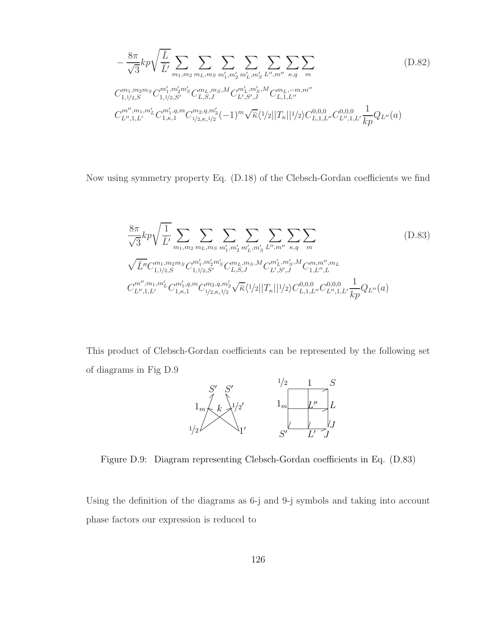$$
-\frac{8\pi}{\sqrt{3}}kp\sqrt{\frac{\overline{L}}{\overline{L}}}\sum_{m_1,m_2}\sum_{m_L,m_S}\sum_{m'_1,m'_2}\sum_{m'_L,m'_S}\sum_{L'',m''} \sum_{\kappa,q}\sum_{m}
$$

$$
C_{1,1/2,S}^{m_1,m_2m_S}C_{1,1/2,S'}^{m'_1,m'_2m'_S}C_{L,S,J}^{m_L,m_S,M}C_{L',S',J}^{m'_L,m'_S,M}C_{L,1,L''}^{m_L,-m,m''}
$$

$$
C_{L'',1,L'}^{m'',m_1,m'_L}C_{1,\kappa,1}^{m'_1,q,m}C_{1/2,\kappa,1/2}^{m_2,q,m'_2}(-1)^m\sqrt{\overline{\kappa}}\langle 1/2||T_{\kappa}||1/2\rangle C_{L,1,L'}^{0,0,0,0}C_{L'',1,L'}^{0,0,0,0}\frac{1}{kp}Q_{L''}(a)
$$
(D.82)

Now using symmetry property Eq. (D.18) of the Clebsch-Gordan coefficients we find

$$
\frac{8\pi}{\sqrt{3}}kp\sqrt{\frac{1}{\bar{L}'}}\sum_{m_1,m_2}\sum_{m_L,m_S}\sum_{m'_1,m'_2}\sum_{m'_L,m'_S}\sum_{L'',m''} \sum_{\kappa,q}\sum_{m}
$$
\n
$$
\sqrt{\bar{L}''}C_{1,1/2,S}^{m_1,m_2m_S}C_{1,1/2,S'}^{m'_1,m'_2m'_S}C_{L,S,J}^{m_L,m_S,M}C_{L',S',J}^{m'_L,m'_S,M}C_{1,L'',L}^{m,m'',m_L}
$$
\n
$$
C_{L'',1,L'}^{m'',m_1,m'_L}C_{1,\kappa,1}^{m'_1,q,m}C_{1/2,\kappa,1/2}^{m_2,q,m'_2}\sqrt{\kappa}\langle 1/2||T_{\kappa}||1/2\rangle C_{L,1,L''}^{0,0,0}C_{L'',1,L'}^{0,0,0}\frac{1}{kp}Q_{L''}(a)
$$
\n
$$
(D.83)
$$

This product of Clebsch-Gordan coefficients can be represented by the following set of diagrams in Fig D.9



Figure D.9: Diagram representing Clebsch-Gordan coefficients in Eq. (D.83)

Using the definition of the diagrams as 6-j and 9-j symbols and taking into account phase factors our expression is reduced to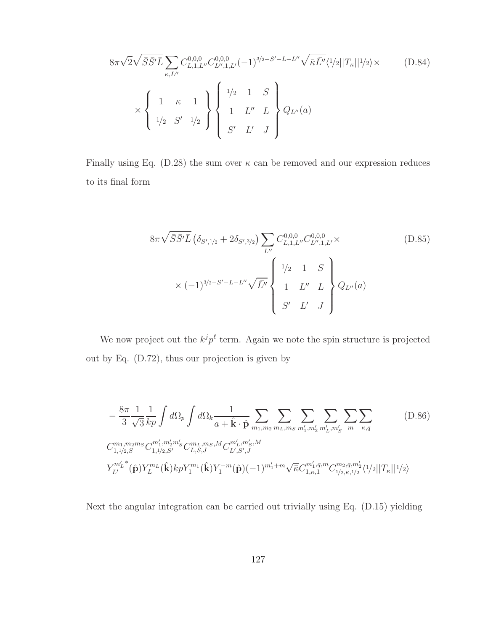$$
8\pi\sqrt{2}\sqrt{\bar{S}\bar{S}'\bar{L}}\sum_{\kappa,L''}C_{L,1,L''}^{0,0,0}C_{L'',1,L'}^{0,0,0}(-1)^{3/2-S'-L-L''}\sqrt{\bar{\kappa}\bar{L}''}\langle 1/2||T_{\kappa}||1/2\rangle \times \qquad (D.84)
$$

$$
\times \left\{\begin{array}{ccc}1 & \kappa & 1\\1/2 & S' & 1/2\\1/2 & S' & 1/2\end{array}\right\} \left\{\begin{array}{ccc}1/2 & 1 & S\\1 & L'' & L\\S' & L' & J\end{array}\right\} Q_{L''}(a)
$$

Finally using Eq. (D.28) the sum over  $\kappa$  can be removed and our expression reduces to its final form

$$
8\pi\sqrt{\bar{S}\bar{S}'\bar{L}}\left(\delta_{S',1/2} + 2\delta_{S',3/2}\right) \sum_{L''} C_{L,1,L''}^{0,0,0} C_{L'',1,L'}^{0,0,0} \times \left(D.85\right)
$$
\n
$$
\times (-1)^{3/2-S'-L-L''} \sqrt{\bar{L}''} \left\{\begin{array}{ccc} 1/2 & 1 & S \\ 1 & L'' & L \\ S' & L' & J \end{array}\right\} Q_{L''}(a)
$$
\n(D.85)

We now project out the  $k^j p^{\ell}$  term. Again we note the spin structure is projected out by Eq. (D.72), thus our projection is given by

$$
-\frac{8\pi}{3} \frac{1}{\sqrt{3}} \frac{1}{kp} \int d\Omega_p \int d\Omega_k \frac{1}{a + \hat{\mathbf{k}} \cdot \hat{\mathbf{p}}} \sum_{m_1, m_2} \sum_{m_L, m_S} \sum_{m'_1, m'_2} \sum_{m'_L, m'_S} \sum_{m'_R, m'_S} \sum_{m'_R, m'_S} \sum_{m'_R, m'_S} \sum_{m'_R, m'_S} \sum_{m'_R, m'_S} \sum_{m'_R, m'_S, m'_S} \sum_{m'_R, m'_S, m'_S} \sum_{m'_R, m'_S, m'_S} \sum_{m'_R, m'_S, m'_S} \sum_{m'_R, m'_S, m'_S} \sum_{m'_R, m'_S} \sum_{m'_R, m'_S} \sum_{m'_R, m'_S} \sum_{m'_R, m'_S} \sum_{m'_R, m'_S} \sum_{m'_R, m'_S} \sum_{m'_R, m'_S} \sum_{m'_R, m'_S} \sum_{m'_R, m'_S} \sum_{m'_R, m'_S} \sum_{m'_R, m'_S} \sum_{m'_R, m'_S} \sum_{m'_R, m'_S} \sum_{m'_R, m'_S} \sum_{m'_R, m'_S} \sum_{m'_R, m'_S} \sum_{m'_R, m'_S} \sum_{m'_R, m'_S} \sum_{m'_R, m'_S} \sum_{m'_R, m'_S} \sum_{m'_R, m'_S} \sum_{m'_R, m'_S} \sum_{m'_R, m'_S} \sum_{m'_R, m'_S} \sum_{m'_R, m'_S} \sum_{m'_R, m'_S} \sum_{m'_R, m'_S} \sum_{m'_R, m'_S} \sum_{m'_R, m'_S} \sum_{m'_R, m'_S} \sum_{m'_R, m'_S} \sum_{m'_R, m'_S} \sum_{m'_R, m'_S} \sum_{m'_R, m'_S} \sum_{m'_R, m'_S} \sum_{m'_R, m'_S} \sum_{m'_R, m'_S} \sum_{m'_R, m'_S} \sum_{m'_R, m'_S} \sum_{m'_R, m'_S} \sum_{m'_R, m'_S} \sum_{m'_R, m'_S} \sum_{m'_R, m'_S} \sum_{m'_R, m'_S} \sum_{m'_R, m'_S} \sum_{m'_R, m'_S} \sum_{m'_R, m'_S} \sum_{m'_R,
$$

Next the angular integration can be carried out trivially using Eq. (D.15) yielding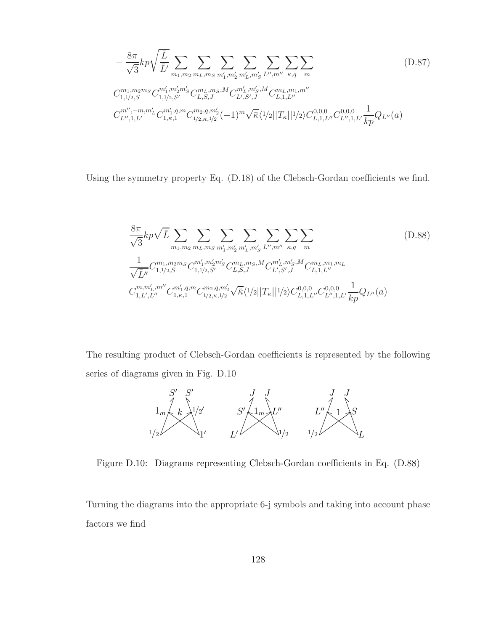$$
-\frac{8\pi}{\sqrt{3}}kp\sqrt{\frac{\overline{L}}{\overline{L}'}}\sum_{m_1,m_2}\sum_{m_L,m_S}\sum_{m'_1,m'_2}\sum_{m'_L,m'_S}\sum_{L'',m''} \sum_{\kappa,q}\sum_{m}
$$

$$
C_{1,1/2,S}^{m_1,m_2m_S}C_{1,1/2,S'}^{m'_1,m'_2m'_S}C_{L,S,J}^{m_L,m_S,M}C_{L',S',J}^{m'_L,m'_S,M}C_{L,1,L''}^{m_L,m_1,m''}
$$

$$
C_{L'',1,L'}^{m'',-m,m'_L}C_{1,\kappa,1}^{m'_1,q,m}C_{1/2,\kappa,1/2}^{m_2,q,m'_2}(-1)^m\sqrt{\overline{\kappa}}\langle 1/2||T_{\kappa}||1/2\rangle C_{L,1,L''}^{0,0,0}C_{L'',1,L'}^{0,0,0}\frac{1}{kp}Q_{L''}(a)
$$
 (D.87)

Using the symmetry property Eq. (D.18) of the Clebsch-Gordan coefficients we find.

$$
\frac{8\pi}{\sqrt{3}}kp\sqrt{\bar{L}}\sum_{m_1,m_2}\sum_{m_L,m_S}\sum_{m'_1,m'_2}\sum_{m'_L,m'_S}\sum_{L'',m''} \sum_{\kappa,q}\sum_{m}
$$
\n
$$
\frac{1}{\sqrt{\bar{L}''}}C_{1,1/2,S}^{m_1,m_2m_S}C_{1,1/2,S'}^{m'_1,m'_2m'_S}C_{L,S,J}^{m_L,m_S,M}C_{L',S',J}^{m'_L,m'_S,M}C_{L,1,L''}^{m_L,m_1,m_L}
$$
\n
$$
C_{1,L',L''}^{m,m'_L,m''}C_{1,\kappa,1}^{m'_1,q,m}C_{1/2,\kappa,1/2}^{m_2,q,m'_2}\sqrt{\kappa}\langle 1/2||T_{\kappa}||1/2\rangle C_{L,1,L'}^{0,0,0,0}C_{L'',1,L'}^{0,0,0,0}\frac{1}{kp}Q_{L''}(a)
$$
\n
$$
(D.88)
$$

The resulting product of Clebsch-Gordan coefficients is represented by the following series of diagrams given in Fig. D.10



Figure D.10: Diagrams representing Clebsch-Gordan coefficients in Eq. (D.88)

Turning the diagrams into the appropriate 6-j symbols and taking into account phase factors we find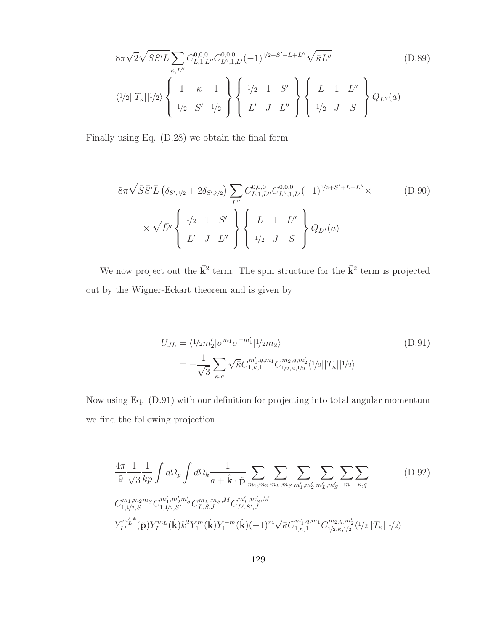$$
8\pi\sqrt{2}\sqrt{\bar{S}}\bar{S}'\bar{L}\sum_{\kappa,L''}C_{L,1,L''}^{0,0,0}C_{L'',1,L'}^{0,0,0}(-1)^{1/2+S'+L+L''}\sqrt{\bar{\kappa}\bar{L}''}
$$
(D.89)  

$$
\langle 1/2||T_{\kappa}||1/2\rangle\left\{\begin{array}{ccc}1 & \kappa & 1\\1/2 & S' & 1\\1/2 & S' & 1/2\end{array}\right\}\left\{\begin{array}{ccc}L & 1 & L''\\L' & J & L''\end{array}\right\}\left\{\begin{array}{ccc}L & 1 & L''\\1/2 & J & S\end{array}\right\}Q_{L''}(a)
$$

Finally using Eq. (D.28) we obtain the final form

$$
8\pi\sqrt{\bar{S}\bar{S}'\bar{L}}\left(\delta_{S',1/2} + 2\delta_{S',3/2}\right) \sum_{L''} C_{L,1,L''}^{0,0,0} C_{L'',1,L'}^{0,0,0} (-1)^{1/2+S'+L+L''} \times \qquad (D.90)
$$
  
 
$$
\times \sqrt{\bar{L}''} \left\{\begin{array}{ccc} 1/2 & 1 & S' \\ L' & J & L'' \end{array}\right\} \left\{\begin{array}{ccc} L & 1 & L'' \\ 1/2 & J & S \end{array}\right\} Q_{L''}(a)
$$

We now project out the  $\vec{k}^2$  term. The spin structure for the  $\vec{k}^2$  term is projected out by the Wigner-Eckart theorem and is given by

$$
U_{JL} = \langle 1/2m_2' | \sigma^{m_1} \sigma^{-m_1'} | 1/2m_2 \rangle
$$
  
= 
$$
-\frac{1}{\sqrt{3}} \sum_{\kappa,q} \sqrt{\bar{\kappa}} C_{1,\kappa,1}^{m_1',q,m_1} C_{1/2,\kappa,1/2}^{m_2,q,m_2'} \langle 1/2 | |T_{\kappa}||^1/2 \rangle
$$
 (D.91)

Now using Eq. (D.91) with our definition for projecting into total angular momentum we find the following projection

$$
\frac{4\pi}{9} \frac{1}{\sqrt{3}} \frac{1}{kp} \int d\Omega_p \int d\Omega_k \frac{1}{a + \hat{\mathbf{k}} \cdot \hat{\mathbf{p}}} \sum_{m_1, m_2} \sum_{m_L, m_S} \sum_{m'_1, m'_2} \sum_{m'_L, m'_S} \sum_{m'_R, q}
$$
\n
$$
C_{1,1/2,S}^{m_1, m_2 m_S} C_{1,1/2,S'}^{m'_1, m'_2 m'_S} C_{L,S,J}^{m_L, m_S, M} C_{L',S',J}^{m'_L, m'_S, M}
$$
\n
$$
Y_{L'}^{m'_L}(\hat{\mathbf{p}}) Y_L^{m_L}(\hat{\mathbf{k}}) k^2 Y_1^m(\hat{\mathbf{k}}) Y_1^{-m}(\hat{\mathbf{k}}) (-1)^m \sqrt{\bar{\kappa}} C_{1,\kappa,1}^{m'_1, q, m_1} C_{1/2,\kappa,1/2}^{m_2, q, m'_2} \langle 1/2 | |T_{\kappa}| | 1/2 \rangle
$$
\n(11)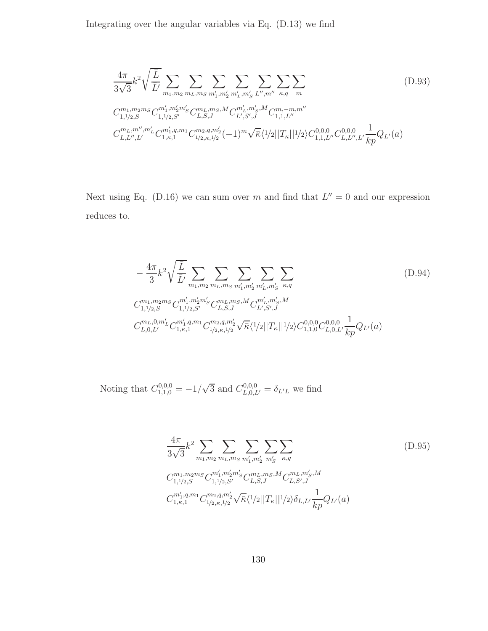Integrating over the angular variables via Eq. (D.13) we find

$$
\frac{4\pi}{3\sqrt{3}}k^2\sqrt{\frac{\overline{L}}{\overline{L}'}}\sum_{m_1,m_2}\sum_{m_L,m_S}\sum_{m'_1,m'_2}\sum_{m'_L,m'_S}\sum_{L'',m''} \sum_{\kappa,q}\sum_{m}
$$
\n
$$
C_{1,1/2,S}^{m_1,m_2m_S}C_{1,1/2,S'}^{m'_1,m'_2m'_S}C_{L,S,J}^{m_L,m_S,M}C_{L',S',J}^{m'_L,m'_S,M}C_{1,1,L''}^{m,-m,m''}
$$
\n
$$
C_{L,L'',L'}^{m_L,m'',m'_L}C_{1,\kappa,1}^{m'_1,m_1}C_{1/2,\kappa,1/2}^{m_2,q,m'_2}(-1)^m\sqrt{\overline{\kappa}}\langle 1/2||T_{\kappa}||1/2\rangle C_{1,1,L''}^{0,0,0}C_{L,L'',L'}^{0,0,0}\frac{1}{kp}Q_{L'}(a)
$$
\n
$$
(D.93)
$$

Next using Eq. (D.16) we can sum over m and find that  $L'' = 0$  and our expression reduces to.

$$
-\frac{4\pi}{3}k^2\sqrt{\frac{\overline{L}}{\overline{L}'}}\sum_{m_1,m_2}\sum_{m_L,m_S}\sum_{m'_1,m'_2}\sum_{m'_L,m'_S}\sum_{\kappa,q}
$$
(D.94)  

$$
C_{1,1/2,S}^{m_1,m_2m_S}C_{1,1/2,S'}^{m'_1,m'_2m'_S}C_{L,S,J}^{m_L,m_S,M}C_{L',S',J}^{m'_L,m'_S,M}
$$
  

$$
C_{L,0,L'}^{m_L,0,m'_L}C_{1,\kappa,1}^{m'_1,q,m_1}C_{1/2,\kappa,1/2}^{m_2,q,m'_2}\sqrt{\overline{\kappa}}\langle 1/2||T_{\kappa}||1/2\rangle C_{1,1,0}^{0,0,0}C_{L,0,L'}^{0,0,0}\frac{1}{kp}Q_{L'}(a)
$$

Noting that  $C_{1,1,0}^{0,0,0} = -1/\sqrt{3}$  and  $C_{L,0,L'}^{0,0,0} = \delta_{L'L}$  we find

$$
\frac{4\pi}{3\sqrt{3}}k^2 \sum_{m_1,m_2} \sum_{m_L,m_S} \sum_{m'_1,m'_2} \sum_{m'_S} \sum_{\kappa,q}
$$
\n
$$
C_{1,1/2,S}^{m_1,m_2m_S} C_{1,1/2,S'}^{m'_1,m'_2m'_S} C_{L,S,J}^{m_L,m_S,M} C_{L,S',J}^{m_L,m'_S,M}
$$
\n
$$
C_{1,\kappa,1}^{m'_1,q,m_1} C_{1/2,\kappa,1/2}^{m_2,q,m'_2} \sqrt{\kappa} \langle 1/2 | |T_{\kappa}| |1/2 \rangle \delta_{L,L'} \frac{1}{kp} Q_{L'}(a)
$$
\n
$$
(D.95)
$$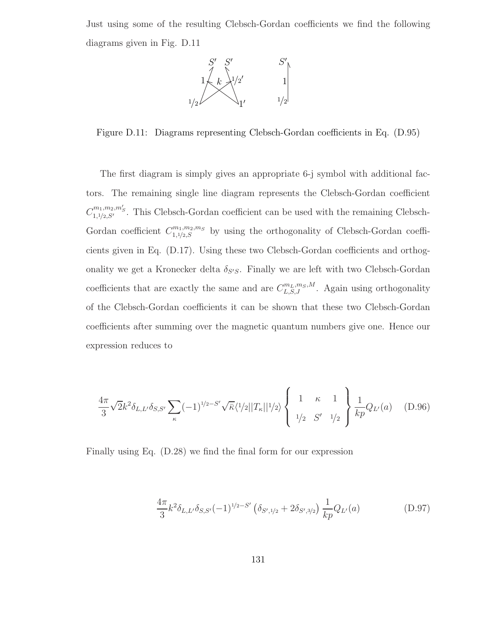Just using some of the resulting Clebsch-Gordan coefficients we find the following diagrams given in Fig. D.11



Figure D.11: Diagrams representing Clebsch-Gordan coefficients in Eq. (D.95)

The first diagram is simply gives an appropriate 6-j symbol with additional factors. The remaining single line diagram represents the Clebsch-Gordan coefficient  $C^{m_1,m_2,m'_S}_{1,1/2,S'}$ . This Clebsch-Gordan coefficient can be used with the remaining Clebsch-Gordan coefficient  $C^{m_1,m_2,m_S}_{1,1/2,S}$  by using the orthogonality of Clebsch-Gordan coefficients given in Eq. (D.17). Using these two Clebsch-Gordan coefficients and orthogonality we get a Kronecker delta  $\delta_{S'S}$ . Finally we are left with two Clebsch-Gordan coefficients that are exactly the same and are  $C_{L,S,J}^{m_L,m_S,M}$ . Again using orthogonality of the Clebsch-Gordan coefficients it can be shown that these two Clebsch-Gordan coefficients after summing over the magnetic quantum numbers give one. Hence our expression reduces to

$$
\frac{4\pi}{3}\sqrt{2}k^2\delta_{L,L'}\delta_{S,S'}\sum_{\kappa}(-1)^{1/2-S'}\sqrt{\bar{\kappa}}\langle 1/2||T_{\kappa}||1/2\rangle\left\{\n\begin{array}{ccc}\n1 & \kappa & 1 \\
1/2 & S' & 1/2\n\end{array}\n\right\}\n\frac{1}{kp}Q_{L'}(a) \quad (D.96)
$$

Finally using Eq. (D.28) we find the final form for our expression

$$
\frac{4\pi}{3}k^2\delta_{L,L'}\delta_{S,S'}(-1)^{1/2-S'}\left(\delta_{S',1/2}+2\delta_{S',3/2}\right)\frac{1}{kp}Q_{L'}(a)
$$
(D.97)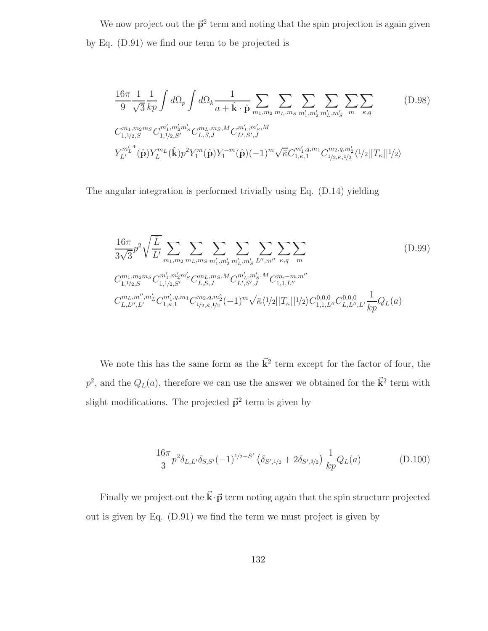We now project out the  $\vec{p}^2$  term and noting that the spin projection is again given by Eq. (D.91) we find our term to be projected is

$$
\frac{16\pi}{9} \frac{1}{\sqrt{3}} \frac{1}{kp} \int d\Omega_p \int d\Omega_k \frac{1}{a + \hat{\mathbf{k}} \cdot \hat{\mathbf{p}}} \sum_{m_1, m_2} \sum_{m_L, m_S} \sum_{m'_1, m'_2} \sum_{m'_L, m'_S} \sum_{m'_R, q}
$$
\n
$$
C_{1,1/2,S}^{m_1, m_2 m_S} C_{1,1/2,S'}^{m'_1, m'_2 m'_S} C_{L,S,J}^{m_L, m_S, M} C_{L',S',J}^{m'_L, m'_S, M}
$$
\n
$$
Y_{L'}^{m'_L}(\hat{\mathbf{p}}) Y_L^{m_L}(\hat{\mathbf{k}}) p^2 Y_1^m(\hat{\mathbf{p}}) Y_1^{-m}(\hat{\mathbf{p}}) (-1)^m \sqrt{\bar{\kappa}} C_{1,\kappa,1}^{m'_1, q, m_1} C_{1/2,\kappa,1/2}^{m_2, q, m'_2} \langle 1/2 ||T_{\kappa}||^{1/2} \rangle
$$
\n(11)

The angular integration is performed trivially using Eq. (D.14) yielding

$$
\frac{16\pi}{3\sqrt{3}}p^2\sqrt{\frac{\overline{L}}{\overline{L}'}}\sum_{m_1,m_2}\sum_{m_L,m_S}\sum_{m'_1,m'_2}\sum_{m'_L,m'_S}\sum_{L'',m''} \sum_{\kappa,q}\sum_{m}
$$
\n
$$
C_{1,1/2,S}^{m_1,m_2m_S}C_{1,1/2,S'}^{m'_1,m'_2m'_S}C_{L,S,J}^{m_L,m_S,M}C_{L',S',J}^{m'_L,m'_S,M}C_{1,1,L''}^{m_1,-m,m''}
$$
\n
$$
C_{L,L'',L'}^{m_L,m'',m'_L}C_{1,\kappa,1}^{m'_1,q,m_1}C_{1/2,\kappa,1/2}^{m_2,q,m'_2}(-1)^m\sqrt{\overline{\kappa}}\langle 1/2||T_{\kappa}||1/2\rangle C_{1,1,L''}^{0,0,0}C_{L,L'',L'}^{0,0,0}\frac{1}{kp}Q_L(a)
$$
\n
$$
(D.99)
$$

We note this has the same form as the  $\vec{k}^2$  term except for the factor of four, the  $p^2$ , and the  $Q_L(a)$ , therefore we can use the answer we obtained for the  $\vec{k}^2$  term with slight modifications. The projected  $\vec{p}^2$  term is given by

$$
\frac{16\pi}{3}p^2\delta_{L,L'}\delta_{S,S'}(-1)^{1/2-S'}\left(\delta_{S',1/2}+2\delta_{S',3/2}\right)\frac{1}{kp}Q_L(a)
$$
 (D.100)

Finally we project out the  $\vec{k} \cdot \vec{p}$  term noting again that the spin structure projected out is given by Eq. (D.91) we find the term we must project is given by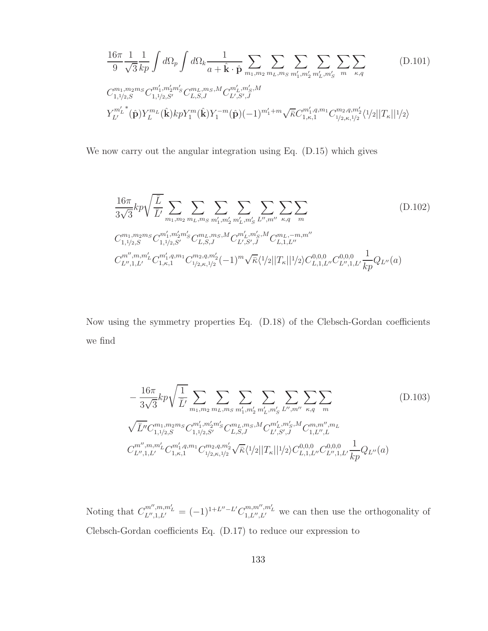$$
\frac{16\pi}{9} \frac{1}{\sqrt{3}} \frac{1}{kp} \int d\Omega_p \int d\Omega_k \frac{1}{a + \hat{\mathbf{k}} \cdot \hat{\mathbf{p}}} \sum_{m_1, m_2} \sum_{m_L, m_S} \sum_{m'_1, m'_2} \sum_{m'_L, m'_S} \sum_{m \ \kappa, q} \sum_{\kappa, q} (D.101)
$$
\n
$$
C_{1,1/2,S}^{m_1, m_2 m_S} C_{1,1/2,S'}^{m'_1, m'_2 m'_S} C_{L,S,J}^{m_L, m_S, M} C_{L',S',J}^{m'_L, m'_S, M}
$$
\n
$$
Y_{L'}^{m'_L}(\hat{\mathbf{p}}) Y_L^{m_L}(\hat{\mathbf{k}}) kp Y_1^m(\hat{\mathbf{k}}) Y_1^{-m}(\hat{\mathbf{p}}) (-1)^{m'_1 + m} \sqrt{\bar{\kappa}} C_{1,\kappa,1}^{m'_1, q, m_1} C_{1/2,\kappa,1/2}^{m_2, q, m'_2} \langle 1/2 | |T_{\kappa}| | 1/2 \rangle
$$

We now carry out the angular integration using Eq. (D.15) which gives

$$
\frac{16\pi}{3\sqrt{3}}kp\sqrt{\frac{\overline{L}}{\overline{L}}}\sum_{m_1,m_2}\sum_{m_L,m_S}\sum_{m'_1,m'_2}\sum_{m'_L,m'_S}\sum_{L'',m''} \sum_{\kappa,q}\sum_{m}
$$
\n
$$
C_{1,1/2,S}^{m_1,m_2m_S}C_{1,1/2,S'}^{m'_1,m'_2m'_S}C_{L,S,J}^{m_L,m_S,M}C_{L',S',J}^{m'_L,m'_S,M}C_{L,1,L''}^{m_L,-m,m''}
$$
\n
$$
C_{L'',1,L'}^{m'',m,m'_{L}}C_{1,\kappa,1}^{m'_1,q,m_1}C_{1/2,\kappa,1/2}^{m_2,q,m'_2}(-1)^m\sqrt{\overline{\kappa}}\langle 1/2||T_{\kappa}||1/2\rangle C_{L,1,L'}^{0,0,0,0}C_{L'',1,L'}^{0,0,0,0}\frac{1}{kp}Q_{L''}(a)
$$
\n
$$
(D.102)
$$

Now using the symmetry properties Eq. (D.18) of the Clebsch-Gordan coefficients we find

$$
-\frac{16\pi}{3\sqrt{3}}kp\sqrt{\frac{1}{\bar{L}'}}\sum_{m_1,m_2}\sum_{m_L,m_5}\sum_{m'_1,m'_2}\sum_{m'_L,m'_S}\sum_{L'',m''} \sum_{\kappa,q}\sum_{m}
$$

$$
\sqrt{\bar{L}''}C_{1,1/2,S}^{m_1,m_2m_S}C_{1,1/2,S'}^{m'_1,m'_2m'_S}C_{L,S,J}^{m_L,m_S,M}C_{L',S',J}^{m'_L,m'_S,M}C_{1,L'',L}^{m,m'',m_L}
$$

$$
C_{L'',1,L'}^{m'',m,m'_{L}}C_{1,\kappa,1}^{m'_1,q,m_1}C_{1/2,\kappa,1/2}^{m_2,q,m'_2}\sqrt{\kappa}\langle 1/2||T_{\kappa}||1/2\rangle C_{L,1,L''}^{0,0,0}C_{L'',1,L'}^{0,0,0}\frac{1}{kp}Q_{L''}(a)
$$
(1103)

Noting that  $C_{L'',1,L'}^{m'',m,m'_L} = (-1)^{1+L''-L'} C_{1,L'',L'}^{m,m'',m'_L}$  we can then use the orthogonality of Clebsch-Gordan coefficients Eq. (D.17) to reduce our expression to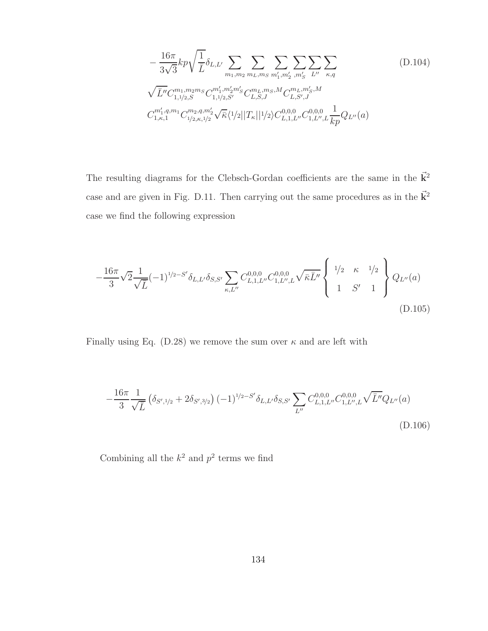$$
-\frac{16\pi}{3\sqrt{3}}kp\sqrt{\frac{1}{\bar{L}}}\delta_{L,L'}\sum_{m_1,m_2}\sum_{m_L,m_S}\sum_{m'_1,m'_2}\sum_{m'_S}\sum_{L''}\sum_{\kappa,q}
$$
(D.104)  

$$
\sqrt{\bar{L}''}C_{1,1/2,S}^{m_1,m_2m_S}C_{1,1/2,S'}^{m'_1,m'_2m'_S}C_{L,S,J}^{m_L,m_S,M}C_{L,S',J}^{m_L,m'_S,M}
$$
  

$$
C_{1,\kappa,1}^{m'_1,q,m_1}C_{1/2,\kappa,1/2}^{m_2,q,m'_2}\sqrt{\kappa}\langle 1/2||T_{\kappa}||1/2\rangle C_{L,1,L''}^{0,0,0}C_{1,L'',L}^{0,0,0}\frac{1}{kp}Q_{L''}(a)
$$

The resulting diagrams for the Clebsch-Gordan coefficients are the same in the  $\vec{k}^2$ case and are given in Fig. D.11. Then carrying out the same procedures as in the  $\vec{k}^2$ case we find the following expression

$$
-\frac{16\pi}{3}\sqrt{2}\frac{1}{\sqrt{L}}(-1)^{1/2-S'}\delta_{L,L'}\delta_{S,S'}\sum_{\kappa,L''}C_{L,1,L''}^{0,0,0}C_{1,L'',L}^{0,0,0}\sqrt{\bar{\kappa}L''}\left\{\begin{array}{ccc}1/2 & \kappa & 1/2\\1 & S' & 1\end{array}\right\}Q_{L''}(a)
$$
\n(D.105)

Finally using Eq. (D.28) we remove the sum over  $\kappa$  and are left with

$$
-\frac{16\pi}{3}\frac{1}{\sqrt{L}}\left(\delta_{S',1/2}+2\delta_{S',3/2}\right)(-1)^{1/2-S'}\delta_{L,L'}\delta_{S,S'}\sum_{L''}C_{L,1,L''}^{0,0,0}C_{1,L'',L}^{0,0,0}\sqrt{\bar{L}''}Q_{L''}(a)\right)
$$
(D.106)

Combining all the  $k^2$  and  $p^2$  terms we find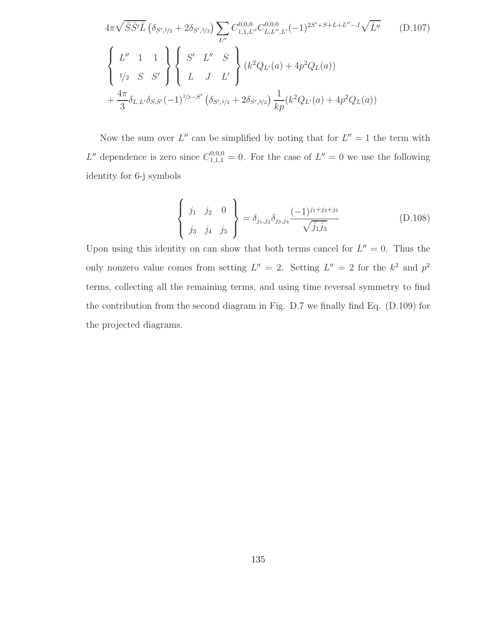$$
4\pi\sqrt{\bar{S}\bar{S}'\bar{L}}\left(\delta_{S',1/2} + 2\delta_{S',3/2}\right) \sum_{L''} C_{1,1,L''}^{0,0,0} C_{L,L'',L'}^{0,0,0} (-1)^{2S'+S+L+L''-J} \sqrt{\bar{L}''}
$$
\n(D.107)\n
$$
\begin{cases}\nL'' & 1 & 1 \\
1/2 & S & S' \\
1/2 & S & S'\n\end{cases}\n\begin{cases}\nS' & L'' & S \\
L & J & L'\n\end{cases}\n\begin{cases}\n(k^2Q_{L'}(a) + 4p^2Q_L(a)) \\
k^2Q_{L'}(a) + 4p^2Q_L(a)\n\end{cases}\n+\frac{4\pi}{3}\delta_{L,L'}\delta_{S,S'}(-1)^{1/2-S'}\left(\delta_{S',1/2} + 2\delta_{S',3/2}\right) \frac{1}{kp}(k^2Q_{L'}(a) + 4p^2Q_L(a))\n\end{cases}
$$

Now the sum over  $L''$  can be simplified by noting that for  $L'' = 1$  the term with L'' dependence is zero since  $C_{1,1,1}^{0,0,0} = 0$ . For the case of  $L'' = 0$  we use the following identity for 6-j symbols

$$
\begin{Bmatrix} j_1 & j_2 & 0 \ j_3 & j_4 & j_5 \end{Bmatrix} = \delta_{j_1, j_2} \delta_{j_3, j_4} \frac{(-1)^{j_1 + j_3 + j_5}}{\sqrt{\bar{j}_1 \bar{j}_3}}
$$
(D.108)

Upon using this identity on can show that both terms cancel for  $L'' = 0$ . Thus the only nonzero value comes from setting  $L'' = 2$ . Setting  $L'' = 2$  for the  $k^2$  and  $p^2$ terms, collecting all the remaining terms, and using time reversal symmetry to find the contribution from the second diagram in Fig. D.7 we finally find Eq. (D.109) for the projected diagrams.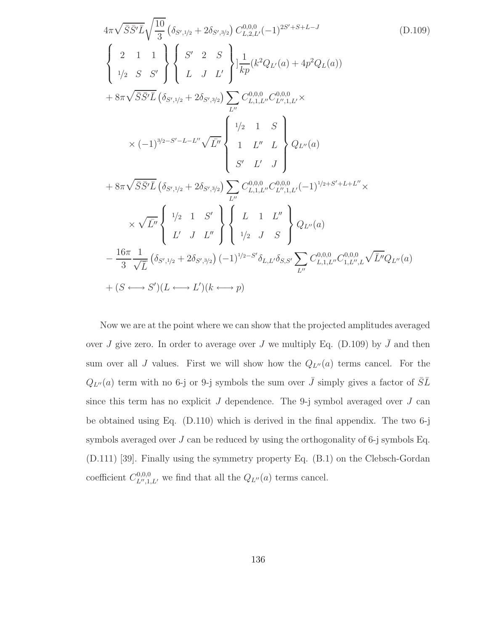$$
4\pi\sqrt{\bar{S}}\bar{S}'\bar{L}\sqrt{\frac{10}{3}}\left(\delta_{S',1/2}+2\delta_{S',3/2}\right)C_{L,2,L'}^{0,0,0}(-1)^{2S'+S+L-J}
$$
\n
$$
\begin{Bmatrix}\n2 & 1 & 1 \\
1/2 & S & S'\n\end{Bmatrix}\n\begin{Bmatrix}\nS' & 2 & S \\
L & J & L'\n\end{Bmatrix}\n\frac{1}{kp}(k^2Q_{L'}(a) + 4p^2Q_{L}(a))
$$
\n
$$
+ 8\pi\sqrt{\bar{S}}\bar{S}'\bar{L}\left(\delta_{S',1/2}+2\delta_{S',3/2}\right)\n\sum_{L''} C_{L,1,L''}^{0,0,0}C_{L'',1,L'}^{0,0,0}\times
$$
\n
$$
\times (-1)^{3/2-S'-L-L''}\sqrt{\bar{L}''}\n\begin{Bmatrix}\n1/2 & 1 & S \\
1 & L'' & L \\
1 & L'' & L\n\end{Bmatrix}\nQ_{L''}(a)
$$
\n
$$
+ 8\pi\sqrt{\bar{S}}\bar{S}'\bar{L}\left(\delta_{S',1/2}+2\delta_{S',3/2}\right)\n\sum_{L''} C_{L,1,L''}^{0,0,0}C_{L'',1,L'}^{0,0,0}(-1)^{1/2+S'+L+L''}\times
$$
\n
$$
\times\sqrt{\bar{L}''}\n\begin{Bmatrix}\n1/2 & 1 & S' \\
L' & J & L''\n\end{Bmatrix}\n\begin{Bmatrix}\nL & 1 & L'' \\
L & 1 & L'' \\
1/2 & J & S\n\end{Bmatrix}\nQ_{L''}(a)
$$
\n
$$
-\frac{16\pi}{3}\frac{1}{\sqrt{L}}\left(\delta_{S',1/2}+2\delta_{S',3/2}\right)(-1)^{1/2-S'}\delta_{L,L'}\delta_{S,S'}\sum_{L''} C_{L,1,L''}^{0,0,0}C_{L,1,L''}^{0,0,0}\sqrt{\bar{L}''}Q_{L''}(a)
$$
\n
$$
+(S \leftrightarrow S')(L \leftrightarrow L')(k \leftrightarrow p)
$$
\n(1)

Now we are at the point where we can show that the projected amplitudes averaged over J give zero. In order to average over J we multiply Eq. (D.109) by  $\bar{J}$  and then sum over all J values. First we will show how the  $Q_{L''}(a)$  terms cancel. For the  $Q_{L''}(a)$  term with no 6-j or 9-j symbols the sum over  $\bar{J}$  simply gives a factor of  $\bar{S}\bar{L}$ since this term has no explicit  $J$  dependence. The 9-j symbol averaged over  $J$  can be obtained using Eq. (D.110) which is derived in the final appendix. The two 6-j symbols averaged over  $J$  can be reduced by using the orthogonality of 6-j symbols Eq. (D.111) [39]. Finally using the symmetry property Eq. (B.1) on the Clebsch-Gordan coefficient  $C_{L'',1}^{0,0,0}$  $L''$ ,  $L''$ , we find that all the  $Q_{L''}(a)$  terms cancel.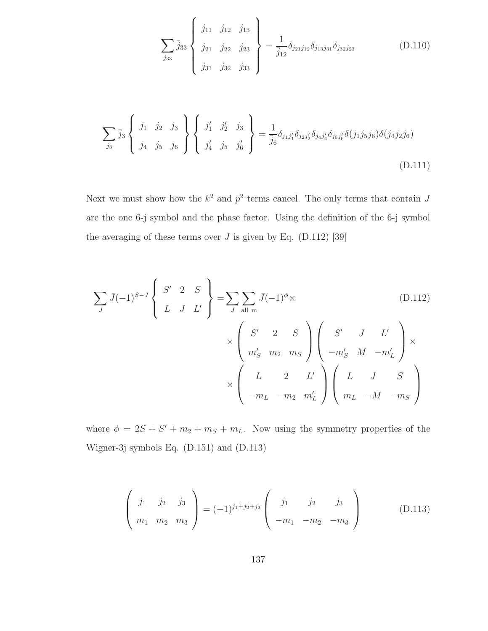$$
\sum_{j_{33}} \bar{j}_3 \begin{Bmatrix} j_{11} & j_{12} & j_{13} \\ j_{21} & j_{22} & j_{23} \\ j_{31} & j_{32} & j_{33} \end{Bmatrix} = \frac{1}{\bar{j}_{12}} \delta_{j_{21}j_{12}} \delta_{j_{13}j_{31}} \delta_{j_{32}j_{23}}
$$
(D.110)

$$
\sum_{j_3} \bar{j}_3 \left\{ j_1 \quad j_2 \quad j_3 \atop j_4 \quad j_5 \quad j_6 \right\} \left\{ j'_1 \quad j'_2 \quad j_3 \atop j'_4 \quad j_5 \quad j'_6 \right\} = \frac{1}{\bar{j}_6} \delta_{j_1 j'_1} \delta_{j_2 j'_2} \delta_{j_4 j'_4} \delta_{j_6 j'_6} \delta(j_1 j_5 j_6) \delta(j_4 j_2 j_6)
$$
\n(D.111)

Next we must show how the  $k^2$  and  $p^2$  terms cancel. The only terms that contain J are the one 6-j symbol and the phase factor. Using the definition of the 6-j symbol the averaging of these terms over  $J$  is given by Eq. (D.112) [39]

$$
\sum_{J} \bar{J}(-1)^{S-J} \begin{Bmatrix} S' & 2 & S \\ L & J & L' \end{Bmatrix} = \sum_{J} \sum_{\text{all } m} \bar{J}(-1)^{\phi} \times \begin{pmatrix} 0.112 \\ \chi \end{pmatrix}
$$
\n
$$
\times \begin{pmatrix} S' & 2 & S \\ m'_S & m_2 & m_S \end{pmatrix} \begin{pmatrix} S' & J & L' \\ -m'_S & M & -m'_L \end{pmatrix} \times \begin{pmatrix} L & 2 & L' \\ -m_L & -m_2 & m'_L \end{pmatrix} \begin{pmatrix} L & J & S \\ m_L & -M & -m_S \end{pmatrix}
$$

where  $\phi = 2S + S' + m_2 + m_S + m_L$ . Now using the symmetry properties of the Wigner-3j symbols Eq. (D.151) and (D.113)

$$
\begin{pmatrix}\nj_1 & j_2 & j_3 \\
m_1 & m_2 & m_3\n\end{pmatrix} = (-1)^{j_1+j_2+j_3} \begin{pmatrix}\nj_1 & j_2 & j_3 \\
-m_1 & -m_2 & -m_3\n\end{pmatrix}
$$
\n(D.113)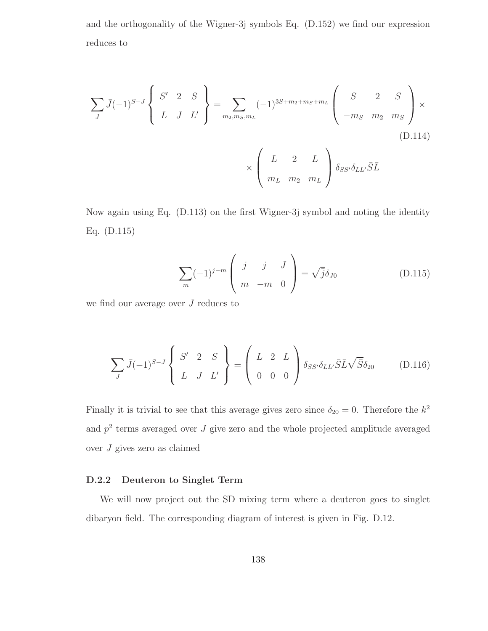and the orthogonality of the Wigner-3j symbols Eq. (D.152) we find our expression reduces to

$$
\sum_{J} \bar{J}(-1)^{S-J} \begin{Bmatrix} S' & 2 & S \\ L & J & L' \end{Bmatrix} = \sum_{m_2, m_S, m_L} (-1)^{3S+m_2+m_S+m_L} \begin{pmatrix} S & 2 & S \\ -m_S & m_2 & m_S \end{pmatrix} \times \begin{pmatrix} L & 2 & L \\ m_L & m_2 & m_L \end{pmatrix} \delta_{SS'} \delta_{LL'} \bar{S} \bar{L}
$$
\n(D.114)

Now again using Eq. (D.113) on the first Wigner-3j symbol and noting the identity Eq. (D.115)

$$
\sum_{m} (-1)^{j-m} \begin{pmatrix} j & j & J \ m & -m & 0 \end{pmatrix} = \sqrt{j} \delta_{J0}
$$
 (D.115)

we find our average over  $J$  reduces to

$$
\sum_{J} \bar{J}(-1)^{S-J} \begin{Bmatrix} S' & 2 & S \\ L & J & L' \end{Bmatrix} = \begin{pmatrix} L & 2 & L \\ 0 & 0 & 0 \end{pmatrix} \delta_{SS'} \delta_{LL'} \bar{S} \bar{L} \sqrt{\bar{S}} \delta_{20} \qquad (D.116)
$$

Finally it is trivial to see that this average gives zero since  $\delta_{20} = 0$ . Therefore the  $k^2$ and  $p<sup>2</sup>$  terms averaged over  $J$  give zero and the whole projected amplitude averaged over J gives zero as claimed

## D.2.2 Deuteron to Singlet Term

We will now project out the SD mixing term where a deuteron goes to singlet dibaryon field. The corresponding diagram of interest is given in Fig. D.12.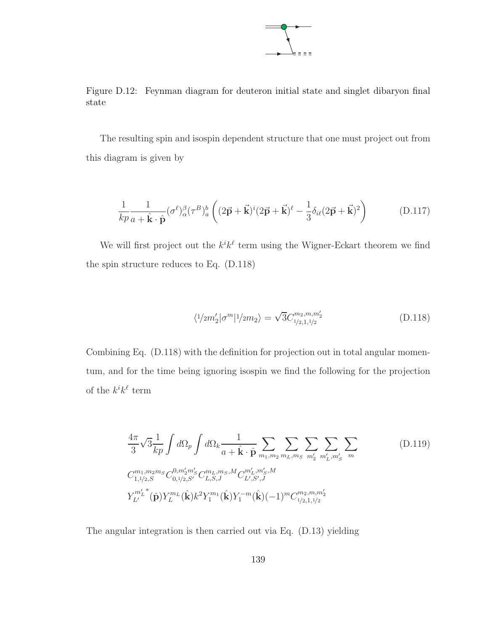

Figure D.12: Feynman diagram for deuteron initial state and singlet dibaryon final state

The resulting spin and isospin dependent structure that one must project out from this diagram is given by

$$
\frac{1}{kp}\frac{1}{a+\hat{\mathbf{k}}\cdot\hat{\mathbf{p}}}(\sigma^{\ell})_{\alpha}^{\beta}(\tau^{B})_{a}^{b}\left((2\vec{\mathbf{p}}+\vec{\mathbf{k}})^{i}(2\vec{\mathbf{p}}+\vec{\mathbf{k}})^{\ell}-\frac{1}{3}\delta_{i\ell}(2\vec{\mathbf{p}}+\vec{\mathbf{k}})^{2}\right)
$$
(D.117)

We will first project out the  $k^{i}k^{\ell}$  term using the Wigner-Eckart theorem we find the spin structure reduces to Eq. (D.118)

$$
\langle 1/2m_2' | \sigma^m | 1/2m_2 \rangle = \sqrt{3} C_{1/2,1,1/2}^{m_2, m, m_2'} \tag{D.118}
$$

Combining Eq. (D.118) with the definition for projection out in total angular momentum, and for the time being ignoring isospin we find the following for the projection of the  $k^{i}k^{\ell}$  term

$$
\frac{4\pi}{3}\sqrt{3}\frac{1}{kp}\int d\Omega_p \int d\Omega_k \frac{1}{a+\hat{\mathbf{k}}\cdot\hat{\mathbf{p}}}\sum_{m_1,m_2} \sum_{m_L,m_S} \sum_{m'_2} \sum_{m'_L,m'_S} \sum_{m'_L,m'_S} \sum_{m'_L,m'_S,m'_S} (D.119)
$$
\n
$$
C_{1,1/2,S}^{m_1,m_2m_S} C_{0,1/2,S'}^{0,m'_2m'_S} C_{L,S,J}^{m_L,m_S,M} C_{L',S',J}^{m'_L,m'_S,M}
$$
\n
$$
Y_{L'}^{m'_L}(\hat{\mathbf{p}}) Y_L^{m_L}(\hat{\mathbf{k}}) k^2 Y_1^{m_1}(\hat{\mathbf{k}}) Y_1^{-m}(\hat{\mathbf{k}}) (-1)^m C_{1/2,1,1/2}^{m_2,m_1,m'_2}
$$
\n(2.119)

The angular integration is then carried out via Eq. (D.13) yielding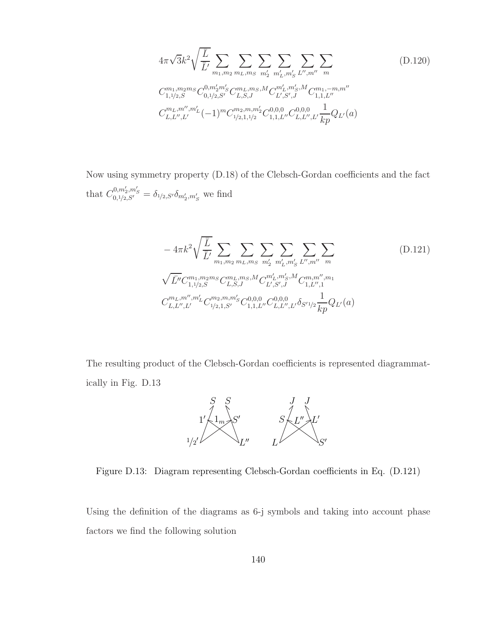$$
4\pi\sqrt{3}k^2\sqrt{\frac{\overline{L}}{\overline{L}'}}\sum_{m_1,m_2}\sum_{m_L,m_S}\sum_{m'_2}\sum_{m'_L,m'_S}\sum_{L'',m''} \sum_{m''} \sum_{m''} \sum_{m_1,m_2m_S} (D.120)
$$
  
\n
$$
C_{1,1/2,S}^{m_1,m_2m_S}C_{0,1/2,S'}^{0,m'_2m'_S}C_{L,S,J}^{m_L,m_S,M}C_{L',S',J}^{m'_L,m'_S,M}C_{1,1,L''}^{m_1,-m,m''}
$$
  
\n
$$
C_{L,L'',L'}^{m_L,m'',m'_L}(-1)^m C_{1/2,1,1/2}^{m_2,m,m'_2}C_{1,1,L''}^{0,0,0}C_{L,L'',L'}^{0,0,0}\frac{1}{kp}Q_{L'}(a)
$$

Now using symmetry property (D.18) of the Clebsch-Gordan coefficients and the fact that  $C_{0,1/2,S'}^{0,m'_2,m'_S} = \delta_{1/2,S'}\delta_{m'_2,m'_S}$  we find

$$
-4\pi k^2 \sqrt{\frac{\bar{L}}{\bar{L}'}} \sum_{m_1,m_2} \sum_{m_L,m_S} \sum_{m'_2} \sum_{m'_L,m'_S} \sum_{L'',m''} \sum_{m''} \sum_{m''} \left( D.121 \right)
$$
  

$$
\sqrt{\bar{L}''} C_{1,1/2,S}^{m_1, m_2m_S} C_{L,S,J}^{m_L, m_S, M} C_{L',S',J}^{m'_L, m'_S, M} C_{1,L'',1}^{m,m'',m_1}
$$
  

$$
C_{L,L'',L'}^{m_L, m'',m'_L} C_{1/2,1,S'}^{m_2, m,m'_S} C_{1,1,L''}^{0,0,0} C_{L,L'',L'}^{0,0,0} \delta_{S'1/2} \frac{1}{kp} Q_{L'}(a)
$$
 (111)

The resulting product of the Clebsch-Gordan coefficients is represented diagrammatically in Fig. D.13



Figure D.13: Diagram representing Clebsch-Gordan coefficients in Eq. (D.121)

Using the definition of the diagrams as 6-j symbols and taking into account phase factors we find the following solution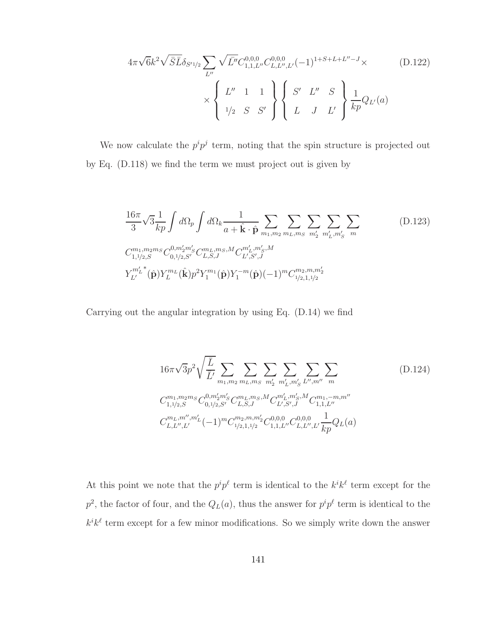$$
4\pi\sqrt{6}k^2\sqrt{\bar{S}}\bar{L}\delta_{S'1/2}\sum_{L''}\sqrt{\bar{L''}}C_{1,1,L''}^{0,0,0}C_{L,L'',L'}^{0,0,0}( -1)^{1+S+L+L''-J}\times (D.122)
$$
  
 
$$
\times \left\{\begin{array}{ccc}L'' & 1 & 1\\1/2 & S & S'\end{array}\right\} \left\{\begin{array}{ccc}S' & L'' & S\\L & J & L'\end{array}\right\} \frac{1}{kp}Q_{L'}(a)
$$

We now calculate the  $p^i p^j$  term, noting that the spin structure is projected out by Eq. (D.118) we find the term we must project out is given by

$$
\frac{16\pi}{3}\sqrt{3}\frac{1}{kp}\int d\Omega_p \int d\Omega_k \frac{1}{a+\hat{\mathbf{k}}\cdot\hat{\mathbf{p}}}\sum_{m_1,m_2} \sum_{m_L,m_S} \sum_{m'_2} \sum_{m'_L,m'_S} \sum_{m'_L,m'_S} \sum_{m'_L,m'_S,m'_S} (D.123)
$$
  
\n
$$
C_{1,1/2,S}^{m_1,m_2m_S} C_{0,1/2,S'}^{0,m'_2m'_S} C_{L,S,J}^{m_L,m_S,M} C_{L',S',J}^{m'_L,m'_S,M}
$$
  
\n
$$
Y_{L'}^{m'_L}(\hat{\mathbf{p}}) Y_L^{m_L}(\hat{\mathbf{k}}) p^2 Y_1^{m_1}(\hat{\mathbf{p}}) Y_1^{-m}(\hat{\mathbf{p}}) (-1)^m C_{1/2,1,1/2}^{m_2,m_1,m'_2}
$$
\n(D.123)

Carrying out the angular integration by using Eq. (D.14) we find

$$
16\pi\sqrt{3}p^{2}\sqrt{\frac{\overline{L}}{\overline{L}'}}\sum_{m_{1},m_{2}}\sum_{m_{L},m_{S}}\sum_{m'_{L}}\sum_{m'_{L},m'_{S}}\sum_{L'',m''} \sum_{m''}
$$
\n
$$
C_{1,1/2,S}^{m_{1},m_{2}m_{S}}C_{0,1/2,S'}^{0,m'_{2}m'_{S}}C_{L,S,J}^{m_{L},m_{S},M}C_{L',S',J}^{m'_{L},m'_{S},M}C_{1,1,L''}^{m_{1},-m,m''}
$$
\n
$$
C_{L,L'',L'}^{m_{L},m'',m'_{L}}(-1)^{m}C_{1/2,1,1/2}^{m_{2},m,m'_{2}}C_{1,1,L''}^{0,0,0}C_{L,L'',L'}^{0,0,0}\frac{1}{kp}Q_{L}(a)
$$
\n
$$
(D.124)
$$

At this point we note that the  $p^i p^{\ell}$  term is identical to the  $k^i k^{\ell}$  term except for the  $p^2$ , the factor of four, and the  $Q_L(a)$ , thus the answer for  $p^i p^{\ell}$  term is identical to the  $k^{i}k^{\ell}$  term except for a few minor modifications. So we simply write down the answer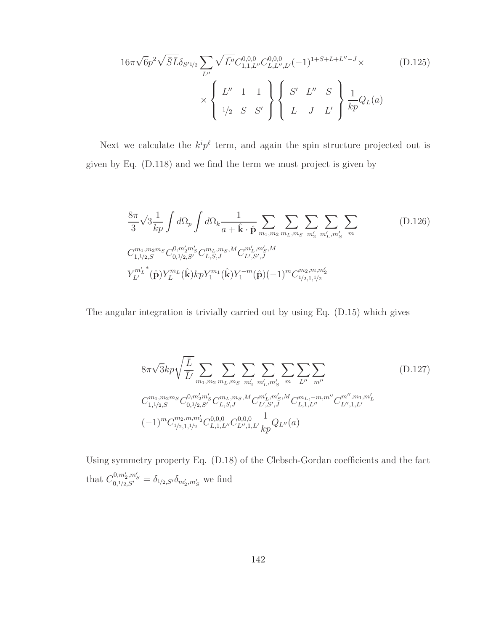$$
16\pi\sqrt{6}p^{2}\sqrt{\bar{S}}\bar{L}\delta_{S'1/2} \sum_{L''} \sqrt{\bar{L}''} C_{1,1,L''}^{0,0,0} C_{L,L'',L'}^{0,0,0}( -1)^{1+S+L+L''-J} \times \left\{\n\begin{array}{ccc}\nL'' & 1 & 1 \\
L'' & 1 & 1 \\
1/2 & S & S'\n\end{array}\n\right\} \left\{\n\begin{array}{ccc}\nS' & L'' & S \\
L & J & L'\n\end{array}\n\right\} \frac{1}{kp} Q_{L}(a)
$$
\n(D.125)

Next we calculate the  $k^i p^{\ell}$  term, and again the spin structure projected out is given by Eq. (D.118) and we find the term we must project is given by

$$
\frac{8\pi}{3}\sqrt{3}\frac{1}{kp}\int d\Omega_{p}\int d\Omega_{k}\frac{1}{a+\hat{\mathbf{k}}\cdot\hat{\mathbf{p}}}\sum_{m_{1},m_{2}}\sum_{m_{L},m_{S}}\sum_{m'_{2}}\sum_{m'_{L},m'_{S}}\sum_{m}
$$
\n
$$
C_{1,1/2,S}^{m_{1},m_{2}m_{S}}C_{0,1/2,S'}^{0,m'_{2}m'_{S}}C_{L,S,J}^{m_{L},m_{S},M}C_{L',S',J}^{m'_{L},m'_{S},M}
$$
\n
$$
Y_{L'}^{m'_{L}}(\hat{\mathbf{p}})Y_{L}^{m_{L}}(\hat{\mathbf{k}})kpY_{1}^{m_{1}}(\hat{\mathbf{k}})Y_{1}^{-m}(\hat{\mathbf{p}})(-1)^{m}C_{1/2,1,1/2}^{m_{2},m,m'_{2}}
$$
\n(D.126)

The angular integration is trivially carried out by using Eq. (D.15) which gives

$$
8\pi\sqrt{3}kp\sqrt{\frac{\overline{L}}{\overline{L}'}}\sum_{m_1,m_2}\sum_{m_L,m_S}\sum_{m'_2}\sum_{m'_L,m'_S}\sum_{m}\sum_{L''}\sum_{m''} \sum_{m''} \sum_{m''} \sum_{m''} \sum_{m''} \sum_{m''} \sum_{m''} \sum_{m''} \sum_{m''} \sum_{m''} \sum_{m''} \sum_{m''} \sum_{m''} \sum_{m''} \sum_{m''} \sum_{m''} \sum_{m''} \sum_{m''} \sum_{m''} \sum_{m''} \sum_{m''} \sum_{m''} \sum_{m''} \sum_{m''} \sum_{m''} \sum_{m''} \sum_{m''} \sum_{m''} \sum_{m''} \sum_{m''} \sum_{m''} \sum_{m''} \sum_{m''} \sum_{m''} \sum_{m''} \sum_{m''} \sum_{m''} \sum_{m''} \sum_{m''} \sum_{m''} \sum_{m''} \sum_{m''} \sum_{m''} \sum_{m''} \sum_{m''} \sum_{m''} \sum_{m''} \sum_{m''} \sum_{m''} \sum_{m''} \sum_{m''} \sum_{m''} \sum_{m''} \sum_{m''} \sum_{m''} \sum_{m''} \sum_{m''} \sum_{m''} \sum_{m''} \sum_{m''} \sum_{m''} \sum_{m''} \sum_{m''} \sum_{m''} \sum_{m''} \sum_{m''} \sum_{m''} \sum_{m''} \sum_{m''} \sum_{m''} \sum_{m''} \sum_{m''} \sum_{m''} \sum_{m''} \sum_{m''} \sum_{m''} \sum_{m''} \sum_{m''} \sum_{m''} \sum_{m''} \sum_{m''} \sum_{m''} \sum_{m''} \sum_{m''} \sum_{m''} \sum_{m''} \sum_{m''} \sum_{m''} \sum_{m''} \sum_{m''} \sum_{m''} \sum_{m''} \sum_{m''} \sum_{m''} \sum_{m''} \sum_{m''} \sum_{m''} \sum_{m''} \sum_{m''} \sum_{m''} \sum_{m''} \sum_{m''} \sum_{m''} \sum_{m''} \sum_{m''} \sum_{m''} \sum_{m''} \sum_{m''} \sum_{m''} \sum_{m''} \sum_{m''} \sum_{m''} \sum_{m''} \sum_{m''} \sum_{m''} \sum_{
$$

Using symmetry property Eq. (D.18) of the Clebsch-Gordan coefficients and the fact that  $C_{0,1/2,S'}^{0,m'_2,m'_S} = \delta_{1/2,S'}\delta_{m'_2,m'_S}$  we find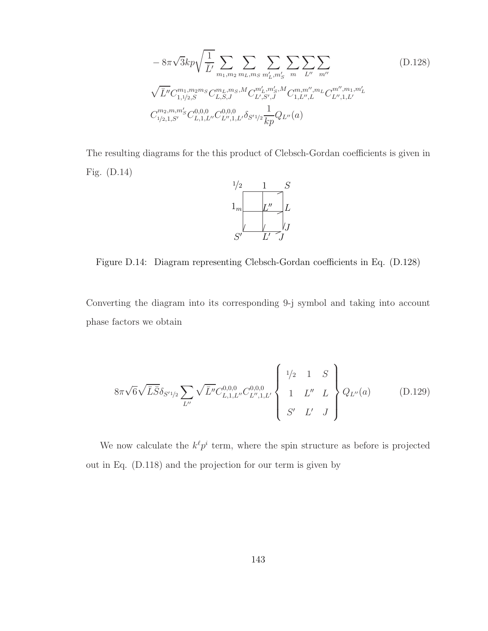$$
-8\pi\sqrt{3}kp\sqrt{\frac{1}{\bar{L}'}}\sum_{m_1,m_2}\sum_{m_L,m_S}\sum_{m'_L,m'_S}\sum_{m}\sum_{L''}\sum_{m''} \sum_{m''} \sum_{m''} \left\langle (D.128)\sqrt{\bar{L}''}C_{1,1/2,S}^{m_1,m_2m_S}C_{L,S,J}^{m_L,m_S,M}C_{L',S',J}^{m'_L,m'_S,M}C_{1,L'',L}^{m,m'',m_L}C_{L'',1,L'}^{m'',m_1,m'_L} \right\langle C_{1/2,1,S'}^{m_2,m,m'_S}C_{L,1,L''}^{0,0,0}C_{L'',1,L''}^{0,0,0}\delta_{S'1/2}\frac{1}{kp}Q_{L''}(a)\right\}
$$

The resulting diagrams for the this product of Clebsch-Gordan coefficients is given in Fig. (D.14)



Figure D.14: Diagram representing Clebsch-Gordan coefficients in Eq. (D.128)

Converting the diagram into its corresponding 9-j symbol and taking into account phase factors we obtain

$$
8\pi\sqrt{6}\sqrt{\bar{L}\bar{S}}\delta_{S'1/2} \sum_{L''} \sqrt{\bar{L}''} C_{L,1,L''}^{0,0,0} C_{L'',1,L'}^{0,0,0} \begin{Bmatrix} 1/2 & 1 & S \\ 1 & L'' & L \\ S' & L' & J \end{Bmatrix} Q_{L''}(a) \quad (D.129)
$$

We now calculate the  $k^{\ell} p^{i}$  term, where the spin structure as before is projected out in Eq. (D.118) and the projection for our term is given by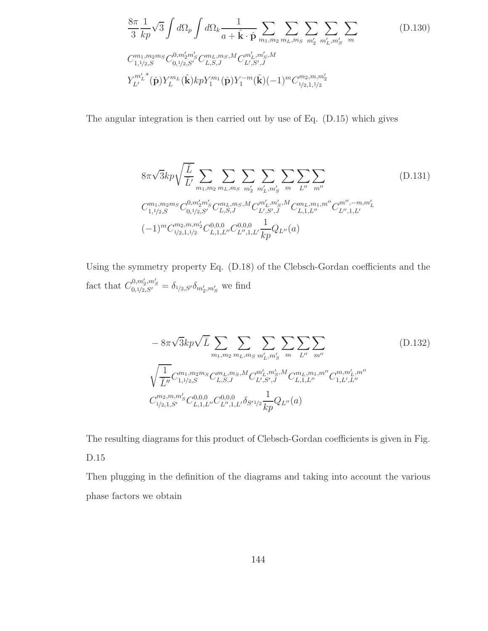$$
\frac{8\pi}{3} \frac{1}{kp} \sqrt{3} \int d\Omega_p \int d\Omega_k \frac{1}{a + \hat{\mathbf{k}} \cdot \hat{\mathbf{p}}} \sum_{m_1, m_2} \sum_{m_L, m_S} \sum_{m'_2} \sum_{m'_L, m'_S} \sum_{m'_L, m'_S} \sum_{m'_L, m'_S, m'_S} (D.130)
$$
  

$$
C_{1,1/2,S}^{m_1, m_2m_S} C_{0,1/2,S'}^{0, m'_2m'_S} C_{L,S,J}^{m_L, m_S, M} C_{L',S',J}^{m'_L, m'_S, M}
$$
  

$$
Y_{L'}^{m'_L}(\hat{\mathbf{p}}) Y_L^{m_L}(\hat{\mathbf{k}}) kp Y_1^{m_1}(\hat{\mathbf{p}}) Y_1^{-m}(\hat{\mathbf{k}}) (-1)^m C_{1/2,1,1/2}^{m_2, m, m'_2}
$$
 (D.130)

The angular integration is then carried out by use of Eq. (D.15) which gives

8π √ 3kp<sup>r</sup> L¯ L¯′ X m1,m<sup>2</sup> X mL,m<sup>S</sup> X m′ 2 X m′ L ,m′ S X m X L′′ X m′′ (D.131) C m1,m2m<sup>S</sup> <sup>1</sup>,1/2,S C 0,m′ 2m′ S <sup>0</sup>,1/2,S′ C mL,mS,M L,S,J C m′ L ,m′ S ,M L′ ,S′ ,J C mL,m1,m′′ L,1,L′′ C m′′ ,−m,m′ L L′′ ,1,L′ (−1)<sup>m</sup><sup>C</sup> m2,m,m′ 2 <sup>1</sup>/2,1,1/<sup>2</sup> C 0,0,0 L,1,L′′C 0,0,0 L′′ ,1,L′ 1 kpQL′′(a)

Using the symmetry property Eq. (D.18) of the Clebsch-Gordan coefficients and the fact that  $C_{0,1/2,S'}^{0,m'_2,m'_S} = \delta_{1/2,S'} \delta_{m'_2,m'_S}$  we find

$$
- 8\pi\sqrt{3}kp\sqrt{\bar{L}} \sum_{m_1,m_2} \sum_{m_L,m_S} \sum_{m'_L,m'_S} \sum_{m} \sum_{L''} \sum_{m''} \sum_{m''} \left( D.132 \right)
$$
  

$$
\sqrt{\frac{1}{\bar{L}''}} C_{1,1/2,S}^{m_1, m_2m_S} C_{L,S,J}^{m_L, m_S, M} C_{L',S',J}^{m'_L, m'_S, M} C_{L,1,L''}^{m_L, m_1, m''} C_{1,L',L''}^{m, m'_L, m''}
$$
  

$$
C_{1/2,1,S'}^{m_2, m, m'_S} C_{L,1,L''}^{0,0,0} C_{L'',1,L'}^{0,0,0} \delta_{S'1/2} \frac{1}{kp} Q_{L''}(a)
$$
 (D.132)

The resulting diagrams for this product of Clebsch-Gordan coefficients is given in Fig. D.15

Then plugging in the definition of the diagrams and taking into account the various phase factors we obtain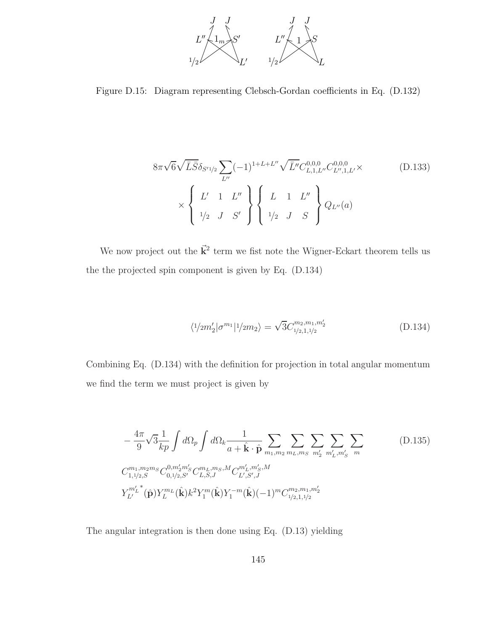

Figure D.15: Diagram representing Clebsch-Gordan coefficients in Eq. (D.132)

$$
8\pi\sqrt{6}\sqrt{\bar{L}\bar{S}}\delta_{S'1/2} \sum_{L''} (-1)^{1+L+L''} \sqrt{\bar{L}''} C_{L,1,L''}^{0,0,0} C_{L'',1,L'}^{0,0,0} \times \begin{Bmatrix} \sum_{l' \atop l/2} 1 & L'' \\ 1 & L'' \\ 1/2 & J & S' \end{Bmatrix} \begin{Bmatrix} L & 1 & L'' \\ 1 & L & 1 \\ 1/2 & J & S \end{Bmatrix} Q_{L''}(a)
$$
 (D.133)

We now project out the  $\vec{k}^2$  term we fist note the Wigner-Eckart theorem tells us the the projected spin component is given by Eq. (D.134)

$$
\langle 1/2m_2'|\sigma^{m_1}|1/2m_2\rangle = \sqrt{3}C_{1/2,1,1/2}^{m_2,m_1,m_2'} \tag{D.134}
$$

Combining Eq. (D.134) with the definition for projection in total angular momentum we find the term we must project is given by

$$
-\frac{4\pi}{9}\sqrt{3}\frac{1}{kp}\int d\Omega_p \int d\Omega_k \frac{1}{a+\hat{\mathbf{k}}\cdot\hat{\mathbf{p}}}\sum_{m_1,m_2} \sum_{m_L,m_S} \sum_{m'_2} \sum_{m'_L,m'_S} \sum_{m'_L,m'_S} \sum_{m'_L,m'_2,m'_S} (D.135)
$$
  

$$
C_{1,1/2,S}^{m_1,m_2m_S} C_{0,1/2,S'}^{0,m'_2m'_S} C_{L,S,J}^{m_L,m_S,M} C_{L',S',J}^{m'_L,m'_S,M}
$$
  

$$
Y_{L'}^{m'_L}(\hat{\mathbf{p}}) Y_L^{m_L}(\hat{\mathbf{k}}) k^2 Y_1^m(\hat{\mathbf{k}}) Y_1^{-m}(\hat{\mathbf{k}}) (-1)^m C_{1/2,1,1/2}^{m_2,m_1,m'_2}
$$

The angular integration is then done using Eq. (D.13) yielding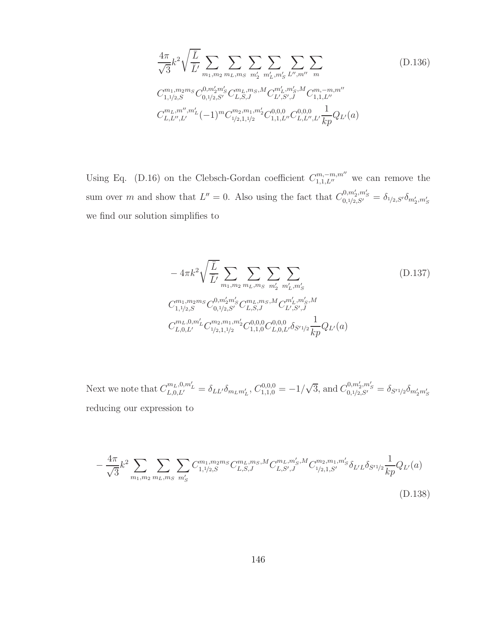$$
\frac{4\pi}{\sqrt{3}}k^2\sqrt{\frac{\overline{L}}{\overline{L}'}}\sum_{m_1,m_2}\sum_{m_L,m_S}\sum_{m'_2}\sum_{m'_L,m'_S}\sum_{L'',m''} \sum_{m''} \sum_{m''} (D.136)
$$
\n
$$
C_{1,1/2,S}^{m_1,m_2m_S}C_{0,1/2,S'}^{0,m'_2m'_S}C_{L,S,J}^{m_L,m_S,M}C_{L',S',J}^{m'_L,m'_S,M}C_{1,1,L''}^{m,-m,m''}
$$
\n
$$
C_{L,L'',L'}^{m_L,m'',m'_L}(-1)^m C_{1/2,1,1/2}^{m_2,m_1,m'_2}C_{1,1,L''}^{0,0,0}C_{L,L'',L'}^{0,0,0}\frac{1}{kp}Q_{L'}(a)
$$

Using Eq. (D.16) on the Clebsch-Gordan coefficient  $C^{m,-m,m''}_{1,1,L''}$  we can remove the sum over m and show that  $L'' = 0$ . Also using the fact that  $C_{0,1/2,S'}^{0,m'_2,m'_S} = \delta_{1/2,S'} \delta_{m'_2,m'_S}$ we find our solution simplifies to

$$
-4\pi k^2 \sqrt{\frac{\overline{L}}{\overline{L}'}} \sum_{m_1, m_2} \sum_{m_L, m_S} \sum_{m'_2} \sum_{m'_L, m'_S} (D.137)
$$
  
\n
$$
C_{1,1/2,S}^{m_1, m_2m_S} C_{0,1/2,S'}^{0, m'_2m'_S} C_{L,S,J}^{m_L, m_S, M} C_{L',S',J}^{m'_L, m'_S, M}
$$
  
\n
$$
C_{L,0,L'}^{m_L,0, m'_L} C_{1/2,1,1/2}^{m_2, m_1, m'_2} C_{1,1,0}^{0,0,0} C_{L,0,L'}^{0,0,0} \delta_{S'1/2} \frac{1}{kp} Q_{L'}(a)
$$

Next we note that  $C_{L,0,L'}^{m_L,0,m'_L} = \delta_{LL'} \delta_{m_L m'_L}, C_{1,1,0}^{0,0,0} = -1/\sqrt{3}$ , and  $C_{0,1/2,S'}^{0,m'_2,m'_S} = \delta_{S'1/2} \delta_{m'_2 m'_S}$ reducing our expression to

$$
-\frac{4\pi}{\sqrt{3}}k^2 \sum_{m_1,m_2} \sum_{m_L,m_S} \sum_{m'_S} C^{m_1,m_2m_S}_{1,1/2,S} C^{m_L,m_S,M}_{L,S,J} C^{m_L,m'_S,M}_{L,S',J} C^{m_2,m_1,m'_S}_{1/2,1,S'} \delta_{L'L} \delta_{S'1/2} \frac{1}{kp} Q_{L'}(a)
$$
\n(D.138)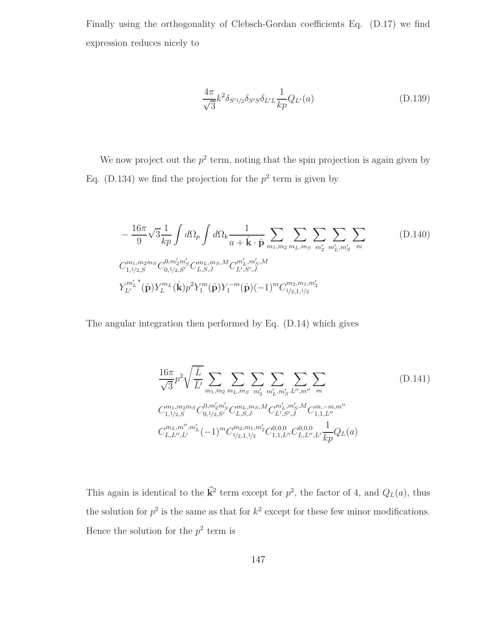Finally using the orthogonality of Clebsch-Gordan coefficients Eq. (D.17) we find expression reduces nicely to

$$
\frac{4\pi}{\sqrt{3}}k^2 \delta_{S'1/2} \delta_{S'S} \delta_{L'L} \frac{1}{kp} Q_{L'}(a)
$$
 (D.139)

We now project out the  $p^2$  term, noting that the spin projection is again given by Eq. (D.134) we find the projection for the  $p^2$  term is given by

$$
-\frac{16\pi}{9}\sqrt{3}\frac{1}{kp}\int d\Omega_p \int d\Omega_k \frac{1}{a+\hat{\mathbf{k}}\cdot\hat{\mathbf{p}}}\sum_{m_1,m_2} \sum_{m_L,m_S} \sum_{m'_2} \sum_{m'_L,m'_S} \sum_{m'_L,m'_S} \sum_{m'_L,m'_S,m'_S} (D.140)
$$
  

$$
C_{1,1/2,S}^{m_1,m_2m_S} C_{0,1/2,S'}^{0,m'_2m'_S} C_{L,S,J}^{m_L,m_S,M} C_{L',S',J}^{m'_L,m'_S,M}
$$
  

$$
Y_{L'}^{m'_L}(\hat{\mathbf{p}}) Y_L^{m_L}(\hat{\mathbf{k}}) p^2 Y_1^m(\hat{\mathbf{p}}) Y_1^{-m}(\hat{\mathbf{p}}) (-1)^m C_{1/2,1,1/2}^{m_2,m_1,m'_2}
$$
 (D.140)

The angular integration then performed by Eq. (D.14) which gives

$$
\frac{16\pi}{\sqrt{3}}p^2\sqrt{\frac{\overline{L}}{\overline{L}}}\sum_{m_1,m_2}\sum_{m_L,m_S}\sum_{m'_2}\sum_{m'_L,m'_S}\sum_{L'',m''} \sum_{m''} \sum_{m''} \sum_{m_1,m_2m_S} (D.141)
$$
\n
$$
C_{1,1/2,S}^{m_1,m_2m_S}C_{0,1/2,S'}^{0,m'_2m'_S}C_{L,S,J}^{m_L,m_S,M}C_{L',S',J}^{m'_L,m'_S,M}C_{1,1,L''}^{m,-m,m''}
$$
\n
$$
C_{L,L'',L'}^{m_L,m'',m'_L}(-1)^m C_{1/2,1,1/2}^{m_2,m_1,m'_2}C_{1,1,L''}^{0,0,0}C_{L,L'',L'}^{0,0,0}\frac{1}{kp}Q_L(a)
$$
\n
$$
(D.141)
$$

This again is identical to the  $\vec{k}^2$  term except for  $p^2$ , the factor of 4, and  $Q_L(a)$ , thus the solution for  $p^2$  is the same as that for  $k^2$  except for these few minor modifications. Hence the solution for the  $p^2$  term is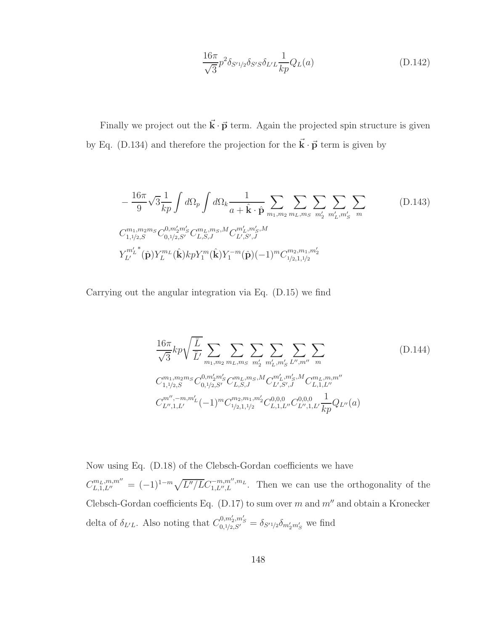$$
\frac{16\pi}{\sqrt{3}}p^2 \delta_{S'1/2} \delta_{S'S} \delta_{L'L} \frac{1}{kp} Q_L(a)
$$
 (D.142)

Finally we project out the  $\vec{k} \cdot \vec{p}$  term. Again the projected spin structure is given by Eq. (D.134) and therefore the projection for the  $\vec{k} \cdot \vec{p}$  term is given by

$$
-\frac{16\pi}{9}\sqrt{3}\frac{1}{kp}\int d\Omega_p \int d\Omega_k \frac{1}{a+\hat{\mathbf{k}}\cdot\hat{\mathbf{p}}}\sum_{m_1,m_2} \sum_{m_L,m_S} \sum_{m'_2} \sum_{m'_L,m'_S} \sum_{m'_L,m'_S} \sum_{m'_L,m'_S,m'_S} (D.143)
$$
  

$$
C_{1,1/2,S}^{m_1,m_2m_S} C_{0,1/2,S'}^{0,m'_2m'_S} C_{L,S,J}^{m_L,m_S,M} C_{L',S',J}^{m'_L,m'_S,M}
$$
  

$$
Y_{L'}^{m'_L}(\hat{\mathbf{p}}) Y_{L}^{m_L}(\hat{\mathbf{k}}) k p Y_1^m(\hat{\mathbf{k}}) Y_1^{-m}(\hat{\mathbf{p}}) (-1)^m C_{1/2,1,1/2}^{m_2,m_1,m'_2}
$$

Carrying out the angular integration via Eq. (D.15) we find

$$
\frac{16\pi}{\sqrt{3}}kp\sqrt{\frac{\overline{L}}{\overline{L}'}}\sum_{m_1,m_2}\sum_{m_L,m_S}\sum_{m'_2}\sum_{m'_L,m'_S}\sum_{L'',m''} \sum_{m''}
$$
\n
$$
C_{1,1/2,S}^{m_1,m_2m_S}C_{0,1/2,S'}^{0,m'_2m'_S}C_{L,S,J}^{m_L,m_S,M}C_{L',S',J}^{m'_L,m'_S,M}C_{L,1,L''}^{m_L,m,m''}
$$
\n
$$
C_{L'',1,L'}^{m'',-m,m'_L}(-1)^m C_{1/2,1,1/2}^{m_2,m_1,m'_2}C_{L,1,L''}^{0,0,0}C_{L'',1,L'}^{0,0,0}\frac{1}{kp}Q_{L''}(a)
$$
\n
$$
(D.144)
$$

Now using Eq. (D.18) of the Clebsch-Gordan coefficients we have  $C_{L,1,L''}^{m_L,m,m''} = (-1)^{1-m} \sqrt{L''/LC_{1,L'',L}^{-m,m'',m_L}}$ . Then we can use the orthogonality of the Clebsch-Gordan coefficients Eq. (D.17) to sum over  $m$  and  $m''$  and obtain a Kronecker delta of  $\delta_{L'L}$ . Also noting that  $C_{0,1/2,S'}^{0,m'_2,m'_S} = \delta_{S'1/2} \delta_{m'_2m'_S}$  we find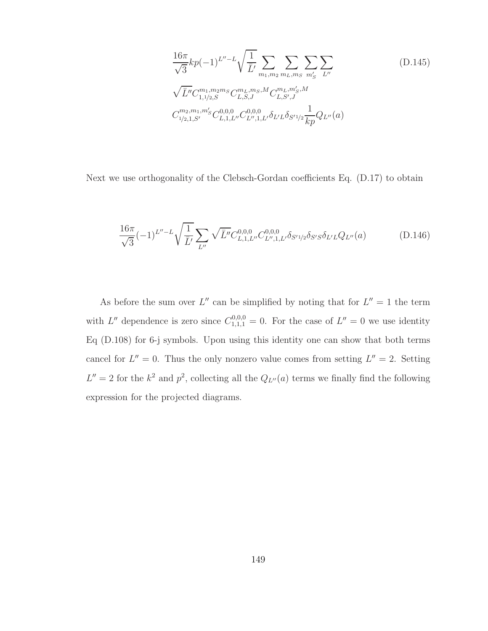$$
\frac{16\pi}{\sqrt{3}}kp(-1)^{L''-L}\sqrt{\frac{1}{\bar{L}'}}\sum_{m_1,m_2}\sum_{m_L,m_S}\sum_{m'_S}\sum_{L''}\n\sqrt{\bar{L}''}C_{1,1/2,S}^{m_1,m_2m_S}C_{L,S,J}^{m_L,m_S,M}C_{L,S',J}^{m_L,m'_S,M}
$$
\n
$$
C_{1/2,1,S'}^{m_2,m_1,m'_S}C_{L,1,L''}^{0,0,0}C_{L'',1,L'}^{0,0,0}\delta_{L'L}\delta_{S'1/2}\frac{1}{kp}Q_{L''}(a)
$$
\n(1145)

Next we use orthogonality of the Clebsch-Gordan coefficients Eq. (D.17) to obtain

$$
\frac{16\pi}{\sqrt{3}}(-1)^{L''-L}\sqrt{\frac{1}{\bar{L}'}}\sum_{L''}\sqrt{\bar{L}''}C_{L,1,L''}^{0,0,0}C_{L'',1,L'}^{0,0,0}\delta_{S'1/2}\delta_{S'S}\delta_{L'L}Q_{L''}(a)
$$
(D.146)

As before the sum over  $L''$  can be simplified by noting that for  $L'' = 1$  the term with L'' dependence is zero since  $C_{1,1,1}^{0,0,0} = 0$ . For the case of  $L'' = 0$  we use identity Eq (D.108) for 6-j symbols. Upon using this identity one can show that both terms cancel for  $L'' = 0$ . Thus the only nonzero value comes from setting  $L'' = 2$ . Setting  $L'' = 2$  for the  $k^2$  and  $p^2$ , collecting all the  $Q_{L''}(a)$  terms we finally find the following expression for the projected diagrams.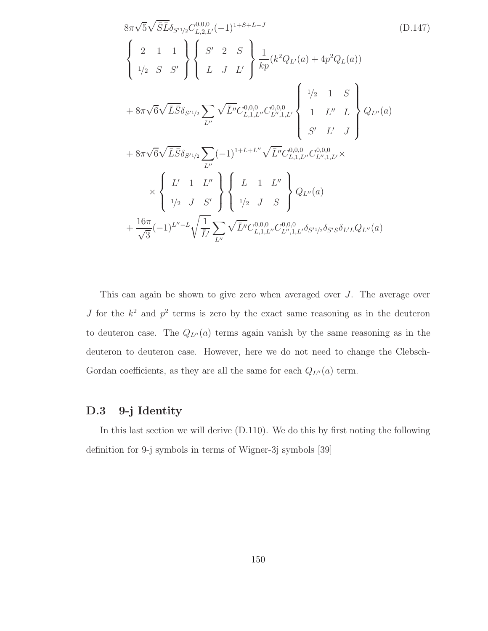$$
8\pi\sqrt{5}\sqrt{\bar{S}}\bar{L}\delta_{S'1/2}C_{L,2,L'}^{0,0,0}(-1)^{1+S+L-J}
$$
\n
$$
\begin{Bmatrix}\n2 & 1 & 1 \\
1/2 & S & S'\n\end{Bmatrix}\n\begin{Bmatrix}\nS' & 2 & S \\
L & J & L'\n\end{Bmatrix}\n\frac{1}{kp}(k^2Q_{L'}(a) + 4p^2Q_L(a))
$$
\n
$$
+ 8\pi\sqrt{6}\sqrt{\bar{L}}\bar{S}\delta_{S'1/2}\sum_{L''}\sqrt{\bar{L''}}C_{L,1,L''}^{0,0,0}C_{L'',1,L'}^{0,0,0}\n\begin{Bmatrix}\n1/2 & 1 & S \\
1 & L'' & L \\
S' & L' & J\n\end{Bmatrix}\nQ_{L''}(a)
$$
\n
$$
+ 8\pi\sqrt{6}\sqrt{\bar{L}}\bar{S}\delta_{S'1/2}\sum_{L''}(-1)^{1+L+L''}\sqrt{\bar{L''}}C_{L,1,L''}^{0,0,0}C_{L'',1,L'}^{0,0,0}
$$
\n
$$
\times \begin{Bmatrix}\nL' & 1 & L'' \\
L' & 1 & L'' \\
1/2 & J & S'\n\end{Bmatrix}\n\begin{Bmatrix}\nL & 1 & L'' \\
L & 1 & L'' \\
1/2 & J & S\n\end{Bmatrix}\nQ_{L''}(a)
$$
\n
$$
+ \frac{16\pi}{\sqrt{3}}(-1)^{L''-L}\sqrt{\frac{1}{L'}}\sum_{L''}\sqrt{\bar{L''}}C_{L,1,L''}^{0,0,0}C_{L'',1,L''}^{0,0,0}\delta_{S'1/2}\delta_{S'S}\delta_{L'L}Q_{L''}(a)
$$

This can again be shown to give zero when averaged over J. The average over J for the  $k^2$  and  $p^2$  terms is zero by the exact same reasoning as in the deuteron to deuteron case. The  $Q_{L''}(a)$  terms again vanish by the same reasoning as in the deuteron to deuteron case. However, here we do not need to change the Clebsch-Gordan coefficients, as they are all the same for each  $Q_{L''}(a)$  term.

## D.3 9-j Identity

In this last section we will derive (D.110). We do this by first noting the following definition for 9-j symbols in terms of Wigner-3j symbols [39]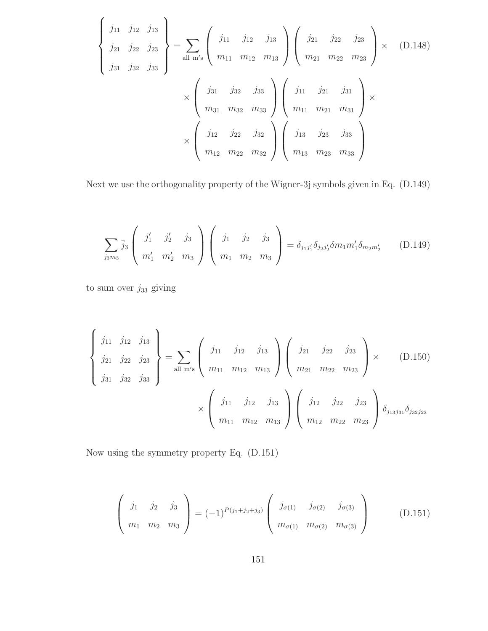$$
\begin{Bmatrix}\nj_{11} & j_{12} & j_{13} \\
j_{21} & j_{22} & j_{23} \\
j_{31} & j_{32} & j_{33}\n\end{Bmatrix} = \sum_{\text{all } m's} \begin{pmatrix}\nj_{11} & j_{12} & j_{13} \\
m_{11} & m_{12} & m_{13}\n\end{pmatrix} \begin{pmatrix}\nj_{21} & j_{22} & j_{23} \\
m_{21} & m_{22} & m_{23}\n\end{pmatrix} \times (D.148)
$$
\n
$$
\times \begin{pmatrix}\nj_{31} & j_{32} & j_{33} \\
m_{31} & m_{32} & m_{33}\n\end{pmatrix} \begin{pmatrix}\nj_{11} & j_{21} & j_{31} \\
m_{11} & m_{21} & m_{31}\n\end{pmatrix} \times
$$
\n
$$
\times \begin{pmatrix}\nj_{12} & j_{22} & j_{32} \\
m_{12} & m_{22} & m_{32}\n\end{pmatrix} \begin{pmatrix}\nj_{13} & j_{23} & j_{33} \\
m_{13} & m_{23} & m_{33}\n\end{pmatrix}
$$

Next we use the orthogonality property of the Wigner-3j symbols given in Eq. (D.149)

$$
\sum_{j_3m_3} \bar{j}_3 \begin{pmatrix} j'_1 & j'_2 & j_3 \ m'_1 & m'_2 & m_3 \end{pmatrix} \begin{pmatrix} j_1 & j_2 & j_3 \ m_1 & m_2 & m_3 \end{pmatrix} = \delta_{j_1j'_1} \delta_{j_2j'_2} \delta m_1 m'_1 \delta_{m_2m'_2}
$$
 (D.149)

to sum over  $j_{33}$  giving

$$
\begin{Bmatrix}\nj_{11} & j_{12} & j_{13} \\
j_{21} & j_{22} & j_{23} \\
j_{31} & j_{32} & j_{33}\n\end{Bmatrix} = \sum_{\text{all } m's} \begin{pmatrix}\nj_{11} & j_{12} & j_{13} \\
m_{11} & m_{12} & m_{13}\n\end{pmatrix} \begin{pmatrix}\nj_{21} & j_{22} & j_{23} \\
m_{21} & m_{22} & m_{23}\n\end{pmatrix} \times (D.150)
$$
\n
$$
\times \begin{pmatrix}\nj_{11} & j_{12} & j_{13} \\
m_{11} & m_{12} & m_{13}\n\end{pmatrix} \begin{pmatrix}\nj_{12} & j_{22} & j_{23} \\
m_{21} & m_{22} & m_{23}\n\end{pmatrix} \delta_{j_{13}j_{31}} \delta_{j_{32}j_{23}}
$$

Now using the symmetry property Eq. (D.151)

$$
\begin{pmatrix}\nj_1 & j_2 & j_3 \\
m_1 & m_2 & m_3\n\end{pmatrix} = (-1)^{P(j_1 + j_2 + j_3)} \begin{pmatrix}\nj_{\sigma(1)} & j_{\sigma(2)} & j_{\sigma(3)} \\
m_{\sigma(1)} & m_{\sigma(2)} & m_{\sigma(3)}\n\end{pmatrix}
$$
\n(D.151)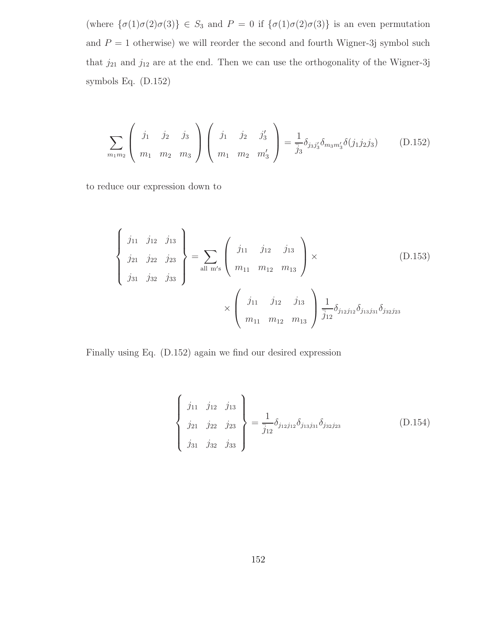(where  $\{\sigma(1)\sigma(2)\sigma(3)\}\in S_3$  and  $P=0$  if  $\{\sigma(1)\sigma(2)\sigma(3)\}\$ is an even permutation and  $P = 1$  otherwise) we will reorder the second and fourth Wigner-3j symbol such that  $j_{21}$  and  $j_{12}$  are at the end. Then we can use the orthogonality of the Wigner-3j symbols Eq. (D.152)

$$
\sum_{m_1 m_2} \left( \begin{array}{ccc} j_1 & j_2 & j_3 \\ m_1 & m_2 & m_3 \end{array} \right) \left( \begin{array}{ccc} j_1 & j_2 & j'_3 \\ m_1 & m_2 & m'_3 \end{array} \right) = \frac{1}{j_3} \delta_{j_3 j'_3} \delta_{m_3 m'_3} \delta(j_1 j_2 j_3) \tag{D.152}
$$

to reduce our expression down to

$$
\begin{Bmatrix}\nj_{11} & j_{12} & j_{13} \\
j_{21} & j_{22} & j_{23} \\
j_{31} & j_{32} & j_{33}\n\end{Bmatrix} = \sum_{\text{all } m's} \begin{pmatrix}\nj_{11} & j_{12} & j_{13} \\
m_{11} & m_{12} & m_{13}\n\end{pmatrix} \times \begin{pmatrix}\nD.153 \\
\frac{1}{2} & \frac{1}{2} & \frac{1}{2} \\
m_{11} & m_{12} & m_{13}\n\end{pmatrix} \frac{1}{j_{12}} \delta_{j_{12}j_{12}} \delta_{j_{13}j_{31}} \delta_{j_{32}j_{23}}
$$

Finally using Eq. (D.152) again we find our desired expression

$$
\begin{Bmatrix}\nj_{11} & j_{12} & j_{13} \\
j_{21} & j_{22} & j_{23} \\
j_{31} & j_{32} & j_{33}\n\end{Bmatrix} = \frac{1}{j_{12}} \delta_{j_{12}j_{12}} \delta_{j_{13}j_{31}} \delta_{j_{32}j_{23}}
$$
\n(D.154)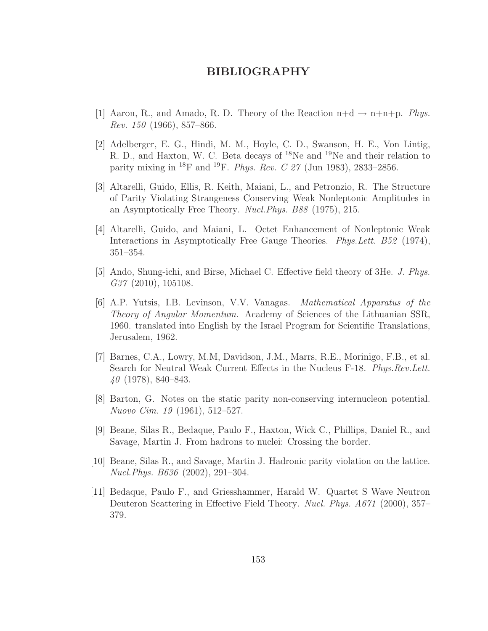## BIBLIOGRAPHY

- [1] Aaron, R., and Amado, R. D. Theory of the Reaction  $n+d \rightarrow n+n+p$ . Phys. *Rev.* 150 (1966), 857–866.
- [2] Adelberger, E. G., Hindi, M. M., Hoyle, C. D., Swanson, H. E., Von Lintig, R. D., and Haxton, W. C. Beta decays of <sup>18</sup>Ne and <sup>19</sup>Ne and their relation to parity mixing in <sup>18</sup>F and <sup>19</sup>F. *Phys. Rev. C 27* (Jun 1983), 2833-2856.
- [3] Altarelli, Guido, Ellis, R. Keith, Maiani, L., and Petronzio, R. The Structure of Parity Violating Strangeness Conserving Weak Nonleptonic Amplitudes in an Asymptotically Free Theory. Nucl.Phys. B88 (1975), 215.
- [4] Altarelli, Guido, and Maiani, L. Octet Enhancement of Nonleptonic Weak Interactions in Asymptotically Free Gauge Theories. Phys.Lett. B52 (1974), 351–354.
- [5] Ando, Shung-ichi, and Birse, Michael C. Effective field theory of 3He. J. Phys. G37 (2010), 105108.
- [6] A.P. Yutsis, I.B. Levinson, V.V. Vanagas. Mathematical Apparatus of the Theory of Angular Momentum. Academy of Sciences of the Lithuanian SSR, 1960. translated into English by the Israel Program for Scientific Translations, Jerusalem, 1962.
- [7] Barnes, C.A., Lowry, M.M, Davidson, J.M., Marrs, R.E., Morinigo, F.B., et al. Search for Neutral Weak Current Effects in the Nucleus F-18. Phys.Rev.Lett. 40 (1978), 840–843.
- [8] Barton, G. Notes on the static parity non-conserving internucleon potential. Nuovo Cim. 19 (1961), 512–527.
- [9] Beane, Silas R., Bedaque, Paulo F., Haxton, Wick C., Phillips, Daniel R., and Savage, Martin J. From hadrons to nuclei: Crossing the border.
- [10] Beane, Silas R., and Savage, Martin J. Hadronic parity violation on the lattice. Nucl.Phys. B636 (2002), 291–304.
- [11] Bedaque, Paulo F., and Griesshammer, Harald W. Quartet S Wave Neutron Deuteron Scattering in Effective Field Theory. Nucl. Phys. A671 (2000), 357– 379.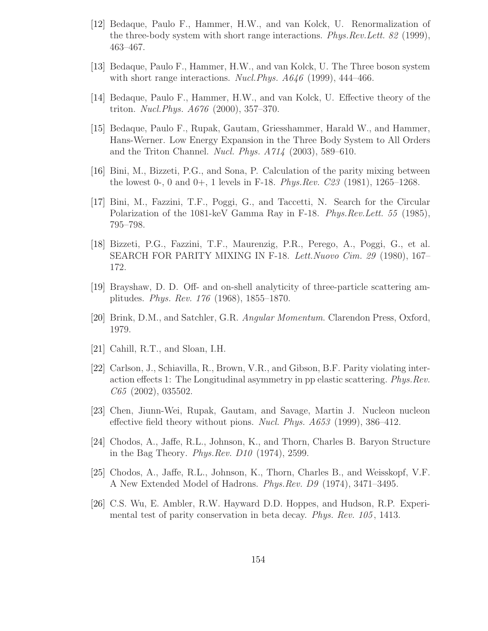- [12] Bedaque, Paulo F., Hammer, H.W., and van Kolck, U. Renormalization of the three-body system with short range interactions. *Phys.Rev.Lett.* 82 (1999), 463–467.
- [13] Bedaque, Paulo F., Hammer, H.W., and van Kolck, U. The Three boson system with short range interactions. Nucl. Phys.  $A646$  (1999), 444–466.
- [14] Bedaque, Paulo F., Hammer, H.W., and van Kolck, U. Effective theory of the triton. Nucl.Phys. A676 (2000), 357–370.
- [15] Bedaque, Paulo F., Rupak, Gautam, Griesshammer, Harald W., and Hammer, Hans-Werner. Low Energy Expansion in the Three Body System to All Orders and the Triton Channel. Nucl. Phys. A714 (2003), 589–610.
- [16] Bini, M., Bizzeti, P.G., and Sona, P. Calculation of the parity mixing between the lowest 0-, 0 and 0+, 1 levels in F-18. *Phys.Rev.*  $C23$  (1981), 1265–1268.
- [17] Bini, M., Fazzini, T.F., Poggi, G., and Taccetti, N. Search for the Circular Polarization of the 1081-keV Gamma Ray in F-18. Phys.Rev.Lett. 55 (1985), 795–798.
- [18] Bizzeti, P.G., Fazzini, T.F., Maurenzig, P.R., Perego, A., Poggi, G., et al. SEARCH FOR PARITY MIXING IN F-18. Lett.Nuovo Cim. 29 (1980), 167– 172.
- [19] Brayshaw, D. D. Off- and on-shell analyticity of three-particle scattering amplitudes. Phys. Rev. 176 (1968), 1855–1870.
- [20] Brink, D.M., and Satchler, G.R. Angular Momentum. Clarendon Press, Oxford, 1979.
- [21] Cahill, R.T., and Sloan, I.H.
- [22] Carlson, J., Schiavilla, R., Brown, V.R., and Gibson, B.F. Parity violating interaction effects 1: The Longitudinal asymmetry in pp elastic scattering. Phys.Rev. C65 (2002), 035502.
- [23] Chen, Jiunn-Wei, Rupak, Gautam, and Savage, Martin J. Nucleon nucleon effective field theory without pions. *Nucl. Phys.*  $A653$  (1999), 386–412.
- [24] Chodos, A., Jaffe, R.L., Johnson, K., and Thorn, Charles B. Baryon Structure in the Bag Theory. Phys.Rev. D10 (1974), 2599.
- [25] Chodos, A., Jaffe, R.L., Johnson, K., Thorn, Charles B., and Weisskopf, V.F. A New Extended Model of Hadrons. Phys.Rev. D9 (1974), 3471–3495.
- [26] C.S. Wu, E. Ambler, R.W. Hayward D.D. Hoppes, and Hudson, R.P. Experimental test of parity conservation in beta decay. Phys. Rev. 105 , 1413.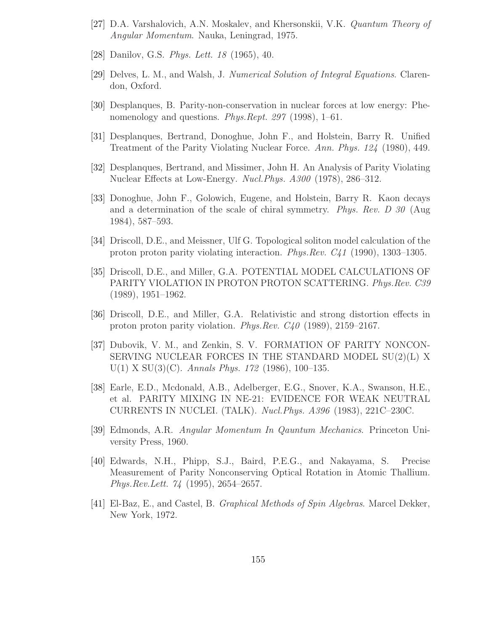- [27] D.A. Varshalovich, A.N. Moskalev, and Khersonskii, V.K. Quantum Theory of Angular Momentum. Nauka, Leningrad, 1975.
- [28] Danilov, G.S. *Phys. Lett.* 18 (1965), 40.
- [29] Delves, L. M., and Walsh, J. Numerical Solution of Integral Equations. Clarendon, Oxford.
- [30] Desplanques, B. Parity-non-conservation in nuclear forces at low energy: Phenomenology and questions. Phys.Rept. 297 (1998), 1–61.
- [31] Desplanques, Bertrand, Donoghue, John F., and Holstein, Barry R. Unified Treatment of the Parity Violating Nuclear Force. Ann. Phys. 124 (1980), 449.
- [32] Desplanques, Bertrand, and Missimer, John H. An Analysis of Parity Violating Nuclear Effects at Low-Energy. Nucl.Phys. A300 (1978), 286–312.
- [33] Donoghue, John F., Golowich, Eugene, and Holstein, Barry R. Kaon decays and a determination of the scale of chiral symmetry. Phys. Rev. D 30 (Aug 1984), 587–593.
- [34] Driscoll, D.E., and Meissner, Ulf G. Topological soliton model calculation of the proton proton parity violating interaction. Phys.Rev. C41 (1990), 1303–1305.
- [35] Driscoll, D.E., and Miller, G.A. POTENTIAL MODEL CALCULATIONS OF PARITY VIOLATION IN PROTON PROTON SCATTERING. *Phys.Rev. C39* (1989), 1951–1962.
- [36] Driscoll, D.E., and Miller, G.A. Relativistic and strong distortion effects in proton proton parity violation. Phys.Rev. C40 (1989), 2159–2167.
- [37] Dubovik, V. M., and Zenkin, S. V. FORMATION OF PARITY NONCON-SERVING NUCLEAR FORCES IN THE STANDARD MODEL SU(2)(L) X  $U(1)$  X SU(3)(C). Annals Phys. 172 (1986), 100–135.
- [38] Earle, E.D., Mcdonald, A.B., Adelberger, E.G., Snover, K.A., Swanson, H.E., et al. PARITY MIXING IN NE-21: EVIDENCE FOR WEAK NEUTRAL CURRENTS IN NUCLEI. (TALK). Nucl.Phys. A396 (1983), 221C–230C.
- [39] Edmonds, A.R. Angular Momentum In Qauntum Mechanics. Princeton University Press, 1960.
- [40] Edwards, N.H., Phipp, S.J., Baird, P.E.G., and Nakayama, S. Precise Measurement of Parity Nonconserving Optical Rotation in Atomic Thallium. Phys.Rev.Lett. 74 (1995), 2654–2657.
- [41] El-Baz, E., and Castel, B. Graphical Methods of Spin Algebras. Marcel Dekker, New York, 1972.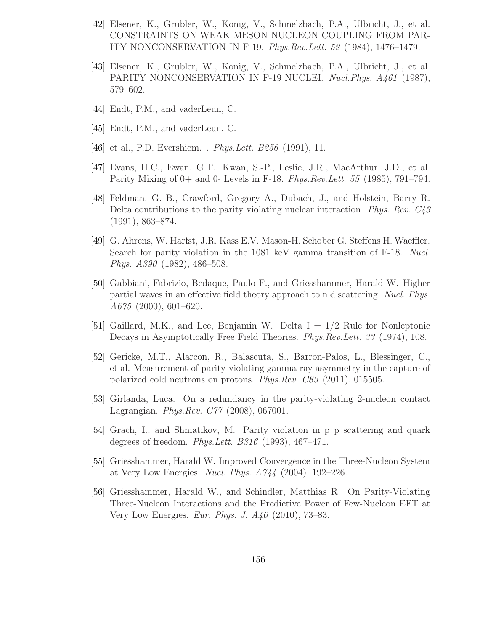- [42] Elsener, K., Grubler, W., Konig, V., Schmelzbach, P.A., Ulbricht, J., et al. CONSTRAINTS ON WEAK MESON NUCLEON COUPLING FROM PAR-ITY NONCONSERVATION IN F-19. Phys.Rev.Lett. 52 (1984), 1476–1479.
- [43] Elsener, K., Grubler, W., Konig, V., Schmelzbach, P.A., Ulbricht, J., et al. PARITY NONCONSERVATION IN F-19 NUCLEI. Nucl. Phys. A461 (1987), 579–602.
- [44] Endt, P.M., and vaderLeun, C.
- [45] Endt, P.M., and vaderLeun, C.
- [46] et al., P.D. Evershiem. . *Phys. Lett. B256* (1991), 11.
- [47] Evans, H.C., Ewan, G.T., Kwan, S.-P., Leslie, J.R., MacArthur, J.D., et al. Parity Mixing of 0+ and 0- Levels in F-18. Phys.Rev.Lett. 55 (1985), 791–794.
- [48] Feldman, G. B., Crawford, Gregory A., Dubach, J., and Holstein, Barry R. Delta contributions to the parity violating nuclear interaction. Phys. Rev. C43 (1991), 863–874.
- [49] G. Ahrens, W. Harfst, J.R. Kass E.V. Mason-H. Schober G. Steffens H. Waeffler. Search for parity violation in the 1081 keV gamma transition of F-18. Nucl. Phys. A390 (1982), 486–508.
- [50] Gabbiani, Fabrizio, Bedaque, Paulo F., and Griesshammer, Harald W. Higher partial waves in an effective field theory approach to n d scattering. Nucl. Phys. A675 (2000), 601–620.
- [51] Gaillard, M.K., and Lee, Benjamin W. Delta  $I = 1/2$  Rule for Nonleptonic Decays in Asymptotically Free Field Theories. Phys.Rev.Lett. 33 (1974), 108.
- [52] Gericke, M.T., Alarcon, R., Balascuta, S., Barron-Palos, L., Blessinger, C., et al. Measurement of parity-violating gamma-ray asymmetry in the capture of polarized cold neutrons on protons. Phys.Rev. C83 (2011), 015505.
- [53] Girlanda, Luca. On a redundancy in the parity-violating 2-nucleon contact Lagrangian. Phys.Rev. C77 (2008), 067001.
- [54] Grach, I., and Shmatikov, M. Parity violation in p p scattering and quark degrees of freedom. Phys.Lett. B316 (1993), 467–471.
- [55] Griesshammer, Harald W. Improved Convergence in the Three-Nucleon System at Very Low Energies. Nucl. Phys. A744 (2004), 192–226.
- [56] Griesshammer, Harald W., and Schindler, Matthias R. On Parity-Violating Three-Nucleon Interactions and the Predictive Power of Few-Nucleon EFT at Very Low Energies. Eur. Phys. J. A46 (2010), 73–83.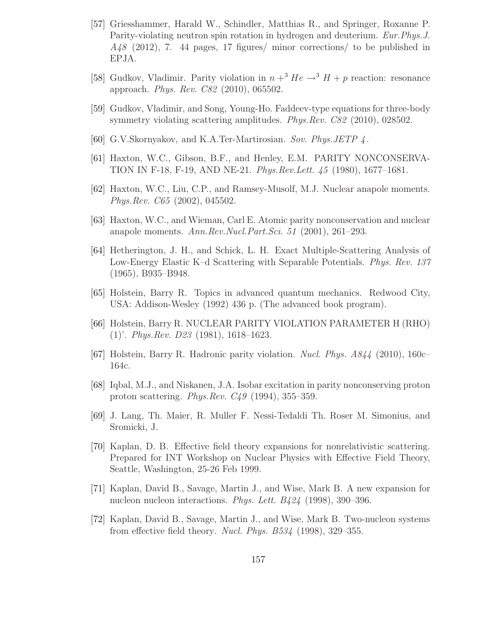- [57] Griesshammer, Harald W., Schindler, Matthias R., and Springer, Roxanne P. Parity-violating neutron spin rotation in hydrogen and deuterium. Eur.Phys.J. A48 (2012), 7. 44 pages, 17 figures/ minor corrections/ to be published in EPJA.
- [58] Gudkov, Vladimir. Parity violation in  $n + 3$  He  $\rightarrow 3$  H + p reaction: resonance approach. Phys. Rev. C82 (2010), 065502.
- [59] Gudkov, Vladimir, and Song, Young-Ho. Faddeev-type equations for three-body symmetry violating scattering amplitudes. *Phys.Rev. C82* (2010), 028502.
- [60] G.V.Skornyakov, and K.A.Ter-Martirosian. Sov. Phys.JETP 4 .
- [61] Haxton, W.C., Gibson, B.F., and Henley, E.M. PARITY NONCONSERVA-TION IN F-18, F-19, AND NE-21. Phys.Rev.Lett. 45 (1980), 1677–1681.
- [62] Haxton, W.C., Liu, C.P., and Ramsey-Musolf, M.J. Nuclear anapole moments. Phys.Rev. C65 (2002), 045502.
- [63] Haxton, W.C., and Wieman, Carl E. Atomic parity nonconservation and nuclear anapole moments. Ann.Rev.Nucl.Part.Sci. 51 (2001), 261–293.
- [64] Hetherington, J. H., and Schick, L. H. Exact Multiple-Scattering Analysis of Low-Energy Elastic K–d Scattering with Separable Potentials. Phys. Rev. 137 (1965), B935–B948.
- [65] Holstein, Barry R. Topics in advanced quantum mechanics. Redwood City, USA: Addison-Wesley (1992) 436 p. (The advanced book program).
- [66] Holstein, Barry R. NUCLEAR PARITY VIOLATION PARAMETER H (RHO) (1)'. Phys.Rev. D23 (1981), 1618–1623.
- [67] Holstein, Barry R. Hadronic parity violation. Nucl. Phys. A844 (2010), 160c– 164c.
- [68] Iqbal, M.J., and Niskanen, J.A. Isobar excitation in parity nonconserving proton proton scattering. Phys.Rev. C49 (1994), 355–359.
- [69] J. Lang, Th. Maier, R. Muller F. Nessi-Tedaldi Th. Roser M. Simonius, and Sromicki, J.
- [70] Kaplan, D. B. Effective field theory expansions for nonrelativistic scattering. Prepared for INT Workshop on Nuclear Physics with Effective Field Theory, Seattle, Washington, 25-26 Feb 1999.
- [71] Kaplan, David B., Savage, Martin J., and Wise, Mark B. A new expansion for nucleon nucleon interactions. Phys. Lett. B424 (1998), 390–396.
- [72] Kaplan, David B., Savage, Martin J., and Wise, Mark B. Two-nucleon systems from effective field theory. Nucl. Phys.  $B534$  (1998), 329–355.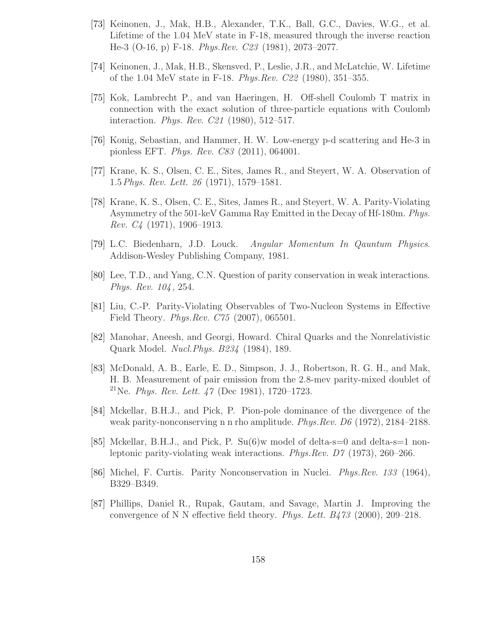- [73] Keinonen, J., Mak, H.B., Alexander, T.K., Ball, G.C., Davies, W.G., et al. Lifetime of the 1.04 MeV state in F-18, measured through the inverse reaction He-3 (O-16, p) F-18. Phys.Rev. C23 (1981), 2073–2077.
- [74] Keinonen, J., Mak, H.B., Skensved, P., Leslie, J.R., and McLatchie, W. Lifetime of the 1.04 MeV state in F-18. Phys.Rev. C22 (1980), 351–355.
- [75] Kok, Lambrecht P., and van Haeringen, H. Off-shell Coulomb T matrix in connection with the exact solution of three-particle equations with Coulomb interaction. Phys. Rev. C21 (1980), 512–517.
- [76] Konig, Sebastian, and Hammer, H. W. Low-energy p-d scattering and He-3 in pionless EFT. Phys. Rev. C83 (2011), 064001.
- [77] Krane, K. S., Olsen, C. E., Sites, James R., and Steyert, W. A. Observation of 1.5Phys. Rev. Lett. 26 (1971), 1579–1581.
- [78] Krane, K. S., Olsen, C. E., Sites, James R., and Steyert, W. A. Parity-Violating Asymmetry of the 501-keV Gamma Ray Emitted in the Decay of Hf-180m. Phys. *Rev.*  $C_4$  (1971), 1906–1913.
- [79] L.C. Biedenharn, J.D. Louck. Angular Momentum In Qauntum Physics. Addison-Wesley Publishing Company, 1981.
- [80] Lee, T.D., and Yang, C.N. Question of parity conservation in weak interactions. Phys. Rev. 104 , 254.
- [81] Liu, C.-P. Parity-Violating Observables of Two-Nucleon Systems in Effective Field Theory. Phys.Rev. C75 (2007), 065501.
- [82] Manohar, Aneesh, and Georgi, Howard. Chiral Quarks and the Nonrelativistic Quark Model. Nucl.Phys. B234 (1984), 189.
- [83] McDonald, A. B., Earle, E. D., Simpson, J. J., Robertson, R. G. H., and Mak, H. B. Measurement of pair emission from the 2.8-mev parity-mixed doublet of <sup>21</sup>Ne. *Phys. Rev. Lett.*  $47$  (Dec 1981), 1720–1723.
- [84] Mckellar, B.H.J., and Pick, P. Pion-pole dominance of the divergence of the weak parity-nonconserving n n rho amplitude. Phys.Rev. D6 (1972), 2184–2188.
- [85] Mckellar, B.H.J., and Pick, P. Su(6)w model of delta-s=0 and delta-s=1 nonleptonic parity-violating weak interactions. Phys.Rev. D7 (1973), 260–266.
- [86] Michel, F. Curtis. Parity Nonconservation in Nuclei. Phys.Rev. 133 (1964), B329–B349.
- [87] Phillips, Daniel R., Rupak, Gautam, and Savage, Martin J. Improving the convergence of N N effective field theory. *Phys. Lett.*  $B473$  (2000), 209–218.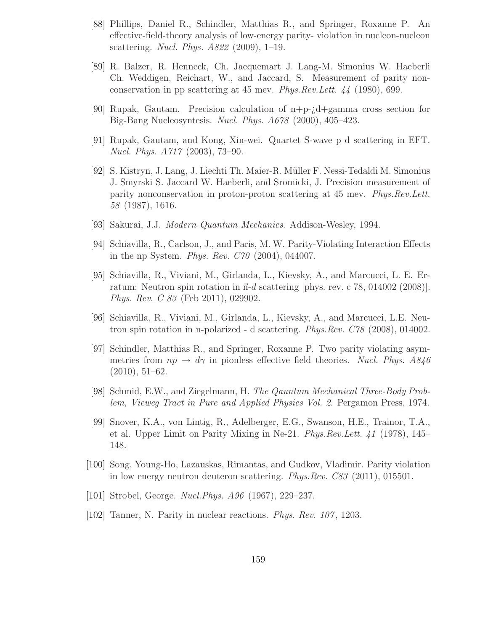- [88] Phillips, Daniel R., Schindler, Matthias R., and Springer, Roxanne P. An effective-field-theory analysis of low-energy parity- violation in nucleon-nucleon scattering. Nucl. Phys. A822 (2009), 1–19.
- [89] R. Balzer, R. Henneck, Ch. Jacquemart J. Lang-M. Simonius W. Haeberli Ch. Weddigen, Reichart, W., and Jaccard, S. Measurement of parity nonconservation in pp scattering at 45 mev. Phys.Rev.Lett. 44 (1980), 699.
- [90] Rupak, Gautam. Precision calculation of n+p-¿d+gamma cross section for Big-Bang Nucleosyntesis. Nucl. Phys. A678 (2000), 405–423.
- [91] Rupak, Gautam, and Kong, Xin-wei. Quartet S-wave p d scattering in EFT. Nucl. Phys. A717 (2003), 73–90.
- [92] S. Kistryn, J. Lang, J. Liechti Th. Maier-R. M¨uller F. Nessi-Tedaldi M. Simonius J. Smyrski S. Jaccard W. Haeberli, and Sromicki, J. Precision measurement of parity nonconservation in proton-proton scattering at 45 mev. Phys.Rev.Lett. 58 (1987), 1616.
- [93] Sakurai, J.J. Modern Quantum Mechanics. Addison-Wesley, 1994.
- [94] Schiavilla, R., Carlson, J., and Paris, M. W. Parity-Violating Interaction Effects in the np System. Phys. Rev. C70 (2004), 044007.
- [95] Schiavilla, R., Viviani, M., Girlanda, L., Kievsky, A., and Marcucci, L. E. Erratum: Neutron spin rotation in  $\vec{n}$ -d scattering [phys. rev. c 78, 014002 (2008)]. Phys. Rev. C 83 (Feb 2011), 029902.
- [96] Schiavilla, R., Viviani, M., Girlanda, L., Kievsky, A., and Marcucci, L.E. Neutron spin rotation in n-polarized - d scattering. Phys.Rev. C78 (2008), 014002.
- [97] Schindler, Matthias R., and Springer, Roxanne P. Two parity violating asymmetries from  $np \rightarrow d\gamma$  in pionless effective field theories. Nucl. Phys. A846 (2010), 51–62.
- [98] Schmid, E.W., and Ziegelmann, H. The Qauntum Mechanical Three-Body Problem, Vieweg Tract in Pure and Applied Physics Vol. 2. Pergamon Press, 1974.
- [99] Snover, K.A., von Lintig, R., Adelberger, E.G., Swanson, H.E., Trainor, T.A., et al. Upper Limit on Parity Mixing in Ne-21. Phys.Rev.Lett. 41 (1978), 145– 148.
- [100] Song, Young-Ho, Lazauskas, Rimantas, and Gudkov, Vladimir. Parity violation in low energy neutron deuteron scattering. Phys.Rev. C83 (2011), 015501.
- [101] Strobel, George. Nucl. Phys. A96 (1967), 229–237.
- [102] Tanner, N. Parity in nuclear reactions. Phys. Rev. 107 , 1203.